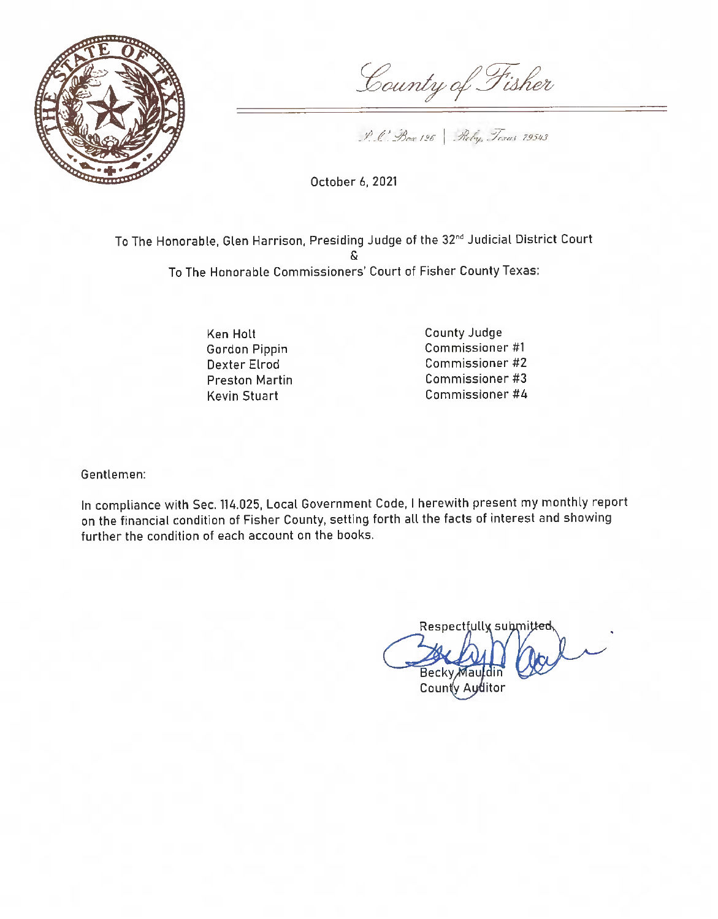

County of Fisher

P. C. Box 126 Reby, Towns 79543

October 6, 2021

To The Honorable, Glen Harrison, Presiding Judge of the 32<sup>nd</sup> Judicial District Court To The Honorable Commissioners' Court of Fisher County Texas:

> Ken Holt Gordon Pippin Dexter Elrod **Preston Martin Kevin Stuart**

County Judge Commissioner #1 Commissioner #2 Commissioner #3 Commissioner #4

Gentlemen:

In compliance with Sec. 114.025, Local Government Code, I herewith present my monthly report on the financial condition of Fisher County, setting forth all the facts of interest and showing further the condition of each account on the books.

Respectfully submitted Becky Ma County Auditor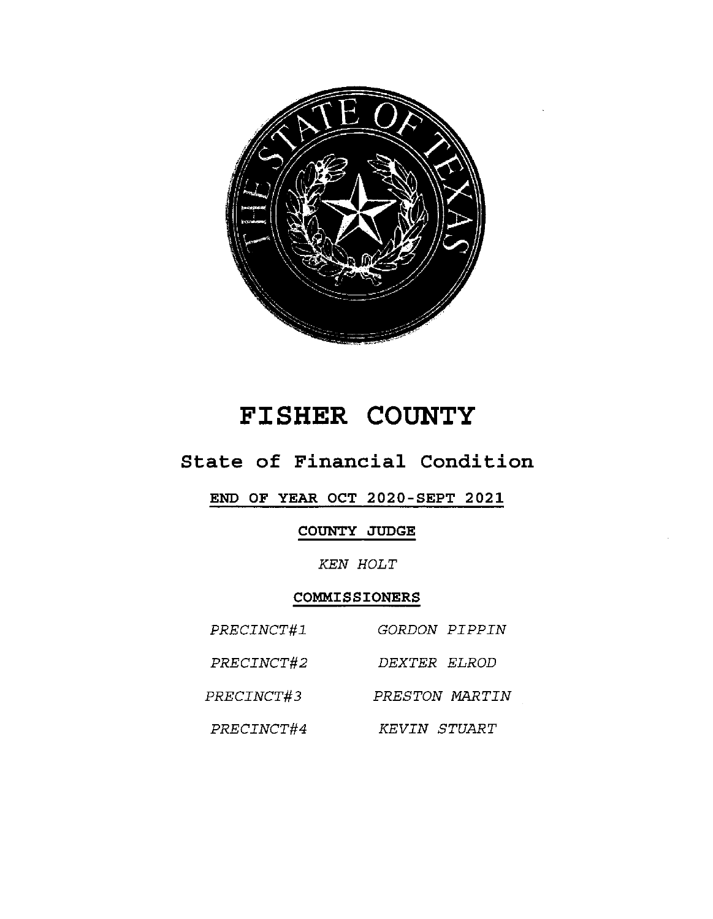

# FISHER COUNTY

## State of Financial Condition

### END OF YEAR OCT 2020-SEPT 2021

### COUNTY JUDGE

**KEN HOLT** 

#### COMMISSIONERS

| PRECINCT#1 | <i>GORDON PIPPIN</i> |
|------------|----------------------|
| PRECINCT#2 | DEXTER ELROD         |
| PRECINCT#3 | PRESTON MARTIN       |
| PRECINCT#4 | KEVIN STUART         |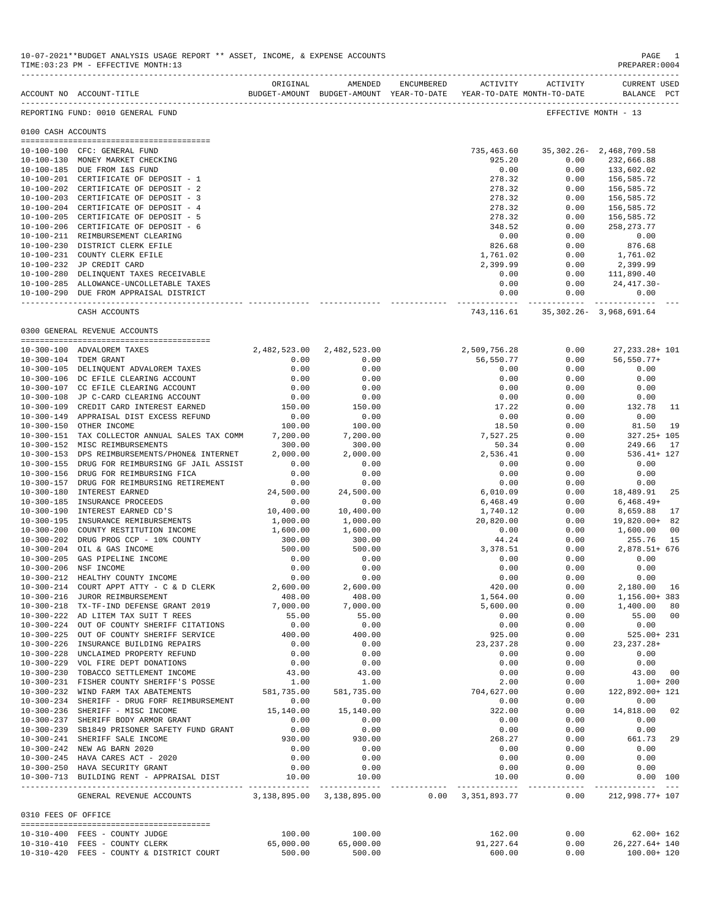|                     | ACCOUNT NO ACCOUNT-TITLE                                                               | ORIGINAL             | AMENDED<br>BUDGET-AMOUNT BUDGET-AMOUNT YEAR-TO-DATE | ENCUMBERED    | ACTIVITY<br>YEAR-TO-DATE MONTH-TO-DATE | ACTIVITY                      | <b>CURRENT USED</b><br>BALANCE PCT  |      |
|---------------------|----------------------------------------------------------------------------------------|----------------------|-----------------------------------------------------|---------------|----------------------------------------|-------------------------------|-------------------------------------|------|
|                     | REPORTING FUND: 0010 GENERAL FUND                                                      |                      |                                                     |               |                                        |                               | EFFECTIVE MONTH - 13                |      |
| 0100 CASH ACCOUNTS  |                                                                                        |                      |                                                     |               |                                        |                               |                                     |      |
|                     | 10-100-100 CFC: GENERAL FUND                                                           |                      |                                                     |               | 735,463.60                             | 35, 302. 26 - 2, 468, 709. 58 |                                     |      |
|                     | 10-100-130 MONEY MARKET CHECKING                                                       |                      |                                                     |               | 925.20                                 | 0.00                          | 232,666.88                          |      |
|                     | 10-100-185 DUE FROM I&S FUND                                                           |                      |                                                     |               | 0.00                                   | 0.00                          | 133,602.02                          |      |
|                     | 10-100-201 CERTIFICATE OF DEPOSIT - 1                                                  |                      |                                                     |               | 278.32                                 | 0.00                          | 156,585.72                          |      |
|                     | 10-100-202 CERTIFICATE OF DEPOSIT - 2                                                  |                      |                                                     |               | 278.32                                 | 0.00                          | 156,585.72                          |      |
|                     | 10-100-203 CERTIFICATE OF DEPOSIT - 3                                                  |                      |                                                     |               | 278.32                                 | 0.00                          | 156,585.72                          |      |
|                     | 10-100-204 CERTIFICATE OF DEPOSIT - 4                                                  |                      |                                                     |               | 278.32                                 | 0.00                          | 156,585.72                          |      |
|                     | 10-100-205 CERTIFICATE OF DEPOSIT - 5                                                  |                      |                                                     |               | 278.32                                 | 0.00                          | 156,585.72                          |      |
|                     | 10-100-206 CERTIFICATE OF DEPOSIT - 6<br>10-100-211 REIMBURSEMENT CLEARING             |                      |                                                     |               | 348.52<br>0.00                         | 0.00<br>0.00                  | 258, 273. 77<br>0.00                |      |
|                     | 10-100-230 DISTRICT CLERK EFILE                                                        |                      |                                                     |               | 826.68                                 | 0.00                          | 876.68                              |      |
|                     | 10-100-231 COUNTY CLERK EFILE                                                          |                      |                                                     |               | 1,761.02                               | 0.00                          | 1,761.02                            |      |
|                     | 10-100-232 JP CREDIT CARD                                                              |                      |                                                     |               | 2,399.99                               | 0.00                          | 2,399.99                            |      |
|                     | 10-100-280 DELINQUENT TAXES RECEIVABLE                                                 |                      |                                                     |               | 0.00                                   | 0.00                          | 111,890.40                          |      |
|                     | 10-100-285 ALLOWANCE-UNCOLLETABLE TAXES                                                |                      |                                                     |               | 0.00                                   | 0.00                          | 24,417.30-                          |      |
|                     | 10-100-290 DUE FROM APPRAISAL DISTRICT                                                 |                      |                                                     |               | 0.00<br>------------                   | 0.00                          | 0.00<br>------------ -------------- |      |
|                     | CASH ACCOUNTS                                                                          |                      |                                                     |               | 743,116.61                             |                               | 35, 302. 26 - 3, 968, 691. 64       |      |
|                     | 0300 GENERAL REVENUE ACCOUNTS                                                          |                      |                                                     |               |                                        |                               |                                     |      |
|                     | 10-300-100 ADVALOREM TAXES                                                             |                      | 2,482,523.00 2,482,523.00                           |               | 2,509,756.28                           | 0.00                          | 27, 233. 28+ 101                    |      |
|                     | 10-300-104 TDEM GRANT                                                                  | 0.00                 | 0.00                                                |               | 56,550.77                              | 0.00                          | $56, 550.77+$                       |      |
|                     | 10-300-105 DELINQUENT ADVALOREM TAXES                                                  | 0.00                 | 0.00                                                |               | 0.00                                   | 0.00                          | 0.00                                |      |
|                     | 10-300-106 DC EFILE CLEARING ACCOUNT                                                   | 0.00                 | 0.00                                                |               | 0.00                                   | 0.00                          | 0.00                                |      |
|                     | 10-300-107 CC EFILE CLEARING ACCOUNT                                                   | 0.00                 | 0.00                                                |               | 0.00                                   | 0.00                          | 0.00                                |      |
|                     | 10-300-108 JP C-CARD CLEARING ACCOUNT                                                  | 0.00                 | 0.00                                                |               | 0.00                                   | 0.00                          | 0.00                                |      |
|                     | 10-300-109 CREDIT CARD INTEREST EARNED                                                 | 150.00               | 150.00                                              |               | 17.22                                  | 0.00                          | 132.78                              | - 11 |
|                     | 10-300-149 APPRAISAL DIST EXCESS REFUND                                                | 0.00                 | 0.00                                                |               | 0.00                                   | 0.00                          | 0.00                                |      |
|                     | 10-300-150 OTHER INCOME                                                                | 100.00               | 100.00                                              |               | 18.50                                  | 0.00                          | 81.50                               | 19   |
|                     | 10-300-151 TAX COLLECTOR ANNUAL SALES TAX COMM<br>10-300-152 MISC REIMBURSEMENTS       | 7,200.00<br>300.00   | 7,200.00<br>300.00                                  |               | 7,527.25<br>50.34                      | 0.00<br>0.00                  | 327.25+ 105<br>249.66               | 17   |
|                     | 10-300-153 DPS REIMBURSEMENTS/PHONE& INTERNET                                          | 2,000.00             | 2,000.00                                            |               | 2,536.41                               | 0.00                          | 536.41+ 127                         |      |
|                     | 10-300-155 DRUG FOR REIMBURSING GF JAIL ASSIST                                         | 0.00                 | 0.00                                                |               | 0.00                                   | 0.00                          | 0.00                                |      |
|                     | 10-300-156 DRUG FOR REIMBURSING FICA                                                   | 0.00                 | 0.00                                                |               | 0.00                                   | 0.00                          | 0.00                                |      |
|                     | 10-300-157 DRUG FOR REIMBURSING RETIREMENT                                             | 0.00                 | 0.00                                                |               | 0.00                                   | 0.00                          | 0.00                                |      |
|                     | 10-300-180 INTEREST EARNED                                                             | 24,500.00            | 24,500.00                                           |               | 6,010.09                               | 0.00                          | 18,489.91                           | 25   |
|                     | 10-300-185 INSURANCE PROCEEDS                                                          | 0.00                 | 0.00                                                |               | 6,468.49                               | 0.00                          | $6,468.49+$                         |      |
|                     | 10-300-190 INTEREST EARNED CD'S                                                        | 10,400.00            | 10,400.00                                           |               | 1,740.12                               | 0.00                          | 8,659.88                            | 17   |
|                     | 10-300-195 INSURANCE REMIBURSEMENTS<br>10-300-200 COUNTY RESTITUTION INCOME            | 1,000.00<br>1,600.00 | 1,000.00<br>1,600.00                                |               | 20,820.00<br>0.00                      | 0.00<br>0.00                  | 19,820.00+ 82<br>1,600.00           | 00   |
|                     | 10-300-202 DRUG PROG CCP - 10% COUNTY                                                  | 300.00               | 300.00                                              |               | 44.24                                  | 0.00                          | 255.76                              | 15   |
|                     | 10-300-204 OIL & GAS INCOME                                                            | 500.00               | 500.00                                              |               | 3,378.51                               | 0.00                          | 2,878.51+ 676                       |      |
|                     | 10-300-205 GAS PIPELINE INCOME                                                         | 0.00                 | 0.00                                                |               | 0.00                                   | 0.00                          | 0.00                                |      |
|                     | 10-300-206 NSF INCOME                                                                  | 0.00                 | 0.00                                                |               | 0.00                                   | 0.00                          | 0.00                                |      |
|                     | 10-300-212 HEALTHY COUNTY INCOME                                                       | 0.00                 | 0.00                                                |               | 0.00                                   | 0.00                          | 0.00                                |      |
|                     | 10-300-214 COURT APPT ATTY - C & D CLERK                                               | 2,600.00             | 2,600.00                                            |               | 420.00                                 | 0.00                          | 2,180.00 16                         |      |
|                     | 10-300-216 JUROR REIMBURSEMENT                                                         | 408.00               | 408.00                                              |               | 1,564.00                               | 0.00                          | 1,156.00+ 383                       |      |
|                     | 10-300-218 TX-TF-IND DEFENSE GRANT 2019                                                | 7,000.00             | 7,000.00                                            |               | 5,600.00                               | 0.00                          | 1,400.00 80                         |      |
|                     | 10-300-222 AD LITEM TAX SUIT T REES                                                    | 55.00                | 55.00                                               |               | 0.00                                   | 0.00                          | 55.00 00                            |      |
|                     | 10-300-224 OUT OF COUNTY SHERIFF CITATIONS<br>10-300-225 OUT OF COUNTY SHERIFF SERVICE | 0.00<br>400.00       | 0.00<br>400.00                                      |               | 0.00<br>925.00                         | 0.00<br>0.00                  | 0.00<br>525.00+ 231                 |      |
|                     | 10-300-226 INSURANCE BUILDING REPAIRS                                                  | 0.00                 | 0.00                                                |               | 23, 237. 28                            | 0.00                          | $23, 237.28+$                       |      |
|                     | 10-300-228 UNCLAIMED PROPERTY REFUND                                                   | 0.00                 | 0.00                                                |               | 0.00                                   | 0.00                          | 0.00                                |      |
|                     | 10-300-229 VOL FIRE DEPT DONATIONS                                                     | 0.00                 | 0.00                                                |               | 0.00                                   | 0.00                          | 0.00                                |      |
|                     | 10-300-230 TOBACCO SETTLEMENT INCOME                                                   | 43.00                | 43.00                                               |               | 0.00                                   | 0.00                          | 43.00 00                            |      |
|                     | 10-300-231 FISHER COUNTY SHERIFF'S POSSE                                               | 1.00                 | 1.00                                                |               | 2.00                                   | 0.00                          | $1.00 + 200$                        |      |
|                     | 10-300-232 WIND FARM TAX ABATEMENTS                                                    | 581,735.00           | 581,735.00                                          |               | 704,627.00                             | 0.00                          | 122,892.00+ 121                     |      |
|                     | 10-300-234 SHERIFF - DRUG FORF REIMBURSEMENT                                           | 0.00                 | 0.00                                                |               | 0.00                                   | 0.00                          | 0.00                                |      |
|                     | 10-300-236 SHERIFF - MISC INCOME                                                       | 15,140.00            | 15,140.00                                           |               | 322.00                                 | 0.00                          | 14,818.00 02                        |      |
|                     | 10-300-237 SHERIFF BODY ARMOR GRANT                                                    | 0.00                 | 0.00                                                |               | 0.00                                   | 0.00                          | 0.00                                |      |
|                     | 10-300-239 SB1849 PRISONER SAFETY FUND GRANT<br>10-300-241 SHERIFF SALE INCOME         | 0.00                 | 0.00                                                |               | 0.00                                   | 0.00                          | 0.00                                |      |
|                     | 10-300-242 NEW AG BARN 2020                                                            | 930.00<br>0.00       | 930.00<br>0.00                                      |               | 268.27<br>0.00                         | 0.00<br>0.00                  | 661.73 29<br>0.00                   |      |
|                     | 10-300-245 HAVA CARES ACT - 2020                                                       | 0.00                 | 0.00                                                |               | 0.00                                   | 0.00                          | 0.00                                |      |
|                     | 10-300-250 HAVA SECURITY GRANT                                                         | 0.00                 | 0.00                                                |               | 0.00                                   | 0.00                          | 0.00                                |      |
|                     | 10-300-713 BUILDING RENT - APPRAISAL DIST                                              | 10.00                | 10.00                                               |               | 10.00                                  | 0.00                          | 0.00 100                            |      |
|                     | GENERAL REVENUE ACCOUNTS 3,138,895.00 3,138,895.00 0.00 3,351,893.77                   |                      |                                                     | _____________ | -------------- ------------            | 0.00                          | 212,998.77+ 107                     |      |
| 0310 FEES OF OFFICE |                                                                                        |                      |                                                     |               |                                        |                               |                                     |      |
|                     | 10-310-400 FEES - COUNTY JUDGE                                                         | 100.00               | 100.00                                              |               | 162.00                                 | 0.00                          | $62.00 + 162$                       |      |
|                     | 10-310-410 FEES - COUNTY CLERK                                                         | 65,000.00            | 65,000.00                                           |               | 91,227.64                              | 0.00                          | 26, 227.64+ 140                     |      |
|                     | 10-310-420 FEES - COUNTY & DISTRICT COURT                                              | 500.00               | 500.00                                              |               | 600.00                                 | 0.00                          | 100.00+ 120                         |      |

TIME:03:23 PM - EFFECTIVE MONTH:13

10-07-2021\*\*BUDGET ANALYSIS USAGE REPORT \*\* ASSET, INCOME, & EXPENSE ACCOUNTS PAGE 1

-------------------------------------------------------------------------------------------------------------------------------------------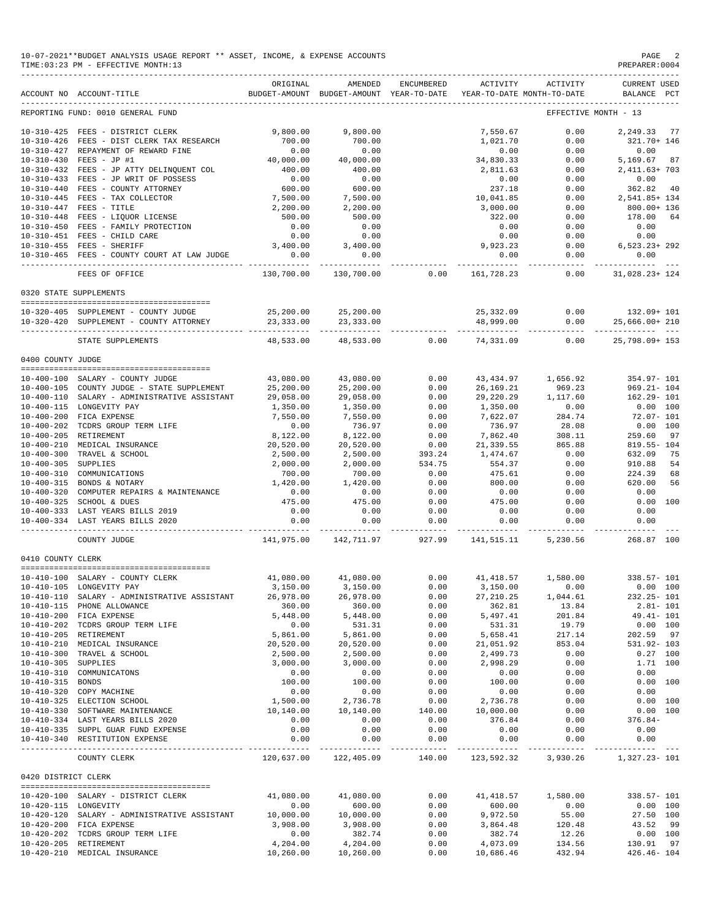|                       | 10-07-2021**BUDGET ANALYSIS USAGE REPORT ** ASSET, INCOME, & EXPENSE ACCOUNTS<br>TIME: 03:23 PM - EFFECTIVE MONTH: 13               |                    |                                                                                |                       |                    |                          | PAGE<br>PREPARER: 0004                                 |
|-----------------------|-------------------------------------------------------------------------------------------------------------------------------------|--------------------|--------------------------------------------------------------------------------|-----------------------|--------------------|--------------------------|--------------------------------------------------------|
|                       | ACCOUNT NO ACCOUNT-TITLE                                                                                                            | ORIGINAL           | AMENDED<br>BUDGET-AMOUNT BUDGET-AMOUNT YEAR-TO-DATE YEAR-TO-DATE MONTH-TO-DATE | ENCUMBERED            | ACTIVITY           | ACTIVITY                 | <b>CURRENT USED</b><br>BALANCE PCT                     |
|                       | REPORTING FUND: 0010 GENERAL FUND                                                                                                   |                    |                                                                                |                       |                    |                          | EFFECTIVE MONTH - 13                                   |
|                       | 10-310-425 FEES - DISTRICT CLERK                                                                                                    | 9,800.00           | 9,800,00                                                                       |                       | 7,550.67           | 0.00                     | 2,249.33 77                                            |
|                       | 10-310-426 FEES - DIST CLERK TAX RESEARCH                                                                                           | 700.00             | 700.00                                                                         |                       | 1,021.70           | 0.00                     | 321.70+ 146                                            |
|                       | 10-310-427 REPAYMENT OF REWARD FINE                                                                                                 | 0.00               | 0.00                                                                           |                       | 0.00               | 0.00                     | 0.00                                                   |
|                       | 10-310-430 FEES - JP #1                                                                                                             | 40,000.00          | 40,000.00                                                                      |                       | 34,830.33          | 0.00                     | 5,169.67 87<br>2,411.63+ 703                           |
|                       | 10-310-432 FEES - JP ATTY DELINQUENT COL                                                                                            | 400.00             | 400.00                                                                         |                       | 2,811.63           | 0.00                     |                                                        |
|                       | 10-310-433 FEES - JP WRIT OF POSSESS                                                                                                | 0.00               | 0.00                                                                           |                       | 0.00               | 0.00                     | 0.00                                                   |
|                       | 10-310-440 FEES - COUNTY ATTORNEY<br>10-310-445 FEES - TAX COLLECTOR<br>10-310-447 FEES - TITLE<br>10-310-448 FEES - LIQUOR LICENSE | 600.00<br>7,500.00 | $600.00$<br>7,500.00                                                           |                       | 237.18             | 0.00                     | $362.82$ 40<br>2,541.85+ 134                           |
|                       |                                                                                                                                     |                    |                                                                                |                       | 10,041.85          | 0.00                     |                                                        |
|                       |                                                                                                                                     | 2,200.00           | 2,200.00                                                                       |                       | 3,000.00           | 0.00                     | 800.00+ 136                                            |
|                       |                                                                                                                                     | 500.00             | 500.00                                                                         |                       | 322.00             | 0.00                     | 178.00<br>64                                           |
|                       | 10-310-450 FEES - FAMILY PROTECTION<br>10-310-451 FEES - CHILD CARE                                                                 | 0.00<br>0.00       | 0.00<br>0.00                                                                   |                       | 0.00<br>0.00       | 0.00                     | 0.00<br>0.00                                           |
|                       | 10-310-455 FEES - SHERIFF                                                                                                           | 3,400.00           | 3,400.00                                                                       |                       | 9,923.23           | 0.00                     | $0.00$ 6,523.23+292                                    |
|                       | 10-310-465 FEES - COUNTY COURT AT LAW JUDGE                                                                                         | 0.00               | 0.00                                                                           |                       | 0.00               | 0.00                     | 0.00                                                   |
|                       |                                                                                                                                     | .                  |                                                                                |                       |                    |                          | ---------                                              |
|                       | FEES OF OFFICE                                                                                                                      |                    | 130,700.00 130,700.00                                                          | 0.00                  | 161,728.23         | 0.00                     | 31,028.23+ 124                                         |
|                       | 0320 STATE SUPPLEMENTS                                                                                                              |                    |                                                                                |                       |                    |                          |                                                        |
|                       | 10-320-405 SUPPLEMENT - COUNTY JUDGE                                                                                                |                    |                                                                                |                       |                    |                          | 25,332.09   0.00   132.09+ 101                         |
|                       | 10-320-420 SUPPLEMENT - COUNTY ATTORNEY                                                                                             |                    |                                                                                |                       |                    |                          | $0.00$ $25,666.00+210$                                 |
|                       | STATE SUPPLEMENTS                                                                                                                   |                    |                                                                                |                       |                    |                          | 48,533.00 48,533.00 0.00 74,331.09 0.00 25,798.09+ 153 |
| 0400 COUNTY JUDGE     |                                                                                                                                     |                    |                                                                                |                       |                    |                          |                                                        |
|                       | 10-400-100 SALARY - COUNTY JUDGE                                                                                                    | 43,080.00          | 43,080.00                                                                      | 0.00                  |                    |                          | 43, 434.97 1, 656.92 354.97-101                        |
|                       | 10-400-105 COUNTY JUDGE - STATE SUPPLEMENT                                                                                          | 25,200.00          | 25,200.00                                                                      | 0.00                  | 26,169.21          | 969.23                   | 969.21- 104                                            |
|                       | 10-400-110 SALARY - ADMINISTRATIVE ASSISTANT                                                                                        | 29,058.00          | 29,058.00                                                                      | $0.0$<br>0.00<br>0.00 |                    | $29, 220.29$ $1, 117.60$ | $162.29 - 101$                                         |
|                       | 10-400-115 LONGEVITY PAY                                                                                                            | 1,350.00           | 1,350.00                                                                       |                       | 1,350.00           | 0.00                     | 0.00 100                                               |
|                       | 10-400-200 FICA EXPENSE                                                                                                             | 7,550.00           | 7,550.00                                                                       | $0.00$<br>0.00        | 7,622.07           | 284.74                   | 72.07- 101                                             |
|                       | 10-400-202 TCDRS GROUP TERM LIFE                                                                                                    | 0.00               | 736.97                                                                         |                       | 736.97             | 28.08                    | $0.00$ 100                                             |
|                       | 10-400-205 RETIREMENT                                                                                                               | 8,122.00           | 8,122.00                                                                       | 0.00                  | 7,862.40           | 308.11                   | 259.60 97                                              |
|                       | 10-400-210 MEDICAL INSURANCE                                                                                                        | 20,520.00          | 20,520.00                                                                      |                       | 21,339.55          | 865.88                   | 819.55- 104                                            |
|                       | 10-400-300 TRAVEL & SCHOOL                                                                                                          | 2,500.00           | 2,500.00                                                                       | $0.00$<br>393.24      | 1,474.67           | 0.00                     | 632.09<br>75                                           |
| 10-400-305 SUPPLIES   |                                                                                                                                     | 2,000.00           | 2,000.00                                                                       | 534.75                | 554.37             | 0.00                     | 910.88<br>54                                           |
|                       | 10-400-310 COMMUNICATIONS                                                                                                           | 700.00             | 700.00                                                                         | 0.00                  | 475.61             | 0.00                     | 224.39<br>68                                           |
|                       | 10-400-315 BONDS & NOTARY                                                                                                           | 1,420.00           | 1,420.00                                                                       | 0.00                  | 800.00             | 0.00                     | 56<br>620.00                                           |
|                       | 10-400-320 COMPUTER REPAIRS & MAINTENANCE                                                                                           | 0.00               | 0.00                                                                           | 0.00                  | 0.00               | 0.00                     | 0.00                                                   |
|                       | 10-400-325 SCHOOL & DUES                                                                                                            | 475.00             | 475.00                                                                         | 0.00                  | 475.00             | 0.00                     | $0.00$ 100                                             |
|                       | 10-400-333 LAST YEARS BILLS 2019<br>10-400-334 LAST YEARS BILLS 2020                                                                | 0.00<br>0.00       | 0.00<br>0.00                                                                   | 0.00<br>0.00          | 0.00<br>0.00       | 0.00<br>0.00             | 0.00<br>0.00                                           |
|                       | COUNTY JUDGE                                                                                                                        | ------------ -     | ------------<br>141,975.00 142,711.97 927.99                                   | -----------           | .                  | .<br>141,515.11 5,230.56 | ----------<br>268.87 100                               |
| 0410 COUNTY CLERK     |                                                                                                                                     |                    |                                                                                |                       |                    |                          |                                                        |
|                       |                                                                                                                                     |                    |                                                                                |                       |                    |                          |                                                        |
|                       | 10-410-100 SALARY - COUNTY CLERK                                                                                                    | 41,080.00          | 41,080.00                                                                      | 0.00                  | 41, 418.57         | 1,580.00                 | 338.57- 101                                            |
|                       | 10-410-105 LONGEVITY PAY                                                                                                            | 3,150.00           | 3,150.00                                                                       | 0.00                  | 3,150.00           | 0.00                     | $0.00$ 100                                             |
|                       | 10-410-110 SALARY - ADMINISTRATIVE ASSISTANT                                                                                        | 26,978.00          | 26,978.00                                                                      | 0.00                  | 27, 210.25         | 1,044.61                 | $232.25 - 101$                                         |
|                       | 10-410-115 PHONE ALLOWANCE                                                                                                          | 360.00<br>5,448.00 | 360.00                                                                         | 0.00                  | 362.81             | 13.84                    | $2.81 - 101$                                           |
|                       | 10-410-200 FICA EXPENSE<br>10-410-202 TCDRS GROUP TERM LIFE                                                                         | 0.00               | 5,448.00<br>531.31                                                             | 0.00<br>0.00          | 5,497.41<br>531.31 | 201.84<br>19.79          | 49.41- 101<br>0.00 100                                 |
|                       | 10-410-205 RETIREMENT                                                                                                               | 5,861.00           | 5,861.00                                                                       | 0.00                  | 5,658.41           | 217.14                   | 202.59 97                                              |
|                       | 10-410-210 MEDICAL INSURANCE                                                                                                        | 20,520.00          | 20,520.00                                                                      | 0.00                  | 21,051.92          | 853.04                   | 531.92- 103                                            |
|                       | 10-410-300 TRAVEL & SCHOOL                                                                                                          | 2,500.00           | 2,500.00                                                                       | 0.00                  | 2,499.73           | 0.00                     | $0.27$ 100                                             |
| 10-410-305 SUPPLIES   |                                                                                                                                     | 3,000.00           | 3,000.00                                                                       | 0.00                  | 2,998.29           | 0.00                     | 1.71 100                                               |
|                       | 10-410-310 COMMUNICATONS                                                                                                            | 0.00               | 0.00                                                                           | 0.00                  | 0.00               | 0.00                     | 0.00                                                   |
| 10-410-315 BONDS      |                                                                                                                                     | 100.00             | 100.00                                                                         | 0.00                  | 100.00             | 0.00                     | 0.00 100                                               |
|                       | 10-410-320 COPY MACHINE                                                                                                             | 0.00               | 0.00                                                                           | 0.00                  | 0.00               | 0.00                     | 0.00                                                   |
|                       | 10-410-325 ELECTION SCHOOL                                                                                                          | 1,500.00           | 2,736.78                                                                       | 0.00                  | 2,736.78           | 0.00                     | 0.00 100                                               |
|                       | 10-410-330 SOFTWARE MAINTENANCE                                                                                                     | 10,140.00          | 10,140.00                                                                      | 140.00                | 10,000.00          | 0.00                     | 0.00 100                                               |
|                       | 10-410-334 LAST YEARS BILLS 2020                                                                                                    | 0.00               | 0.00                                                                           | 0.00                  | 376.84             | 0.00                     | $376.84-$                                              |
|                       | 10-410-335 SUPPL GUAR FUND EXPENSE                                                                                                  | 0.00               | 0.00                                                                           | 0.00                  | 0.00               | 0.00                     | 0.00                                                   |
|                       | 10-410-340 RESTITUTION EXPENSE                                                                                                      | 0.00               | 0.00                                                                           | 0.00                  | 0.00               | 0.00                     | 0.00                                                   |
|                       | COUNTY CLERK                                                                                                                        |                    | 120,637.00 122,405.09 140.00                                                   |                       |                    | 123,592.32 3,930.26      | 1,327.23- 101                                          |
| 0420 DISTRICT CLERK   |                                                                                                                                     |                    |                                                                                |                       |                    |                          |                                                        |
|                       | 10-420-100 SALARY - DISTRICT CLERK                                                                                                  | 41,080.00          | 41,080.00                                                                      | 0.00                  | 41,418.57          |                          | 1,580.00 338.57-101                                    |
| 10-420-115 LONGEVITY  |                                                                                                                                     | 0.00               | 600.00                                                                         | 0.00                  | 600.00             | 0.00                     | 0.00 100                                               |
|                       | $10-420-120$ SALARY - ADMINISTRATIVE ASSISTANT $10,000.00$                                                                          |                    | 10,000.00                                                                      | 0.00                  | 9,972.50           | 55.00                    | 27.50 100                                              |
|                       | 10-420-200 FICA EXPENSE                                                                                                             | 3,908.00           | 3,908.00                                                                       | 0.00                  | 3,864.48           | 120.48                   | 43.52 99                                               |
|                       | 10-420-202 TCDRS GROUP TERM LIFE                                                                                                    | 0.00               | 382.74                                                                         | 0.00                  | 382.74             | 12.26                    | 0.00 100                                               |
| 10-420-205 RETIREMENT |                                                                                                                                     | 4,204.00           | 4,204.00                                                                       | 0.00                  | 4,073.09           | 134.56                   | 130.91 97                                              |
|                       | 10-420-210 MEDICAL INSURANCE                                                                                                        | 10,260.00          | 10,260.00                                                                      | 0.00                  | 10,686.46          | 432.94                   | $426.46 - 104$                                         |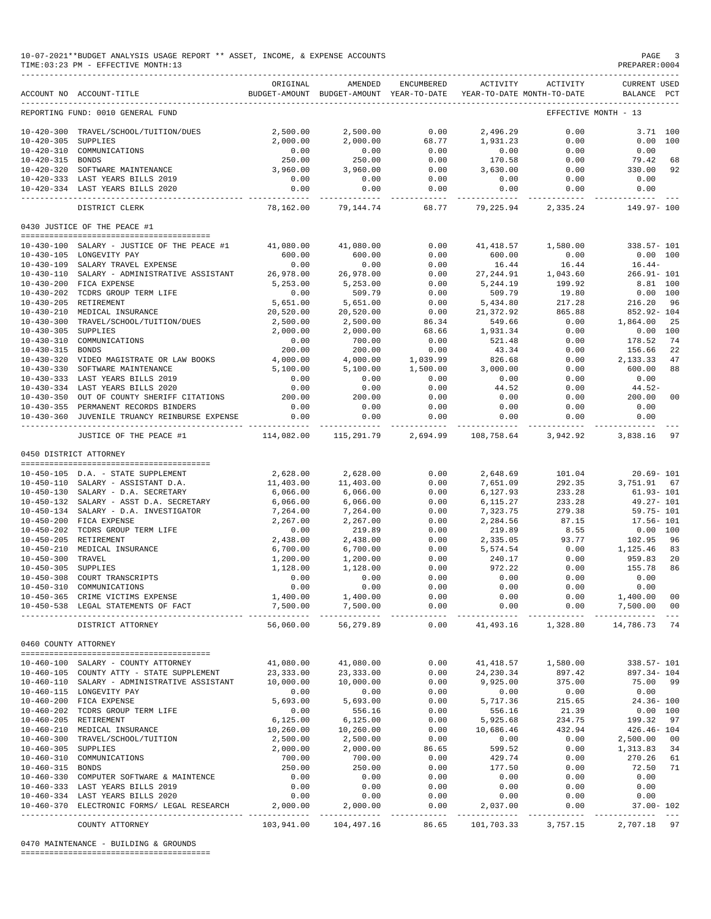| 10-07-2021**BUDGET ANALYSIS USAGE REPORT ** ASSET, INCOME, & EXPENSE ACCOUNTS | PAGE           |
|-------------------------------------------------------------------------------|----------------|
| TIME:03:23 PM - EFFECTIVE MONTH:13                                            | PREPARER: 0004 |

|                                      | ACCOUNT NO ACCOUNT-TITLE                                            | ORIGINAL             | AMENDED<br>BUDGET-AMOUNT BUDGET-AMOUNT YEAR-TO-DATE | ENCUMBERED          | <b>ACTIVITY</b>           | ACTIVITY<br>YEAR-TO-DATE MONTH-TO-DATE | <b>CURRENT USED</b><br>BALANCE PCT |                |
|--------------------------------------|---------------------------------------------------------------------|----------------------|-----------------------------------------------------|---------------------|---------------------------|----------------------------------------|------------------------------------|----------------|
|                                      | ------------------------------<br>REPORTING FUND: 0010 GENERAL FUND |                      |                                                     |                     |                           |                                        | EFFECTIVE MONTH - 13               |                |
| $10 - 420 - 300$                     |                                                                     |                      |                                                     | 0.00                |                           | 0.00                                   | 3.71 100                           |                |
|                                      | TRAVEL/SCHOOL/TUITION/DUES                                          | 2,500.00<br>2,000.00 | 2,500.00                                            | 68.77               | 2,496.29<br>1,931.23      | 0.00                                   |                                    |                |
| $10 - 420 - 305$<br>$10 - 420 - 310$ | SUPPLIES<br>COMMUNICATIONS                                          | 0.00                 | 2,000.00                                            |                     |                           | 0.00                                   | 0.00<br>100<br>0.00                |                |
|                                      |                                                                     |                      | 0.00                                                | 0.00                | 0.00                      |                                        |                                    |                |
| $10 - 420 - 315$                     | <b>BONDS</b>                                                        | 250.00               | 250.00                                              | 0.00                | 170.58                    | 0.00                                   | 79.42                              | 68             |
| $10 - 420 - 320$                     | SOFTWARE MAINTENANCE                                                | 3,960.00             | 3,960.00                                            | 0.00                | 3,630.00                  | 0.00                                   | 330.00                             | 92             |
|                                      | 10-420-333 LAST YEARS BILLS 2019                                    | 0.00                 | 0.00                                                | 0.00                | 0.00                      | 0.00                                   | 0.00                               |                |
|                                      | 10-420-334 LAST YEARS BILLS 2020                                    | 0.00                 | 0.00                                                | 0.00                | 0.00                      | 0.00                                   | 0.00                               |                |
|                                      | DISTRICT CLERK                                                      | 78,162.00            | 79,144.74                                           | -----<br>68.77      | ---------<br>79,225.94    | ----------<br>2,335.24                 | 149.97-100                         |                |
|                                      | 0430 JUSTICE OF THE PEACE #1                                        |                      |                                                     |                     |                           |                                        |                                    |                |
|                                      |                                                                     |                      |                                                     |                     |                           |                                        |                                    |                |
| $10 - 430 - 100$                     | SALARY - JUSTICE OF THE PEACE #1                                    | 41,080.00            | 41,080.00                                           | 0.00                | 41, 418.57                | 1,580.00                               | 338.57- 101                        |                |
|                                      | 10-430-105 LONGEVITY PAY                                            | 600.00               | 600.00                                              | 0.00                | 600.00                    | 0.00                                   | 0.00 100                           |                |
| $10 - 430 - 109$                     | SALARY TRAVEL EXPENSE                                               | 0.00                 | 0.00                                                | 0.00                | 16.44                     | 16.44                                  | $16.44-$                           |                |
| $10 - 430 - 110$                     | SALARY - ADMINISTRATIVE ASSISTANT                                   | 26,978.00            | 26,978.00                                           | 0.00                | 27, 244.91                | 1,043.60                               | $266.91 - 101$                     |                |
| $10 - 430 - 200$                     | FICA EXPENSE                                                        | 5,253.00             | 5,253.00                                            | 0.00                | 5,244.19                  | 199.92                                 | 8.81 100                           |                |
| $10 - 430 - 202$                     | TCDRS GROUP TERM LIFE                                               | 0.00                 | 509.79                                              | 0.00                | 509.79                    | 19.80                                  | 0.00<br>100                        |                |
| $10 - 430 - 205$                     | RETIREMENT                                                          | 5,651.00             | 5,651.00                                            | 0.00                | 5,434.80                  | 217.28                                 | 216.20                             | 96             |
| $10 - 430 - 210$                     | MEDICAL INSURANCE                                                   | 20,520.00            | 20,520.00                                           | 0.00                | 21, 372.92                | 865.88                                 | 852.92- 104                        |                |
| $10 - 430 - 300$                     | TRAVEL/SCHOOL/TUITION/DUES                                          | 2,500.00             | 2,500.00                                            | 86.34               | 549.66                    | 0.00                                   | 1,864.00                           | 25             |
| $10 - 430 - 305$                     | <b>SUPPLIES</b>                                                     | 2,000.00             | 2,000.00                                            | 68.66               | 1,931.34                  | 0.00                                   | 0.00<br>100                        |                |
|                                      |                                                                     |                      |                                                     |                     |                           |                                        | 178.52                             |                |
| $10 - 430 - 310$                     | COMMUNICATIONS                                                      | 0.00                 | 700.00                                              | 0.00                | 521.48                    | 0.00                                   |                                    | 74             |
| $10 - 430 - 315$                     | <b>BONDS</b>                                                        | 200.00               | 200.00                                              | 0.00                | 43.34                     | 0.00                                   | 156.66                             | 22             |
| $10 - 430 - 320$                     | VIDEO MAGISTRATE OR LAW BOOKS                                       | 4,000.00             | 4,000.00                                            | 1,039.99            | 826.68                    | 0.00                                   | 2,133.33                           | 47             |
| $10 - 430 - 330$                     | SOFTWARE MAINTENANCE                                                | 5,100.00             | 5,100.00                                            | 1,500.00            | 3,000.00                  | 0.00                                   | 600.00                             | 88             |
| $10 - 430 - 333$                     | LAST YEARS BILLS 2019                                               | 0.00                 | 0.00                                                | 0.00                | 0.00                      | 0.00                                   | 0.00                               |                |
|                                      | 10-430-334 LAST YEARS BILLS 2020                                    | 0.00                 | 0.00                                                | 0.00                | 44.52                     | 0.00                                   | $44.52-$                           |                |
| $10 - 430 - 350$                     | OUT OF COUNTY SHERIFF CITATIONS                                     | 200.00               | 200.00                                              | 0.00                | 0.00                      | 0.00                                   | 200.00                             | 00             |
|                                      | 10-430-355 PERMANENT RECORDS BINDERS                                | 0.00                 | 0.00                                                | 0.00                | 0.00                      | 0.00                                   | 0.00                               |                |
| $10 - 430 - 360$                     | JUVENILE TRUANCY REINBURSE EXPENSE                                  | 0.00                 | 0.00                                                | 0.00                | 0.00                      | 0.00                                   | 0.00                               |                |
|                                      | --------------------<br>JUSTICE OF THE PEACE #1                     | 114,082.00           | 115,291.79                                          | 2,694.99            | 108,758.64                | 3,942.92                               | 3,838.16                           | 97             |
|                                      |                                                                     |                      |                                                     |                     |                           |                                        |                                    |                |
|                                      | 0450 DISTRICT ATTORNEY                                              |                      |                                                     |                     |                           |                                        |                                    |                |
|                                      |                                                                     |                      |                                                     |                     |                           |                                        |                                    |                |
|                                      | 10-450-105 D.A. - STATE SUPPLEMENT                                  | 2,628.00             | 2,628.00                                            | 0.00                | 2,648.69                  | 101.04                                 | $20.69 - 101$                      |                |
|                                      | 10-450-110 SALARY - ASSISTANT D.A.                                  | 11,403.00            | 11,403.00                                           | 0.00                | 7,651.09                  | 292.35                                 | 3,751.91                           | 67             |
|                                      | 10-450-130 SALARY - D.A. SECRETARY                                  | 6,066.00             | 6,066.00                                            | 0.00                | 6,127.93                  | 233.28                                 | $61.93 - 101$                      |                |
| $10 - 450 - 132$                     | SALARY - ASST D.A. SECRETARY                                        | 6,066.00             | 6,066.00                                            | 0.00                | 6,115.27                  | 233.28                                 | 49.27- 101                         |                |
| $10 - 450 - 134$                     | SALARY - D.A. INVESTIGATOR                                          | 7,264.00             | 7,264.00                                            | 0.00                | 7,323.75                  | 279.38                                 | $59.75 - 101$                      |                |
| $10 - 450 - 200$                     | FICA EXPENSE                                                        | 2,267.00             | 2,267.00                                            | 0.00                | 2,284.56                  | 87.15                                  | 17.56- 101                         |                |
|                                      | 10-450-202 TCDRS GROUP TERM LIFE                                    | 0.00                 | 219.89                                              | 0.00                | 219.89                    | 8.55                                   | 0.00 100                           |                |
| $10 - 450 - 205$                     | RETIREMENT                                                          | 2,438.00             | 2,438.00                                            | 0.00                | 2,335.05                  | 93.77                                  | 102.95                             | 96             |
| $10 - 450 - 210$                     | MEDICAL INSURANCE                                                   | 6,700.00             | 6,700.00                                            | 0.00                | 5,574.54                  | 0.00                                   | 1,125.46                           | 83             |
| $10 - 450 - 300$                     | TRAVEL                                                              | 1,200.00             | 1,200.00                                            | 0.00                | 240.17                    | 0.00                                   | 959.83                             | 20             |
| $10 - 450 - 305$                     | SUPPLIES                                                            | 1,128.00             | 1,128.00                                            | 0.00                | 972.22                    | 0.00                                   | 155.78                             | 86             |
| $10 - 450 - 308$                     | COURT TRANSCRIPTS                                                   | 0.00                 | 0.00                                                | 0.00                | 0.00                      | 0.00                                   | 0.00                               |                |
| $10 - 450 - 310$                     | COMMUNICATIONS                                                      | 0.00                 | 0.00                                                | 0.00                | 0.00                      | 0.00                                   | 0.00                               |                |
|                                      | 10-450-365 CRIME VICTIMS EXPENSE                                    | 1,400.00             | 1,400.00                                            | 0.00                | 0.00                      | 0.00                                   | 1,400.00<br>$\overline{00}$        |                |
|                                      | 10-450-538 LEGAL STATEMENTS OF FACT                                 | 7,500.00             | 7,500.00                                            | 0.00                | 0.00                      | 0.00                                   | 7,500.00                           | 00             |
|                                      |                                                                     | -----------          | .                                                   | -------             | ----------                |                                        |                                    | $\sim$ $ \sim$ |
|                                      | DISTRICT ATTORNEY                                                   | 56,060.00            | 56,279.89                                           | 0.00                | 41,493.16                 | 1,328.80                               | 14,786.73 74                       |                |
| 0460 COUNTY ATTORNEY                 |                                                                     |                      |                                                     |                     |                           |                                        |                                    |                |
|                                      |                                                                     |                      |                                                     |                     |                           |                                        |                                    |                |
|                                      | 10-460-100 SALARY - COUNTY ATTORNEY                                 | 41,080.00            | 41,080.00                                           | 0.00                | 41, 418.57                | 1,580.00                               | 338.57- 101                        |                |
|                                      | 10-460-105 COUNTY ATTY - STATE SUPPLEMENT                           | 23, 333.00           | 23, 333.00                                          | 0.00                | 24, 230.34                | 897.42                                 | 897.34- 104                        |                |
|                                      | 10-460-110 SALARY - ADMINISTRATIVE ASSISTANT                        | 10,000.00            | 10,000.00                                           | 0.00                | 9,925.00                  | 375.00                                 | 75.00 99                           |                |
|                                      | 10-460-115 LONGEVITY PAY                                            | 0.00                 | 0.00                                                | 0.00                | 0.00                      | 0.00                                   | 0.00                               |                |
|                                      | 10-460-200 FICA EXPENSE                                             | 5,693.00             | 5,693.00                                            | 0.00                | 5,717.36                  | 215.65                                 | $24.36 - 100$                      |                |
|                                      | 10-460-202 TCDRS GROUP TERM LIFE                                    | 0.00                 | 556.16                                              | 0.00                | 556.16                    | 21.39                                  | 0.00 100                           |                |
|                                      | 10-460-205 RETIREMENT                                               | 6, 125.00            | 6,125.00                                            | 0.00                | 5,925.68                  | 234.75                                 | 199.32<br>97                       |                |
|                                      | 10-460-210 MEDICAL INSURANCE                                        | 10,260.00            | 10,260.00                                           | 0.00                | 10,686.46                 | 432.94                                 | $426.46 - 104$                     |                |
|                                      | 10-460-300 TRAVEL/SCHOOL/TUITION                                    | 2,500.00             | 2,500.00                                            | 0.00                | 0.00                      | 0.00                                   | 2,500.00<br>00                     |                |
| 10-460-305 SUPPLIES                  |                                                                     | 2,000.00             | 2,000.00                                            | 86.65               | 599.52                    | 0.00                                   | 1,313.83 34                        |                |
|                                      | 10-460-310 COMMUNICATIONS                                           | 700.00               | 700.00                                              | 0.00                | 429.74                    | 0.00                                   | 270.26                             | 61             |
| 10-460-315 BONDS                     |                                                                     | 250.00               | 250.00                                              | 0.00                | 177.50                    | 0.00                                   | 72.50                              | 71             |
|                                      | 10-460-330 COMPUTER SOFTWARE & MAINTENCE                            | 0.00                 | 0.00                                                | 0.00                | 0.00                      | 0.00                                   | 0.00                               |                |
|                                      |                                                                     |                      |                                                     |                     |                           |                                        |                                    |                |
|                                      | 10-460-333 LAST YEARS BILLS 2019                                    | 0.00                 | 0.00                                                | 0.00                | 0.00                      | 0.00                                   | 0.00                               |                |
|                                      | 10-460-334 LAST YEARS BILLS 2020                                    | 0.00                 | 0.00                                                | 0.00                | 0.00                      | 0.00                                   | 0.00                               |                |
|                                      | 10-460-370 ELECTRONIC FORMS/ LEGAL RESEARCH                         | 2,000.00             | 2,000.00<br>--------------                          | 0.00<br>----------- | 2,037.00<br>------------- | 0.00<br>-----------                    | $37.00 - 102$                      |                |
|                                      | COUNTY ATTORNEY                                                     | 103,941.00           | 104,497.16                                          | 86.65               | 101,703.33                | 3,757.15                               | 2,707.18 97                        |                |
|                                      |                                                                     |                      |                                                     |                     |                           |                                        |                                    |                |

0470 MAINTENANCE - BUILDING & GROUNDS

========================================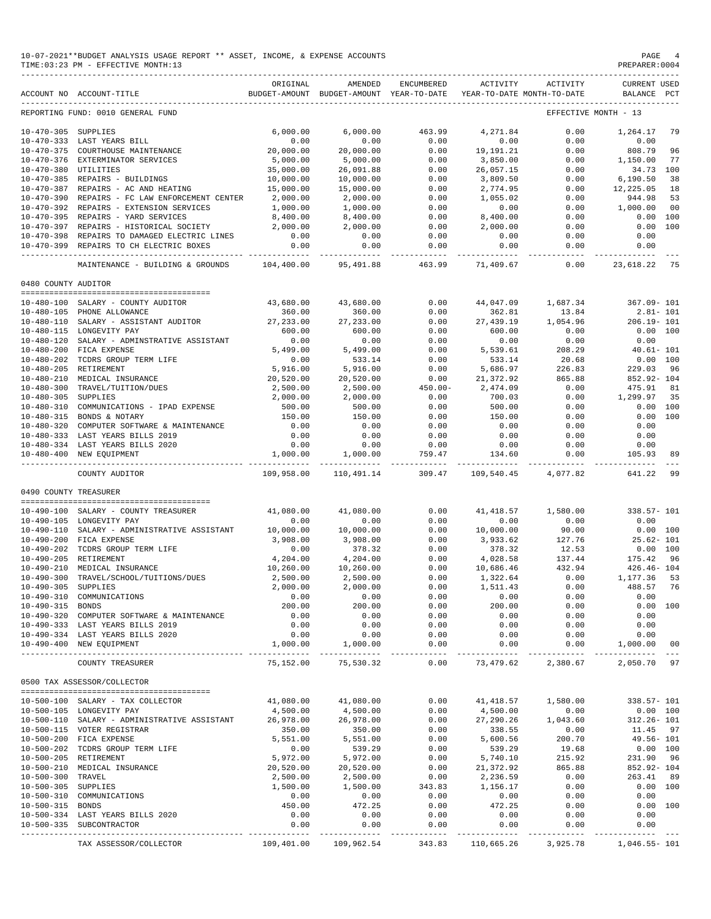|                       | 10-07-2021**BUDGET ANALYSIS USAGE REPORT ** ASSET, INCOME, & EXPENSE ACCOUNTS<br>TIME: 03:23 PM - EFFECTIVE MONTH: 13 |                               |                                                     |                         |                              |                                        | PAGE<br>PREPARER: 0004      |                |
|-----------------------|-----------------------------------------------------------------------------------------------------------------------|-------------------------------|-----------------------------------------------------|-------------------------|------------------------------|----------------------------------------|-----------------------------|----------------|
|                       | ACCOUNT NO ACCOUNT-TITLE                                                                                              | ORIGINAL                      | AMENDED<br>BUDGET-AMOUNT BUDGET-AMOUNT YEAR-TO-DATE | ENCUMBERED              | ACTIVITY                     | ACTIVITY<br>YEAR-TO-DATE MONTH-TO-DATE | CURRENT USED<br>BALANCE PCT |                |
|                       | REPORTING FUND: 0010 GENERAL FUND                                                                                     |                               |                                                     |                         |                              |                                        | EFFECTIVE MONTH - 13        |                |
| 10-470-305 SUPPLIES   |                                                                                                                       | 6,000.00                      | 6.000.00                                            | 463.99                  | 4,271.84                     | 0.00                                   | 1,264.17                    | 79             |
|                       | 10-470-333 LAST YEARS BILL                                                                                            | 0.00                          | 0.00                                                | 0.00                    | 0.00                         | 0.00                                   | 0.00                        |                |
|                       | 10-470-375 COURTHOUSE MAINTENANCE                                                                                     | 20,000.00                     | 20,000.00                                           | 0.00                    | 19,191.21                    | 0.00                                   | 808.79                      | 96             |
|                       | 10-470-376 EXTERMINATOR SERVICES                                                                                      | 5,000.00                      | 5,000.00                                            | 0.00                    | 3,850.00                     | 0.00                                   | 1,150.00                    | 77             |
| 10-470-380 UTILITIES  |                                                                                                                       | 35,000.00                     | 26,091.88                                           | 0.00                    | 26,057.15                    | 0.00                                   | 34.73 100                   |                |
|                       | 10-470-385 REPAIRS - BUILDINGS                                                                                        | 10,000.00                     | 10,000.00                                           | 0.00                    | 3,809.50                     | 0.00                                   | 6,190.50                    | 38             |
|                       | 10-470-387 REPAIRS - AC AND HEATING<br>10-470-390 REPAIRS - FC LAW ENFORCEMENT CENTER                                 | 15,000.00                     | 15,000.00                                           | 0.00<br>0.00            | 2,774.95                     | 0.00<br>0.00                           | 12,225.05                   | 18<br>53       |
|                       | 10-470-392 REPAIRS - EXTENSION SERVICES                                                                               | 2,000.00<br>1,000.00          | 2,000.00<br>1,000.00                                | 0.00                    | 1,055.02<br>0.00             | 0.00                                   | 944.98<br>1,000.00          | 0 <sub>0</sub> |
|                       | 10-470-395 REPAIRS - YARD SERVICES                                                                                    | 8,400.00                      | 8,400.00                                            | 0.00                    | 8,400.00                     | 0.00                                   | 0.00 100                    |                |
|                       | 10-470-397 REPAIRS - HISTORICAL SOCIETY                                                                               | 2,000.00                      | 2,000.00                                            | 0.00                    | 2,000.00                     | 0.00                                   | 0.00 100                    |                |
|                       | 10-470-398 REPAIRS TO DAMAGED ELECTRIC LINES                                                                          | 0.00                          | 0.00                                                | 0.00                    | 0.00                         | 0.00                                   | 0.00                        |                |
|                       | 10-470-399 REPAIRS TO CH ELECTRIC BOXES                                                                               | 0.00                          | 0.00<br>----------                                  | 0.00<br>$- - - - - -$   | 0.00<br>---------            | 0.00<br>-----                          | 0.00<br>----------          |                |
|                       | MAINTENANCE - BUILDING & GROUNDS                                                                                      | 104,400.00                    | 95,491.88                                           | 463.99                  | 71,409.67                    | 0.00                                   | 23,618.22                   | 75             |
| 0480 COUNTY AUDITOR   |                                                                                                                       |                               |                                                     |                         |                              |                                        |                             |                |
|                       |                                                                                                                       |                               |                                                     |                         |                              |                                        |                             |                |
|                       | 10-480-100 SALARY - COUNTY AUDITOR<br>10-480-105 PHONE ALLOWANCE                                                      | 43,680.00<br>360.00           | 43,680.00<br>360.00                                 | 0.00<br>0.00            | 44,047.09                    | 1,687.34                               | 367.09-101<br>$2.81 - 101$  |                |
|                       | 10-480-110 SALARY - ASSISTANT AUDITOR                                                                                 | 27, 233.00                    | 27, 233.00                                          | 0.00                    | 362.81<br>27, 439.19         | 13.84<br>1,054.96                      | $206.19 - 101$              |                |
|                       | 10-480-115 LONGEVITY PAY                                                                                              | 600.00                        | 600.00                                              | 0.00                    | 600.00                       | 0.00                                   | 0.00 100                    |                |
|                       | 10-480-120 SALARY - ADMINSTRATIVE ASSISTANT                                                                           | 0.00                          | 0.00                                                | 0.00                    | 0.00                         | 0.00                                   | 0.00                        |                |
|                       | 10-480-200 FICA EXPENSE                                                                                               | 5,499.00                      | 5,499.00                                            | 0.00                    | 5,539.61                     | 208.29                                 | $40.61 - 101$               |                |
|                       | 10-480-202 TCDRS GROUP TERM LIFE                                                                                      | 0.00                          | 533.14                                              | 0.00                    | 533.14                       | 20.68                                  | 0.00 100                    |                |
|                       | 10-480-205 RETIREMENT                                                                                                 | 5,916.00                      | 5,916.00                                            | 0.00                    | 5,686.97                     | 226.83                                 | 229.03                      | 96             |
|                       | 10-480-210 MEDICAL INSURANCE                                                                                          | 20,520.00                     | 20,520.00                                           | 0.00                    | 21,372.92                    | 865.88                                 | 852.92- 104                 |                |
|                       | 10-480-300 TRAVEL/TUITION/DUES                                                                                        | 2,500.00                      | 2,500.00                                            | $450.00 -$              | 2,474.09                     | 0.00                                   | 475.91                      | 81             |
| $10 - 480 - 305$      | SUPPLIES                                                                                                              | 2,000.00                      | 2,000.00                                            | 0.00                    | 700.03                       | 0.00                                   | 1,299.97                    | 35             |
| $10 - 480 - 310$      | COMMUNICATIONS - IPAD EXPENSE                                                                                         | 500.00                        | 500.00                                              | 0.00                    | 500.00                       | 0.00                                   | 0.00 100                    |                |
|                       | 10-480-315 BONDS & NOTARY                                                                                             | 150.00                        | 150.00                                              | 0.00                    | 150.00                       | 0.00                                   | 0.00                        | 100            |
|                       | 10-480-320 COMPUTER SOFTWARE & MAINTENANCE                                                                            | 0.00                          | 0.00                                                | 0.00                    | 0.00                         | 0.00                                   | 0.00                        |                |
|                       | 10-480-333 LAST YEARS BILLS 2019                                                                                      | 0.00                          | 0.00                                                | 0.00                    | 0.00                         | 0.00                                   | 0.00                        |                |
|                       | 10-480-334 LAST YEARS BILLS 2020<br>10-480-400 NEW EQUIPMENT                                                          | 0.00<br>1,000.00              | 0.00<br>1,000.00                                    | 0.00<br>759.47          | 0.00<br>134.60               | 0.00<br>0.00                           | 0.00<br>105.93              | 89             |
|                       | COUNTY AUDITOR                                                                                                        | 109,958.00                    | ------------<br>110,491.14                          | -------------<br>309.47 | --------------<br>109,540.45 | -----------<br>4,077.82                | 641.22                      | 99             |
| 0490 COUNTY TREASURER |                                                                                                                       |                               |                                                     |                         |                              |                                        |                             |                |
|                       |                                                                                                                       |                               |                                                     |                         |                              |                                        |                             |                |
|                       | 10-490-100 SALARY - COUNTY TREASURER                                                                                  | 41,080.00                     | 41,080.00                                           | 0.00                    | 41, 418.57                   | 1,580.00                               | 338.57- 101                 |                |
|                       | 10-490-105 LONGEVITY PAY                                                                                              | 0.00                          | 0.00                                                | 0.00                    | 0.00                         | 0.00                                   | 0.00                        |                |
|                       | 10-490-110 SALARY - ADMINISTRATIVE ASSISTANT<br>10-490-200 FICA EXPENSE                                               | 10,000.00<br>3,908,00         | 10,000.00<br>3,908.00                               | 0.00<br>0.00            | 10,000.00<br>3,933.62        | 90.00<br>127.76                        | 0.00 100<br>$25.62 - 101$   |                |
|                       | 10-490-202 TCDRS GROUP TERM LIFE                                                                                      | 0.00                          | 378.32                                              | 0.00                    | 378.32                       | 12.53                                  | 0.00 100                    |                |
|                       | 10-490-205 RETIREMENT                                                                                                 | 4,204.00                      | 4,204.00                                            | 0.00                    | 4,028.58                     | 137.44                                 | 175.42                      | -96            |
|                       | 10-490-210 MEDICAL INSURANCE                                                                                          | 10,260.00                     | 10,260.00                                           | 0.00                    | 10,686.46                    | 432.94                                 | $426.46 - 104$              |                |
|                       | 10-490-300 TRAVEL/SCHOOL/TUITIONS/DUES                                                                                | 2,500.00                      | 2,500.00                                            | 0.00                    | 1,322.64                     | 0.00                                   | 1,177.36                    | -53            |
| 10-490-305 SUPPLIES   |                                                                                                                       | 2,000.00                      | 2,000.00                                            | 0.00                    | 1,511.43                     | 0.00                                   | 488.57                      | 76             |
|                       | 10-490-310 COMMUNICATIONS                                                                                             | 0.00                          | 0.00                                                | 0.00                    | 0.00                         | 0.00                                   | 0.00                        |                |
| 10-490-315 BONDS      |                                                                                                                       | 200.00                        | 200.00                                              | 0.00                    | 200.00                       | 0.00                                   | 0.00 100                    |                |
|                       | 10-490-320 COMPUTER SOFTWARE & MAINTENANCE                                                                            | 0.00                          | 0.00                                                | 0.00                    | 0.00                         | 0.00                                   | 0.00                        |                |
|                       | 10-490-333 LAST YEARS BILLS 2019                                                                                      | 0.00                          | 0.00                                                | 0.00                    | 0.00                         | 0.00                                   | 0.00                        |                |
|                       | 10-490-334 LAST YEARS BILLS 2020                                                                                      | 0.00                          | 0.00                                                | 0.00                    | 0.00                         | 0.00                                   | 0.00                        |                |
|                       | 10-490-400 NEW EQUIPMENT                                                                                              | 1,000.00<br><u>__________</u> | 1,000.00<br>------------                            | 0.00<br>$- - - - -$     | 0.00                         | 0.00                                   | 1,000.00                    | 00             |
|                       | COUNTY TREASURER                                                                                                      | 75,152.00                     | 75,530.32                                           | 0.00                    | 73,479.62                    | 2,380.67                               | 2,050.70 97                 |                |
|                       | 0500 TAX ASSESSOR/COLLECTOR                                                                                           |                               |                                                     |                         |                              |                                        |                             |                |
|                       | 10-500-100 SALARY - TAX COLLECTOR                                                                                     | 41,080.00                     | 41,080.00                                           | 0.00                    | 41,418.57                    | 1,580.00                               | 338.57-101                  |                |
|                       | 10-500-105 LONGEVITY PAY                                                                                              | 4,500.00                      | 4,500.00                                            | 0.00                    | 4,500.00                     | 0.00                                   | 0.00 100                    |                |
|                       | 10-500-110 SALARY - ADMINISTRATIVE ASSISTANT                                                                          | 26,978.00                     | 26,978.00                                           | 0.00                    | 27,290.26                    | 1,043.60                               | $312.26 - 101$              |                |
|                       | 10-500-115 VOTER REGISTRAR                                                                                            | 350.00                        | 350.00                                              | 0.00                    | 338.55                       | 0.00                                   | 11.45 97                    |                |
|                       | 10-500-200 FICA EXPENSE                                                                                               | 5,551.00                      | 5,551.00                                            | 0.00                    | 5,600.56                     | 200.70                                 | 49.56- 101                  |                |
|                       | 10-500-202 TCDRS GROUP TERM LIFE                                                                                      | 0.00                          | 539.29                                              | 0.00                    | 539.29                       | 19.68                                  | 0.00 100                    |                |
|                       | 10-500-205 RETIREMENT                                                                                                 | 5,972.00                      | 5,972.00                                            | 0.00                    | 5,740.10                     | 215.92                                 | 231.90                      | 96             |
|                       | 10-500-210 MEDICAL INSURANCE                                                                                          | 20,520.00                     | 20,520.00                                           | 0.00                    | 21,372.92                    | 865.88                                 | 852.92- 104                 |                |
| 10-500-300 TRAVEL     |                                                                                                                       | 2,500.00                      | 2,500.00                                            | 0.00                    | 2,236.59                     | 0.00                                   | 263.41                      | 89             |
| 10-500-305 SUPPLIES   |                                                                                                                       | 1,500.00                      | 1,500.00                                            | 343.83                  | 1,156.17                     | 0.00                                   | 0.00 100                    |                |
|                       | 10-500-310 COMMUNICATIONS                                                                                             | 0.00                          | 0.00                                                | 0.00                    | 0.00                         | 0.00                                   | 0.00                        |                |
| 10-500-315 BONDS      | 10-500-334 LAST YEARS BILLS 2020                                                                                      | 450.00<br>0.00                | 472.25<br>0.00                                      | 0.00<br>0.00            | 472.25<br>0.00               | 0.00<br>0.00                           | 0.00 100<br>0.00            |                |
|                       | 10-500-335 SUBCONTRACTOR                                                                                              | 0.00                          | 0.00                                                | 0.00                    | 0.00                         | 0.00                                   | 0.00                        |                |
|                       |                                                                                                                       |                               |                                                     |                         |                              |                                        |                             |                |
|                       | TAX ASSESSOR/COLLECTOR                                                                                                | 109,401.00                    | 109,962.54                                          | 343.83                  | 110,665.26                   |                                        | 3,925.78 1,046.55-101       |                |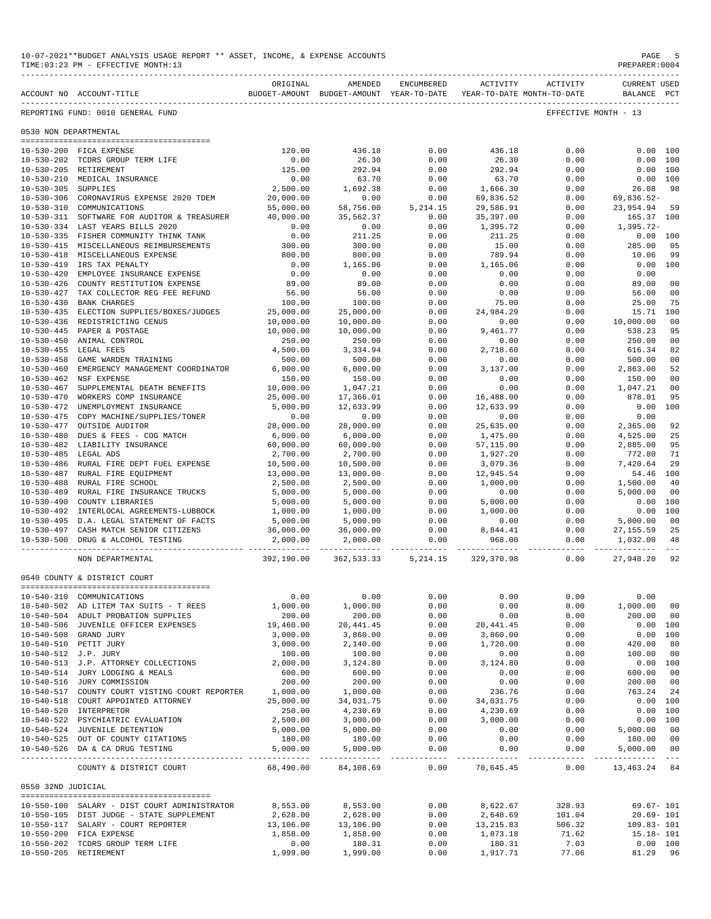| 10-07-2021**BUDGET ANALYSIS USAGE REPORT ** ASSET, INCOME, & EXPENSE ACCOUNTS<br>TIME: 03:23 PM - EFFECTIVE MONTH: 13 |                                                       |            |                                                                                |                                                                                                                                                                                                                                                                                                                                                                                                      |                             |                   | PAGE<br>PREPARER: 0004                           | -5      |
|-----------------------------------------------------------------------------------------------------------------------|-------------------------------------------------------|------------|--------------------------------------------------------------------------------|------------------------------------------------------------------------------------------------------------------------------------------------------------------------------------------------------------------------------------------------------------------------------------------------------------------------------------------------------------------------------------------------------|-----------------------------|-------------------|--------------------------------------------------|---------|
|                                                                                                                       | ACCOUNT NO ACCOUNT-TITLE                              | ORIGINAL   | AMENDED<br>BUDGET-AMOUNT BUDGET-AMOUNT YEAR-TO-DATE YEAR-TO-DATE MONTH-TO-DATE | ENCUMBERED                                                                                                                                                                                                                                                                                                                                                                                           |                             | ACTIVITY ACTIVITY | <b>CURRENT USED</b><br>BALANCE PCT               |         |
|                                                                                                                       | REPORTING FUND: 0010 GENERAL FUND                     |            |                                                                                |                                                                                                                                                                                                                                                                                                                                                                                                      |                             |                   | EFFECTIVE MONTH - 13                             |         |
| 0530 NON DEPARTMENTAL                                                                                                 |                                                       |            |                                                                                |                                                                                                                                                                                                                                                                                                                                                                                                      |                             |                   |                                                  |         |
|                                                                                                                       | 10-530-200 FICA EXPENSE                               | 120.00     | 436.18                                                                         | 0.00                                                                                                                                                                                                                                                                                                                                                                                                 | 436.18                      | 0.00              | 0.00 100                                         |         |
|                                                                                                                       | 10-530-202 TCDRS GROUP TERM LIFE                      | 0.00       | 26.30                                                                          | 0.00                                                                                                                                                                                                                                                                                                                                                                                                 | 26.30                       | 0.00              | 0.00 100                                         |         |
|                                                                                                                       | 10-530-205 RETIREMENT                                 | 125.00     | 292.94                                                                         | 0.00                                                                                                                                                                                                                                                                                                                                                                                                 | 292.94                      | 0.00              | 0.00 100                                         |         |
|                                                                                                                       | 10-530-210 MEDICAL INSURANCE                          | 0.00       | 63.70                                                                          | 0.00                                                                                                                                                                                                                                                                                                                                                                                                 | 63.70                       | 0.00              | 0.00 100                                         |         |
| 10-530-305 SUPPLIES                                                                                                   |                                                       | 2,500.00   | 1,692.38                                                                       | 0.00                                                                                                                                                                                                                                                                                                                                                                                                 | 1,666.30                    | 0.00              | 26.08                                            | - 98    |
|                                                                                                                       | 10-530-306 CORONAVIRUS EXPENSE 2020 TDEM              | 20,000.00  | 0.00                                                                           | 0.00                                                                                                                                                                                                                                                                                                                                                                                                 | 69,836.52                   | 0.00              | 69,836.52-                                       |         |
|                                                                                                                       | 10-530-310 COMMUNICATIONS                             | 55,000.00  |                                                                                | 58,756.00 5,214.15                                                                                                                                                                                                                                                                                                                                                                                   | 29,586.91                   | 0.00              | 23,954.94 59                                     |         |
|                                                                                                                       | 10-530-311 SOFTWARE FOR AUDITOR & TREASURER 40,000.00 |            | 35,562.37                                                                      | 0.00                                                                                                                                                                                                                                                                                                                                                                                                 | 35,397.00                   | 0.00              | 165.37 100                                       |         |
|                                                                                                                       | 10-530-334 LAST YEARS BILLS 2020                      | 0.00       | 0.00                                                                           | 0.00                                                                                                                                                                                                                                                                                                                                                                                                 | 1,395.72                    | 0.00              | 1,395.72-                                        |         |
|                                                                                                                       | 10-530-335 FISHER COMMUNITY THINK TANK                | 0.00       | 211.25                                                                         | 0.00                                                                                                                                                                                                                                                                                                                                                                                                 | 211.25                      | 0.00              | $0.00$ 100                                       |         |
|                                                                                                                       | 10-530-415 MISCELLANEOUS REIMBURSEMENTS               | 300.00     | 300.00                                                                         | 0.00                                                                                                                                                                                                                                                                                                                                                                                                 | 15.00                       | 0.00              | 285.00                                           | 05      |
|                                                                                                                       | 10-530-418 MISCELLANEOUS EXPENSE                      | 800.00     | 800.00                                                                         | 0.00                                                                                                                                                                                                                                                                                                                                                                                                 | 789.94                      | 0.00              | 10.06                                            | 99      |
|                                                                                                                       | 10-530-419 IRS TAX PENALTY                            | 0.00       | 1,165.06                                                                       | 0.00                                                                                                                                                                                                                                                                                                                                                                                                 | 1,165.06                    | 0.00              | $0.00$ 100                                       |         |
|                                                                                                                       | 10-530-420 EMPLOYEE INSURANCE EXPENSE                 | 0.00       | 0.00                                                                           | 0.00                                                                                                                                                                                                                                                                                                                                                                                                 | 0.00                        | 0.00              | 0.00                                             |         |
|                                                                                                                       | 10-530-426 COUNTY RESTITUTION EXPENSE                 | 89.00      | 89.00                                                                          | 0.00                                                                                                                                                                                                                                                                                                                                                                                                 | 0.00                        | 0.00              | 89.00                                            | 00      |
| 10-530-427                                                                                                            | TAX COLLECTOR REG FEE REFUND                          | 56.00      | 56.00                                                                          | 0.00                                                                                                                                                                                                                                                                                                                                                                                                 | 0.00                        | 0.00              | 56.00                                            | 00      |
|                                                                                                                       | 10-530-430 BANK CHARGES                               | 100.00     | 100.00                                                                         | 0.00                                                                                                                                                                                                                                                                                                                                                                                                 | 75.00                       | 0.00              | 25.00                                            | 75      |
|                                                                                                                       | 10-530-435 ELECTION SUPPLIES/BOXES/JUDGES             | 25,000.00  | 25,000.00                                                                      | 0.00                                                                                                                                                                                                                                                                                                                                                                                                 | 24,984.29                   | 0.00              | 15.71                                            | 100     |
|                                                                                                                       | 10-530-436 REDISTRICTING CENUS                        | 10,000.00  | 10,000.00                                                                      | 0.00                                                                                                                                                                                                                                                                                                                                                                                                 | 0.00                        | 0.00              | 10,000.00                                        | 00      |
|                                                                                                                       | 10-530-445 PAPER & POSTAGE                            | 10,000.00  | 10,000.00                                                                      | 0.00                                                                                                                                                                                                                                                                                                                                                                                                 | 9,461.77                    | 0.00              | 538.23                                           | 95      |
|                                                                                                                       | 10-530-450 ANIMAL CONTROL                             | 250.00     | 250.00                                                                         | 0.00                                                                                                                                                                                                                                                                                                                                                                                                 | 0.00                        | 0.00              | 250.00                                           | 00      |
| 10-530-455 LEGAL FEES                                                                                                 |                                                       | 4,500.00   | 3,334.94                                                                       | 0.00                                                                                                                                                                                                                                                                                                                                                                                                 | 2,718.60                    | 0.00              | 616.34                                           | 82      |
|                                                                                                                       | 10-530-458 GAME WARDEN TRAINING                       | 500.00     | 500.00                                                                         | 0.00                                                                                                                                                                                                                                                                                                                                                                                                 | 0.00                        | 0.00              | 500.00                                           | 00      |
| $10 - 530 - 460$                                                                                                      | EMERGENCY MANAGEMENT COORDINATOR                      | 6,000.00   | 6,000.00                                                                       | 0.00                                                                                                                                                                                                                                                                                                                                                                                                 | 3,137.00                    | 0.00              | 2,863.00                                         | 52      |
|                                                                                                                       | 10-530-462 NSF EXPENSE                                | 150.00     | 150.00                                                                         | 0.00                                                                                                                                                                                                                                                                                                                                                                                                 | 0.00                        | 0.00              | 150.00                                           | 00      |
| $10 - 530 - 467$                                                                                                      | SUPPLEMENTAL DEATH BENEFITS                           | 10,000.00  | 1,047.21                                                                       | 0.00                                                                                                                                                                                                                                                                                                                                                                                                 | 0.00                        | 0.00              | 1,047.21                                         | 00      |
| 10-530-470                                                                                                            | WORKERS COMP INSURANCE                                | 25,000.00  | 17,366.01                                                                      | 0.00                                                                                                                                                                                                                                                                                                                                                                                                 | 16,488.00                   | 0.00              | 878.01                                           | 95      |
|                                                                                                                       | 10-530-472 UNEMPLOYMENT INSURANCE                     | 5,000.00   | 12,633.99                                                                      | 0.00                                                                                                                                                                                                                                                                                                                                                                                                 | 12,633.99                   | 0.00              | 0.00                                             | 100     |
|                                                                                                                       | 10-530-475 COPY MACHINE/SUPPLIES/TONER                | 0.00       | 0.00                                                                           | 0.00                                                                                                                                                                                                                                                                                                                                                                                                 | 0.00                        | 0.00              | 0.00                                             |         |
|                                                                                                                       | 10-530-477 OUTSIDE AUDITOR                            | 28,000.00  | 28,000.00                                                                      | 0.00                                                                                                                                                                                                                                                                                                                                                                                                 | 25,635.00                   | 0.00              | 2,365.00                                         | 92      |
|                                                                                                                       | 10-530-480 DUES & FEES - COG MATCH                    | 6,000.00   | 6,000.00                                                                       | 0.00                                                                                                                                                                                                                                                                                                                                                                                                 | 1,475.00                    | 0.00              | 4,525.00                                         | 25      |
|                                                                                                                       | 10-530-482 LIABILITY INSURANCE                        | 60,000.00  | 60,000.00                                                                      | 0.00                                                                                                                                                                                                                                                                                                                                                                                                 | 57,115.00                   | 0.00              | 2,885.00                                         | 95      |
| 10-530-485 LEGAL ADS                                                                                                  |                                                       | 2,700.00   | 2,700.00                                                                       | 0.00                                                                                                                                                                                                                                                                                                                                                                                                 | 1,927.20                    | 0.00              | 772.80                                           | 71      |
|                                                                                                                       | 10-530-486 RURAL FIRE DEPT FUEL EXPENSE               | 10,500.00  | 10,500.00                                                                      | 0.00                                                                                                                                                                                                                                                                                                                                                                                                 | 3,079.36                    | 0.00              | 7,420.64                                         | 29      |
|                                                                                                                       | 10-530-487 RURAL FIRE EQUIPMENT                       | 13,000.00  | 13,000.00                                                                      | 0.00                                                                                                                                                                                                                                                                                                                                                                                                 | 12,945.54                   | 0.00              | 54.46 100                                        |         |
|                                                                                                                       | 10-530-488 RURAL FIRE SCHOOL                          | 2,500.00   | 2,500.00                                                                       | 0.00                                                                                                                                                                                                                                                                                                                                                                                                 | 1,000.00                    | 0.00              | 1,500.00                                         | 40      |
|                                                                                                                       | 10-530-489 RURAL FIRE INSURANCE TRUCKS                | 5,000.00   | 5,000.00                                                                       | 0.00                                                                                                                                                                                                                                                                                                                                                                                                 | 0.00                        | 0.00              | 5,000.00                                         | 00      |
| $10 - 530 - 490$                                                                                                      | COUNTY LIBRARIES                                      | 5,000.00   | 5,000.00                                                                       | 0.00                                                                                                                                                                                                                                                                                                                                                                                                 | 5,000.00                    | 0.00              | 0.00 100                                         |         |
|                                                                                                                       | 10-530-492 INTERLOCAL AGREEMENTS-LUBBOCK              | 1,000.00   | 1,000.00                                                                       | 0.00                                                                                                                                                                                                                                                                                                                                                                                                 | 1,000.00                    | 0.00              | 0.00 100                                         |         |
|                                                                                                                       | 10-530-495 D.A. LEGAL STATEMENT OF FACTS              | 5,000.00   | 5,000.00                                                                       | 0.00                                                                                                                                                                                                                                                                                                                                                                                                 | 0.00                        | 0.00              | 5,000.00                                         | 00      |
|                                                                                                                       | 10-530-497 CASH MATCH SENIOR CITIZENS 36,000.00       |            |                                                                                |                                                                                                                                                                                                                                                                                                                                                                                                      | 8,844.41                    | 0.00              | 27, 155.59                                       | 25      |
|                                                                                                                       | 10-530-500 DRUG & ALCOHOL TESTING                     | 2,000.00   | $36,000.00$ $0.00$<br>2,000.00 0.00                                            |                                                                                                                                                                                                                                                                                                                                                                                                      | 968.00                      | 0.00              | 1,032.00 48                                      |         |
|                                                                                                                       |                                                       |            |                                                                                |                                                                                                                                                                                                                                                                                                                                                                                                      |                             |                   | -------------                                    | $- - -$ |
|                                                                                                                       | NON DEPARTMENTAL                                      | 392,190.00 | 362, 533. 33 5, 214. 15                                                        |                                                                                                                                                                                                                                                                                                                                                                                                      | 329,370.98                  | 0.00              | 27,948.20                                        | 92      |
|                                                                                                                       | 0540 COUNTY & DISTRICT COURT                          |            |                                                                                |                                                                                                                                                                                                                                                                                                                                                                                                      |                             |                   |                                                  |         |
|                                                                                                                       | 10-540-310 COMMUNICATIONS                             | 0.00       | 0.00                                                                           | 0.00                                                                                                                                                                                                                                                                                                                                                                                                 | 0.00                        | 0.00              | 0.00                                             |         |
|                                                                                                                       | 10-540-502 AD LITEM TAX SUITS - T REES                | 1,000.00   | 1,000.00                                                                       | 0.00                                                                                                                                                                                                                                                                                                                                                                                                 | 0.00                        | 0.00              | 1,000.00                                         | 00      |
|                                                                                                                       | 10-540-504 ADULT PROBATION SUPPLIES                   | 200.00     | 200.00                                                                         | 0.00                                                                                                                                                                                                                                                                                                                                                                                                 | 0.00                        | 0.00              | 200.00                                           | 00      |
|                                                                                                                       | 10-540-506 JUVENILE OFFICER EXPENSES                  | 19,460.00  | 20, 441.45                                                                     | 0.00                                                                                                                                                                                                                                                                                                                                                                                                 | 20, 441.45                  | 0.00              | 0.00 100                                         |         |
|                                                                                                                       | 10-540-508 GRAND JURY                                 | 3,000.00   | 3,860.00                                                                       | 0.00                                                                                                                                                                                                                                                                                                                                                                                                 | 3,860.00                    | 0.00              | 0.00 100                                         |         |
|                                                                                                                       | 10-540-510 PETIT JURY                                 | 3,000.00   | 2,140.00                                                                       | 0.00                                                                                                                                                                                                                                                                                                                                                                                                 | 1,720.00                    | 0.00              | 420.00                                           | 80      |
| 10-540-512 J.P. JURY                                                                                                  |                                                       | 100.00     | 100.00                                                                         | 0.00                                                                                                                                                                                                                                                                                                                                                                                                 | 0.00                        | 0.00              | 100.00                                           | 00      |
|                                                                                                                       | 10-540-513 J.P. ATTORNEY COLLECTIONS                  | 2,000.00   | 3,124.80                                                                       | 0.00                                                                                                                                                                                                                                                                                                                                                                                                 | 3,124.80                    | 0.00              | 0.00 100                                         |         |
|                                                                                                                       | 10-540-514 JURY LODGING & MEALS                       | 600.00     | 600.00                                                                         | 0.00                                                                                                                                                                                                                                                                                                                                                                                                 | 0.00                        | 0.00              | 600.00                                           | 00      |
|                                                                                                                       | 10-540-516 JURY COMMISSION                            | 200.00     | 200.00                                                                         | 0.00                                                                                                                                                                                                                                                                                                                                                                                                 | 0.00                        | 0.00              | 200.00                                           | 00      |
|                                                                                                                       | 10-540-517 COUNTY COURT VISTING COURT REPORTER        | 1,000.00   | 1,000.00                                                                       | 0.00                                                                                                                                                                                                                                                                                                                                                                                                 | 236.76                      | 0.00              | 763.24                                           | 24      |
|                                                                                                                       | 10-540-518 COURT APPOINTED ATTORNEY                   | 25,000.00  | 34,031.75                                                                      | 0.00                                                                                                                                                                                                                                                                                                                                                                                                 | 34,031.75                   | 0.00              | 0.00 100                                         |         |
|                                                                                                                       | 10-540-520 INTERPRETOR                                | 250.00     | 4,230.69                                                                       | 0.00                                                                                                                                                                                                                                                                                                                                                                                                 | 4,230.69                    | 0.00              | 0.00 100                                         |         |
|                                                                                                                       | 10-540-522 PSYCHIATRIC EVALUATION                     | 2,500.00   | 3,000.00                                                                       | 0.00                                                                                                                                                                                                                                                                                                                                                                                                 | 3,000.00                    | 0.00              | 0.00 100                                         |         |
|                                                                                                                       | 10-540-524 JUVENILE DETENTION                         | 5,000.00   | 5,000.00                                                                       | 0.00                                                                                                                                                                                                                                                                                                                                                                                                 | 0.00                        | 0.00              | 5,000.00 00                                      |         |
|                                                                                                                       | 10-540-525 OUT OF COUNTY CITATIONS                    | 180.00     | 180.00                                                                         | 0.00                                                                                                                                                                                                                                                                                                                                                                                                 | 0.00                        | 0.00              | 180.00 00                                        |         |
|                                                                                                                       | 10-540-526 DA & CA DRUG TESTING                       | 5,000.00   | 5,000.00                                                                       | 0.00                                                                                                                                                                                                                                                                                                                                                                                                 | 0.00                        | 0.00              | 5,000.00 00                                      |         |
|                                                                                                                       | COUNTY & DISTRICT COURT                               | 68,490.00  | ______________<br>84,108.69                                                    | $\frac{1}{2} \frac{1}{2} \frac{1}{2} \frac{1}{2} \frac{1}{2} \frac{1}{2} \frac{1}{2} \frac{1}{2} \frac{1}{2} \frac{1}{2} \frac{1}{2} \frac{1}{2} \frac{1}{2} \frac{1}{2} \frac{1}{2} \frac{1}{2} \frac{1}{2} \frac{1}{2} \frac{1}{2} \frac{1}{2} \frac{1}{2} \frac{1}{2} \frac{1}{2} \frac{1}{2} \frac{1}{2} \frac{1}{2} \frac{1}{2} \frac{1}{2} \frac{1}{2} \frac{1}{2} \frac{1}{2} \frac{$<br>0.00 | --------------<br>70,645.45 | 0.00              | ------------- -------------- ---<br>13,463.24 84 |         |
|                                                                                                                       |                                                       |            |                                                                                |                                                                                                                                                                                                                                                                                                                                                                                                      |                             |                   |                                                  |         |
| 0550 32ND JUDICIAL                                                                                                    |                                                       |            |                                                                                |                                                                                                                                                                                                                                                                                                                                                                                                      |                             |                   |                                                  |         |
|                                                                                                                       | 10-550-100 SALARY - DIST COURT ADMINISTRATOR          | 8,553.00   | 8,553.00                                                                       | 0.00                                                                                                                                                                                                                                                                                                                                                                                                 | 8,622.67                    | 328.93            | $69.67 - 101$                                    |         |
|                                                                                                                       | 10-550-105 DIST JUDGE - STATE SUPPLEMENT              | 2,628.00   | 2,628.00                                                                       | 0.00                                                                                                                                                                                                                                                                                                                                                                                                 | 2,648.69                    | 101.04            | $20.69 - 101$                                    |         |
|                                                                                                                       | 10-550-117 SALARY - COURT REPORTER                    | 13,106.00  | 13,106.00                                                                      | 0.00                                                                                                                                                                                                                                                                                                                                                                                                 | 13, 215.83                  | 506.32            | 109.83-101                                       |         |
|                                                                                                                       | 10-550-200 FICA EXPENSE                               | 1,858.00   | 1,858.00                                                                       | 0.00                                                                                                                                                                                                                                                                                                                                                                                                 | 1,873.18                    | 71.62             | $15.18 - 101$                                    |         |
|                                                                                                                       | 10-550-202 TCDRS GROUP TERM LIFE                      | 0.00       | 180.31                                                                         | 0.00                                                                                                                                                                                                                                                                                                                                                                                                 | 180.31                      | 7.03              | 0.00 100                                         |         |
| 10-550-205 RETIREMENT                                                                                                 |                                                       | 1,999.00   | 1,999.00                                                                       | 0.00                                                                                                                                                                                                                                                                                                                                                                                                 | 1,917.71                    | 77.06             | 81.29 96                                         |         |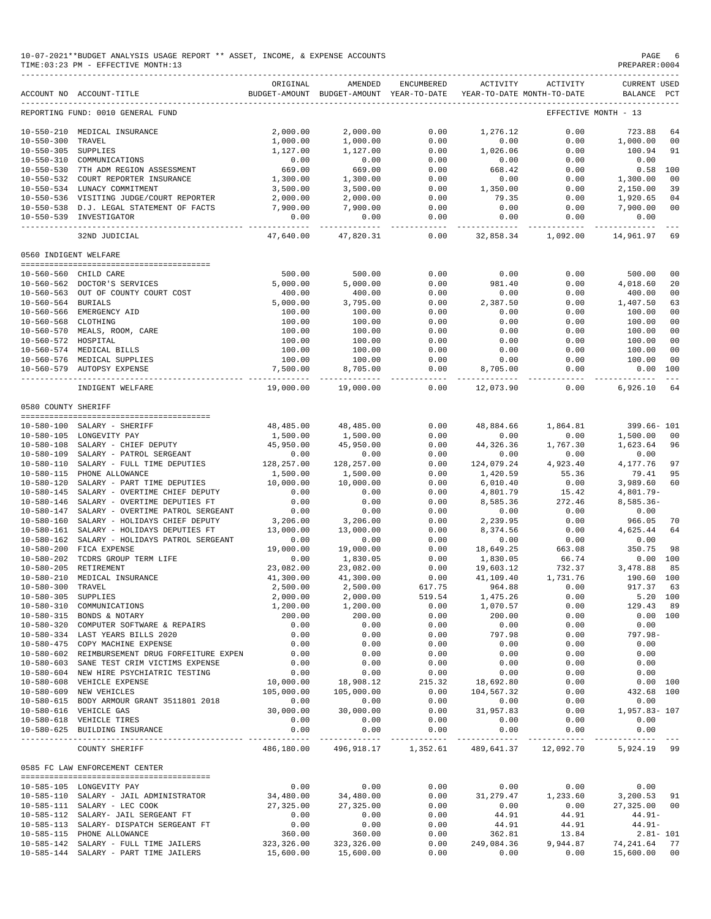|                       | 10-07-2021**BUDGET ANALYSIS USAGE REPORT ** ASSET, INCOME, & EXPENSE ACCOUNTS<br>TIME: 03:23 PM - EFFECTIVE MONTH: 13 |                              |                                                                                |                       |                             |                                               | PAGE<br>PREPARER: 0004                  | -6                         |
|-----------------------|-----------------------------------------------------------------------------------------------------------------------|------------------------------|--------------------------------------------------------------------------------|-----------------------|-----------------------------|-----------------------------------------------|-----------------------------------------|----------------------------|
|                       | ACCOUNT NO ACCOUNT-TITLE                                                                                              | ORIGINAL                     | AMENDED<br>BUDGET-AMOUNT BUDGET-AMOUNT YEAR-TO-DATE YEAR-TO-DATE MONTH-TO-DATE | ENCUMBERED            | ACTIVITY                    | ACTIVITY                                      | <b>CURRENT USED</b><br>BALANCE PCT      |                            |
|                       | REPORTING FUND: 0010 GENERAL FUND                                                                                     |                              |                                                                                |                       |                             |                                               | EFFECTIVE MONTH - 13                    |                            |
|                       | 10-550-210 MEDICAL INSURANCE                                                                                          | 2,000.00                     | 2,000.00                                                                       | 0.00                  | 1,276.12                    | 0.00                                          | 723.88                                  | 64                         |
| 10-550-300 TRAVEL     |                                                                                                                       | 1,000.00                     | 1,000.00                                                                       | 0.00                  | 0.00                        | 0.00                                          | 1,000.00                                | 00                         |
| 10-550-305 SUPPLIES   |                                                                                                                       | 1,127.00                     | 1,127.00                                                                       | 0.00                  | 1,026.06                    | 0.00                                          | 100.94                                  | 91                         |
|                       | 10-550-310 COMMUNICATIONS                                                                                             | 0.00                         | 0.00                                                                           | 0.00                  | 0.00                        | 0.00                                          | 0.00                                    |                            |
|                       | 10-550-530 7TH ADM REGION ASSESSMENT                                                                                  | 669.00                       | 669.00                                                                         | 0.00                  | 668.42                      | 0.00                                          |                                         | $0.58$ 100                 |
|                       | 10-550-532 COURT REPORTER INSURANCE                                                                                   | 1,300.00                     | 1,300.00                                                                       | 0.00                  | 0.00                        | 0.00                                          | 1,300.00                                | 00                         |
|                       | 10-550-534 LUNACY COMMITMENT<br>10-550-536 VISITING JUDGE/COURT REPORTER                                              | 3,500.00<br>2,000.00         | 3,500.00                                                                       | 0.00<br>0.00          | 1,350.00<br>79.35           | 0.00<br>0.00                                  | 2,150.00                                | 39<br>04                   |
|                       | 10-550-538 D.J. LEGAL STATEMENT OF FACTS                                                                              | 7,900.00                     | 2,000.00<br>7,900.00                                                           | 0.00                  | 0.00                        | 0.00                                          | 1,920.65<br>7,900.00                    | 00                         |
|                       | 10-550-539 INVESTIGATOR                                                                                               | 0.00                         | 0.00                                                                           | 0.00                  | 0.00                        | 0.00                                          | 0.00                                    |                            |
|                       | 32ND JUDICIAL                                                                                                         | ----------<br>47,640.00      | -----------<br>47,820.31                                                       | -------------<br>0.00 |                             | ---------- ------------<br>32,858.34 1,092.00 | -----------<br>14,961.97                | 69                         |
| 0560 INDIGENT WELFARE |                                                                                                                       |                              |                                                                                |                       |                             |                                               |                                         |                            |
|                       | 10-560-560 CHILD CARE                                                                                                 | 500.00                       | 500.00                                                                         | 0.00                  | 0.00                        | 0.00                                          | 500.00                                  | 00                         |
|                       | 10-560-562 DOCTOR'S SERVICES                                                                                          | 5,000.00                     | 5,000.00                                                                       | 0.00                  | 981.40                      | 0.00                                          | 4,018.60                                | 20                         |
|                       | 10-560-563 OUT OF COUNTY COURT COST                                                                                   | 400.00                       | 400.00                                                                         | 0.00                  | 0.00                        | 0.00                                          | 400.00                                  | 00                         |
| 10-560-564 BURIALS    |                                                                                                                       | 5,000.00                     | 3,795.00                                                                       | 0.00                  | 2,387.50                    | 0.00                                          | 1,407.50                                | 63                         |
|                       | 10-560-566 EMERGENCY AID                                                                                              | 100.00                       | 100.00                                                                         | 0.00                  | 0.00                        | 0.00                                          | 100.00                                  | 00                         |
| 10-560-568 CLOTHING   |                                                                                                                       | 100.00                       | 100.00                                                                         | 0.00                  | 0.00                        | 0.00                                          | 100.00                                  | 00                         |
|                       | 10-560-570 MEALS, ROOM, CARE                                                                                          | 100.00                       | 100.00                                                                         | 0.00                  | 0.00                        | 0.00                                          | 100.00                                  | 00                         |
| 10-560-572 HOSPITAL   |                                                                                                                       | 100.00                       | 100.00                                                                         | 0.00                  | 0.00                        | 0.00                                          | 100.00                                  | 00                         |
|                       | 10-560-574 MEDICAL BILLS                                                                                              | 100.00                       | 100.00                                                                         | 0.00                  | 0.00                        | 0.00                                          | 100.00                                  | 00                         |
|                       | 10-560-576 MEDICAL SUPPLIES<br>10-560-579 AUTOPSY EXPENSE                                                             | 100.00<br>7,500.00           | 100.00<br>8,705.00                                                             | 0.00<br>0.00          | 0.00<br>8,705.00            | 0.00<br>0.00                                  | 100.00                                  | 00<br>0.00 100             |
|                       | INDIGENT WELFARE                                                                                                      | 19,000.00                    | 19,000.00                                                                      | 0.00                  | ______________<br>12,073.90 | ----------<br>0.00                            | -------------<br>6,926.10               | $\sim$ $\sim$ $\sim$<br>64 |
| 0580 COUNTY SHERIFF   |                                                                                                                       |                              |                                                                                |                       |                             |                                               |                                         |                            |
|                       |                                                                                                                       |                              |                                                                                |                       |                             |                                               |                                         |                            |
|                       | 10-580-100 SALARY - SHERIFF                                                                                           | 48,485.00                    | 48,485.00                                                                      | 0.00                  | 48,884.66                   | 1,864.81                                      | 399.66- 101                             |                            |
|                       | 10-580-105 LONGEVITY PAY                                                                                              | 1,500.00                     | 1,500.00                                                                       | 0.00                  | 0.00                        | 0.00                                          | 1,500.00                                | 00                         |
|                       | 10-580-108 SALARY - CHIEF DEPUTY                                                                                      | 45,950.00                    | 45,950.00                                                                      | 0.00                  | 44,326.36                   | 1,767.30                                      | 1,623.64 96                             |                            |
|                       | 10-580-109 SALARY - PATROL SERGEANT<br>10-580-110 SALARY - FULL TIME DEPUTIES                                         | 0.00<br>$0.00$<br>128,257.00 | 0.00                                                                           | 0.00<br>0.00          | 0.00<br>124,079.24          | 0.00<br>4,923.40                              | 0.00<br>4,177.76                        | 97                         |
|                       | 10-580-115 PHONE ALLOWANCE                                                                                            | 1,500.00                     | 128,257.00<br>1,500.00                                                         | 0.00                  | 1,420.59                    | 55.36                                         | 79.41                                   | 95                         |
| 10-580-120            | SALARY - PART TIME DEPUTIES                                                                                           | 10,000.00                    | 10,000.00                                                                      | 0.00                  | 6,010.40                    | 0.00                                          | 3,989.60                                | 60                         |
|                       | 10-580-145 SALARY - OVERTIME CHIEF DEPUTY                                                                             | 0.00                         | 0.00                                                                           | 0.00                  | 4,801.79                    | 15.42                                         | $4,801.79-$                             |                            |
| 10-580-146            | SALARY - OVERTIME DEPUTIES FT                                                                                         | 0.00                         | 0.00                                                                           | 0.00                  | 8,585.36                    | 272.46                                        | $8,585.36-$                             |                            |
| 10-580-147            | SALARY - OVERTIME PATROL SERGEANT                                                                                     | 0.00                         | 0.00                                                                           | 0.00                  | 0.00                        | 0.00                                          | 0.00                                    |                            |
|                       | 10-580-160 SALARY - HOLIDAYS CHIEF DEPUTY                                                                             | 3,206.00                     | 3,206.00                                                                       | 0.00                  | 2,239.95                    | 0.00                                          | 966.05                                  | 70                         |
|                       | 10-580-161 SALARY - HOLIDAYS DEPUTIES FT                                                                              | 13,000.00                    | 13,000.00                                                                      | 0.00                  | 8,374.56                    | 0.00                                          | 4,625.44                                | 64                         |
|                       | 10-580-162 SALARY - HOLIDAYS PATROL SERGEANT                                                                          | 0.00                         | 0.00                                                                           | 0.00                  | 0.00                        | 0.00                                          | 0.00                                    |                            |
| 10-580-200            | FICA EXPENSE                                                                                                          | 19,000.00                    | 19,000.00                                                                      | 0.00                  | 18,649.25                   | 663.08                                        | 350.75                                  | 98                         |
|                       | 10-580-202 TCDRS GROUP TERM LIFE<br>10-580-205 RETIREMENT                                                             | 0.00<br>23,082.00            | 1,830.05<br>23,082.00                                                          | 0.00<br>0.00          | 1,830.05<br>19,603.12       | 66.74<br>732.37                               | 3,478.88 85                             | 0.00 100                   |
|                       | 10-580-210 MEDICAL INSURANCE                                                                                          | 41,300.00                    | 41,300.00                                                                      | 0.00                  | 41,109.40                   | 1,731.76                                      | 190.60 100                              |                            |
| 10-580-300 TRAVEL     |                                                                                                                       | 2,500.00                     | 2,500.00                                                                       | 617.75                | 964.88                      | 0.00                                          | 917.37 63                               |                            |
| 10-580-305 SUPPLIES   |                                                                                                                       | 2,000.00                     | 2,000.00                                                                       | 519.54                | 1,475.26                    | 0.00                                          | 5.20 100                                |                            |
|                       | 10-580-310 COMMUNICATIONS                                                                                             | 1,200.00                     | 1,200.00                                                                       | 0.00                  | 1,070.57                    | 0.00                                          | 129.43 89                               |                            |
|                       | $10-580-315$ BONDS & NOTARY                                                                                           | 200.00                       | 200.00                                                                         | 0.00                  | 200.00                      | 0.00                                          | 0.00 100                                |                            |
|                       | 10-580-320 COMPUTER SOFTWARE & REPAIRS                                                                                | 0.00                         | 0.00                                                                           | 0.00                  | 0.00                        | 0.00                                          | 0.00                                    |                            |
|                       | 10-580-334 LAST YEARS BILLS 2020                                                                                      | 0.00                         | 0.00                                                                           | 0.00                  | 797.98                      | 0.00                                          | 797.98-                                 |                            |
|                       | 10-580-475 COPY MACHINE EXPENSE                                                                                       | 0.00                         | 0.00                                                                           | 0.00                  | 0.00                        | 0.00                                          | 0.00                                    |                            |
|                       | 10-580-602 REIMBURSEMENT DRUG FORFEITURE EXPEN                                                                        | 0.00                         | 0.00                                                                           | 0.00                  | 0.00                        | 0.00                                          | 0.00                                    |                            |
|                       | 10-580-603 SANE TEST CRIM VICTIMS EXPENSE                                                                             | 0.00                         | 0.00                                                                           | 0.00                  | 0.00                        | 0.00                                          | 0.00                                    |                            |
|                       | 10-580-604 NEW HIRE PSYCHIATRIC TESTING<br>10-580-608 VEHICLE EXPENSE                                                 | 0.00<br>10,000.00            | 0.00                                                                           | 0.00<br>215.32        | 0.00<br>18,692.80           | 0.00<br>0.00                                  | 0.00                                    | 0.00 100                   |
|                       | 10-580-609 NEW VEHICLES                                                                                               | 105,000.00                   | 18,908.12<br>105,000.00                                                        | 0.00                  | 104,567.32                  | 0.00                                          | 432.68 100                              |                            |
|                       | 10-580-615 BODY ARMOUR GRANT 3511801 2018                                                                             |                              |                                                                                | 0.00                  |                             | 0.00                                          | 0.00                                    |                            |
|                       | 10-580-616 VEHICLE GAS                                                                                                |                              | $0.00$<br>30,000.00 30,000.00                                                  | 0.00                  | $0.00$<br>31,957.83         | 0.00                                          | 1,957.83-107                            |                            |
|                       | 10-580-618 VEHICLE TIRES                                                                                              | 0.00                         | 0.00                                                                           | 0.00                  | 0.00                        | 0.00                                          | 0.00                                    |                            |
|                       | 10-580-625 BUILDING INSURANCE                                                                                         | 0.00                         | 0.00                                                                           | 0.00                  | 0.00                        | 0.00                                          | 0.00                                    |                            |
|                       | COUNTY SHERIFF                                                                                                        |                              | 486,180.00  496,918.17  1,352.61  489,641.37  12,092.70                        |                       |                             |                                               | 5,924.19 99                             |                            |
|                       | 0585 FC LAW ENFORCEMENT CENTER                                                                                        |                              |                                                                                |                       |                             |                                               |                                         |                            |
|                       | 10-585-105 LONGEVITY PAY                                                                                              | 0.00                         | 0.00                                                                           | 0.00                  |                             | 0.00<br>0.00                                  | 0.00                                    |                            |
|                       | 10-585-110 SALARY - JAIL ADMINISTRATOR                                                                                | 34,480.00                    | 34,480.00                                                                      | 0.00                  |                             |                                               | $31, 279.47$ $1, 233.60$ $3, 200.53$ 91 |                            |
|                       | 10-585-111 SALARY - LEC COOK                                                                                          | 27,325.00                    | 27,325.00                                                                      | 0.00                  | 0.00                        | 0.00                                          | 27,325.00 00                            |                            |
|                       | 10-585-112 SALARY- JAIL SERGEANT FT                                                                                   | 0.00                         | 0.00                                                                           | 0.00                  | 44.91                       | 44.91                                         | 44.91-                                  |                            |
|                       | 10-585-113 SALARY- DISPATCH SERGEANT FT                                                                               | 0.00                         | 0.00                                                                           | 0.00                  | 44.91                       | 44.91                                         | $44.91 -$                               |                            |
|                       | 10-585-115 PHONE ALLOWANCE                                                                                            | 360.00                       | 360.00                                                                         | 0.00                  | 362.81                      | 13.84                                         | $2.81 - 101$<br>9,944.87 74,241.64 77   |                            |
|                       | 10-585-142 SALARY - FULL TIME JAILERS<br>10-585-144 SALARY - PART TIME JAILERS                                        | 323,326.00<br>15,600.00      | 323,326.00<br>15,600.00                                                        | 0.00<br>0.00          | 249,084.36<br>0.00          |                                               | $0.00$ $15,600.00$ 00                   |                            |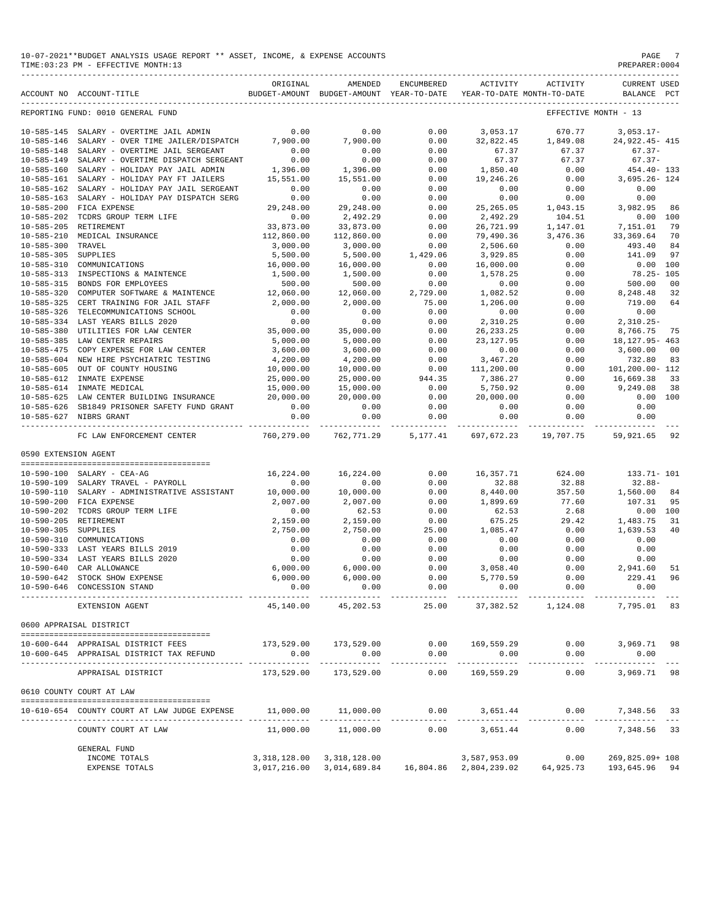| 10-07-2021**BUDGET ANALYSIS USAGE REPORT ** ASSET, INCOME, & EXPENSE ACCOUNTS | PAGE          |
|-------------------------------------------------------------------------------|---------------|
| TIME: 03:23 PM - EFFECTIVE MONTH: 13                                          | PREPARER:0004 |

| ACCOUNT NO ACCOUNT-TITLE<br>BUDGET-AMOUNT BUDGET-AMOUNT YEAR-TO-DATE<br>YEAR-TO-DATE MONTH-TO-DATE<br>BALANCE<br>PCT<br>REPORTING FUND: 0010 GENERAL FUND<br>EFFECTIVE MONTH - 13<br>0.00<br>0.00<br>SALARY - OVERTIME JAIL ADMIN<br>0.00<br>3,053.17<br>670.77<br>$3,053.17-$<br>7,900.00<br>7,900.00<br>0.00<br>32,822.45<br>SALARY - OVER TIME JAILER/DISPATCH<br>1,849.08<br>24, 922. 45 - 415<br>0.00<br>0.00<br>$67.37 -$<br>SALARY - OVERTIME JAIL SERGEANT<br>0.00<br>67.37<br>67.37<br>0.00<br>0.00<br>$10 - 585 - 149$<br>SALARY - OVERTIME DISPATCH SERGEANT<br>0.00<br>67.37<br>67.37<br>$67.37-$<br>0.00<br>0.00<br>$10 - 585 - 160$<br>SALARY - HOLIDAY PAY JAIL ADMIN<br>1,396.00<br>1,850.40<br>454.40- 133<br>1,396.00<br>0.00<br>0.00<br>$10 - 585 - 161$<br>SALARY - HOLIDAY PAY FT JAILERS<br>15,551.00<br>15,551.00<br>19,246.26<br>$3,695.26 - 124$<br>$10 - 585 - 162$<br>0.00<br>0.00<br>0.00<br>0.00<br>0.00<br>0.00<br>SALARY - HOLIDAY PAY JAIL SERGEANT<br>0.00<br>$10 - 585 - 163$<br>SALARY - HOLIDAY PAY DISPATCH SERG<br>0.00<br>0.00<br>0.00<br>0.00<br>0.00<br>$10 - 585 - 200$<br>29,248.00<br>29,248.00<br>0.00<br>25, 265.05<br>FICA EXPENSE<br>1,043.15<br>3,982.95<br>86<br>0.00<br>2,492.29<br>0.00<br>2,492.29<br>$10 - 585 - 202$<br>TCDRS GROUP TERM LIFE<br>104.51<br>0.00<br>100<br>33,873.00<br>33,873.00<br>0.00<br>26,721.99<br>79<br>RETIREMENT<br>1,147.01<br>7,151.01<br>0.00<br>MEDICAL INSURANCE<br>112,860.00<br>112,860.00<br>79,490.36<br>3,476.36<br>33, 369.64<br>70<br>TRAVEL<br>3,000.00<br>3,000.00<br>0.00<br>2,506.60<br>0.00<br>493.40<br>84<br>0.00<br>141.09<br>97<br>SUPPLIES<br>5,500.00<br>5,500.00<br>1,429.06<br>3,929.85<br>0.00<br>COMMUNICATIONS<br>16,000.00<br>16,000.00<br>0.00<br>16,000.00<br>0.00<br>100<br>1,500.00<br>0.00<br>0.00<br>INSPECTIONS & MAINTENCE<br>1,500.00<br>1,578.25<br>$78.25 - 105$<br>$10 - 585 - 315$<br>0.00<br>0.00<br>500.00<br>BONDS FOR EMPLOYEES<br>500.00<br>500.00<br>0.00<br>00<br>$10 - 585 - 320$<br>COMPUTER SOFTWARE & MAINTENCE<br>12,060.00<br>12,060.00<br>2,729.00<br>1,082.52<br>0.00<br>8,248.48<br>32<br>$10 - 585 - 325$<br>2,000.00<br>2,000.00<br>75.00<br>1,206.00<br>0.00<br>719.00<br>64<br>CERT TRAINING FOR JAIL STAFF<br>$10 - 585 - 326$<br>0.00<br>0.00<br>0.00<br>0.00<br>0.00<br>TELECOMMUNICATIONS SCHOOL<br>0.00<br>0.00<br>0.00<br>0.00<br>$2,310.25-$<br>$10 - 585 - 334$<br>LAST YEARS BILLS 2020<br>2,310.25<br>0.00<br>$10 - 585 - 380$<br>35,000.00<br>35,000.00<br>0.00<br>26, 233. 25<br>0.00<br>8,766.75<br>UTILITIES FOR LAW CENTER<br>75<br>5,000.00<br>0.00<br>$10 - 585 - 385$<br>LAW CENTER REPAIRS<br>5,000.00<br>23, 127.95<br>0.00<br>18, 127. 95 - 463<br>$10 - 585 - 475$<br>COPY EXPENSE FOR LAW CENTER<br>3,600.00<br>3,600.00<br>0.00<br>0.00<br>0.00<br>3,600.00<br>00<br>$10 - 585 - 604$<br>4,200.00<br>4,200.00<br>0.00<br>3,467.20<br>0.00<br>732.80<br>83<br>NEW HIRE PSYCHIATRIC TESTING<br>$10 - 585 - 605$<br>OUT OF COUNTY HOUSING<br>10,000.00<br>10,000.00<br>0.00<br>111,200.00<br>0.00<br>101,200.00-112<br>25,000.00<br>944.35<br>7,386.27<br>0.00<br>16,669.38<br>33<br>10-585-612<br>INMATE EXPENSE<br>25,000.00<br>15,000.00<br>15,000.00<br>0.00<br>5,750.92<br>0.00<br>9,249.08<br>38<br>10-585-614 INMATE MEDICAL<br>20,000.00<br>20,000.00<br>0.00<br>20,000.00<br>10-585-625 LAW CENTER BUILDING INSURANCE<br>0.00<br>0.00<br>100<br>0.00<br>10-585-626 SB1849 PRISONER SAFETY FUND GRANT<br>0.00<br>0.00<br>0.00<br>0.00<br>0.00<br>0.00<br>0.00<br>0.00<br>0.00<br>10-585-627 NIBRS GRANT<br>0.00<br>0.00<br>-------------------------------<br>----------<br>760,279.00<br>762,771.29<br>19,707.75 59,921.65 92<br>FC LAW ENFORCEMENT CENTER<br>5,177.41 697,672.23<br>0590 EXTENSION AGENT<br>16,224.00<br>$10 - 590 - 100$<br>SALARY - CEA-AG<br>16,224.00<br>0.00<br>16,357.71<br>624.00<br>133.71- 101<br>0.00<br>$10 - 590 - 109$<br>SALARY TRAVEL - PAYROLL<br>0.00<br>0.00<br>32.88<br>32.88<br>$32.88-$<br>10,000.00<br>0.00<br>8,440.00<br>357.50<br>1,560.00<br>$10 - 590 - 110$<br>SALARY - ADMINISTRATIVE ASSISTANT<br>10,000.00<br>84<br>2,007.00<br>0.00<br>1,899.69<br>107.31<br>$10 - 590 - 200$<br>FICA EXPENSE<br>2,007.00<br>77.60<br>95<br>$10 - 590 - 202$<br>TCDRS GROUP TERM LIFE<br>0.00<br>62.53<br>0.00<br>62.53<br>2.68<br>0.00<br>100<br>$10 - 590 - 205$<br>RETIREMENT<br>0.00<br>29.42<br>2,159.00<br>2,159.00<br>675.25<br>1,483.75<br>31<br>2,750.00<br>25.00<br>1,085.47<br>0.00<br><b>SUPPLIES</b><br>2,750.00<br>1,639.53<br>40<br>0.00<br>0.00<br>0.00<br>COMMUNICATIONS<br>0.00<br>0.00<br>0.00<br>0.00<br>0.00<br>LAST YEARS BILLS 2019<br>0.00<br>0.00<br>0.00<br>0.00<br>LAST YEARS BILLS 2020<br>0.00<br>0.00<br>0.00<br>0.00<br>0.00<br>0.00<br>6,000.00<br>0.00<br>0.00<br>2,941.60<br>CAR ALLOWANCE<br>6,000.00<br>3,058.40<br>51<br>6,000.00<br>6,000.00<br>0.00<br>229.41<br>STOCK SHOW EXPENSE<br>5,770.59<br>0.00<br>96<br>0.00<br>0.00<br>0.00<br>0.00<br>0.00<br>0.00<br>CONCESSION STAND<br>-------------<br>25.00<br>37,382.52 1,124.08<br>EXTENSION AGENT<br>45,140.00<br>45,202.53<br>7,795.01 83<br>0600 APPRAISAL DISTRICT<br>169,559.29<br>$0.00$ 3,969.71 98<br>173,529.00 173,529.00<br>0.00<br>10-600-644 APPRAISAL DISTRICT FEES<br>0.00<br>0.00<br>0.00<br>0.00<br>0.00<br>0.00<br>10-600-645 APPRAISAL DISTRICT TAX REFUND<br>.<br>.<br>-------------<br>173,529.00<br>173,529.00<br>0.00<br>169,559.29<br>0.00<br>3,969.71 98<br>APPRAISAL DISTRICT<br>0610 COUNTY COURT AT LAW<br>11,000.00    11,000.00<br>$0.00$ 3,651.44<br>$0.00$ 7,348.56 33<br>10-610-654 COUNTY COURT AT LAW JUDGE EXPENSE<br>0.00<br>3,651.44<br>0.00<br>7,348.56 33<br>COUNTY COURT AT LAW<br>11,000.00<br>11,000.00<br>GENERAL FUND<br>INCOME TOTALS<br>3, 318, 128.00 3, 318, 128.00<br>3,587,953.09<br>$0.00$ 269,825.09+108<br>3,017,216.00 3,014,689.84 16,804.86 2,804,239.02 64,925.73 193,645.96 94<br>EXPENSE TOTALS |                  | ORIGINAL | AMENDED | ENCUMBERED | ACTIVITY | ACTIVITY | <b>CURRENT USED</b> |
|-------------------------------------------------------------------------------------------------------------------------------------------------------------------------------------------------------------------------------------------------------------------------------------------------------------------------------------------------------------------------------------------------------------------------------------------------------------------------------------------------------------------------------------------------------------------------------------------------------------------------------------------------------------------------------------------------------------------------------------------------------------------------------------------------------------------------------------------------------------------------------------------------------------------------------------------------------------------------------------------------------------------------------------------------------------------------------------------------------------------------------------------------------------------------------------------------------------------------------------------------------------------------------------------------------------------------------------------------------------------------------------------------------------------------------------------------------------------------------------------------------------------------------------------------------------------------------------------------------------------------------------------------------------------------------------------------------------------------------------------------------------------------------------------------------------------------------------------------------------------------------------------------------------------------------------------------------------------------------------------------------------------------------------------------------------------------------------------------------------------------------------------------------------------------------------------------------------------------------------------------------------------------------------------------------------------------------------------------------------------------------------------------------------------------------------------------------------------------------------------------------------------------------------------------------------------------------------------------------------------------------------------------------------------------------------------------------------------------------------------------------------------------------------------------------------------------------------------------------------------------------------------------------------------------------------------------------------------------------------------------------------------------------------------------------------------------------------------------------------------------------------------------------------------------------------------------------------------------------------------------------------------------------------------------------------------------------------------------------------------------------------------------------------------------------------------------------------------------------------------------------------------------------------------------------------------------------------------------------------------------------------------------------------------------------------------------------------------------------------------------------------------------------------------------------------------------------------------------------------------------------------------------------------------------------------------------------------------------------------------------------------------------------------------------------------------------------------------------------------------------------------------------------------------------------------------------------------------------------------------------------------------------------------------------------------------------------------------------------------------------------------------------------------------------------------------------------------------------------------------------------------------------------------------------------------------------------------------------------------------------------------------------------------------------------------------------------------------------------------------------------------------------------------------------------------------------------------------------------------------------------------------------------------------------------------------------------------------------------------------------------------------------------------------------------------------------------------------------------------------------------------------------------------------------------------------------------------------------------------------------------------------------------------------------------------------------------------------------------------------------------------------------------------------------------------------------------------------------------------------------------------------------------------------------------------------------------------------------------------------------------------------------------------------------------------------------------------------------------------------------------------------------------------------------------------------------------------------------------------------------------------------------------------------------------------------------------------------|------------------|----------|---------|------------|----------|----------|---------------------|
|                                                                                                                                                                                                                                                                                                                                                                                                                                                                                                                                                                                                                                                                                                                                                                                                                                                                                                                                                                                                                                                                                                                                                                                                                                                                                                                                                                                                                                                                                                                                                                                                                                                                                                                                                                                                                                                                                                                                                                                                                                                                                                                                                                                                                                                                                                                                                                                                                                                                                                                                                                                                                                                                                                                                                                                                                                                                                                                                                                                                                                                                                                                                                                                                                                                                                                                                                                                                                                                                                                                                                                                                                                                                                                                                                                                                                                                                                                                                                                                                                                                                                                                                                                                                                                                                                                                                                                                                                                                                                                                                                                                                                                                                                                                                                                                                                                                                                                                                                                                                                                                                                                                                                                                                                                                                                                                                                                                                                                                                                                                                                                                                                                                                                                                                                                                                                                                                                                                                                                   |                  |          |         |            |          |          |                     |
|                                                                                                                                                                                                                                                                                                                                                                                                                                                                                                                                                                                                                                                                                                                                                                                                                                                                                                                                                                                                                                                                                                                                                                                                                                                                                                                                                                                                                                                                                                                                                                                                                                                                                                                                                                                                                                                                                                                                                                                                                                                                                                                                                                                                                                                                                                                                                                                                                                                                                                                                                                                                                                                                                                                                                                                                                                                                                                                                                                                                                                                                                                                                                                                                                                                                                                                                                                                                                                                                                                                                                                                                                                                                                                                                                                                                                                                                                                                                                                                                                                                                                                                                                                                                                                                                                                                                                                                                                                                                                                                                                                                                                                                                                                                                                                                                                                                                                                                                                                                                                                                                                                                                                                                                                                                                                                                                                                                                                                                                                                                                                                                                                                                                                                                                                                                                                                                                                                                                                                   |                  |          |         |            |          |          |                     |
|                                                                                                                                                                                                                                                                                                                                                                                                                                                                                                                                                                                                                                                                                                                                                                                                                                                                                                                                                                                                                                                                                                                                                                                                                                                                                                                                                                                                                                                                                                                                                                                                                                                                                                                                                                                                                                                                                                                                                                                                                                                                                                                                                                                                                                                                                                                                                                                                                                                                                                                                                                                                                                                                                                                                                                                                                                                                                                                                                                                                                                                                                                                                                                                                                                                                                                                                                                                                                                                                                                                                                                                                                                                                                                                                                                                                                                                                                                                                                                                                                                                                                                                                                                                                                                                                                                                                                                                                                                                                                                                                                                                                                                                                                                                                                                                                                                                                                                                                                                                                                                                                                                                                                                                                                                                                                                                                                                                                                                                                                                                                                                                                                                                                                                                                                                                                                                                                                                                                                                   | $10 - 585 - 145$ |          |         |            |          |          |                     |
|                                                                                                                                                                                                                                                                                                                                                                                                                                                                                                                                                                                                                                                                                                                                                                                                                                                                                                                                                                                                                                                                                                                                                                                                                                                                                                                                                                                                                                                                                                                                                                                                                                                                                                                                                                                                                                                                                                                                                                                                                                                                                                                                                                                                                                                                                                                                                                                                                                                                                                                                                                                                                                                                                                                                                                                                                                                                                                                                                                                                                                                                                                                                                                                                                                                                                                                                                                                                                                                                                                                                                                                                                                                                                                                                                                                                                                                                                                                                                                                                                                                                                                                                                                                                                                                                                                                                                                                                                                                                                                                                                                                                                                                                                                                                                                                                                                                                                                                                                                                                                                                                                                                                                                                                                                                                                                                                                                                                                                                                                                                                                                                                                                                                                                                                                                                                                                                                                                                                                                   | $10 - 585 - 146$ |          |         |            |          |          |                     |
|                                                                                                                                                                                                                                                                                                                                                                                                                                                                                                                                                                                                                                                                                                                                                                                                                                                                                                                                                                                                                                                                                                                                                                                                                                                                                                                                                                                                                                                                                                                                                                                                                                                                                                                                                                                                                                                                                                                                                                                                                                                                                                                                                                                                                                                                                                                                                                                                                                                                                                                                                                                                                                                                                                                                                                                                                                                                                                                                                                                                                                                                                                                                                                                                                                                                                                                                                                                                                                                                                                                                                                                                                                                                                                                                                                                                                                                                                                                                                                                                                                                                                                                                                                                                                                                                                                                                                                                                                                                                                                                                                                                                                                                                                                                                                                                                                                                                                                                                                                                                                                                                                                                                                                                                                                                                                                                                                                                                                                                                                                                                                                                                                                                                                                                                                                                                                                                                                                                                                                   | $10 - 585 - 148$ |          |         |            |          |          |                     |
|                                                                                                                                                                                                                                                                                                                                                                                                                                                                                                                                                                                                                                                                                                                                                                                                                                                                                                                                                                                                                                                                                                                                                                                                                                                                                                                                                                                                                                                                                                                                                                                                                                                                                                                                                                                                                                                                                                                                                                                                                                                                                                                                                                                                                                                                                                                                                                                                                                                                                                                                                                                                                                                                                                                                                                                                                                                                                                                                                                                                                                                                                                                                                                                                                                                                                                                                                                                                                                                                                                                                                                                                                                                                                                                                                                                                                                                                                                                                                                                                                                                                                                                                                                                                                                                                                                                                                                                                                                                                                                                                                                                                                                                                                                                                                                                                                                                                                                                                                                                                                                                                                                                                                                                                                                                                                                                                                                                                                                                                                                                                                                                                                                                                                                                                                                                                                                                                                                                                                                   |                  |          |         |            |          |          |                     |
|                                                                                                                                                                                                                                                                                                                                                                                                                                                                                                                                                                                                                                                                                                                                                                                                                                                                                                                                                                                                                                                                                                                                                                                                                                                                                                                                                                                                                                                                                                                                                                                                                                                                                                                                                                                                                                                                                                                                                                                                                                                                                                                                                                                                                                                                                                                                                                                                                                                                                                                                                                                                                                                                                                                                                                                                                                                                                                                                                                                                                                                                                                                                                                                                                                                                                                                                                                                                                                                                                                                                                                                                                                                                                                                                                                                                                                                                                                                                                                                                                                                                                                                                                                                                                                                                                                                                                                                                                                                                                                                                                                                                                                                                                                                                                                                                                                                                                                                                                                                                                                                                                                                                                                                                                                                                                                                                                                                                                                                                                                                                                                                                                                                                                                                                                                                                                                                                                                                                                                   |                  |          |         |            |          |          |                     |
|                                                                                                                                                                                                                                                                                                                                                                                                                                                                                                                                                                                                                                                                                                                                                                                                                                                                                                                                                                                                                                                                                                                                                                                                                                                                                                                                                                                                                                                                                                                                                                                                                                                                                                                                                                                                                                                                                                                                                                                                                                                                                                                                                                                                                                                                                                                                                                                                                                                                                                                                                                                                                                                                                                                                                                                                                                                                                                                                                                                                                                                                                                                                                                                                                                                                                                                                                                                                                                                                                                                                                                                                                                                                                                                                                                                                                                                                                                                                                                                                                                                                                                                                                                                                                                                                                                                                                                                                                                                                                                                                                                                                                                                                                                                                                                                                                                                                                                                                                                                                                                                                                                                                                                                                                                                                                                                                                                                                                                                                                                                                                                                                                                                                                                                                                                                                                                                                                                                                                                   |                  |          |         |            |          |          |                     |
|                                                                                                                                                                                                                                                                                                                                                                                                                                                                                                                                                                                                                                                                                                                                                                                                                                                                                                                                                                                                                                                                                                                                                                                                                                                                                                                                                                                                                                                                                                                                                                                                                                                                                                                                                                                                                                                                                                                                                                                                                                                                                                                                                                                                                                                                                                                                                                                                                                                                                                                                                                                                                                                                                                                                                                                                                                                                                                                                                                                                                                                                                                                                                                                                                                                                                                                                                                                                                                                                                                                                                                                                                                                                                                                                                                                                                                                                                                                                                                                                                                                                                                                                                                                                                                                                                                                                                                                                                                                                                                                                                                                                                                                                                                                                                                                                                                                                                                                                                                                                                                                                                                                                                                                                                                                                                                                                                                                                                                                                                                                                                                                                                                                                                                                                                                                                                                                                                                                                                                   |                  |          |         |            |          |          |                     |
|                                                                                                                                                                                                                                                                                                                                                                                                                                                                                                                                                                                                                                                                                                                                                                                                                                                                                                                                                                                                                                                                                                                                                                                                                                                                                                                                                                                                                                                                                                                                                                                                                                                                                                                                                                                                                                                                                                                                                                                                                                                                                                                                                                                                                                                                                                                                                                                                                                                                                                                                                                                                                                                                                                                                                                                                                                                                                                                                                                                                                                                                                                                                                                                                                                                                                                                                                                                                                                                                                                                                                                                                                                                                                                                                                                                                                                                                                                                                                                                                                                                                                                                                                                                                                                                                                                                                                                                                                                                                                                                                                                                                                                                                                                                                                                                                                                                                                                                                                                                                                                                                                                                                                                                                                                                                                                                                                                                                                                                                                                                                                                                                                                                                                                                                                                                                                                                                                                                                                                   |                  |          |         |            |          |          |                     |
|                                                                                                                                                                                                                                                                                                                                                                                                                                                                                                                                                                                                                                                                                                                                                                                                                                                                                                                                                                                                                                                                                                                                                                                                                                                                                                                                                                                                                                                                                                                                                                                                                                                                                                                                                                                                                                                                                                                                                                                                                                                                                                                                                                                                                                                                                                                                                                                                                                                                                                                                                                                                                                                                                                                                                                                                                                                                                                                                                                                                                                                                                                                                                                                                                                                                                                                                                                                                                                                                                                                                                                                                                                                                                                                                                                                                                                                                                                                                                                                                                                                                                                                                                                                                                                                                                                                                                                                                                                                                                                                                                                                                                                                                                                                                                                                                                                                                                                                                                                                                                                                                                                                                                                                                                                                                                                                                                                                                                                                                                                                                                                                                                                                                                                                                                                                                                                                                                                                                                                   |                  |          |         |            |          |          |                     |
|                                                                                                                                                                                                                                                                                                                                                                                                                                                                                                                                                                                                                                                                                                                                                                                                                                                                                                                                                                                                                                                                                                                                                                                                                                                                                                                                                                                                                                                                                                                                                                                                                                                                                                                                                                                                                                                                                                                                                                                                                                                                                                                                                                                                                                                                                                                                                                                                                                                                                                                                                                                                                                                                                                                                                                                                                                                                                                                                                                                                                                                                                                                                                                                                                                                                                                                                                                                                                                                                                                                                                                                                                                                                                                                                                                                                                                                                                                                                                                                                                                                                                                                                                                                                                                                                                                                                                                                                                                                                                                                                                                                                                                                                                                                                                                                                                                                                                                                                                                                                                                                                                                                                                                                                                                                                                                                                                                                                                                                                                                                                                                                                                                                                                                                                                                                                                                                                                                                                                                   | $10 - 585 - 205$ |          |         |            |          |          |                     |
|                                                                                                                                                                                                                                                                                                                                                                                                                                                                                                                                                                                                                                                                                                                                                                                                                                                                                                                                                                                                                                                                                                                                                                                                                                                                                                                                                                                                                                                                                                                                                                                                                                                                                                                                                                                                                                                                                                                                                                                                                                                                                                                                                                                                                                                                                                                                                                                                                                                                                                                                                                                                                                                                                                                                                                                                                                                                                                                                                                                                                                                                                                                                                                                                                                                                                                                                                                                                                                                                                                                                                                                                                                                                                                                                                                                                                                                                                                                                                                                                                                                                                                                                                                                                                                                                                                                                                                                                                                                                                                                                                                                                                                                                                                                                                                                                                                                                                                                                                                                                                                                                                                                                                                                                                                                                                                                                                                                                                                                                                                                                                                                                                                                                                                                                                                                                                                                                                                                                                                   | $10 - 585 - 210$ |          |         |            |          |          |                     |
|                                                                                                                                                                                                                                                                                                                                                                                                                                                                                                                                                                                                                                                                                                                                                                                                                                                                                                                                                                                                                                                                                                                                                                                                                                                                                                                                                                                                                                                                                                                                                                                                                                                                                                                                                                                                                                                                                                                                                                                                                                                                                                                                                                                                                                                                                                                                                                                                                                                                                                                                                                                                                                                                                                                                                                                                                                                                                                                                                                                                                                                                                                                                                                                                                                                                                                                                                                                                                                                                                                                                                                                                                                                                                                                                                                                                                                                                                                                                                                                                                                                                                                                                                                                                                                                                                                                                                                                                                                                                                                                                                                                                                                                                                                                                                                                                                                                                                                                                                                                                                                                                                                                                                                                                                                                                                                                                                                                                                                                                                                                                                                                                                                                                                                                                                                                                                                                                                                                                                                   | $10 - 585 - 300$ |          |         |            |          |          |                     |
|                                                                                                                                                                                                                                                                                                                                                                                                                                                                                                                                                                                                                                                                                                                                                                                                                                                                                                                                                                                                                                                                                                                                                                                                                                                                                                                                                                                                                                                                                                                                                                                                                                                                                                                                                                                                                                                                                                                                                                                                                                                                                                                                                                                                                                                                                                                                                                                                                                                                                                                                                                                                                                                                                                                                                                                                                                                                                                                                                                                                                                                                                                                                                                                                                                                                                                                                                                                                                                                                                                                                                                                                                                                                                                                                                                                                                                                                                                                                                                                                                                                                                                                                                                                                                                                                                                                                                                                                                                                                                                                                                                                                                                                                                                                                                                                                                                                                                                                                                                                                                                                                                                                                                                                                                                                                                                                                                                                                                                                                                                                                                                                                                                                                                                                                                                                                                                                                                                                                                                   | $10 - 585 - 305$ |          |         |            |          |          |                     |
|                                                                                                                                                                                                                                                                                                                                                                                                                                                                                                                                                                                                                                                                                                                                                                                                                                                                                                                                                                                                                                                                                                                                                                                                                                                                                                                                                                                                                                                                                                                                                                                                                                                                                                                                                                                                                                                                                                                                                                                                                                                                                                                                                                                                                                                                                                                                                                                                                                                                                                                                                                                                                                                                                                                                                                                                                                                                                                                                                                                                                                                                                                                                                                                                                                                                                                                                                                                                                                                                                                                                                                                                                                                                                                                                                                                                                                                                                                                                                                                                                                                                                                                                                                                                                                                                                                                                                                                                                                                                                                                                                                                                                                                                                                                                                                                                                                                                                                                                                                                                                                                                                                                                                                                                                                                                                                                                                                                                                                                                                                                                                                                                                                                                                                                                                                                                                                                                                                                                                                   | $10 - 585 - 310$ |          |         |            |          |          |                     |
|                                                                                                                                                                                                                                                                                                                                                                                                                                                                                                                                                                                                                                                                                                                                                                                                                                                                                                                                                                                                                                                                                                                                                                                                                                                                                                                                                                                                                                                                                                                                                                                                                                                                                                                                                                                                                                                                                                                                                                                                                                                                                                                                                                                                                                                                                                                                                                                                                                                                                                                                                                                                                                                                                                                                                                                                                                                                                                                                                                                                                                                                                                                                                                                                                                                                                                                                                                                                                                                                                                                                                                                                                                                                                                                                                                                                                                                                                                                                                                                                                                                                                                                                                                                                                                                                                                                                                                                                                                                                                                                                                                                                                                                                                                                                                                                                                                                                                                                                                                                                                                                                                                                                                                                                                                                                                                                                                                                                                                                                                                                                                                                                                                                                                                                                                                                                                                                                                                                                                                   | $10 - 585 - 313$ |          |         |            |          |          |                     |
|                                                                                                                                                                                                                                                                                                                                                                                                                                                                                                                                                                                                                                                                                                                                                                                                                                                                                                                                                                                                                                                                                                                                                                                                                                                                                                                                                                                                                                                                                                                                                                                                                                                                                                                                                                                                                                                                                                                                                                                                                                                                                                                                                                                                                                                                                                                                                                                                                                                                                                                                                                                                                                                                                                                                                                                                                                                                                                                                                                                                                                                                                                                                                                                                                                                                                                                                                                                                                                                                                                                                                                                                                                                                                                                                                                                                                                                                                                                                                                                                                                                                                                                                                                                                                                                                                                                                                                                                                                                                                                                                                                                                                                                                                                                                                                                                                                                                                                                                                                                                                                                                                                                                                                                                                                                                                                                                                                                                                                                                                                                                                                                                                                                                                                                                                                                                                                                                                                                                                                   |                  |          |         |            |          |          |                     |
|                                                                                                                                                                                                                                                                                                                                                                                                                                                                                                                                                                                                                                                                                                                                                                                                                                                                                                                                                                                                                                                                                                                                                                                                                                                                                                                                                                                                                                                                                                                                                                                                                                                                                                                                                                                                                                                                                                                                                                                                                                                                                                                                                                                                                                                                                                                                                                                                                                                                                                                                                                                                                                                                                                                                                                                                                                                                                                                                                                                                                                                                                                                                                                                                                                                                                                                                                                                                                                                                                                                                                                                                                                                                                                                                                                                                                                                                                                                                                                                                                                                                                                                                                                                                                                                                                                                                                                                                                                                                                                                                                                                                                                                                                                                                                                                                                                                                                                                                                                                                                                                                                                                                                                                                                                                                                                                                                                                                                                                                                                                                                                                                                                                                                                                                                                                                                                                                                                                                                                   |                  |          |         |            |          |          |                     |
|                                                                                                                                                                                                                                                                                                                                                                                                                                                                                                                                                                                                                                                                                                                                                                                                                                                                                                                                                                                                                                                                                                                                                                                                                                                                                                                                                                                                                                                                                                                                                                                                                                                                                                                                                                                                                                                                                                                                                                                                                                                                                                                                                                                                                                                                                                                                                                                                                                                                                                                                                                                                                                                                                                                                                                                                                                                                                                                                                                                                                                                                                                                                                                                                                                                                                                                                                                                                                                                                                                                                                                                                                                                                                                                                                                                                                                                                                                                                                                                                                                                                                                                                                                                                                                                                                                                                                                                                                                                                                                                                                                                                                                                                                                                                                                                                                                                                                                                                                                                                                                                                                                                                                                                                                                                                                                                                                                                                                                                                                                                                                                                                                                                                                                                                                                                                                                                                                                                                                                   |                  |          |         |            |          |          |                     |
|                                                                                                                                                                                                                                                                                                                                                                                                                                                                                                                                                                                                                                                                                                                                                                                                                                                                                                                                                                                                                                                                                                                                                                                                                                                                                                                                                                                                                                                                                                                                                                                                                                                                                                                                                                                                                                                                                                                                                                                                                                                                                                                                                                                                                                                                                                                                                                                                                                                                                                                                                                                                                                                                                                                                                                                                                                                                                                                                                                                                                                                                                                                                                                                                                                                                                                                                                                                                                                                                                                                                                                                                                                                                                                                                                                                                                                                                                                                                                                                                                                                                                                                                                                                                                                                                                                                                                                                                                                                                                                                                                                                                                                                                                                                                                                                                                                                                                                                                                                                                                                                                                                                                                                                                                                                                                                                                                                                                                                                                                                                                                                                                                                                                                                                                                                                                                                                                                                                                                                   |                  |          |         |            |          |          |                     |
|                                                                                                                                                                                                                                                                                                                                                                                                                                                                                                                                                                                                                                                                                                                                                                                                                                                                                                                                                                                                                                                                                                                                                                                                                                                                                                                                                                                                                                                                                                                                                                                                                                                                                                                                                                                                                                                                                                                                                                                                                                                                                                                                                                                                                                                                                                                                                                                                                                                                                                                                                                                                                                                                                                                                                                                                                                                                                                                                                                                                                                                                                                                                                                                                                                                                                                                                                                                                                                                                                                                                                                                                                                                                                                                                                                                                                                                                                                                                                                                                                                                                                                                                                                                                                                                                                                                                                                                                                                                                                                                                                                                                                                                                                                                                                                                                                                                                                                                                                                                                                                                                                                                                                                                                                                                                                                                                                                                                                                                                                                                                                                                                                                                                                                                                                                                                                                                                                                                                                                   |                  |          |         |            |          |          |                     |
|                                                                                                                                                                                                                                                                                                                                                                                                                                                                                                                                                                                                                                                                                                                                                                                                                                                                                                                                                                                                                                                                                                                                                                                                                                                                                                                                                                                                                                                                                                                                                                                                                                                                                                                                                                                                                                                                                                                                                                                                                                                                                                                                                                                                                                                                                                                                                                                                                                                                                                                                                                                                                                                                                                                                                                                                                                                                                                                                                                                                                                                                                                                                                                                                                                                                                                                                                                                                                                                                                                                                                                                                                                                                                                                                                                                                                                                                                                                                                                                                                                                                                                                                                                                                                                                                                                                                                                                                                                                                                                                                                                                                                                                                                                                                                                                                                                                                                                                                                                                                                                                                                                                                                                                                                                                                                                                                                                                                                                                                                                                                                                                                                                                                                                                                                                                                                                                                                                                                                                   |                  |          |         |            |          |          |                     |
|                                                                                                                                                                                                                                                                                                                                                                                                                                                                                                                                                                                                                                                                                                                                                                                                                                                                                                                                                                                                                                                                                                                                                                                                                                                                                                                                                                                                                                                                                                                                                                                                                                                                                                                                                                                                                                                                                                                                                                                                                                                                                                                                                                                                                                                                                                                                                                                                                                                                                                                                                                                                                                                                                                                                                                                                                                                                                                                                                                                                                                                                                                                                                                                                                                                                                                                                                                                                                                                                                                                                                                                                                                                                                                                                                                                                                                                                                                                                                                                                                                                                                                                                                                                                                                                                                                                                                                                                                                                                                                                                                                                                                                                                                                                                                                                                                                                                                                                                                                                                                                                                                                                                                                                                                                                                                                                                                                                                                                                                                                                                                                                                                                                                                                                                                                                                                                                                                                                                                                   |                  |          |         |            |          |          |                     |
|                                                                                                                                                                                                                                                                                                                                                                                                                                                                                                                                                                                                                                                                                                                                                                                                                                                                                                                                                                                                                                                                                                                                                                                                                                                                                                                                                                                                                                                                                                                                                                                                                                                                                                                                                                                                                                                                                                                                                                                                                                                                                                                                                                                                                                                                                                                                                                                                                                                                                                                                                                                                                                                                                                                                                                                                                                                                                                                                                                                                                                                                                                                                                                                                                                                                                                                                                                                                                                                                                                                                                                                                                                                                                                                                                                                                                                                                                                                                                                                                                                                                                                                                                                                                                                                                                                                                                                                                                                                                                                                                                                                                                                                                                                                                                                                                                                                                                                                                                                                                                                                                                                                                                                                                                                                                                                                                                                                                                                                                                                                                                                                                                                                                                                                                                                                                                                                                                                                                                                   |                  |          |         |            |          |          |                     |
|                                                                                                                                                                                                                                                                                                                                                                                                                                                                                                                                                                                                                                                                                                                                                                                                                                                                                                                                                                                                                                                                                                                                                                                                                                                                                                                                                                                                                                                                                                                                                                                                                                                                                                                                                                                                                                                                                                                                                                                                                                                                                                                                                                                                                                                                                                                                                                                                                                                                                                                                                                                                                                                                                                                                                                                                                                                                                                                                                                                                                                                                                                                                                                                                                                                                                                                                                                                                                                                                                                                                                                                                                                                                                                                                                                                                                                                                                                                                                                                                                                                                                                                                                                                                                                                                                                                                                                                                                                                                                                                                                                                                                                                                                                                                                                                                                                                                                                                                                                                                                                                                                                                                                                                                                                                                                                                                                                                                                                                                                                                                                                                                                                                                                                                                                                                                                                                                                                                                                                   |                  |          |         |            |          |          |                     |
|                                                                                                                                                                                                                                                                                                                                                                                                                                                                                                                                                                                                                                                                                                                                                                                                                                                                                                                                                                                                                                                                                                                                                                                                                                                                                                                                                                                                                                                                                                                                                                                                                                                                                                                                                                                                                                                                                                                                                                                                                                                                                                                                                                                                                                                                                                                                                                                                                                                                                                                                                                                                                                                                                                                                                                                                                                                                                                                                                                                                                                                                                                                                                                                                                                                                                                                                                                                                                                                                                                                                                                                                                                                                                                                                                                                                                                                                                                                                                                                                                                                                                                                                                                                                                                                                                                                                                                                                                                                                                                                                                                                                                                                                                                                                                                                                                                                                                                                                                                                                                                                                                                                                                                                                                                                                                                                                                                                                                                                                                                                                                                                                                                                                                                                                                                                                                                                                                                                                                                   |                  |          |         |            |          |          |                     |
|                                                                                                                                                                                                                                                                                                                                                                                                                                                                                                                                                                                                                                                                                                                                                                                                                                                                                                                                                                                                                                                                                                                                                                                                                                                                                                                                                                                                                                                                                                                                                                                                                                                                                                                                                                                                                                                                                                                                                                                                                                                                                                                                                                                                                                                                                                                                                                                                                                                                                                                                                                                                                                                                                                                                                                                                                                                                                                                                                                                                                                                                                                                                                                                                                                                                                                                                                                                                                                                                                                                                                                                                                                                                                                                                                                                                                                                                                                                                                                                                                                                                                                                                                                                                                                                                                                                                                                                                                                                                                                                                                                                                                                                                                                                                                                                                                                                                                                                                                                                                                                                                                                                                                                                                                                                                                                                                                                                                                                                                                                                                                                                                                                                                                                                                                                                                                                                                                                                                                                   |                  |          |         |            |          |          |                     |
|                                                                                                                                                                                                                                                                                                                                                                                                                                                                                                                                                                                                                                                                                                                                                                                                                                                                                                                                                                                                                                                                                                                                                                                                                                                                                                                                                                                                                                                                                                                                                                                                                                                                                                                                                                                                                                                                                                                                                                                                                                                                                                                                                                                                                                                                                                                                                                                                                                                                                                                                                                                                                                                                                                                                                                                                                                                                                                                                                                                                                                                                                                                                                                                                                                                                                                                                                                                                                                                                                                                                                                                                                                                                                                                                                                                                                                                                                                                                                                                                                                                                                                                                                                                                                                                                                                                                                                                                                                                                                                                                                                                                                                                                                                                                                                                                                                                                                                                                                                                                                                                                                                                                                                                                                                                                                                                                                                                                                                                                                                                                                                                                                                                                                                                                                                                                                                                                                                                                                                   |                  |          |         |            |          |          |                     |
|                                                                                                                                                                                                                                                                                                                                                                                                                                                                                                                                                                                                                                                                                                                                                                                                                                                                                                                                                                                                                                                                                                                                                                                                                                                                                                                                                                                                                                                                                                                                                                                                                                                                                                                                                                                                                                                                                                                                                                                                                                                                                                                                                                                                                                                                                                                                                                                                                                                                                                                                                                                                                                                                                                                                                                                                                                                                                                                                                                                                                                                                                                                                                                                                                                                                                                                                                                                                                                                                                                                                                                                                                                                                                                                                                                                                                                                                                                                                                                                                                                                                                                                                                                                                                                                                                                                                                                                                                                                                                                                                                                                                                                                                                                                                                                                                                                                                                                                                                                                                                                                                                                                                                                                                                                                                                                                                                                                                                                                                                                                                                                                                                                                                                                                                                                                                                                                                                                                                                                   |                  |          |         |            |          |          |                     |
|                                                                                                                                                                                                                                                                                                                                                                                                                                                                                                                                                                                                                                                                                                                                                                                                                                                                                                                                                                                                                                                                                                                                                                                                                                                                                                                                                                                                                                                                                                                                                                                                                                                                                                                                                                                                                                                                                                                                                                                                                                                                                                                                                                                                                                                                                                                                                                                                                                                                                                                                                                                                                                                                                                                                                                                                                                                                                                                                                                                                                                                                                                                                                                                                                                                                                                                                                                                                                                                                                                                                                                                                                                                                                                                                                                                                                                                                                                                                                                                                                                                                                                                                                                                                                                                                                                                                                                                                                                                                                                                                                                                                                                                                                                                                                                                                                                                                                                                                                                                                                                                                                                                                                                                                                                                                                                                                                                                                                                                                                                                                                                                                                                                                                                                                                                                                                                                                                                                                                                   |                  |          |         |            |          |          |                     |
|                                                                                                                                                                                                                                                                                                                                                                                                                                                                                                                                                                                                                                                                                                                                                                                                                                                                                                                                                                                                                                                                                                                                                                                                                                                                                                                                                                                                                                                                                                                                                                                                                                                                                                                                                                                                                                                                                                                                                                                                                                                                                                                                                                                                                                                                                                                                                                                                                                                                                                                                                                                                                                                                                                                                                                                                                                                                                                                                                                                                                                                                                                                                                                                                                                                                                                                                                                                                                                                                                                                                                                                                                                                                                                                                                                                                                                                                                                                                                                                                                                                                                                                                                                                                                                                                                                                                                                                                                                                                                                                                                                                                                                                                                                                                                                                                                                                                                                                                                                                                                                                                                                                                                                                                                                                                                                                                                                                                                                                                                                                                                                                                                                                                                                                                                                                                                                                                                                                                                                   |                  |          |         |            |          |          |                     |
|                                                                                                                                                                                                                                                                                                                                                                                                                                                                                                                                                                                                                                                                                                                                                                                                                                                                                                                                                                                                                                                                                                                                                                                                                                                                                                                                                                                                                                                                                                                                                                                                                                                                                                                                                                                                                                                                                                                                                                                                                                                                                                                                                                                                                                                                                                                                                                                                                                                                                                                                                                                                                                                                                                                                                                                                                                                                                                                                                                                                                                                                                                                                                                                                                                                                                                                                                                                                                                                                                                                                                                                                                                                                                                                                                                                                                                                                                                                                                                                                                                                                                                                                                                                                                                                                                                                                                                                                                                                                                                                                                                                                                                                                                                                                                                                                                                                                                                                                                                                                                                                                                                                                                                                                                                                                                                                                                                                                                                                                                                                                                                                                                                                                                                                                                                                                                                                                                                                                                                   |                  |          |         |            |          |          |                     |
|                                                                                                                                                                                                                                                                                                                                                                                                                                                                                                                                                                                                                                                                                                                                                                                                                                                                                                                                                                                                                                                                                                                                                                                                                                                                                                                                                                                                                                                                                                                                                                                                                                                                                                                                                                                                                                                                                                                                                                                                                                                                                                                                                                                                                                                                                                                                                                                                                                                                                                                                                                                                                                                                                                                                                                                                                                                                                                                                                                                                                                                                                                                                                                                                                                                                                                                                                                                                                                                                                                                                                                                                                                                                                                                                                                                                                                                                                                                                                                                                                                                                                                                                                                                                                                                                                                                                                                                                                                                                                                                                                                                                                                                                                                                                                                                                                                                                                                                                                                                                                                                                                                                                                                                                                                                                                                                                                                                                                                                                                                                                                                                                                                                                                                                                                                                                                                                                                                                                                                   |                  |          |         |            |          |          |                     |
|                                                                                                                                                                                                                                                                                                                                                                                                                                                                                                                                                                                                                                                                                                                                                                                                                                                                                                                                                                                                                                                                                                                                                                                                                                                                                                                                                                                                                                                                                                                                                                                                                                                                                                                                                                                                                                                                                                                                                                                                                                                                                                                                                                                                                                                                                                                                                                                                                                                                                                                                                                                                                                                                                                                                                                                                                                                                                                                                                                                                                                                                                                                                                                                                                                                                                                                                                                                                                                                                                                                                                                                                                                                                                                                                                                                                                                                                                                                                                                                                                                                                                                                                                                                                                                                                                                                                                                                                                                                                                                                                                                                                                                                                                                                                                                                                                                                                                                                                                                                                                                                                                                                                                                                                                                                                                                                                                                                                                                                                                                                                                                                                                                                                                                                                                                                                                                                                                                                                                                   |                  |          |         |            |          |          |                     |
|                                                                                                                                                                                                                                                                                                                                                                                                                                                                                                                                                                                                                                                                                                                                                                                                                                                                                                                                                                                                                                                                                                                                                                                                                                                                                                                                                                                                                                                                                                                                                                                                                                                                                                                                                                                                                                                                                                                                                                                                                                                                                                                                                                                                                                                                                                                                                                                                                                                                                                                                                                                                                                                                                                                                                                                                                                                                                                                                                                                                                                                                                                                                                                                                                                                                                                                                                                                                                                                                                                                                                                                                                                                                                                                                                                                                                                                                                                                                                                                                                                                                                                                                                                                                                                                                                                                                                                                                                                                                                                                                                                                                                                                                                                                                                                                                                                                                                                                                                                                                                                                                                                                                                                                                                                                                                                                                                                                                                                                                                                                                                                                                                                                                                                                                                                                                                                                                                                                                                                   |                  |          |         |            |          |          |                     |
|                                                                                                                                                                                                                                                                                                                                                                                                                                                                                                                                                                                                                                                                                                                                                                                                                                                                                                                                                                                                                                                                                                                                                                                                                                                                                                                                                                                                                                                                                                                                                                                                                                                                                                                                                                                                                                                                                                                                                                                                                                                                                                                                                                                                                                                                                                                                                                                                                                                                                                                                                                                                                                                                                                                                                                                                                                                                                                                                                                                                                                                                                                                                                                                                                                                                                                                                                                                                                                                                                                                                                                                                                                                                                                                                                                                                                                                                                                                                                                                                                                                                                                                                                                                                                                                                                                                                                                                                                                                                                                                                                                                                                                                                                                                                                                                                                                                                                                                                                                                                                                                                                                                                                                                                                                                                                                                                                                                                                                                                                                                                                                                                                                                                                                                                                                                                                                                                                                                                                                   |                  |          |         |            |          |          |                     |
|                                                                                                                                                                                                                                                                                                                                                                                                                                                                                                                                                                                                                                                                                                                                                                                                                                                                                                                                                                                                                                                                                                                                                                                                                                                                                                                                                                                                                                                                                                                                                                                                                                                                                                                                                                                                                                                                                                                                                                                                                                                                                                                                                                                                                                                                                                                                                                                                                                                                                                                                                                                                                                                                                                                                                                                                                                                                                                                                                                                                                                                                                                                                                                                                                                                                                                                                                                                                                                                                                                                                                                                                                                                                                                                                                                                                                                                                                                                                                                                                                                                                                                                                                                                                                                                                                                                                                                                                                                                                                                                                                                                                                                                                                                                                                                                                                                                                                                                                                                                                                                                                                                                                                                                                                                                                                                                                                                                                                                                                                                                                                                                                                                                                                                                                                                                                                                                                                                                                                                   |                  |          |         |            |          |          |                     |
|                                                                                                                                                                                                                                                                                                                                                                                                                                                                                                                                                                                                                                                                                                                                                                                                                                                                                                                                                                                                                                                                                                                                                                                                                                                                                                                                                                                                                                                                                                                                                                                                                                                                                                                                                                                                                                                                                                                                                                                                                                                                                                                                                                                                                                                                                                                                                                                                                                                                                                                                                                                                                                                                                                                                                                                                                                                                                                                                                                                                                                                                                                                                                                                                                                                                                                                                                                                                                                                                                                                                                                                                                                                                                                                                                                                                                                                                                                                                                                                                                                                                                                                                                                                                                                                                                                                                                                                                                                                                                                                                                                                                                                                                                                                                                                                                                                                                                                                                                                                                                                                                                                                                                                                                                                                                                                                                                                                                                                                                                                                                                                                                                                                                                                                                                                                                                                                                                                                                                                   |                  |          |         |            |          |          |                     |
|                                                                                                                                                                                                                                                                                                                                                                                                                                                                                                                                                                                                                                                                                                                                                                                                                                                                                                                                                                                                                                                                                                                                                                                                                                                                                                                                                                                                                                                                                                                                                                                                                                                                                                                                                                                                                                                                                                                                                                                                                                                                                                                                                                                                                                                                                                                                                                                                                                                                                                                                                                                                                                                                                                                                                                                                                                                                                                                                                                                                                                                                                                                                                                                                                                                                                                                                                                                                                                                                                                                                                                                                                                                                                                                                                                                                                                                                                                                                                                                                                                                                                                                                                                                                                                                                                                                                                                                                                                                                                                                                                                                                                                                                                                                                                                                                                                                                                                                                                                                                                                                                                                                                                                                                                                                                                                                                                                                                                                                                                                                                                                                                                                                                                                                                                                                                                                                                                                                                                                   | $10 - 590 - 305$ |          |         |            |          |          |                     |
|                                                                                                                                                                                                                                                                                                                                                                                                                                                                                                                                                                                                                                                                                                                                                                                                                                                                                                                                                                                                                                                                                                                                                                                                                                                                                                                                                                                                                                                                                                                                                                                                                                                                                                                                                                                                                                                                                                                                                                                                                                                                                                                                                                                                                                                                                                                                                                                                                                                                                                                                                                                                                                                                                                                                                                                                                                                                                                                                                                                                                                                                                                                                                                                                                                                                                                                                                                                                                                                                                                                                                                                                                                                                                                                                                                                                                                                                                                                                                                                                                                                                                                                                                                                                                                                                                                                                                                                                                                                                                                                                                                                                                                                                                                                                                                                                                                                                                                                                                                                                                                                                                                                                                                                                                                                                                                                                                                                                                                                                                                                                                                                                                                                                                                                                                                                                                                                                                                                                                                   | $10 - 590 - 310$ |          |         |            |          |          |                     |
|                                                                                                                                                                                                                                                                                                                                                                                                                                                                                                                                                                                                                                                                                                                                                                                                                                                                                                                                                                                                                                                                                                                                                                                                                                                                                                                                                                                                                                                                                                                                                                                                                                                                                                                                                                                                                                                                                                                                                                                                                                                                                                                                                                                                                                                                                                                                                                                                                                                                                                                                                                                                                                                                                                                                                                                                                                                                                                                                                                                                                                                                                                                                                                                                                                                                                                                                                                                                                                                                                                                                                                                                                                                                                                                                                                                                                                                                                                                                                                                                                                                                                                                                                                                                                                                                                                                                                                                                                                                                                                                                                                                                                                                                                                                                                                                                                                                                                                                                                                                                                                                                                                                                                                                                                                                                                                                                                                                                                                                                                                                                                                                                                                                                                                                                                                                                                                                                                                                                                                   | $10 - 590 - 333$ |          |         |            |          |          |                     |
|                                                                                                                                                                                                                                                                                                                                                                                                                                                                                                                                                                                                                                                                                                                                                                                                                                                                                                                                                                                                                                                                                                                                                                                                                                                                                                                                                                                                                                                                                                                                                                                                                                                                                                                                                                                                                                                                                                                                                                                                                                                                                                                                                                                                                                                                                                                                                                                                                                                                                                                                                                                                                                                                                                                                                                                                                                                                                                                                                                                                                                                                                                                                                                                                                                                                                                                                                                                                                                                                                                                                                                                                                                                                                                                                                                                                                                                                                                                                                                                                                                                                                                                                                                                                                                                                                                                                                                                                                                                                                                                                                                                                                                                                                                                                                                                                                                                                                                                                                                                                                                                                                                                                                                                                                                                                                                                                                                                                                                                                                                                                                                                                                                                                                                                                                                                                                                                                                                                                                                   | $10 - 590 - 334$ |          |         |            |          |          |                     |
|                                                                                                                                                                                                                                                                                                                                                                                                                                                                                                                                                                                                                                                                                                                                                                                                                                                                                                                                                                                                                                                                                                                                                                                                                                                                                                                                                                                                                                                                                                                                                                                                                                                                                                                                                                                                                                                                                                                                                                                                                                                                                                                                                                                                                                                                                                                                                                                                                                                                                                                                                                                                                                                                                                                                                                                                                                                                                                                                                                                                                                                                                                                                                                                                                                                                                                                                                                                                                                                                                                                                                                                                                                                                                                                                                                                                                                                                                                                                                                                                                                                                                                                                                                                                                                                                                                                                                                                                                                                                                                                                                                                                                                                                                                                                                                                                                                                                                                                                                                                                                                                                                                                                                                                                                                                                                                                                                                                                                                                                                                                                                                                                                                                                                                                                                                                                                                                                                                                                                                   | $10 - 590 - 640$ |          |         |            |          |          |                     |
|                                                                                                                                                                                                                                                                                                                                                                                                                                                                                                                                                                                                                                                                                                                                                                                                                                                                                                                                                                                                                                                                                                                                                                                                                                                                                                                                                                                                                                                                                                                                                                                                                                                                                                                                                                                                                                                                                                                                                                                                                                                                                                                                                                                                                                                                                                                                                                                                                                                                                                                                                                                                                                                                                                                                                                                                                                                                                                                                                                                                                                                                                                                                                                                                                                                                                                                                                                                                                                                                                                                                                                                                                                                                                                                                                                                                                                                                                                                                                                                                                                                                                                                                                                                                                                                                                                                                                                                                                                                                                                                                                                                                                                                                                                                                                                                                                                                                                                                                                                                                                                                                                                                                                                                                                                                                                                                                                                                                                                                                                                                                                                                                                                                                                                                                                                                                                                                                                                                                                                   | $10 - 590 - 642$ |          |         |            |          |          |                     |
|                                                                                                                                                                                                                                                                                                                                                                                                                                                                                                                                                                                                                                                                                                                                                                                                                                                                                                                                                                                                                                                                                                                                                                                                                                                                                                                                                                                                                                                                                                                                                                                                                                                                                                                                                                                                                                                                                                                                                                                                                                                                                                                                                                                                                                                                                                                                                                                                                                                                                                                                                                                                                                                                                                                                                                                                                                                                                                                                                                                                                                                                                                                                                                                                                                                                                                                                                                                                                                                                                                                                                                                                                                                                                                                                                                                                                                                                                                                                                                                                                                                                                                                                                                                                                                                                                                                                                                                                                                                                                                                                                                                                                                                                                                                                                                                                                                                                                                                                                                                                                                                                                                                                                                                                                                                                                                                                                                                                                                                                                                                                                                                                                                                                                                                                                                                                                                                                                                                                                                   | $10 - 590 - 646$ |          |         |            |          |          |                     |
|                                                                                                                                                                                                                                                                                                                                                                                                                                                                                                                                                                                                                                                                                                                                                                                                                                                                                                                                                                                                                                                                                                                                                                                                                                                                                                                                                                                                                                                                                                                                                                                                                                                                                                                                                                                                                                                                                                                                                                                                                                                                                                                                                                                                                                                                                                                                                                                                                                                                                                                                                                                                                                                                                                                                                                                                                                                                                                                                                                                                                                                                                                                                                                                                                                                                                                                                                                                                                                                                                                                                                                                                                                                                                                                                                                                                                                                                                                                                                                                                                                                                                                                                                                                                                                                                                                                                                                                                                                                                                                                                                                                                                                                                                                                                                                                                                                                                                                                                                                                                                                                                                                                                                                                                                                                                                                                                                                                                                                                                                                                                                                                                                                                                                                                                                                                                                                                                                                                                                                   |                  |          |         |            |          |          |                     |
|                                                                                                                                                                                                                                                                                                                                                                                                                                                                                                                                                                                                                                                                                                                                                                                                                                                                                                                                                                                                                                                                                                                                                                                                                                                                                                                                                                                                                                                                                                                                                                                                                                                                                                                                                                                                                                                                                                                                                                                                                                                                                                                                                                                                                                                                                                                                                                                                                                                                                                                                                                                                                                                                                                                                                                                                                                                                                                                                                                                                                                                                                                                                                                                                                                                                                                                                                                                                                                                                                                                                                                                                                                                                                                                                                                                                                                                                                                                                                                                                                                                                                                                                                                                                                                                                                                                                                                                                                                                                                                                                                                                                                                                                                                                                                                                                                                                                                                                                                                                                                                                                                                                                                                                                                                                                                                                                                                                                                                                                                                                                                                                                                                                                                                                                                                                                                                                                                                                                                                   |                  |          |         |            |          |          |                     |
|                                                                                                                                                                                                                                                                                                                                                                                                                                                                                                                                                                                                                                                                                                                                                                                                                                                                                                                                                                                                                                                                                                                                                                                                                                                                                                                                                                                                                                                                                                                                                                                                                                                                                                                                                                                                                                                                                                                                                                                                                                                                                                                                                                                                                                                                                                                                                                                                                                                                                                                                                                                                                                                                                                                                                                                                                                                                                                                                                                                                                                                                                                                                                                                                                                                                                                                                                                                                                                                                                                                                                                                                                                                                                                                                                                                                                                                                                                                                                                                                                                                                                                                                                                                                                                                                                                                                                                                                                                                                                                                                                                                                                                                                                                                                                                                                                                                                                                                                                                                                                                                                                                                                                                                                                                                                                                                                                                                                                                                                                                                                                                                                                                                                                                                                                                                                                                                                                                                                                                   |                  |          |         |            |          |          |                     |
|                                                                                                                                                                                                                                                                                                                                                                                                                                                                                                                                                                                                                                                                                                                                                                                                                                                                                                                                                                                                                                                                                                                                                                                                                                                                                                                                                                                                                                                                                                                                                                                                                                                                                                                                                                                                                                                                                                                                                                                                                                                                                                                                                                                                                                                                                                                                                                                                                                                                                                                                                                                                                                                                                                                                                                                                                                                                                                                                                                                                                                                                                                                                                                                                                                                                                                                                                                                                                                                                                                                                                                                                                                                                                                                                                                                                                                                                                                                                                                                                                                                                                                                                                                                                                                                                                                                                                                                                                                                                                                                                                                                                                                                                                                                                                                                                                                                                                                                                                                                                                                                                                                                                                                                                                                                                                                                                                                                                                                                                                                                                                                                                                                                                                                                                                                                                                                                                                                                                                                   |                  |          |         |            |          |          |                     |
|                                                                                                                                                                                                                                                                                                                                                                                                                                                                                                                                                                                                                                                                                                                                                                                                                                                                                                                                                                                                                                                                                                                                                                                                                                                                                                                                                                                                                                                                                                                                                                                                                                                                                                                                                                                                                                                                                                                                                                                                                                                                                                                                                                                                                                                                                                                                                                                                                                                                                                                                                                                                                                                                                                                                                                                                                                                                                                                                                                                                                                                                                                                                                                                                                                                                                                                                                                                                                                                                                                                                                                                                                                                                                                                                                                                                                                                                                                                                                                                                                                                                                                                                                                                                                                                                                                                                                                                                                                                                                                                                                                                                                                                                                                                                                                                                                                                                                                                                                                                                                                                                                                                                                                                                                                                                                                                                                                                                                                                                                                                                                                                                                                                                                                                                                                                                                                                                                                                                                                   |                  |          |         |            |          |          |                     |
|                                                                                                                                                                                                                                                                                                                                                                                                                                                                                                                                                                                                                                                                                                                                                                                                                                                                                                                                                                                                                                                                                                                                                                                                                                                                                                                                                                                                                                                                                                                                                                                                                                                                                                                                                                                                                                                                                                                                                                                                                                                                                                                                                                                                                                                                                                                                                                                                                                                                                                                                                                                                                                                                                                                                                                                                                                                                                                                                                                                                                                                                                                                                                                                                                                                                                                                                                                                                                                                                                                                                                                                                                                                                                                                                                                                                                                                                                                                                                                                                                                                                                                                                                                                                                                                                                                                                                                                                                                                                                                                                                                                                                                                                                                                                                                                                                                                                                                                                                                                                                                                                                                                                                                                                                                                                                                                                                                                                                                                                                                                                                                                                                                                                                                                                                                                                                                                                                                                                                                   |                  |          |         |            |          |          |                     |
|                                                                                                                                                                                                                                                                                                                                                                                                                                                                                                                                                                                                                                                                                                                                                                                                                                                                                                                                                                                                                                                                                                                                                                                                                                                                                                                                                                                                                                                                                                                                                                                                                                                                                                                                                                                                                                                                                                                                                                                                                                                                                                                                                                                                                                                                                                                                                                                                                                                                                                                                                                                                                                                                                                                                                                                                                                                                                                                                                                                                                                                                                                                                                                                                                                                                                                                                                                                                                                                                                                                                                                                                                                                                                                                                                                                                                                                                                                                                                                                                                                                                                                                                                                                                                                                                                                                                                                                                                                                                                                                                                                                                                                                                                                                                                                                                                                                                                                                                                                                                                                                                                                                                                                                                                                                                                                                                                                                                                                                                                                                                                                                                                                                                                                                                                                                                                                                                                                                                                                   |                  |          |         |            |          |          |                     |
|                                                                                                                                                                                                                                                                                                                                                                                                                                                                                                                                                                                                                                                                                                                                                                                                                                                                                                                                                                                                                                                                                                                                                                                                                                                                                                                                                                                                                                                                                                                                                                                                                                                                                                                                                                                                                                                                                                                                                                                                                                                                                                                                                                                                                                                                                                                                                                                                                                                                                                                                                                                                                                                                                                                                                                                                                                                                                                                                                                                                                                                                                                                                                                                                                                                                                                                                                                                                                                                                                                                                                                                                                                                                                                                                                                                                                                                                                                                                                                                                                                                                                                                                                                                                                                                                                                                                                                                                                                                                                                                                                                                                                                                                                                                                                                                                                                                                                                                                                                                                                                                                                                                                                                                                                                                                                                                                                                                                                                                                                                                                                                                                                                                                                                                                                                                                                                                                                                                                                                   |                  |          |         |            |          |          |                     |
|                                                                                                                                                                                                                                                                                                                                                                                                                                                                                                                                                                                                                                                                                                                                                                                                                                                                                                                                                                                                                                                                                                                                                                                                                                                                                                                                                                                                                                                                                                                                                                                                                                                                                                                                                                                                                                                                                                                                                                                                                                                                                                                                                                                                                                                                                                                                                                                                                                                                                                                                                                                                                                                                                                                                                                                                                                                                                                                                                                                                                                                                                                                                                                                                                                                                                                                                                                                                                                                                                                                                                                                                                                                                                                                                                                                                                                                                                                                                                                                                                                                                                                                                                                                                                                                                                                                                                                                                                                                                                                                                                                                                                                                                                                                                                                                                                                                                                                                                                                                                                                                                                                                                                                                                                                                                                                                                                                                                                                                                                                                                                                                                                                                                                                                                                                                                                                                                                                                                                                   |                  |          |         |            |          |          |                     |
|                                                                                                                                                                                                                                                                                                                                                                                                                                                                                                                                                                                                                                                                                                                                                                                                                                                                                                                                                                                                                                                                                                                                                                                                                                                                                                                                                                                                                                                                                                                                                                                                                                                                                                                                                                                                                                                                                                                                                                                                                                                                                                                                                                                                                                                                                                                                                                                                                                                                                                                                                                                                                                                                                                                                                                                                                                                                                                                                                                                                                                                                                                                                                                                                                                                                                                                                                                                                                                                                                                                                                                                                                                                                                                                                                                                                                                                                                                                                                                                                                                                                                                                                                                                                                                                                                                                                                                                                                                                                                                                                                                                                                                                                                                                                                                                                                                                                                                                                                                                                                                                                                                                                                                                                                                                                                                                                                                                                                                                                                                                                                                                                                                                                                                                                                                                                                                                                                                                                                                   |                  |          |         |            |          |          |                     |
|                                                                                                                                                                                                                                                                                                                                                                                                                                                                                                                                                                                                                                                                                                                                                                                                                                                                                                                                                                                                                                                                                                                                                                                                                                                                                                                                                                                                                                                                                                                                                                                                                                                                                                                                                                                                                                                                                                                                                                                                                                                                                                                                                                                                                                                                                                                                                                                                                                                                                                                                                                                                                                                                                                                                                                                                                                                                                                                                                                                                                                                                                                                                                                                                                                                                                                                                                                                                                                                                                                                                                                                                                                                                                                                                                                                                                                                                                                                                                                                                                                                                                                                                                                                                                                                                                                                                                                                                                                                                                                                                                                                                                                                                                                                                                                                                                                                                                                                                                                                                                                                                                                                                                                                                                                                                                                                                                                                                                                                                                                                                                                                                                                                                                                                                                                                                                                                                                                                                                                   |                  |          |         |            |          |          |                     |
|                                                                                                                                                                                                                                                                                                                                                                                                                                                                                                                                                                                                                                                                                                                                                                                                                                                                                                                                                                                                                                                                                                                                                                                                                                                                                                                                                                                                                                                                                                                                                                                                                                                                                                                                                                                                                                                                                                                                                                                                                                                                                                                                                                                                                                                                                                                                                                                                                                                                                                                                                                                                                                                                                                                                                                                                                                                                                                                                                                                                                                                                                                                                                                                                                                                                                                                                                                                                                                                                                                                                                                                                                                                                                                                                                                                                                                                                                                                                                                                                                                                                                                                                                                                                                                                                                                                                                                                                                                                                                                                                                                                                                                                                                                                                                                                                                                                                                                                                                                                                                                                                                                                                                                                                                                                                                                                                                                                                                                                                                                                                                                                                                                                                                                                                                                                                                                                                                                                                                                   |                  |          |         |            |          |          |                     |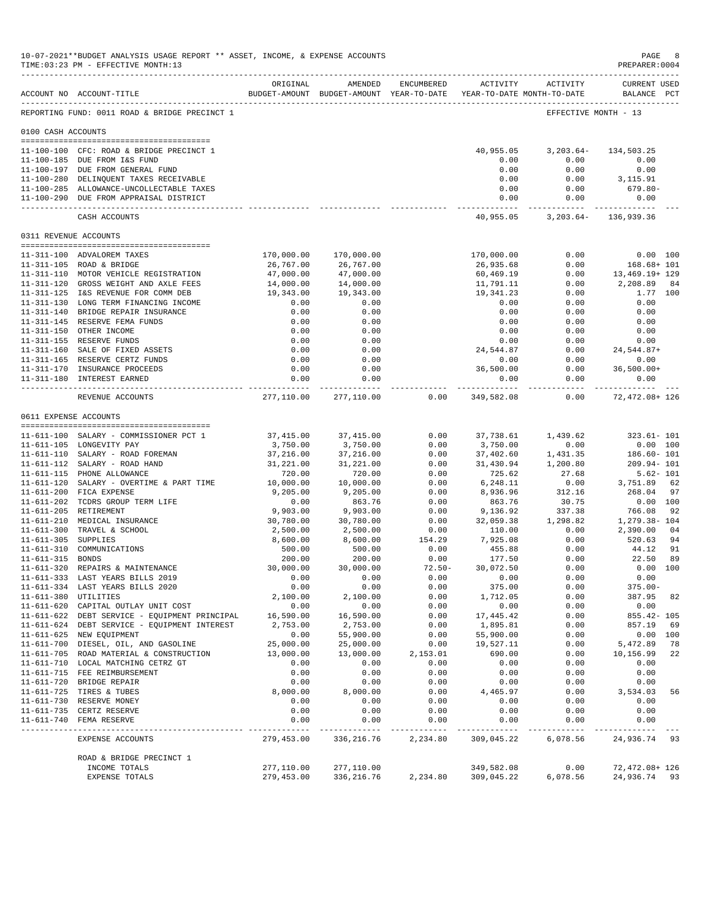|                     | 10-07-2021**BUDGET ANALYSIS USAGE REPORT ** ASSET, INCOME, & EXPENSE ACCOUNTS<br>TIME: 03:23 PM - EFFECTIVE MONTH: 13 |                                                                                 |                                       |                     |                              |                     | $\mathop{\mathtt{PAGE}}$<br>PREPARER: 0004 | - 8            |
|---------------------|-----------------------------------------------------------------------------------------------------------------------|---------------------------------------------------------------------------------|---------------------------------------|---------------------|------------------------------|---------------------|--------------------------------------------|----------------|
|                     | ACCOUNT NO ACCOUNT-TITLE                                                                                              | ORIGINAL<br>BUDGET-AMOUNT BUDGET-AMOUNT YEAR-TO-DATE YEAR-TO-DATE MONTH-TO-DATE | AMENDED                               | ENCUMBERED          |                              | ACTIVITY ACTIVITY   | <b>CURRENT USED</b><br>BALANCE PCT         |                |
|                     | REPORTING FUND: 0011 ROAD & BRIDGE PRECINCT 1                                                                         |                                                                                 |                                       |                     |                              |                     | EFFECTIVE MONTH - 13                       |                |
| 0100 CASH ACCOUNTS  |                                                                                                                       |                                                                                 |                                       |                     |                              |                     |                                            |                |
|                     | 11-100-100 CFC: ROAD & BRIDGE PRECINCT 1                                                                              |                                                                                 |                                       |                     | 40,955.05                    | $3,203.64-$         | 134,503.25                                 |                |
|                     | 11-100-185 DUE FROM I&S FUND                                                                                          |                                                                                 |                                       |                     | 0.00                         | 0.00                | 0.00                                       |                |
|                     | 11-100-197 DUE FROM GENERAL FUND                                                                                      |                                                                                 |                                       |                     | 0.00                         | 0.00                | 0.00                                       |                |
|                     | 11-100-280 DELINQUENT TAXES RECEIVABLE                                                                                |                                                                                 |                                       |                     | 0.00                         | 0.00                | 3,115.91                                   |                |
|                     | 11-100-285 ALLOWANCE-UNCOLLECTABLE TAXES<br>11-100-290 DUE FROM APPRAISAL DISTRICT                                    |                                                                                 |                                       |                     | 0.00<br>0.00                 | 0.00<br>0.00        | 679.80-<br>0.00                            |                |
|                     | CASH ACCOUNTS                                                                                                         |                                                                                 |                                       |                     | ---------------<br>40,955.05 |                     |                                            |                |
|                     |                                                                                                                       |                                                                                 |                                       |                     |                              |                     | 3, 203.64 - 136, 939.36                    |                |
|                     | 0311 REVENUE ACCOUNTS                                                                                                 |                                                                                 |                                       |                     |                              |                     |                                            |                |
|                     | 11-311-100 ADVALOREM TAXES                                                                                            | 170,000.00                                                                      | 170,000.00                            |                     | 170,000.00                   | 0.00                |                                            | 0.00 100       |
|                     | 11-311-105 ROAD & BRIDGE                                                                                              | 26,767.00                                                                       | 26,767.00                             |                     | 26,935.68                    | 0.00                | $168.68 + 101$                             |                |
|                     | 11-311-110 MOTOR VEHICLE REGISTRATION                                                                                 | 47,000.00                                                                       | 47,000.00                             |                     | 60,469.19                    | 0.00                | 13,469.19+ 129                             |                |
|                     | 11-311-120 GROSS WEIGHT AND AXLE FEES<br>11-311-125 I&S REVENUE FOR COMM DEB                                          | 14,000.00<br>19,343.00                                                          | 14,000.00<br>19,343.00                |                     | 11,791.11<br>19,341.23       | 0.00<br>0.00        | 2,208.89                                   | 84<br>1.77 100 |
|                     | 11-311-130 LONG TERM FINANCING INCOME                                                                                 | 0.00                                                                            | 0.00                                  |                     | 0.00                         | 0.00                | 0.00                                       |                |
|                     | 11-311-140 BRIDGE REPAIR INSURANCE                                                                                    | 0.00                                                                            | 0.00                                  |                     | 0.00                         | 0.00                | 0.00                                       |                |
|                     | 11-311-145 RESERVE FEMA FUNDS                                                                                         | 0.00                                                                            | 0.00                                  |                     | 0.00                         | 0.00                | 0.00                                       |                |
|                     | 11-311-150 OTHER INCOME                                                                                               | 0.00                                                                            | 0.00                                  |                     | 0.00                         | 0.00                | 0.00                                       |                |
|                     | 11-311-155 RESERVE FUNDS                                                                                              | 0.00                                                                            | 0.00                                  |                     | 0.00                         | 0.00                | 0.00                                       |                |
|                     | 11-311-160 SALE OF FIXED ASSETS                                                                                       | 0.00<br>0.00                                                                    | 0.00                                  |                     | 24,544.87                    | 0.00                | 24,544.87+                                 |                |
|                     | 11-311-165 RESERVE CERTZ FUNDS<br>11-311-170 INSURANCE PROCEEDS                                                       | 0.00                                                                            | 0.00<br>0.00                          |                     | 0.00<br>36,500.00            | 0.00<br>0.00        | 0.00<br>$36,500.00+$                       |                |
|                     | 11-311-180 INTEREST EARNED                                                                                            | 0.00                                                                            | 0.00                                  |                     | 0.00                         | 0.00                | 0.00                                       |                |
|                     | REVENUE ACCOUNTS                                                                                                      | -------------                                                                   | ------------<br>277,110.00 277,110.00 | 0.00                | --------------<br>349,582.08 | ----------<br>0.00  | --------------<br>72,472.08+ 126           |                |
|                     | 0611 EXPENSE ACCOUNTS                                                                                                 |                                                                                 |                                       |                     |                              |                     |                                            |                |
|                     |                                                                                                                       |                                                                                 |                                       |                     |                              |                     |                                            |                |
|                     | 11-611-100 SALARY - COMMISSIONER PCT 1                                                                                | 37,415.00                                                                       | 37,415.00                             | 0.00                | 37,738.61                    | 1,439.62            | $323.61 - 101$                             |                |
|                     | 11-611-105 LONGEVITY PAY<br>11-611-110 SALARY - ROAD FOREMAN                                                          | 3,750.00<br>37,216.00                                                           | 3,750.00<br>37,216.00                 | 0.00<br>0.00        | 3,750.00<br>37,402.60        | 0.00<br>1,431.35    | $0.00$ 100<br>186.60- 101                  |                |
|                     | 11-611-112 SALARY - ROAD HAND                                                                                         | 31,221.00                                                                       | 31,221.00                             | 0.00                | 31,430.94                    | 1,200.80            | 209.94-101                                 |                |
|                     | 11-611-115 PHONE ALLOWANCE                                                                                            | 720.00                                                                          | 720.00                                | 0.00                | 725.62                       | 27.68               |                                            | $5.62 - 101$   |
|                     | 11-611-120 SALARY - OVERTIME & PART TIME                                                                              | 10,000.00                                                                       | 10,000.00                             | 0.00                | 6,248.11                     | 0.00                | 3,751.89 62                                |                |
|                     | 11-611-200 FICA EXPENSE                                                                                               | 9,205.00                                                                        | 9,205.00                              | 0.00                | 8,936.96                     | 312.16              | 268.04                                     | 97             |
|                     | 11-611-202 TCDRS GROUP TERM LIFE                                                                                      | 0.00                                                                            | 863.76                                | 0.00                | 863.76                       | 30.75               |                                            | 0.00 100       |
|                     | 11-611-205 RETIREMENT<br>11-611-210 MEDICAL INSURANCE                                                                 | 9,903.00<br>30,780.00                                                           | 9,903.00<br>30,780.00                 | 0.00<br>0.00        | 9,136.92<br>32,059.38        | 337.38<br>1,298.82  | 766.08<br>1,279.38- 104                    | 92             |
|                     | 11-611-300 TRAVEL & SCHOOL                                                                                            | 2,500.00                                                                        | 2,500.00                              | 0.00                | 110.00                       | 0.00                | 2,390.00                                   | 04             |
| 11-611-305 SUPPLIES |                                                                                                                       | 8,600.00                                                                        | 8,600.00                              | 154.29              | 7,925.08                     | 0.00                | 520.63                                     | 94             |
|                     | 11-611-310 COMMUNICATIONS                                                                                             | 500.00                                                                          | 500.00                                | 0.00                | 455.88                       | 0.00                | 44.12                                      | 91             |
| 11-611-315 BONDS    |                                                                                                                       | 200.00                                                                          | 200.00                                | 0.00                | 177.50                       | 0.00                | 22.50                                      | 89             |
|                     | 11-611-320 REPAIRS & MAINTENANCE                                                                                      | 30,000.00                                                                       | 30,000.00                             | $72.50 -$           | 30,072.50                    | 0.00                |                                            | 0.00 100       |
|                     | 11-611-333 LAST YEARS BILLS 2019                                                                                      | 0.00                                                                            | 0.00                                  | 0.00                | 0.00                         | 0.00                | 0.00                                       |                |
|                     | 11-611-334 LAST YEARS BILLS 2020<br>11-611-380 UTILITIES                                                              | 0.00<br>2,100.00                                                                | 0.00<br>2,100.00                      | 0.00<br>0.00        | 375.00<br>1,712.05           | 0.00<br>0.00        | $375.00 -$<br>387.95                       | 82             |
|                     | 11-611-620 CAPITAL OUTLAY UNIT COST                                                                                   | 0.00                                                                            | 0.00                                  | 0.00                | 0.00                         | 0.00                | 0.00                                       |                |
|                     | 11-611-622 DEBT SERVICE - EQUIPMENT PRINCIPAL                                                                         | 16,590.00                                                                       | 16,590.00                             | 0.00                | 17,445.42                    | 0.00                | $855.42 - 105$                             |                |
|                     | 11-611-624 DEBT SERVICE - EQUIPMENT INTEREST                                                                          | 2,753.00                                                                        | 2,753.00                              | 0.00                | 1,895.81                     | 0.00                | 857.19                                     | 69             |
|                     | 11-611-625 NEW EQUIPMENT                                                                                              | 0.00                                                                            | 55,900.00                             | 0.00                | 55,900.00                    | 0.00                |                                            | 0.00 100       |
|                     | 11-611-700 DIESEL, OIL, AND GASOLINE                                                                                  | 25,000.00                                                                       | 25,000.00                             | 0.00                | 19,527.11                    | 0.00                | 5,472.89                                   | 78             |
|                     | 11-611-705 ROAD MATERIAL & CONSTRUCTION                                                                               | 13,000.00                                                                       | 13,000.00                             | 2,153.01            | 690.00                       | 0.00                | 10,156.99                                  | 22             |
|                     | 11-611-710 LOCAL MATCHING CETRZ GT<br>11-611-715 FEE REIMBURSEMENT                                                    | 0.00<br>0.00                                                                    | 0.00<br>0.00                          | 0.00<br>0.00        | 0.00<br>0.00                 | 0.00<br>0.00        | 0.00<br>0.00                               |                |
|                     | 11-611-720 BRIDGE REPAIR                                                                                              | 0.00                                                                            | 0.00                                  | 0.00                | 0.00                         | 0.00                | 0.00                                       |                |
|                     | 11-611-725 TIRES & TUBES                                                                                              | 8,000.00                                                                        | 8,000.00                              | 0.00                | 4,465.97                     | 0.00                | 3,534.03                                   | 56             |
|                     | 11-611-730 RESERVE MONEY                                                                                              | 0.00                                                                            | 0.00                                  | 0.00                | 0.00                         | 0.00                | 0.00                                       |                |
|                     | 11-611-735 CERTZ RESERVE                                                                                              | 0.00                                                                            | 0.00                                  | 0.00                | 0.00                         | 0.00                | 0.00                                       |                |
|                     | 11-611-740 FEMA RESERVE                                                                                               | 0.00<br>-----------                                                             | 0.00<br>-----------                   | 0.00<br>----------- | 0.00<br>-----------          | 0.00<br>----------- | 0.00<br>-----------                        |                |
|                     | EXPENSE ACCOUNTS                                                                                                      | 279,453.00                                                                      | 336,216.76                            | 2,234.80            | 309,045.22                   | 6,078.56            | 24,936.74 93                               |                |
|                     | ROAD & BRIDGE PRECINCT 1                                                                                              |                                                                                 |                                       |                     |                              |                     |                                            |                |
|                     | INCOME TOTALS                                                                                                         | 277,110.00                                                                      | 277,110.00                            |                     | 349,582.08                   | 0.00                | 72,472.08+126                              |                |
|                     | EXPENSE TOTALS                                                                                                        | 279,453.00                                                                      | 336,216.76 2,234.80 309,045.22        |                     |                              | 6,078.56            | 24,936.74 93                               |                |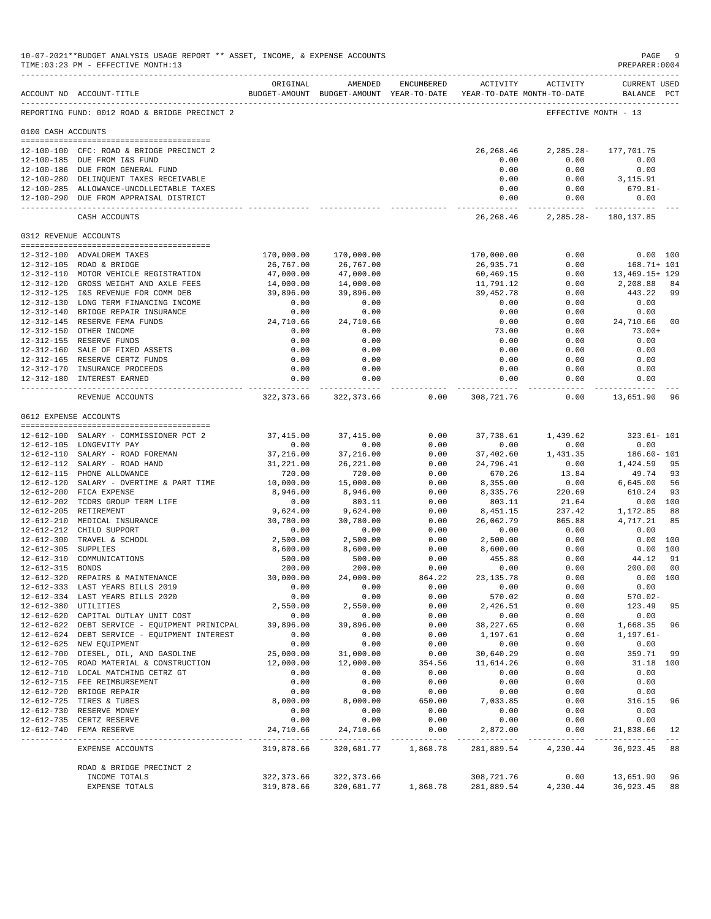|                     | 10-07-2021**BUDGET ANALYSIS USAGE REPORT ** ASSET, INCOME, & EXPENSE ACCOUNTS<br>TIME: 03:23 PM - EFFECTIVE MONTH: 13 |                            |                                                                                |                |                            |                      | $\mathop{\mathtt{PAGE}}$<br>PREPARER: 0004 | - 9                                                                                                                                                                                                                                                                                                                                                                                                |
|---------------------|-----------------------------------------------------------------------------------------------------------------------|----------------------------|--------------------------------------------------------------------------------|----------------|----------------------------|----------------------|--------------------------------------------|----------------------------------------------------------------------------------------------------------------------------------------------------------------------------------------------------------------------------------------------------------------------------------------------------------------------------------------------------------------------------------------------------|
|                     | ACCOUNT NO ACCOUNT-TITLE                                                                                              | ORIGINAL                   | AMENDED<br>BUDGET-AMOUNT BUDGET-AMOUNT YEAR-TO-DATE YEAR-TO-DATE MONTH-TO-DATE | ENCUMBERED     | ACTIVITY                   | ACTIVITY             | <b>CURRENT USED</b><br>BALANCE PCT         |                                                                                                                                                                                                                                                                                                                                                                                                    |
|                     | REPORTING FUND: 0012 ROAD & BRIDGE PRECINCT 2                                                                         |                            |                                                                                |                |                            |                      | EFFECTIVE MONTH - 13                       |                                                                                                                                                                                                                                                                                                                                                                                                    |
| 0100 CASH ACCOUNTS  |                                                                                                                       |                            |                                                                                |                |                            |                      |                                            |                                                                                                                                                                                                                                                                                                                                                                                                    |
|                     | 12-100-100 CFC: ROAD & BRIDGE PRECINCT 2                                                                              |                            |                                                                                |                | 26,268.46                  | $2,285.28-$          | 177,701.75                                 |                                                                                                                                                                                                                                                                                                                                                                                                    |
|                     | 12-100-185 DUE FROM I&S FUND                                                                                          |                            |                                                                                |                | 0.00                       | 0.00                 | 0.00                                       |                                                                                                                                                                                                                                                                                                                                                                                                    |
|                     | 12-100-186 DUE FROM GENERAL FUND                                                                                      |                            |                                                                                |                | 0.00                       | 0.00                 | 0.00                                       |                                                                                                                                                                                                                                                                                                                                                                                                    |
|                     | 12-100-280 DELINQUENT TAXES RECEIVABLE                                                                                |                            |                                                                                |                | 0.00                       | 0.00                 | 3,115.91                                   |                                                                                                                                                                                                                                                                                                                                                                                                    |
|                     | 12-100-285 ALLOWANCE-UNCOLLECTABLE TAXES<br>12-100-290 DUE FROM APPRAISAL DISTRICT                                    |                            |                                                                                |                | 0.00<br>0.00               | 0.00<br>0.00         | 679.81-<br>0.00                            |                                                                                                                                                                                                                                                                                                                                                                                                    |
|                     |                                                                                                                       |                            |                                                                                |                | -------------              | -----------          | ______________                             |                                                                                                                                                                                                                                                                                                                                                                                                    |
|                     | CASH ACCOUNTS                                                                                                         |                            |                                                                                |                | 26,268.46                  |                      | 2, 285. 28 - 180, 137. 85                  |                                                                                                                                                                                                                                                                                                                                                                                                    |
|                     | 0312 REVENUE ACCOUNTS                                                                                                 |                            |                                                                                |                |                            |                      |                                            |                                                                                                                                                                                                                                                                                                                                                                                                    |
|                     | 12-312-100 ADVALOREM TAXES                                                                                            | 170,000.00                 | 170,000.00                                                                     |                | 170,000.00                 | 0.00                 |                                            | 0.00 100                                                                                                                                                                                                                                                                                                                                                                                           |
|                     | 12-312-105 ROAD & BRIDGE                                                                                              | 26,767.00                  | 26,767.00                                                                      |                | 26,935.71                  | 0.00                 | $168.71 + 101$                             |                                                                                                                                                                                                                                                                                                                                                                                                    |
|                     | 12-312-110 MOTOR VEHICLE REGISTRATION                                                                                 | 47,000.00                  | 47,000.00                                                                      |                | 60,469.15                  | 0.00                 | 13,469.15+ 129                             |                                                                                                                                                                                                                                                                                                                                                                                                    |
|                     | 12-312-120 GROSS WEIGHT AND AXLE FEES                                                                                 | 14,000.00                  | 14,000.00                                                                      |                | 11,791.12                  | 0.00                 | 2,208.88                                   | 84                                                                                                                                                                                                                                                                                                                                                                                                 |
|                     | 12-312-125 I&S REVENUE FOR COMM DEB<br>12-312-130 LONG TERM FINANCING INCOME                                          | 39,896.00<br>0.00          | 39,896.00<br>0.00                                                              |                | 39,452.78<br>0.00          | 0.00<br>0.00         | 443.22<br>0.00                             | -99                                                                                                                                                                                                                                                                                                                                                                                                |
|                     | 12-312-140 BRIDGE REPAIR INSURANCE                                                                                    | 0.00                       | 0.00                                                                           |                | 0.00                       | 0.00                 | 0.00                                       |                                                                                                                                                                                                                                                                                                                                                                                                    |
|                     | 12-312-145 RESERVE FEMA FUNDS                                                                                         | 24,710.66                  | 24,710.66                                                                      |                | 0.00                       | 0.00                 | 24,710.66                                  | 0 <sub>0</sub>                                                                                                                                                                                                                                                                                                                                                                                     |
|                     | 12-312-150 OTHER INCOME                                                                                               | 0.00                       | 0.00                                                                           |                | 73.00                      | 0.00                 | $73.00+$                                   |                                                                                                                                                                                                                                                                                                                                                                                                    |
|                     | 12-312-155 RESERVE FUNDS                                                                                              | 0.00                       | 0.00                                                                           |                | 0.00                       | 0.00                 | 0.00                                       |                                                                                                                                                                                                                                                                                                                                                                                                    |
|                     | 12-312-160 SALE OF FIXED ASSETS                                                                                       | 0.00                       | 0.00                                                                           |                | 0.00                       | 0.00                 | 0.00                                       |                                                                                                                                                                                                                                                                                                                                                                                                    |
|                     | 12-312-165 RESERVE CERTZ FUNDS                                                                                        | 0.00                       | 0.00                                                                           |                | 0.00                       | 0.00                 | 0.00                                       |                                                                                                                                                                                                                                                                                                                                                                                                    |
|                     | 12-312-170 INSURANCE PROCEEDS<br>12-312-180 INTEREST EARNED                                                           | 0.00<br>0.00               | 0.00<br>0.00                                                                   |                | 0.00<br>0.00               | 0.00<br>0.00         | 0.00<br>0.00                               |                                                                                                                                                                                                                                                                                                                                                                                                    |
|                     | REVENUE ACCOUNTS                                                                                                      | ------------<br>322,373.66 | -----------<br>322,373.66                                                      | 0.00           | .<br>308,721.76            | ----------<br>0.00   | ------------<br>13,651.90                  | 96                                                                                                                                                                                                                                                                                                                                                                                                 |
|                     |                                                                                                                       |                            |                                                                                |                |                            |                      |                                            |                                                                                                                                                                                                                                                                                                                                                                                                    |
|                     | 0612 EXPENSE ACCOUNTS                                                                                                 |                            |                                                                                |                |                            |                      |                                            |                                                                                                                                                                                                                                                                                                                                                                                                    |
|                     | 12-612-100 SALARY - COMMISSIONER PCT 2                                                                                | 37,415.00                  | 37, 415.00                                                                     | 0.00           | 37,738.61                  | 1,439.62             | $323.61 - 101$                             |                                                                                                                                                                                                                                                                                                                                                                                                    |
|                     | 12-612-105 LONGEVITY PAY                                                                                              | 0.00                       | 0.00                                                                           | 0.00           | 0.00                       | 0.00                 | 0.00                                       |                                                                                                                                                                                                                                                                                                                                                                                                    |
|                     | 12-612-110 SALARY - ROAD FOREMAN                                                                                      | 37,216.00                  | 37,216.00                                                                      | 0.00           | 37,402.60                  | 1,431.35             | 186.60- 101                                |                                                                                                                                                                                                                                                                                                                                                                                                    |
|                     | 12-612-112 SALARY - ROAD HAND                                                                                         | 31,221.00                  | 26, 221.00                                                                     | 0.00           | 24,796.41                  | 0.00                 | 1,424.59                                   | 95                                                                                                                                                                                                                                                                                                                                                                                                 |
|                     | 12-612-115 PHONE ALLOWANCE                                                                                            | 720.00                     | 720.00                                                                         | 0.00           | 670.26                     | 13.84                | 49.74                                      | 93                                                                                                                                                                                                                                                                                                                                                                                                 |
|                     | 12-612-120 SALARY - OVERTIME & PART TIME                                                                              | 10,000.00                  | 15,000.00                                                                      | 0.00           | 8,355.00                   | 0.00                 | 6,645.00                                   | 56                                                                                                                                                                                                                                                                                                                                                                                                 |
|                     | 12-612-200 FICA EXPENSE<br>12-612-202 TCDRS GROUP TERM LIFE                                                           | 8,946.00<br>0.00           | 8,946.00<br>803.11                                                             | 0.00<br>0.00   | 8,335.76<br>803.11         | 220.69<br>21.64      | 610.24                                     | 93<br>0.00 100                                                                                                                                                                                                                                                                                                                                                                                     |
|                     | 12-612-205 RETIREMENT                                                                                                 | 9,624.00                   | 9,624.00                                                                       | 0.00           | 8,451.15                   | 237.42               | 1,172.85                                   | 88                                                                                                                                                                                                                                                                                                                                                                                                 |
|                     | 12-612-210 MEDICAL INSURANCE                                                                                          | 30,780.00                  | 30,780.00                                                                      | 0.00           | 26,062.79                  | 865.88               | 4,717.21                                   | 85                                                                                                                                                                                                                                                                                                                                                                                                 |
|                     | 12-612-212 CHILD SUPPORT                                                                                              | 0.00                       | 0.00                                                                           | 0.00           | 0.00                       | 0.00                 | 0.00                                       |                                                                                                                                                                                                                                                                                                                                                                                                    |
|                     | 12-612-300 TRAVEL & SCHOOL                                                                                            | 2,500.00                   | 2,500.00                                                                       | 0.00           | 2,500.00                   | 0.00                 |                                            | 0.00 100                                                                                                                                                                                                                                                                                                                                                                                           |
| 12-612-305 SUPPLIES |                                                                                                                       | 8,600.00                   | 8,600.00                                                                       | 0.00           | 8,600.00                   | 0.00                 |                                            | 0.00 100                                                                                                                                                                                                                                                                                                                                                                                           |
|                     | 12-612-310 COMMUNICATIONS                                                                                             | 500.00                     | 500.00                                                                         | 0.00           | 455.88                     | 0.00                 | 44.12                                      | 91                                                                                                                                                                                                                                                                                                                                                                                                 |
| 12-612-315 BONDS    |                                                                                                                       | 200.00                     | 200.00                                                                         | 0.00           | 0.00                       | 0.00                 | 200.00                                     | 0 <sub>0</sub>                                                                                                                                                                                                                                                                                                                                                                                     |
|                     | 12-612-320 REPAIRS & MAINTENANCE<br>12-612-333 LAST YEARS BILLS 2019                                                  | 30,000.00                  | 24,000.00<br>0.00                                                              | 864.22<br>0.00 | 23, 135.78<br>0.00         | 0.00<br>0.00         | 0.00                                       | 0.00 100                                                                                                                                                                                                                                                                                                                                                                                           |
|                     | 12-612-334 LAST YEARS BILLS 2020                                                                                      | 0.00<br>0.00               | 0.00                                                                           | 0.00           | 570.02                     | 0.00                 | $570.02 -$                                 |                                                                                                                                                                                                                                                                                                                                                                                                    |
|                     | 12-612-380 UTILITIES                                                                                                  | 2,550.00                   | 2,550.00                                                                       | 0.00           | 2,426.51                   | 0.00                 | 123.49                                     | 95                                                                                                                                                                                                                                                                                                                                                                                                 |
|                     | 12-612-620 CAPITAL OUTLAY UNIT COST                                                                                   | 0.00                       | 0.00                                                                           | 0.00           | 0.00                       | 0.00                 | 0.00                                       |                                                                                                                                                                                                                                                                                                                                                                                                    |
|                     | 12-612-622 DEBT SERVICE - EQUIPMENT PRINICPAL                                                                         | 39,896.00                  | 39,896.00                                                                      | 0.00           | 38, 227.65                 | 0.00                 | 1,668.35                                   | 96                                                                                                                                                                                                                                                                                                                                                                                                 |
|                     | 12-612-624 DEBT SERVICE - EQUIPMENT INTEREST                                                                          | 0.00                       | 0.00                                                                           | 0.00           | 1,197.61                   | 0.00                 | $1,197.61-$                                |                                                                                                                                                                                                                                                                                                                                                                                                    |
|                     | 12-612-625 NEW EQUIPMENT                                                                                              | 0.00                       | 0.00                                                                           | 0.00           | 0.00                       | 0.00                 | 0.00                                       |                                                                                                                                                                                                                                                                                                                                                                                                    |
|                     | 12-612-700 DIESEL, OIL, AND GASOLINE                                                                                  | 25,000.00                  | 31,000.00                                                                      | 0.00           | 30,640.29                  | 0.00                 | 359.71                                     | 99                                                                                                                                                                                                                                                                                                                                                                                                 |
|                     | 12-612-705 ROAD MATERIAL & CONSTRUCTION                                                                               | 12,000.00                  | 12,000.00                                                                      | 354.56         | 11,614.26                  | 0.00                 | 31.18 100                                  |                                                                                                                                                                                                                                                                                                                                                                                                    |
|                     | 12-612-710 LOCAL MATCHING CETRZ GT                                                                                    | 0.00                       | 0.00                                                                           | 0.00           | 0.00                       | 0.00                 | 0.00                                       |                                                                                                                                                                                                                                                                                                                                                                                                    |
|                     | 12-612-715 FEE REIMBURSEMENT<br>12-612-720 BRIDGE REPAIR                                                              | 0.00<br>0.00               | 0.00<br>0.00                                                                   | 0.00<br>0.00   | 0.00<br>0.00               | 0.00<br>0.00         | 0.00<br>0.00                               |                                                                                                                                                                                                                                                                                                                                                                                                    |
|                     | 12-612-725 TIRES & TUBES                                                                                              | 8,000.00                   | 8,000.00                                                                       | 650.00         | 7,033.85                   | 0.00                 | 316.15                                     | 96                                                                                                                                                                                                                                                                                                                                                                                                 |
|                     | 12-612-730 RESERVE MONEY                                                                                              | 0.00                       | 0.00                                                                           | 0.00           | 0.00                       | 0.00                 | 0.00                                       |                                                                                                                                                                                                                                                                                                                                                                                                    |
|                     | 12-612-735 CERTZ RESERVE                                                                                              | 0.00                       | 0.00                                                                           | 0.00           | 0.00                       | 0.00                 | 0.00                                       |                                                                                                                                                                                                                                                                                                                                                                                                    |
|                     | 12-612-740 FEMA RESERVE                                                                                               | 24,710.66                  | 24,710.66                                                                      | 0.00           | 2,872.00<br>-------------- | 0.00<br>------------ | 21,838.66<br>_______________               | 12<br>$\frac{1}{2} \frac{1}{2} \frac{1}{2} \frac{1}{2} \frac{1}{2} \frac{1}{2} \frac{1}{2} \frac{1}{2} \frac{1}{2} \frac{1}{2} \frac{1}{2} \frac{1}{2} \frac{1}{2} \frac{1}{2} \frac{1}{2} \frac{1}{2} \frac{1}{2} \frac{1}{2} \frac{1}{2} \frac{1}{2} \frac{1}{2} \frac{1}{2} \frac{1}{2} \frac{1}{2} \frac{1}{2} \frac{1}{2} \frac{1}{2} \frac{1}{2} \frac{1}{2} \frac{1}{2} \frac{1}{2} \frac{$ |
|                     | EXPENSE ACCOUNTS                                                                                                      | 319,878.66                 | 320,681.77                                                                     | 1,868.78       | 281,889.54                 | 4,230.44             | 36,923.45                                  | 88                                                                                                                                                                                                                                                                                                                                                                                                 |
|                     | ROAD & BRIDGE PRECINCT 2                                                                                              |                            |                                                                                |                |                            |                      |                                            |                                                                                                                                                                                                                                                                                                                                                                                                    |
|                     | INCOME TOTALS                                                                                                         | 322, 373.66                | 322, 373.66                                                                    |                | 308,721.76                 | 0.00                 | 13,651.90                                  | 96                                                                                                                                                                                                                                                                                                                                                                                                 |
|                     | EXPENSE TOTALS                                                                                                        | 319,878.66                 | 320,681.77                                                                     | 1,868.78       | 281,889.54                 | 4,230.44             | 36,923.45                                  | 88                                                                                                                                                                                                                                                                                                                                                                                                 |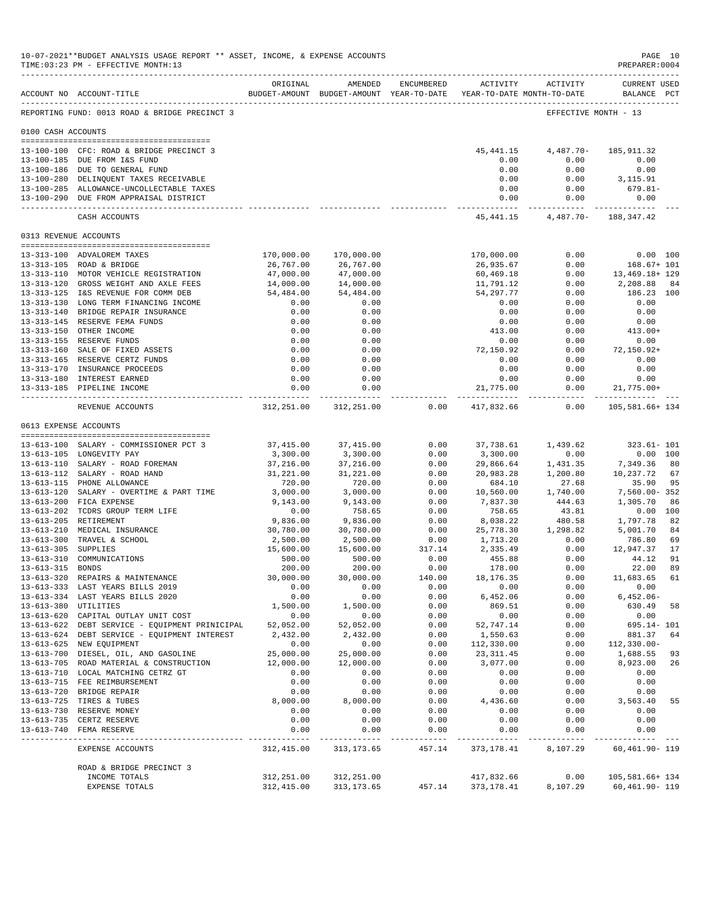|                       | 10-07-2021**BUDGET ANALYSIS USAGE REPORT ** ASSET, INCOME, & EXPENSE ACCOUNTS<br>TIME: 03:23 PM - EFFECTIVE MONTH: 13 |                          |                                                                                |                           |                              |                    | PAGE 10<br>PREPARER: 0004                           |
|-----------------------|-----------------------------------------------------------------------------------------------------------------------|--------------------------|--------------------------------------------------------------------------------|---------------------------|------------------------------|--------------------|-----------------------------------------------------|
|                       | ACCOUNT NO ACCOUNT-TITLE                                                                                              | ORIGINAL                 | AMENDED<br>BUDGET-AMOUNT BUDGET-AMOUNT YEAR-TO-DATE YEAR-TO-DATE MONTH-TO-DATE | ENCUMBERED                | ACTIVITY                     | ACTIVITY           | <b>CURRENT USED</b><br>BALANCE PCT                  |
|                       | REPORTING FUND: 0013 ROAD & BRIDGE PRECINCT 3                                                                         |                          |                                                                                |                           |                              |                    | EFFECTIVE MONTH - 13                                |
| 0100 CASH ACCOUNTS    |                                                                                                                       |                          |                                                                                |                           |                              |                    |                                                     |
|                       | 13-100-100 CFC: ROAD & BRIDGE PRECINCT 3                                                                              |                          |                                                                                |                           | 45,441.15                    | 4,487.70-          | 185,911.32                                          |
|                       | 13-100-185 DUE FROM I&S FUND                                                                                          |                          |                                                                                |                           | 0.00                         | 0.00               | 0.00                                                |
|                       | 13-100-186 DUE TO GENERAL FUND                                                                                        |                          |                                                                                |                           | 0.00                         | 0.00               | 0.00                                                |
|                       | 13-100-280 DELINQUENT TAXES RECEIVABLE                                                                                |                          |                                                                                |                           | 0.00                         | 0.00               | 3, 115.91                                           |
|                       | 13-100-285 ALLOWANCE-UNCOLLECTABLE TAXES<br>13-100-290 DUE FROM APPRAISAL DISTRICT                                    |                          |                                                                                |                           | 0.00<br>0.00                 | 0.00<br>0.00       | 679.81-<br>0.00                                     |
|                       | CASH ACCOUNTS                                                                                                         |                          |                                                                                |                           | ------------- .<br>45,441.15 |                    | ---------- -------------<br>$4,487.70 - 188,347.42$ |
| 0313 REVENUE ACCOUNTS |                                                                                                                       |                          |                                                                                |                           |                              |                    |                                                     |
|                       |                                                                                                                       |                          |                                                                                |                           |                              |                    |                                                     |
|                       | 13-313-100 ADVALOREM TAXES                                                                                            | 170,000.00               | 170,000.00                                                                     |                           | 170,000.00                   | 0.00               | $0.00$ 100                                          |
|                       | 13-313-105 ROAD & BRIDGE<br>13-313-110 MOTOR VEHICLE REGISTRATION                                                     | 26,767.00                | 26,767.00                                                                      |                           | 26,935.67                    | 0.00<br>0.00       | 168.67+ 101                                         |
|                       | 13-313-120 GROSS WEIGHT AND AXLE FEES                                                                                 | 47,000.00<br>14,000.00   | 47,000.00<br>14,000.00                                                         |                           | 60,469.18<br>11,791.12       | 0.00               | 13, 469. 18+ 129<br>2,208.88<br>84                  |
|                       | 13-313-125 I&S REVENUE FOR COMM DEB                                                                                   | 54,484.00                | 54,484.00                                                                      |                           | 54,297.77                    | 0.00               | 186.23 100                                          |
|                       | 13-313-130 LONG TERM FINANCING INCOME                                                                                 | 0.00                     | 0.00                                                                           |                           | 0.00                         | 0.00               | 0.00                                                |
|                       | 13-313-140 BRIDGE REPAIR INSURANCE                                                                                    | 0.00                     | 0.00                                                                           |                           | 0.00                         | 0.00               | 0.00                                                |
|                       | 13-313-145 RESERVE FEMA FUNDS                                                                                         | 0.00                     | 0.00                                                                           |                           | 0.00                         | 0.00               | 0.00                                                |
|                       | 13-313-150 OTHER INCOME<br>13-313-155 RESERVE FUNDS                                                                   | 0.00<br>0.00             | 0.00<br>0.00                                                                   |                           | 413.00<br>0.00               | 0.00<br>0.00       | $413.00+$<br>0.00                                   |
|                       | 13-313-160 SALE OF FIXED ASSETS                                                                                       | 0.00                     | 0.00                                                                           |                           | 72,150.92                    | 0.00               | $72,150.92+$                                        |
|                       | 13-313-165 RESERVE CERTZ FUNDS                                                                                        | 0.00                     | 0.00                                                                           |                           | 0.00                         | 0.00               | 0.00                                                |
|                       | 13-313-170 INSURANCE PROCEEDS                                                                                         | 0.00                     | 0.00                                                                           |                           | 0.00                         | 0.00               | 0.00                                                |
|                       | 13-313-180 INTEREST EARNED                                                                                            | 0.00                     | 0.00                                                                           |                           | 0.00                         | 0.00               | 0.00                                                |
|                       | 13-313-185 PIPELINE INCOME                                                                                            | 0.00                     | 0.00                                                                           |                           | 21,775.00                    | 0.00               | $21,775.00+$                                        |
|                       | REVENUE ACCOUNTS                                                                                                      | 312,251.00               | 312,251.00                                                                     | 0.00                      | 417,832.66                   | 0.00               | 105,581.66+ 134                                     |
| 0613 EXPENSE ACCOUNTS |                                                                                                                       |                          |                                                                                |                           |                              |                    |                                                     |
|                       | 13-613-100 SALARY - COMMISSIONER PCT 3                                                                                | 37,415.00                | 37,415.00                                                                      | 0.00                      |                              | 37,738.61 1,439.62 | 323.61- 101                                         |
|                       | 13-613-105 LONGEVITY PAY                                                                                              | 3,300.00                 | 3,300.00                                                                       | 0.00                      | 3,300.00                     | 0.00               | 0.00 100                                            |
|                       | 13-613-110 SALARY - ROAD FOREMAN                                                                                      | 37,216.00                | 37,216.00                                                                      | 0.00                      | 29,866.64                    | 1,431.35           | 7,349.36 80                                         |
|                       | 13-613-112 SALARY - ROAD HAND                                                                                         | 31,221.00                | 31,221.00                                                                      | 0.00                      | 20,983.28                    | 1,200.80           | 10,237.72 67                                        |
|                       | 13-613-115 PHONE ALLOWANCE                                                                                            | 720.00                   | 720.00                                                                         | 0.00                      | 684.10                       | 27.68              | 35.90<br>95                                         |
|                       | 13-613-120 SALARY - OVERTIME & PART TIME                                                                              | 3,000.00                 | 3,000.00                                                                       | 0.00<br>0.00              | 10,560.00                    | 1,740.00           | 7,560.00-352                                        |
|                       | 13-613-200 FICA EXPENSE<br>13-613-202 TCDRS GROUP TERM LIFE                                                           | 9,143.00<br>0.00         | 9,143.00<br>758.65                                                             | 0.00                      | 7,837.30<br>758.65           | 444.63<br>43.81    | 1,305.70<br>86<br>0.00 100                          |
|                       | 13-613-205 RETIREMENT                                                                                                 | 9,836.00                 | 9,836.00                                                                       | 0.00                      | 8,038.22                     | 480.58             | 1,797.78<br>82                                      |
|                       | 13-613-210 MEDICAL INSURANCE                                                                                          | 30,780.00                | 30,780.00                                                                      | 0.00                      | 25,778.30                    | 1,298.82           | 5,001.70 84                                         |
|                       | 13-613-300 TRAVEL & SCHOOL                                                                                            | 2,500.00                 | 2,500.00                                                                       | 0.00                      | 1,713.20                     | 0.00               | 786.80<br>69                                        |
| 13-613-305 SUPPLIES   |                                                                                                                       | 15,600.00                | 15,600.00                                                                      | 317.14                    | 2,335.49                     | 0.00               | 12,947.37<br>17                                     |
| $13 - 613 - 310$      | COMMUNICATIONS                                                                                                        | 500.00                   | 500.00                                                                         | 0.00                      | 455.88                       | 0.00               | 91<br>44.12<br>89                                   |
| 13-613-315            | <b>BONDS</b><br>13-613-320 REPAIRS & MAINTENANCE                                                                      | 200.00<br>30,000.00      | 200.00<br>30,000.00                                                            | 0.00<br>140.00            | 178.00<br>18, 176. 35        | 0.00<br>0.00       | 22.00<br>11,683.65<br>61                            |
|                       | 13-613-333 LAST YEARS BILLS 2019                                                                                      | 0.00                     | 0.00                                                                           | 0.00                      | 0.00                         | 0.00               | 0.00                                                |
|                       | 13-613-334 LAST YEARS BILLS 2020                                                                                      | 0.00                     | 0.00                                                                           | 0.00                      | 6,452.06                     | 0.00               | $6,452.06 -$                                        |
| 13-613-380 UTILITIES  |                                                                                                                       | 1,500.00                 | 1,500.00                                                                       | 0.00                      | 869.51                       | 0.00               | 630.49<br>58                                        |
| $13 - 613 - 620$      | CAPITAL OUTLAY UNIT COST                                                                                              | 0.00                     | 0.00                                                                           | 0.00                      | 0.00                         | 0.00               | 0.00                                                |
|                       | 13-613-622 DEBT SERVICE - EQUIPMENT PRINICIPAL<br>13-613-624 DEBT SERVICE - EQUIPMENT INTEREST                        | 52,052.00<br>2,432.00    | 52,052.00<br>2,432.00                                                          | 0.00<br>0.00              | 52,747.14<br>1,550.63        | 0.00<br>0.00       | 695.14- 101<br>881.37<br>64                         |
|                       | 13-613-625 NEW EQUIPMENT                                                                                              | 0.00                     | 0.00                                                                           | 0.00                      | 112,330.00                   | 0.00               | $112, 330.00 -$                                     |
|                       | 13-613-700 DIESEL, OIL, AND GASOLINE                                                                                  | 25,000.00                | 25,000.00                                                                      | 0.00                      | 23, 311.45                   | 0.00               | 1,688.55<br>93                                      |
|                       | 13-613-705 ROAD MATERIAL & CONSTRUCTION                                                                               | 12,000.00                | 12,000.00                                                                      | 0.00                      | 3,077.00                     | 0.00               | 8,923.00<br>26                                      |
|                       | 13-613-710 LOCAL MATCHING CETRZ GT                                                                                    | 0.00                     | 0.00                                                                           | 0.00                      | 0.00                         | 0.00               | 0.00                                                |
|                       | 13-613-715 FEE REIMBURSEMENT                                                                                          | 0.00                     | 0.00                                                                           | 0.00                      | 0.00                         | 0.00               | 0.00                                                |
| $13 - 613 - 720$      | BRIDGE REPAIR<br>13-613-725 TIRES & TUBES                                                                             | 0.00<br>8,000.00         | 0.00<br>8,000.00                                                               | 0.00<br>0.00              | 0.00<br>4,436.60             | 0.00<br>0.00       | 0.00<br>3,563.40<br>55                              |
|                       | 13-613-730 RESERVE MONEY                                                                                              | 0.00                     | 0.00                                                                           | 0.00                      | 0.00                         | 0.00               | 0.00                                                |
|                       | 13-613-735 CERTZ RESERVE                                                                                              | 0.00                     | 0.00                                                                           | 0.00                      | 0.00                         | 0.00               | 0.00                                                |
|                       | 13-613-740 FEMA RESERVE                                                                                               | 0.00                     | 0.00                                                                           | 0.00                      | 0.00                         | 0.00               | 0.00                                                |
|                       | EXPENSE ACCOUNTS                                                                                                      | ----------<br>312,415.00 | ------<br>313, 173.65                                                          | $=$ $=$ $=$ $=$<br>457.14 | ------<br>373, 178.41        | -----<br>8,107.29  | -------<br>60, 461.90- 119                          |
|                       | ROAD & BRIDGE PRECINCT 3                                                                                              |                          |                                                                                |                           |                              |                    |                                                     |
|                       | INCOME TOTALS                                                                                                         | 312,251.00               | 312,251.00                                                                     |                           | 417,832.66                   | 0.00               | 105,581.66+ 134                                     |
|                       | EXPENSE TOTALS                                                                                                        | 312, 415.00              | 313, 173.65                                                                    | 457.14                    | 373, 178.41                  | 8,107.29           | 60, 461.90- 119                                     |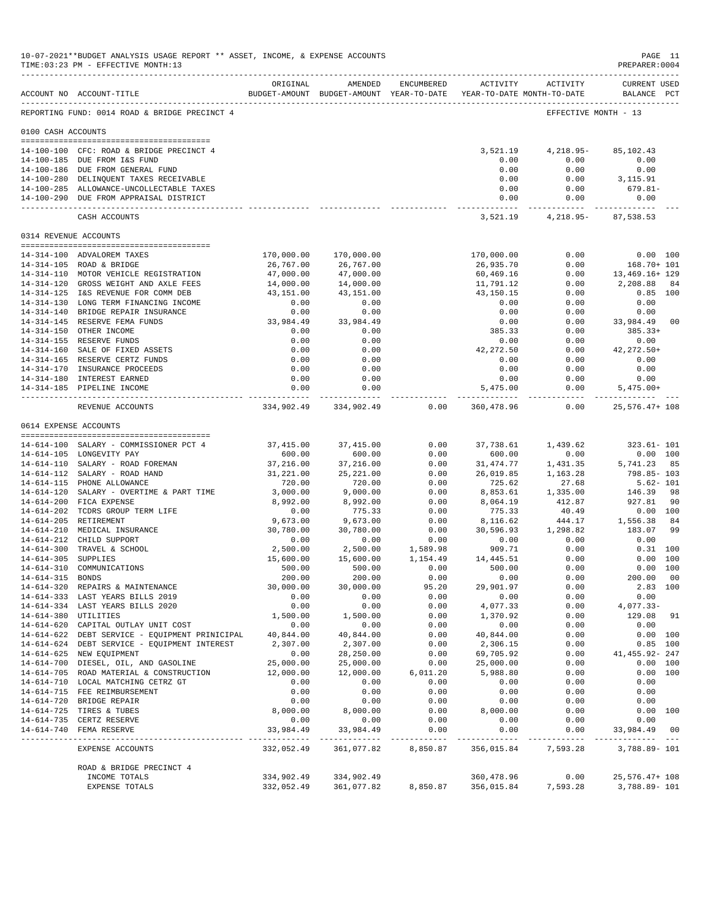|                       | 10-07-2021**BUDGET ANALYSIS USAGE REPORT ** ASSET, INCOME, & EXPENSE ACCOUNTS<br>TIME: 03:23 PM - EFFECTIVE MONTH: 13 |                     |                                                                                |                  |                                   |                                | PAGE 11<br>PREPARER: 0004             |                        |
|-----------------------|-----------------------------------------------------------------------------------------------------------------------|---------------------|--------------------------------------------------------------------------------|------------------|-----------------------------------|--------------------------------|---------------------------------------|------------------------|
|                       | ACCOUNT NO ACCOUNT-TITLE                                                                                              | ORIGINAL            | AMENDED<br>BUDGET-AMOUNT BUDGET-AMOUNT YEAR-TO-DATE YEAR-TO-DATE MONTH-TO-DATE | ENCUMBERED       |                                   | ACTIVITY ACTIVITY              | <b>CURRENT USED</b><br>BALANCE PCT    |                        |
|                       | REPORTING FUND: 0014 ROAD & BRIDGE PRECINCT 4                                                                         |                     |                                                                                |                  |                                   |                                | EFFECTIVE MONTH - 13                  |                        |
| 0100 CASH ACCOUNTS    |                                                                                                                       |                     |                                                                                |                  |                                   |                                |                                       |                        |
|                       | 14-100-100 CFC: ROAD & BRIDGE PRECINCT 4                                                                              |                     |                                                                                |                  | 3,521.19                          | 4,218.95-                      | 85,102.43                             |                        |
|                       | 14-100-185 DUE FROM I&S FUND                                                                                          |                     |                                                                                |                  | 0.00                              | 0.00                           | 0.00                                  |                        |
|                       | 14-100-186 DUE FROM GENERAL FUND                                                                                      |                     |                                                                                |                  | 0.00                              | 0.00                           | 0.00                                  |                        |
|                       | 14-100-280 DELINQUENT TAXES RECEIVABLE                                                                                |                     |                                                                                |                  | 0.00                              | 0.00                           | 3,115.91                              |                        |
|                       | 14-100-285 ALLOWANCE-UNCOLLECTABLE TAXES                                                                              |                     |                                                                                |                  | 0.00                              | 0.00                           | 679.81-                               |                        |
|                       | 14-100-290 DUE FROM APPRAISAL DISTRICT                                                                                |                     |                                                                                |                  | 0.00                              | 0.00                           | 0.00<br>_____________________________ |                        |
|                       | CASH ACCOUNTS                                                                                                         |                     |                                                                                |                  |                                   | 3,521.19 4,218.95 - 87,538.53  |                                       |                        |
| 0314 REVENUE ACCOUNTS |                                                                                                                       |                     |                                                                                |                  |                                   |                                |                                       |                        |
|                       | 14-314-100 ADVALOREM TAXES                                                                                            | 170,000.00          | 170,000.00                                                                     |                  | 170,000.00                        | 0.00                           |                                       | 0.00 100               |
|                       | 14-314-105 ROAD & BRIDGE                                                                                              | 26,767.00           | 26,767.00                                                                      |                  | 26,935.70                         | 0.00                           | 168.70+ 101                           |                        |
|                       | 14-314-110 MOTOR VEHICLE REGISTRATION                                                                                 | 47,000.00           | 47,000.00                                                                      |                  | 60,469.16                         | 0.00                           | 13,469.16+ 129                        |                        |
|                       | 14-314-120 GROSS WEIGHT AND AXLE FEES                                                                                 | 14,000.00           | 14,000.00                                                                      |                  | 11,791.12                         | 0.00                           | 2,208.88                              | 84                     |
|                       | 14-314-125 I&S REVENUE FOR COMM DEB                                                                                   | 43,151.00           | 43,151.00                                                                      |                  | 43,150.15                         | 0.00                           |                                       | $0.85$ 100             |
|                       | 14-314-130 LONG TERM FINANCING INCOME                                                                                 | 0.00                | 0.00                                                                           |                  | 0.00                              | 0.00                           | 0.00                                  |                        |
|                       | 14-314-140 BRIDGE REPAIR INSURANCE                                                                                    | 0.00                | 0.00                                                                           |                  | 0.00                              | 0.00                           | 0.00                                  |                        |
|                       | 14-314-145 RESERVE FEMA FUNDS                                                                                         | 33,984.49           | 33,984.49                                                                      |                  | 0.00                              | 0.00                           | 33,984.49                             | 00                     |
|                       | 14-314-150 OTHER INCOME<br>14-314-155 RESERVE FUNDS                                                                   | 0.00<br>0.00        | 0.00<br>0.00                                                                   |                  | 385.33<br>0.00                    | 0.00<br>0.00                   | $385.33+$<br>0.00                     |                        |
|                       | 14-314-160 SALE OF FIXED ASSETS                                                                                       | 0.00                | 0.00                                                                           |                  | 42,272.50                         | 0.00                           | 42,272.50+                            |                        |
|                       | 14-314-165 RESERVE CERTZ FUNDS                                                                                        | 0.00                | 0.00                                                                           |                  | 0.00                              | 0.00                           | 0.00                                  |                        |
|                       | 14-314-170 INSURANCE PROCEEDS                                                                                         | 0.00                | 0.00                                                                           |                  | 0.00                              | 0.00                           | 0.00                                  |                        |
|                       | 14-314-180 INTEREST EARNED                                                                                            | 0.00                | 0.00                                                                           |                  | 0.00                              | 0.00                           | 0.00                                  |                        |
|                       | 14-314-185 PIPELINE INCOME                                                                                            | 0.00                | 0.00                                                                           |                  | 5,475.00                          | 0.00                           | $5,475.00+$                           |                        |
|                       | REVENUE ACCOUNTS                                                                                                      |                     | 334,902.49 334,902.49                                                          | 0.00             | --------------<br>360,478.96      | -----------<br>0.00            | 25, 576. 47+ 108                      |                        |
| 0614 EXPENSE ACCOUNTS |                                                                                                                       |                     |                                                                                |                  |                                   |                                |                                       |                        |
|                       |                                                                                                                       |                     |                                                                                |                  |                                   |                                |                                       |                        |
|                       | 14-614-100 SALARY - COMMISSIONER PCT 4                                                                                | 37,415.00           | 37,415.00                                                                      | 0.00             |                                   | 37,738.61 1,439.62             | $323.61 - 101$                        |                        |
|                       | 14-614-105 LONGEVITY PAY<br>14-614-110 SALARY - ROAD FOREMAN                                                          | 600.00<br>37,216.00 | 600.00                                                                         | 0.00<br>0.00     | 600.00                            | 0.00                           |                                       | $0.00$ 100<br>85       |
|                       | 14-614-112 SALARY - ROAD HAND                                                                                         | 31,221.00           | 37,216.00<br>25, 221.00                                                        | 0.00             | 31,474.77                         | 1,431.35<br>26,019.85 1,163.28 | 5,741.23<br>798.85- 103               |                        |
|                       | 14-614-115 PHONE ALLOWANCE                                                                                            | 720.00              | 720.00                                                                         | 0.00             | 725.62                            | 27.68                          | $5.62 - 101$                          |                        |
|                       | 14-614-120 SALARY - OVERTIME & PART TIME                                                                              | 3,000.00            | 9,000.00                                                                       | 0.00             | 8,853.61                          | 1,335.00                       | 146.39 98                             |                        |
|                       | 14-614-200 FICA EXPENSE                                                                                               | 8,992.00            | 8,992.00                                                                       | 0.00             | 8,064.19                          | 412.87                         | 927.81                                | -90                    |
|                       | 14-614-202 TCDRS GROUP TERM LIFE                                                                                      | 0.00                | 775.33                                                                         | 0.00             | 775.33                            | 40.49                          |                                       | 0.00 100               |
|                       | 14-614-205 RETIREMENT                                                                                                 | 9,673.00            | 9,673.00                                                                       | 0.00             | 8,116.62                          | 444.17                         | 1,556.38                              | 84                     |
|                       | 14-614-210 MEDICAL INSURANCE                                                                                          | 30,780.00           | 30,780.00                                                                      | 0.00             |                                   | 30,596.93 1,298.82             | 183.07                                | -99                    |
|                       | 14-614-212 CHILD SUPPORT<br>14-614-300 TRAVEL & SCHOOL                                                                | 0.00<br>2,500.00    | 0.00<br>2,500.00                                                               | 0.00<br>1,589.98 | 0.00<br>909.71                    | 0.00<br>0.00                   | 0.00                                  | $0.31$ 100             |
| 14-614-305 SUPPLIES   |                                                                                                                       | 15,600.00           | 15,600.00                                                                      | 1,154.49         | 14,445.51                         | 0.00                           |                                       | 0.00 100               |
| 14-614-310            | COMMUNICATIONS                                                                                                        | 500.00              | 500.00                                                                         | 0.00             | 500.00                            | 0.00                           |                                       | 0.00 100               |
| 14-614-315 BONDS      |                                                                                                                       | 200.00              | 200.00                                                                         | 0.00             | 0.00                              | 0.00                           | 200.00 00                             |                        |
|                       | 14-614-320 REPAIRS & MAINTENANCE                                                                                      | 30,000.00           | 30,000.00                                                                      | 95.20            | 29,901.97                         | 0.00                           |                                       | 2.83 100               |
|                       | 14-614-333 LAST YEARS BILLS 2019                                                                                      | 0.00                | 0.00                                                                           | 0.00             | 0.00                              | 0.00                           | 0.00                                  |                        |
|                       | 14-614-334 LAST YEARS BILLS 2020                                                                                      | 0.00                | 0.00                                                                           | 0.00             | 4,077.33                          | 0.00                           | 4,077.33-                             |                        |
| 14-614-380 UTILITIES  |                                                                                                                       | 1,500.00            | 1,500.00                                                                       | 0.00             | 1,370.92                          | 0.00                           | 129.08 91                             |                        |
|                       | 14-614-620 CAPITAL OUTLAY UNIT COST                                                                                   | 0.00                | 0.00                                                                           | 0.00             | 0.00                              | 0.00                           | 0.00                                  |                        |
|                       | 14-614-622 DEBT SERVICE - EQUIPMENT PRINICIPAL 40,844.00<br>14-614-624 DEBT SERVICE - EQUIPMENT INTEREST              | 2,307.00            | 40,844.00<br>2,307.00                                                          | 0.00<br>0.00     | 40,844.00<br>2,306.15             | 0.00<br>0.00                   |                                       | 0.00 100<br>$0.85$ 100 |
|                       | 14-614-625 NEW EQUIPMENT                                                                                              | 0.00                | 28,250.00                                                                      | 0.00             | 69,705.92                         | 0.00                           | 41, 455.92- 247                       |                        |
|                       | 14-614-700 DIESEL, OIL, AND GASOLINE                                                                                  | 25,000.00           | 25,000.00                                                                      | 0.00             | 25,000.00                         | 0.00                           |                                       | 0.00 100               |
|                       | 14-614-705 ROAD MATERIAL & CONSTRUCTION                                                                               | 12,000.00           | 12,000.00                                                                      | 6,011.20         | 5,988.80                          | 0.00                           |                                       | 0.00 100               |
|                       | 14-614-710 LOCAL MATCHING CETRZ GT                                                                                    | 0.00                | 0.00                                                                           | 0.00             | 0.00                              | 0.00                           | 0.00                                  |                        |
|                       | 14-614-715 FEE REIMBURSEMENT                                                                                          | 0.00                | 0.00                                                                           | 0.00             | 0.00                              | 0.00                           | 0.00                                  |                        |
|                       | 14-614-720 BRIDGE REPAIR                                                                                              | 0.00                | 0.00                                                                           | 0.00             | 0.00                              | 0.00                           | 0.00                                  |                        |
|                       | 14-614-725 TIRES & TUBES                                                                                              | 8,000.00            | 8,000.00                                                                       | 0.00             | 8,000.00                          | 0.00                           |                                       | 0.00 100               |
|                       | 14-614-735 CERTZ RESERVE<br>14-614-740 FEMA RESERVE                                                                   | 0.00<br>33,984.49   | 0.00<br>33,984.49                                                              | 0.00<br>0.00     | 0.00<br>0.00                      | 0.00<br>0.00                   | 0.00<br>33,984.49 00                  |                        |
|                       |                                                                                                                       |                     |                                                                                |                  |                                   |                                |                                       |                        |
|                       | EXPENSE ACCOUNTS                                                                                                      | 332,052.49          | 361,077.82                                                                     | 8,850.87         | 356,015.84                        | 7,593.28                       | 3,788.89- 101                         |                        |
|                       | ROAD & BRIDGE PRECINCT 4                                                                                              |                     |                                                                                |                  |                                   |                                |                                       |                        |
|                       | INCOME TOTALS<br>EXPENSE TOTALS                                                                                       | 334,902.49          | 334,902.49<br>332,052.49 361,077.82                                            |                  | 360,478.96<br>8,850.87 356,015.84 | 0.00<br>7,593.28               | 25, 576. 47+ 108<br>3,788.89- 101     |                        |
|                       |                                                                                                                       |                     |                                                                                |                  |                                   |                                |                                       |                        |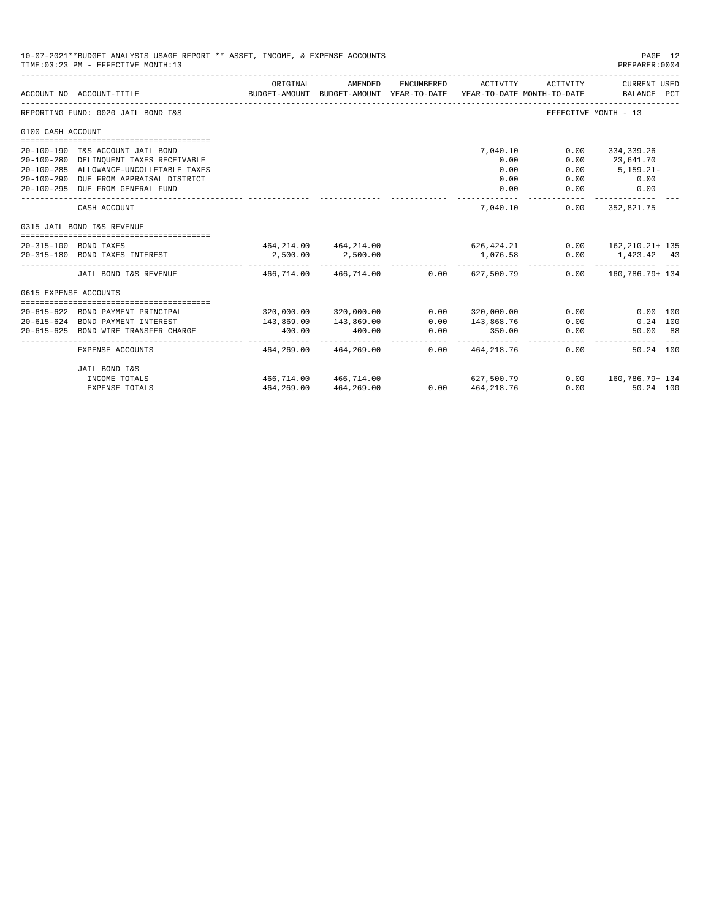|                       | 10-07-2021**BUDGET ANALYSIS USAGE REPORT ** ASSET, INCOME, & EXPENSE ACCOUNTS<br>TIME: 03:23 PM - EFFECTIVE MONTH: 13 |                                           |                                                     |            |                          |                                        | PAGE 12<br>PREPARER: 0004        |  |
|-----------------------|-----------------------------------------------------------------------------------------------------------------------|-------------------------------------------|-----------------------------------------------------|------------|--------------------------|----------------------------------------|----------------------------------|--|
|                       | ACCOUNT NO ACCOUNT-TITLE                                                                                              | ORIGINAL                                  | AMENDED<br>BUDGET-AMOUNT BUDGET-AMOUNT YEAR-TO-DATE | ENCUMBERED | ACTIVITY                 | ACTIVITY<br>YEAR-TO-DATE MONTH-TO-DATE | CURRENT USED<br>BALANCE PCT      |  |
|                       | REPORTING FUND: 0020 JAIL BOND I&S                                                                                    |                                           |                                                     |            |                          |                                        | EFFECTIVE MONTH - 13             |  |
| 0100 CASH ACCOUNT     |                                                                                                                       |                                           |                                                     |            |                          |                                        |                                  |  |
|                       | 20-100-190 I&S ACCOUNT JAIL BOND                                                                                      |                                           |                                                     |            | 7,040.10                 | 0.00                                   | 334,339.26                       |  |
|                       | 20-100-280 DELINQUENT TAXES RECEIVABLE                                                                                |                                           |                                                     |            | 0.00                     | 0.00                                   | 23,641.70                        |  |
|                       | 20-100-285 ALLOWANCE-UNCOLLETABLE TAXES                                                                               |                                           |                                                     |            | 0.00                     | 0.00                                   | $5,159.21 -$                     |  |
|                       | 20-100-290 DUE FROM APPRAISAL DISTRICT                                                                                |                                           |                                                     |            | 0.00                     | 0.00                                   | 0.00                             |  |
|                       | 20-100-295 DUE FROM GENERAL FUND                                                                                      |                                           |                                                     |            | 0.00                     | 0.00                                   | 0.00                             |  |
|                       | CASH ACCOUNT                                                                                                          |                                           |                                                     |            | 7,040.10                 | 0.00                                   | .<br>352,821.75                  |  |
|                       | 0315 JAIL BOND I&S REVENUE                                                                                            |                                           |                                                     |            |                          |                                        |                                  |  |
|                       | 20-315-100 BOND TAXES                                                                                                 | $464, 214.00$ $464, 214.00$ $626, 424.21$ |                                                     |            |                          |                                        | $0.00$ $162,210.21+135$          |  |
|                       | 20-315-180 BOND TAXES INTEREST                                                                                        |                                           | 2,500.00 2,500.00                                   |            | 1,076.58<br>. <u>.</u>   |                                        | $0.00$ 1,423.42 43<br>. <u>.</u> |  |
|                       | JAIL BOND I&S REVENUE $466.714.00$ $466.714.00$                                                                       |                                           |                                                     |            | $0.00$ 627,500.79        |                                        | $0.00$ 160.786.79+134            |  |
| 0615 EXPENSE ACCOUNTS |                                                                                                                       |                                           |                                                     |            |                          |                                        |                                  |  |
|                       |                                                                                                                       |                                           |                                                     |            |                          |                                        |                                  |  |
|                       | 20-615-622 BOND PAYMENT PRINCIPAL                                                                                     |                                           | 320,000.00 320,000.00                               | 0.00       | 320,000.00               | 0.00                                   | 0.00 100                         |  |
|                       | 20-615-624 BOND PAYMENT INTEREST                                                                                      | 143,869.00                                | 143,869.00                                          | 0.00       | 143,868.76               | 0.00                                   | $0.24$ 100                       |  |
|                       | 20-615-625 BOND WIRE TRANSFER CHARGE                                                                                  | 400.00<br>-------------                   | 400.00<br>. <u>.</u> .                              | 0.00<br>.  | 350.00<br>-------------  | 0.00                                   | 50.00 88                         |  |
|                       | EXPENSE ACCOUNTS                                                                                                      | 464,269.00                                | 464,269.00                                          |            | $0.00 \qquad 464,218.76$ |                                        | 0.00<br>50.24 100                |  |
|                       | JAIL BOND I&S                                                                                                         |                                           |                                                     |            |                          |                                        |                                  |  |
|                       | INCOME TOTALS                                                                                                         |                                           | 466,714.00 466,714.00                               |            | 627,500.79               |                                        | $0.00$ $160.786.79 + 134$        |  |
|                       | <b>EXPENSE TOTALS</b>                                                                                                 |                                           | 464, 269.00 464, 269.00                             |            | $0.00$ $464,218.76$      |                                        | $0.00$ and $0.00$<br>50.24 100   |  |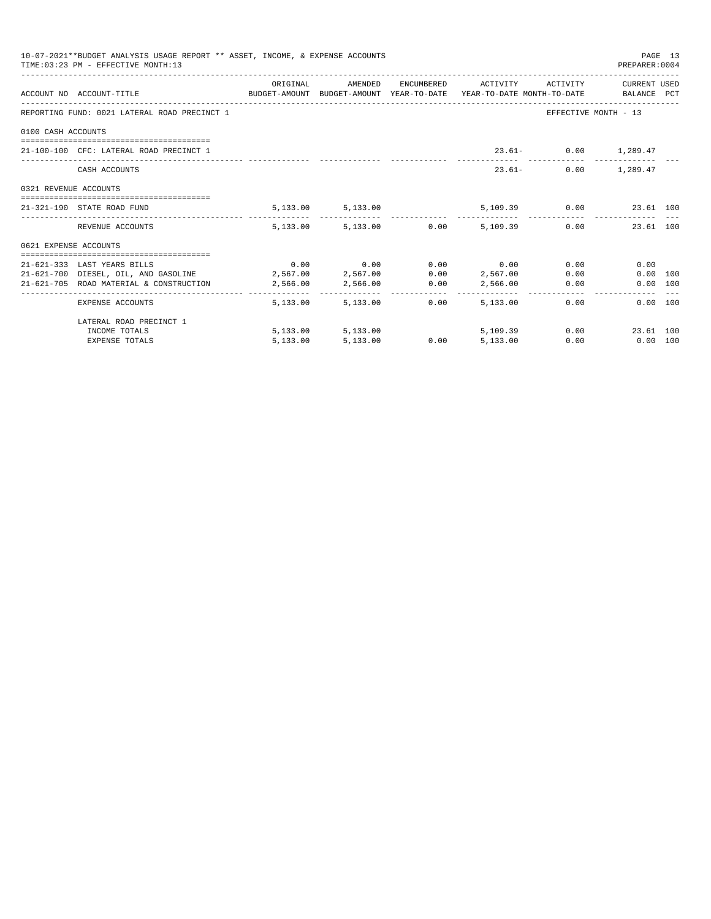|                       | 10-07-2021**BUDGET ANALYSIS USAGE REPORT ** ASSET, INCOME, & EXPENSE ACCOUNTS<br>TIME: 03:23 PM - EFFECTIVE MONTH: 13 |          |                     |      |                                                           |      | PREPARER: 0004          | PAGE 13 |
|-----------------------|-----------------------------------------------------------------------------------------------------------------------|----------|---------------------|------|-----------------------------------------------------------|------|-------------------------|---------|
|                       | ACCOUNT NO ACCOUNT-TITLE CONTROL SUDGET-AMOUNT BUDGET-AMOUNT YEAR-TO-DATE YEAR-TO-DATE MONTH-TO-DATE BALANCE PCT      |          |                     |      | ORIGINAL AMENDED ENCUMBERED ACTIVITY ACTIVITY CURRENTUSED |      |                         |         |
|                       | REPORTING FUND: 0021 LATERAL ROAD PRECINCT 1                                                                          |          |                     |      |                                                           |      | EFFECTIVE MONTH - 13    |         |
| 0100 CASH ACCOUNTS    |                                                                                                                       |          |                     |      |                                                           |      |                         |         |
|                       | 21-100-100 CFC: LATERAL ROAD PRECINCT 1                                                                               |          |                     |      |                                                           |      | 23.61- 0.00 1,289.47    |         |
|                       | CASH ACCOUNTS                                                                                                         |          |                     |      | $23.61-$                                                  |      | $0.00$ 1,289.47         |         |
| 0321 REVENUE ACCOUNTS |                                                                                                                       |          |                     |      |                                                           |      |                         |         |
|                       | 21-321-190 STATE ROAD FUND                                                                                            |          | 5, 133.00 5, 133.00 |      |                                                           |      | 5,109.39 0.00 23.61 100 |         |
|                       | REVENUE ACCOUNTS                                                                                                      |          |                     |      | $5.133.00$ $5.133.00$ $0.00$ $5.109.39$ $0.00$            |      | 23.61 100               |         |
| 0621 EXPENSE ACCOUNTS |                                                                                                                       |          |                     |      |                                                           |      |                         |         |
|                       | 21-621-333 LAST YEARS BILLS                                                                                           |          |                     |      | $0.00$ $0.00$ $0.00$ $0.00$ $0.00$                        |      | 0.00<br>0.00            |         |
|                       | 21-621-700 DIESEL, OIL, AND GASOLINE 2,567.00 2,567.00 0.00 2,567.00                                                  |          |                     |      |                                                           | 0.00 | 0.00 100                |         |
|                       | 21-621-705 ROAD MATERIAL & CONSTRUCTION 2,566.00                                                                      |          | 2,566.00            |      | $0.00$ $2,566.00$ $0.00$                                  |      | 0.00 100                |         |
|                       | EXPENSE ACCOUNTS                                                                                                      |          | 5,133,00 5,133,00   | 0.00 | 5,133,00                                                  | 0.00 | $0.00$ 100              |         |
|                       | LATERAL ROAD PRECINCT 1                                                                                               |          |                     |      |                                                           |      |                         |         |
|                       | INCOME TOTALS                                                                                                         |          | 5, 133.00 5, 133.00 |      | 5,109.39                                                  |      | 0.00<br>23.61 100       |         |
|                       | <b>EXPENSE TOTALS</b>                                                                                                 | 5,133.00 | 5,133.00            | 0.00 | 5,133.00                                                  | 0.00 | $0.00$ 100              |         |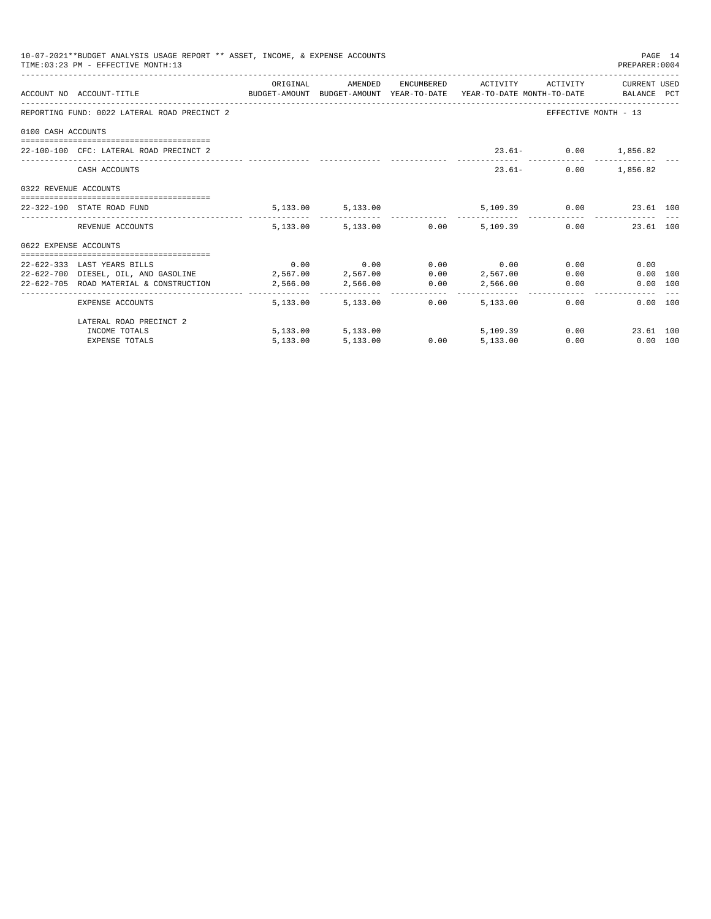|                       | 10-07-2021**BUDGET ANALYSIS USAGE REPORT ** ASSET, INCOME, & EXPENSE ACCOUNTS<br>TIME: 03:23 PM - EFFECTIVE MONTH: 13 |          |                     |      |                                                   |      | PREPARER: 0004          | PAGE 14 |
|-----------------------|-----------------------------------------------------------------------------------------------------------------------|----------|---------------------|------|---------------------------------------------------|------|-------------------------|---------|
|                       | ACCOUNT NO ACCOUNT-TITLE CONTROL BUDGET-AMOUNT BUDGET-AMOUNT YEAR-TO-DATE YEAR-TO-DATE MONTH-TO-DATE BALANCE PCT      | ORIGINAL |                     |      | AMENDED ENCUMBERED ACTIVITY ACTIVITY CURRENT USED |      |                         |         |
|                       | REPORTING FUND: 0022 LATERAL ROAD PRECINCT 2                                                                          |          |                     |      |                                                   |      | EFFECTIVE MONTH - 13    |         |
| 0100 CASH ACCOUNTS    |                                                                                                                       |          |                     |      |                                                   |      |                         |         |
|                       | 22-100-100 CFC: LATERAL ROAD PRECINCT 2                                                                               |          |                     |      |                                                   |      | 23.61- 0.00 1,856.82    |         |
|                       | CASH ACCOUNTS                                                                                                         |          |                     |      | $23.61-$                                          |      | $0.00$ 1,856.82         |         |
| 0322 REVENUE ACCOUNTS |                                                                                                                       |          |                     |      |                                                   |      |                         |         |
|                       | 22-322-190 STATE ROAD FUND                                                                                            |          | 5, 133.00 5, 133.00 |      |                                                   |      | 5,109.39 0.00 23.61 100 |         |
|                       | REVENUE ACCOUNTS                                                                                                      |          |                     |      | $5,133.00$ $5,133.00$ $0.00$ $5,109.39$ $0.00$    |      | 23.61 100               |         |
| 0622 EXPENSE ACCOUNTS |                                                                                                                       |          |                     |      |                                                   |      |                         |         |
|                       | 22-622-333 LAST YEARS BILLS                                                                                           |          |                     |      | $0.00$ $0.00$ $0.00$ $0.00$ $0.00$                |      | 0.00<br>0.00            |         |
|                       | 22-622-700 DIESEL, OIL, AND GASOLINE 2,567.00 2,567.00                                                                |          |                     |      | 0.00 2,567.00                                     |      | 0.00<br>0.00 100        |         |
|                       | 22-622-705 ROAD MATERIAL & CONSTRUCTION 2,566.00                                                                      |          |                     |      | 2,566.00 0.00 2,566.00                            |      | 0.00<br>0.00 100        |         |
|                       | EXPENSE ACCOUNTS                                                                                                      |          | 5,133,00 5,133,00   | 0.00 | 5,133,00                                          | 0.00 | 0.00 100                |         |
|                       | LATERAL ROAD PRECINCT 2                                                                                               |          |                     |      |                                                   |      |                         |         |
|                       | INCOME TOTALS                                                                                                         |          | 5,133.00 5,133.00   |      | 5,109.39                                          |      | 0.00<br>23.61 100       |         |
|                       | <b>EXPENSE TOTALS</b>                                                                                                 | 5,133.00 | 5,133.00            | 0.00 | 5,133.00                                          | 0.00 | $0.00$ 100              |         |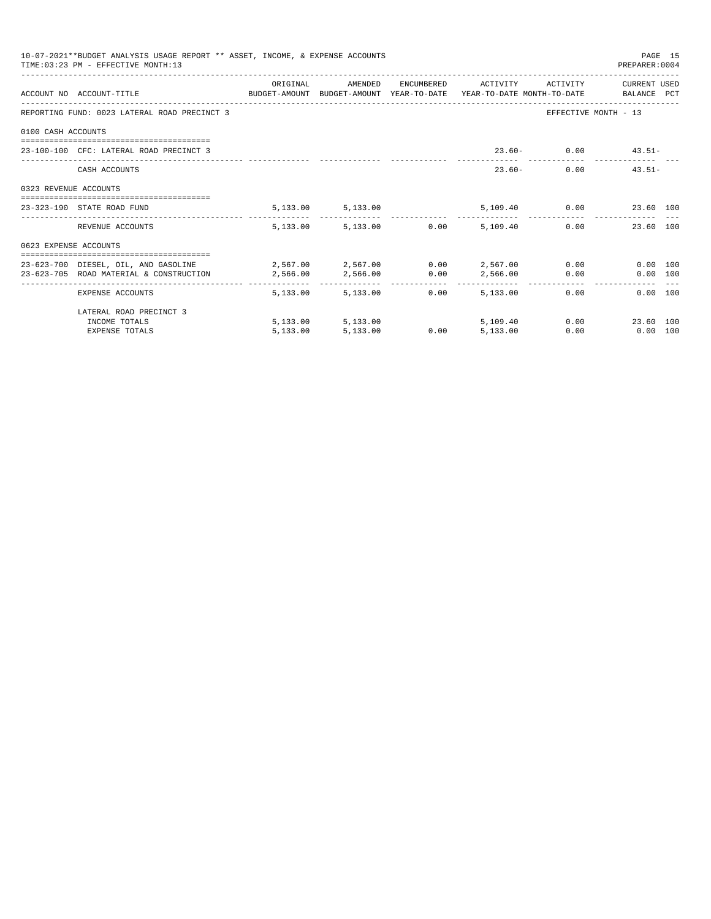|                       | 10-07-2021**BUDGET ANALYSIS USAGE REPORT ** ASSET, INCOME, & EXPENSE ACCOUNTS<br>TIME: 03:23 PM - EFFECTIVE MONTH: 13 |                                                            |                        |      |                     |          | PAGE 15<br>PREPARER: 0004                                                                                                                                                                                                                           |  |
|-----------------------|-----------------------------------------------------------------------------------------------------------------------|------------------------------------------------------------|------------------------|------|---------------------|----------|-----------------------------------------------------------------------------------------------------------------------------------------------------------------------------------------------------------------------------------------------------|--|
|                       | ACCOUNT NO ACCOUNT-TITLE<br>BUDGET-AMOUNT BUDGET-AMOUNT YEAR-TO-DATE YEAR-TO-DATE MONTH-TO-DATE BALANCE PCT           | ORIGINAL                                                   | AMENDED                |      | ENCUMBERED ACTIVITY | ACTIVITY | CURRENT USED                                                                                                                                                                                                                                        |  |
|                       | REPORTING FUND: 0023 LATERAL ROAD PRECINCT 3                                                                          |                                                            |                        |      |                     |          | EFFECTIVE MONTH - 13                                                                                                                                                                                                                                |  |
| 0100 CASH ACCOUNTS    |                                                                                                                       |                                                            |                        |      |                     |          |                                                                                                                                                                                                                                                     |  |
|                       | 23-100-100 CFC: LATERAL ROAD PRECINCT 3                                                                               |                                                            |                        |      |                     |          | $23.60 - 0.00$ $43.51 -$                                                                                                                                                                                                                            |  |
|                       | CASH ACCOUNTS                                                                                                         |                                                            |                        |      |                     | $23.60-$ | $0.00$ $43.51-$                                                                                                                                                                                                                                     |  |
| 0323 REVENUE ACCOUNTS |                                                                                                                       |                                                            |                        |      |                     |          |                                                                                                                                                                                                                                                     |  |
|                       | 23-323-190 STATE ROAD FUND                                                                                            |                                                            | 5, 133.00 5, 133.00    |      |                     |          | 5,109.40   0.00   23.60   100                                                                                                                                                                                                                       |  |
|                       | REVENUE ACCOUNTS                                                                                                      |                                                            | 5,133.00 5,133.00 0.00 |      | 5,109.40            |          | 0.00<br>23.60 100                                                                                                                                                                                                                                   |  |
| 0623 EXPENSE ACCOUNTS |                                                                                                                       |                                                            |                        |      |                     |          |                                                                                                                                                                                                                                                     |  |
|                       | 23-623-700 DIESEL, OIL, AND GASOLINE<br>23-623-705 ROAD MATERIAL & CONSTRUCTION                                       | $2,567.00$ $2,567.00$ $0.00$ $2,567.00$ $0.00$<br>2,566.00 | 2,566.00               | 0.00 | 2,566.00            |          | 0.00 100<br>0.00 100<br>$0.00$ and $0.00$ and $0.00$ and $0.00$ and $0.00$ and $0.00$ and $0.00$ and $0.00$ and $0.00$ and $0.00$ and $0.00$ and $0.00$ and $0.00$ and $0.00$ and $0.00$ and $0.00$ and $0.00$ and $0.00$ and $0.00$ and $0.00$ and |  |
|                       | EXPENSE ACCOUNTS                                                                                                      |                                                            | 5,133.00 5,133.00      | 0.00 | 5,133.00            |          | 0.00<br>$0.00$ 100                                                                                                                                                                                                                                  |  |
|                       | LATERAL ROAD PRECINCT 3                                                                                               |                                                            |                        |      |                     |          |                                                                                                                                                                                                                                                     |  |
|                       | INCOME TOTALS                                                                                                         |                                                            | 5,133.00 5,133.00      |      | 5,109,40            |          | 0.00<br>23.60 100                                                                                                                                                                                                                                   |  |
|                       | <b>EXPENSE TOTALS</b>                                                                                                 | 5,133.00                                                   | 5,133.00               | 0.00 | 5,133.00            | 0.00     | $0.00$ 100                                                                                                                                                                                                                                          |  |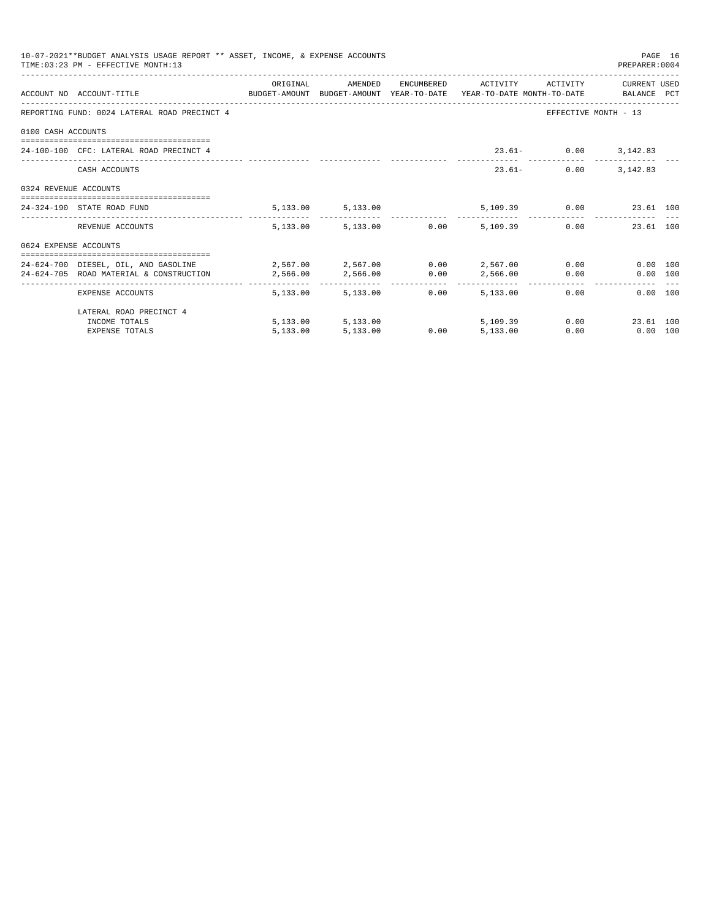|                       | 10-07-2021**BUDGET ANALYSIS USAGE REPORT ** ASSET, INCOME, & EXPENSE ACCOUNTS<br>TIME: 03:23 PM - EFFECTIVE MONTH: 13            |          |                        |      |               |                              | PAGE 16<br>PREPARER: 0004 |  |
|-----------------------|----------------------------------------------------------------------------------------------------------------------------------|----------|------------------------|------|---------------|------------------------------|---------------------------|--|
|                       | ACCOUNT NO ACCOUNT-TITLE CONTROL SUDGET-AMOUNT BUDGET-AMOUNT YEAR-TO-DATE YEAR-TO-DATE MONTH-TO-DATE BALANCE PCT                 | ORIGINAL | AMENDED                |      |               | ENCUMBERED ACTIVITY ACTIVITY | CURRENT USED              |  |
|                       | REPORTING FUND: 0024 LATERAL ROAD PRECINCT 4                                                                                     |          |                        |      |               | EFFECTIVE MONTH - 13         |                           |  |
| 0100 CASH ACCOUNTS    |                                                                                                                                  |          |                        |      |               |                              |                           |  |
|                       | 24-100-100 CFC: LATERAL ROAD PRECINCT 4                                                                                          |          |                        |      |               | 23.61- 0.00 3,142.83         |                           |  |
|                       | CASH ACCOUNTS                                                                                                                    |          |                        |      |               | $23.61-$<br>0.00             | 3, 142, 83                |  |
| 0324 REVENUE ACCOUNTS |                                                                                                                                  |          |                        |      |               |                              |                           |  |
|                       | 24-324-190 STATE ROAD FUND                                                                                                       |          | 5, 133.00 5, 133.00    |      |               | 5,109.39 0.00 23.61 100      |                           |  |
|                       | REVENUE ACCOUNTS                                                                                                                 |          | 5,133.00 5,133.00 0.00 |      | 5,109.39      | $0.00$ and $0.00$            | 23.61 100                 |  |
| 0624 EXPENSE ACCOUNTS |                                                                                                                                  |          |                        |      |               |                              |                           |  |
|                       | 24-624-700 DIESEL, OIL, AND GASOLINE $2,567.00$ $2,567.00$ $0.00$ $2,567.00$<br>24-624-705 ROAD MATERIAL & CONSTRUCTION 2.566.00 |          | 2,566.00               | 0.00 |               | 2,566.00 0.00                | 0.00 100<br>0.00 100      |  |
|                       | EXPENSE ACCOUNTS                                                                                                                 | -------- | 5,133.00 5,133.00      | 0.00 | .<br>5,133,00 | 0.00                         | $0.00$ 100                |  |
|                       | LATERAL ROAD PRECINCT 4                                                                                                          |          |                        |      |               |                              |                           |  |
|                       | INCOME TOTALS                                                                                                                    |          | 5,133.00 5,133.00      |      | 5,109.39      |                              | 0.00<br>23.61 100         |  |
|                       | <b>EXPENSE TOTALS</b>                                                                                                            | 5.133.00 | 5,133.00               | 0.00 | 5,133.00      | 0.00                         | $0.00$ 100                |  |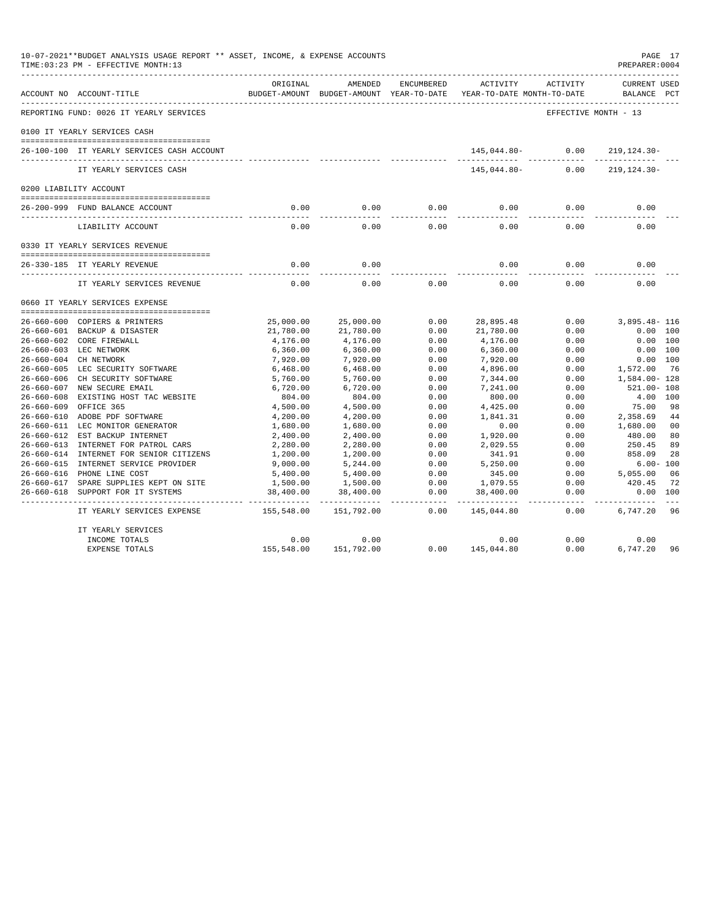|                  | 10-07-2021**BUDGET ANALYSIS USAGE REPORT ** ASSET, INCOME, & EXPENSE ACCOUNTS<br>TIME: 03:23 PM - EFFECTIVE MONTH: 13 |            |                                                     |            |                                        |                      | PAGE 17<br>PREPARER: 0004          |                |
|------------------|-----------------------------------------------------------------------------------------------------------------------|------------|-----------------------------------------------------|------------|----------------------------------------|----------------------|------------------------------------|----------------|
|                  | ACCOUNT NO ACCOUNT-TITLE                                                                                              | ORIGINAL   | AMENDED<br>BUDGET-AMOUNT BUDGET-AMOUNT YEAR-TO-DATE | ENCUMBERED | ACTIVITY<br>YEAR-TO-DATE MONTH-TO-DATE | ACTIVITY             | <b>CURRENT USED</b><br>BALANCE PCT |                |
|                  | REPORTING FUND: 0026 IT YEARLY SERVICES                                                                               |            |                                                     |            |                                        | EFFECTIVE MONTH - 13 |                                    |                |
|                  | 0100 IT YEARLY SERVICES CASH                                                                                          |            |                                                     |            |                                        |                      |                                    |                |
|                  | 26-100-100 IT YEARLY SERVICES CASH ACCOUNT                                                                            |            |                                                     |            | 145,044.80- 0.00                       |                      | 219,124.30-                        |                |
|                  | IT YEARLY SERVICES CASH                                                                                               |            |                                                     |            | 145,044.80-                            | -----<br>0.00        | $219, 124.30 -$                    |                |
|                  | 0200 LIABILITY ACCOUNT                                                                                                |            |                                                     |            |                                        |                      |                                    |                |
|                  | 26-200-999 FUND BALANCE ACCOUNT                                                                                       | 0.00       | 0.00                                                | 0.00       | 0.00                                   | 0.00                 | 0.00                               |                |
|                  | LIABILITY ACCOUNT                                                                                                     | 0.00       | 0.00                                                | 0.00       | 0.00                                   | 0.00                 | 0.00                               |                |
|                  | 0330 IT YEARLY SERVICES REVENUE                                                                                       |            |                                                     |            |                                        |                      |                                    |                |
|                  |                                                                                                                       |            |                                                     |            |                                        |                      |                                    |                |
|                  | 26-330-185 IT YEARLY REVENUE<br>------------------------------                                                        | 0.00       | 0.00                                                |            | 0.00                                   | 0.00                 | 0.00                               |                |
|                  | IT YEARLY SERVICES REVENUE                                                                                            | 0.00       | 0.00                                                | 0.00       | 0.00                                   | 0.00                 | 0.00                               |                |
|                  | 0660 IT YEARLY SERVICES EXPENSE                                                                                       |            |                                                     |            |                                        |                      |                                    |                |
|                  | 26-660-600 COPIERS & PRINTERS                                                                                         | 25,000.00  | 25,000.00                                           | 0.00       | 28,895.48                              | 0.00                 | 3,895.48- 116                      |                |
|                  | 26-660-601 BACKUP & DISASTER                                                                                          | 21,780.00  | 21,780.00                                           | 0.00       | 21,780.00                              | 0.00                 | 0.00 100                           |                |
|                  | 26-660-602 CORE FIREWALL                                                                                              | 4,176.00   | 4,176.00                                            | 0.00       | 4,176.00                               | 0.00                 | 0.00 100                           |                |
|                  | 26-660-603 LEC NETWORK                                                                                                | 6,360.00   | 6,360.00                                            | 0.00       | 6,360.00                               | 0.00                 | 0.00 100                           |                |
|                  | 26-660-604 CH NETWORK                                                                                                 | 7,920.00   | 7,920.00                                            | 0.00       | 7,920.00                               | 0.00                 | 0.00 100                           |                |
|                  | 26-660-605 LEC SECURITY SOFTWARE                                                                                      | 6,468.00   | 6,468.00                                            | 0.00       | 4,896.00                               | 0.00                 | 1,572.00                           | 76             |
|                  | 26-660-606 CH SECURITY SOFTWARE                                                                                       | 5,760.00   | 5,760.00                                            | 0.00       | 7,344.00                               | 0.00                 | 1,584.00-128                       |                |
|                  | 26-660-607 NEW SECURE EMAIL                                                                                           | 6,720.00   | 6,720.00                                            | 0.00       | 7,241.00                               | 0.00                 | $521.00 - 108$                     |                |
|                  | 26-660-608 EXISTING HOST TAC WEBSITE                                                                                  | 804.00     | 804.00                                              | 0.00       | 800.00                                 | 0.00                 | 4.00 100                           |                |
| $26 - 660 - 609$ | OFFICE 365                                                                                                            | 4,500.00   | 4,500.00                                            | 0.00       | 4,425.00                               | 0.00                 | 75.00                              | 98             |
|                  | 26-660-610 ADOBE PDF SOFTWARE                                                                                         | 4,200.00   | 4,200.00                                            | 0.00       | 1,841.31                               | 0.00                 | 2,358.69                           | 44             |
|                  | 26-660-611 LEC MONITOR GENERATOR                                                                                      | 1,680.00   | 1,680.00                                            | 0.00       | 0.00                                   | 0.00                 | 1,680.00                           | 0 <sup>0</sup> |
|                  | 26-660-612 EST BACKUP INTERNET                                                                                        | 2,400.00   | 2,400.00                                            | 0.00       | 1,920.00                               | 0.00                 | 480.00                             | 80             |
|                  | 26-660-613 INTERNET FOR PATROL CARS                                                                                   | 2,280.00   | 2,280.00                                            | 0.00       | 2,029.55                               | 0.00                 | 250.45                             | 89             |
|                  | 26-660-614 INTERNET FOR SENIOR CITIZENS                                                                               | 1,200.00   | 1,200.00                                            | 0.00       | 341.91                                 | 0.00                 | 858.09                             | 28             |
|                  | 26-660-615 INTERNET SERVICE PROVIDER                                                                                  | 9,000.00   | 5,244.00                                            | 0.00       | 5,250.00                               | 0.00                 | $6.00 - 100$                       |                |
|                  | 26-660-616 PHONE LINE COST                                                                                            | 5,400.00   | 5,400.00                                            | 0.00       | 345.00                                 | 0.00                 | 5,055.00                           | 06             |
|                  | 26-660-617 SPARE SUPPLIES KEPT ON SITE                                                                                | 1,500.00   | 1,500.00                                            | 0.00       | 1,079.55                               | 0.00                 | 420.45                             | 72             |
| 26-660-618       | SUPPORT FOR IT SYSTEMS                                                                                                | 38,400.00  | 38,400.00                                           | 0.00       | 38,400.00                              | 0.00                 | 0.00 100                           |                |
|                  | IT YEARLY SERVICES EXPENSE                                                                                            | 155,548.00 | 151,792.00                                          | 0.00       | 145,044.80                             | 0.00                 | 6,747.20                           | 96             |
|                  | IT YEARLY SERVICES                                                                                                    |            |                                                     |            |                                        |                      |                                    |                |
|                  | INCOME TOTALS                                                                                                         | 0.00       | 0.00                                                |            | 0.00                                   | 0.00                 | 0.00                               |                |
|                  | EXPENSE TOTALS                                                                                                        | 155,548.00 | 151,792.00                                          | 0.00       | 145,044.80                             | 0.00                 | 6,747.20                           | 96             |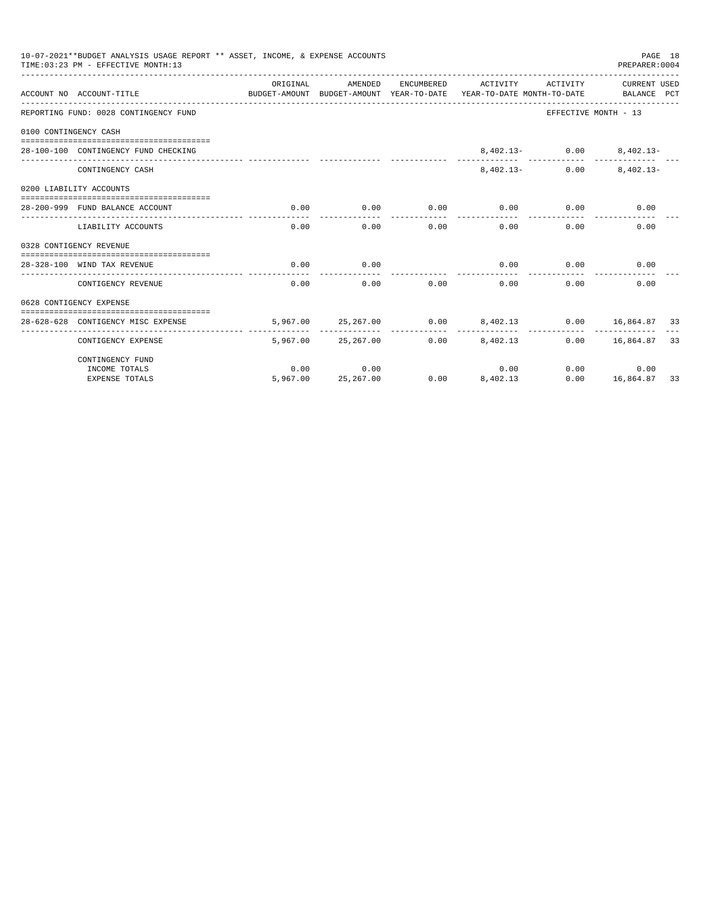|                       | 10-07-2021**BUDGET ANALYSIS USAGE REPORT ** ASSET, INCOME, & EXPENSE ACCOUNTS<br>TIME: 03:23 PM - EFFECTIVE MONTH: 13 |          |                            |      |                                                                                            |                                | PAGE 18<br>PREPARER: 0004           |  |
|-----------------------|-----------------------------------------------------------------------------------------------------------------------|----------|----------------------------|------|--------------------------------------------------------------------------------------------|--------------------------------|-------------------------------------|--|
|                       | ACCOUNT NO ACCOUNT-TITLE                                                                                              | ORIGINAL | AMENDED                    |      | ENCUMBERED ACTIVITY<br>BUDGET-AMOUNT BUDGET-AMOUNT YEAR-TO-DATE YEAR-TO-DATE MONTH-TO-DATE | ACTIVITY                       | CURRENT USED<br>BALANCE PCT         |  |
|                       | REPORTING FUND: 0028 CONTINGENCY FUND                                                                                 |          |                            |      |                                                                                            | EFFECTIVE MONTH - 13           |                                     |  |
| 0100 CONTINGENCY CASH |                                                                                                                       |          |                            |      |                                                                                            |                                |                                     |  |
|                       | 28-100-100 CONTINGENCY FUND CHECKING                                                                                  |          |                            |      |                                                                                            | $8,402.13 - 0.00$ $8,402.13 -$ |                                     |  |
|                       | CONTINGENCY CASH                                                                                                      |          |                            |      | $8.402.13-$                                                                                | 0.00                           | $8.402.13 -$                        |  |
|                       | 0200 LIABILITY ACCOUNTS                                                                                               |          |                            |      |                                                                                            |                                |                                     |  |
|                       | 28-200-999 FUND BALANCE ACCOUNT                                                                                       | 0.00     | 0.00                       |      | $0.00$ 0.00                                                                                | 0.00                           | 0.00                                |  |
|                       | LIABILITY ACCOUNTS                                                                                                    | 0.00     | 0.00                       |      | 0.00<br>0.00                                                                               | $0.00 -$                       | 0.00                                |  |
|                       | 0328 CONTIGENCY REVENUE                                                                                               |          |                            |      |                                                                                            |                                |                                     |  |
|                       | 28-328-100 WIND TAX REVENUE                                                                                           | 0.00     | 0.00                       |      | 0.00                                                                                       | 0.00                           | 0.00                                |  |
|                       | CONTIGENCY REVENUE                                                                                                    | 0.00     | 0.00                       | 0.00 | 0.00                                                                                       | 0.00                           | 0.00                                |  |
|                       | 0628 CONTIGENCY EXPENSE                                                                                               |          |                            |      |                                                                                            |                                |                                     |  |
|                       | 28-628-628 CONTIGENCY MISC EXPENSE                                                                                    |          |                            |      | 5,967.00  25,267.00  0.00  8,402.13  0.00  16,864.87  33                                   |                                |                                     |  |
|                       | CONTIGENCY EXPENSE                                                                                                    |          | 5,967.00 25,267.00         |      | $0.00$ $8,402.13$                                                                          |                                | $0.00$ 16,864.87 33                 |  |
|                       | CONTINGENCY FUND                                                                                                      |          |                            |      |                                                                                            |                                |                                     |  |
|                       | INCOME TOTALS<br><b>EXPENSE TOTALS</b>                                                                                | 0.00     | 0.00<br>5,967.00 25,267.00 |      | 0.00<br>$0.00$ $8,402.13$                                                                  |                                | 0.00<br>0.00<br>$0.00$ 16,864.87 33 |  |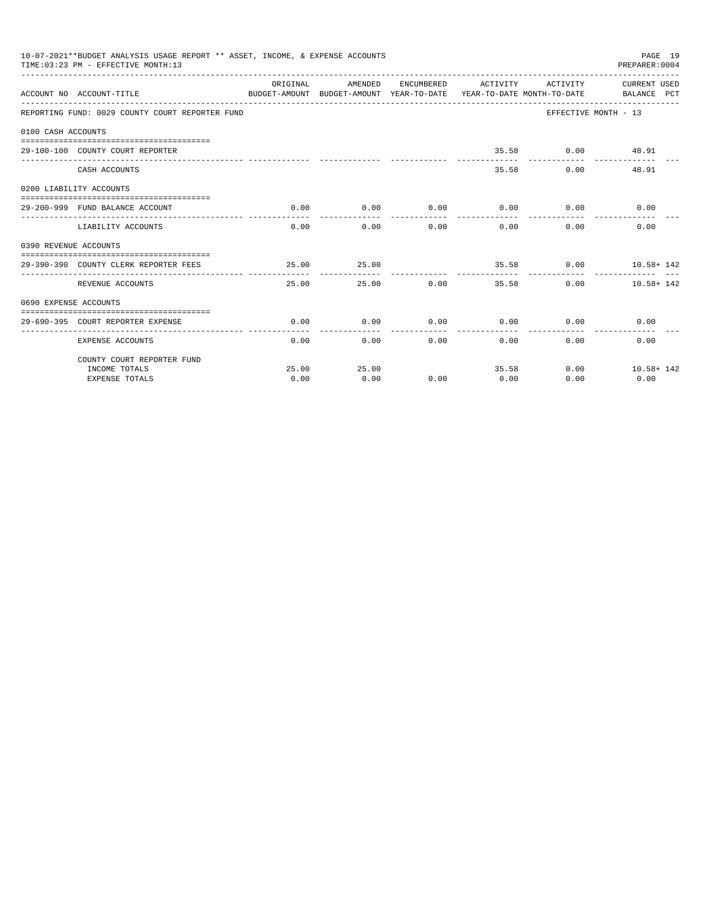|                       | 10-07-2021**BUDGET ANALYSIS USAGE REPORT ** ASSET, INCOME, & EXPENSE ACCOUNTS<br>TIME: 03:23 PM - EFFECTIVE MONTH: 13 |               |                       |               |                       |                             | PAGE 19<br>PREPARER: 0004                                                                                                    |
|-----------------------|-----------------------------------------------------------------------------------------------------------------------|---------------|-----------------------|---------------|-----------------------|-----------------------------|------------------------------------------------------------------------------------------------------------------------------|
|                       | ACCOUNT NO ACCOUNT-TITLE                                                                                              | ORIGINAL      | AMENDED               |               |                       |                             | ENCUMBERED ACTIVITY ACTIVITY CURRENT USED<br>BUDGET-AMOUNT BUDGET-AMOUNT YEAR-TO-DATE YEAR-TO-DATE MONTH-TO-DATE BALANCE PCT |
|                       | REPORTING FUND: 0029 COUNTY COURT REPORTER FUND                                                                       |               |                       |               |                       |                             | EFFECTIVE MONTH - 13                                                                                                         |
| 0100 CASH ACCOUNTS    |                                                                                                                       |               |                       |               |                       |                             |                                                                                                                              |
|                       | 29-100-100 COUNTY COURT REPORTER                                                                                      |               |                       |               |                       | 35.58 0.00 48.91            |                                                                                                                              |
|                       | CASH ACCOUNTS                                                                                                         |               |                       |               |                       | 35.58<br>0.00               | 48.91                                                                                                                        |
|                       | 0200 LIABILITY ACCOUNTS                                                                                               |               |                       |               |                       |                             |                                                                                                                              |
|                       | 29-200-999 FUND BALANCE ACCOUNT                                                                                       | 0.00          | 0.00<br>------------- |               | .                     | $0.00$ $0.00$ $0.00$ $0.00$ | 0.00                                                                                                                         |
|                       | LIABILITY ACCOUNTS                                                                                                    | 0.00          | 0.00                  |               | 0.00                  | 0.00<br>0.00                | 0.00                                                                                                                         |
| 0390 REVENUE ACCOUNTS |                                                                                                                       |               |                       |               |                       |                             |                                                                                                                              |
|                       | 29-390-390 COUNTY CLERK REPORTER FEES                                                                                 | 25.00         | 25.00                 |               | ------------ <b>-</b> |                             | $35.58$ 0.00 $10.58 + 142$<br>--------------                                                                                 |
|                       | REVENUE ACCOUNTS                                                                                                      | 25.00         |                       | 25.00 0.00    |                       | 35.58                       | 0.00<br>$10.58 + 142$                                                                                                        |
| 0690 EXPENSE ACCOUNTS |                                                                                                                       |               |                       |               |                       |                             |                                                                                                                              |
|                       | 29-690-395 COURT REPORTER EXPENSE                                                                                     | 0.00          | 0.00                  |               |                       | $0.00$ $0.00$ $0.00$ $0.00$ | 0.00                                                                                                                         |
|                       | <b>EXPENSE ACCOUNTS</b>                                                                                               |               | 0.00                  | $0.00$ $0.00$ |                       | 0.00                        | 0.00<br>0.00                                                                                                                 |
|                       | COUNTY COURT REPORTER FUND                                                                                            |               |                       |               |                       |                             |                                                                                                                              |
|                       | INCOME TOTALS<br><b>EXPENSE TOTALS</b>                                                                                | 25.00<br>0.00 | 25.00<br>0.00         | 0.00          | 0.00                  | 35.58<br>0.00               | $0.00$ $10.58 + 142$<br>0.00                                                                                                 |
|                       |                                                                                                                       |               |                       |               |                       |                             |                                                                                                                              |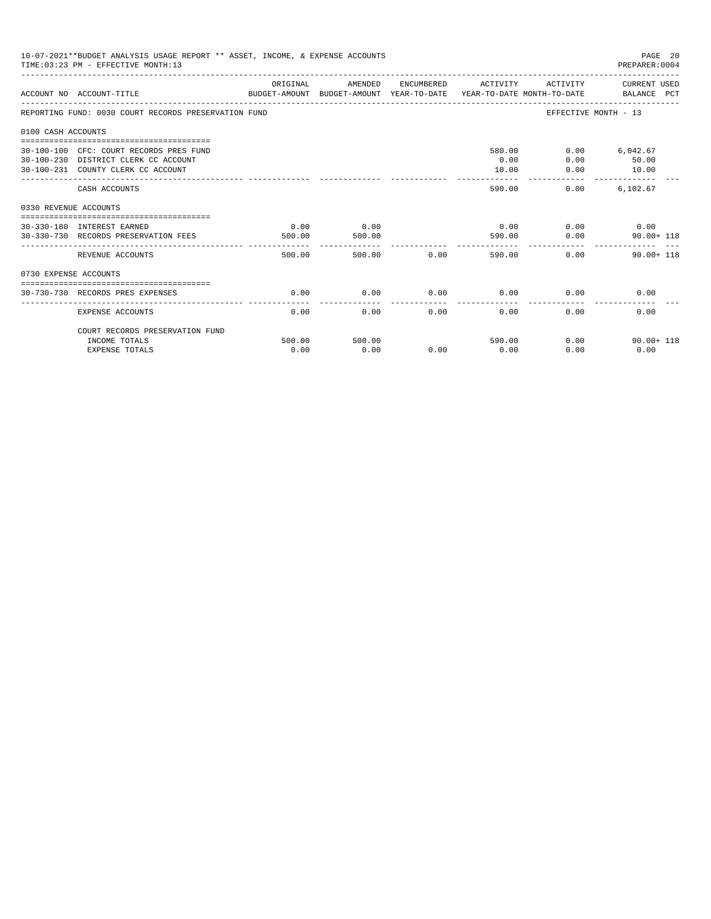|                       | 10-07-2021**BUDGET ANALYSIS USAGE REPORT ** ASSET, INCOME, & EXPENSE ACCOUNTS<br>TIME: 03:23 PM - EFFECTIVE MONTH: 13 |                |                |      |                         |              | PAGE 20<br>PREPARER: 0004                  |
|-----------------------|-----------------------------------------------------------------------------------------------------------------------|----------------|----------------|------|-------------------------|--------------|--------------------------------------------|
|                       | ACCOUNT NO ACCOUNT-TITLE<br>BUDGET-AMOUNT BUDGET-AMOUNT YEAR-TO-DATE YEAR-TO-DATE MONTH-TO-DATE BALANCE PCT           | ORIGINAL       | AMENDED        |      |                         |              | ENCUMBERED ACTIVITY ACTIVITY CURRENT USED  |
|                       | REPORTING FUND: 0030 COURT RECORDS PRESERVATION FUND                                                                  |                |                |      |                         |              | EFFECTIVE MONTH - 13                       |
| 0100 CASH ACCOUNTS    |                                                                                                                       |                |                |      |                         |              |                                            |
|                       | 30-100-100 CFC: COURT RECORDS PRES FUND<br>30-100-230 DISTRICT CLERK CC ACCOUNT<br>30-100-231 COUNTY CLERK CC ACCOUNT |                |                |      | 580.00<br>0.00<br>10.00 | 0.00<br>0.00 | $0.00$ 6,042.67<br>50.00<br>10.00          |
|                       | CASH ACCOUNTS                                                                                                         |                |                |      | 590.00                  | 0.00         | ----------- -------------<br>6,102.67      |
| 0330 REVENUE ACCOUNTS |                                                                                                                       |                |                |      |                         |              |                                            |
|                       | --------------------------------<br>30-330-180 INTEREST EARNED<br>30-330-730 RECORDS PRESERVATION FEES                | 0.00<br>500.00 | 0.00<br>500.00 |      | 590.00                  | 0.00<br>0.00 | $0.00$ 0.00<br>$90.00 + 118$               |
|                       | REVENUE ACCOUNTS                                                                                                      | 500.00         | 500.00         | 0.00 |                         | 590.00       | 0.00<br>$90.00 + 118$                      |
| 0730 EXPENSE ACCOUNTS |                                                                                                                       |                |                |      |                         |              |                                            |
|                       | 30-730-730 RECORDS PRES EXPENSES                                                                                      | 0.00           | 0.00           | 0.00 | 0.00                    | 0.00         | 0.00                                       |
|                       | <b>EXPENSE ACCOUNTS</b>                                                                                               | 0.00           | 0.00           | 0.00 | 0.00                    | 0.00         | 0.00                                       |
|                       | COURT RECORDS PRESERVATION FUND                                                                                       |                |                |      |                         |              |                                            |
|                       | INCOME TOTALS<br><b>EXPENSE TOTALS</b>                                                                                | 500.00<br>0.00 | 500.00<br>0.00 | 0.00 | 590.00<br>0.00          | 0.00         | $0.00$ and $0.00$<br>$90.00 + 118$<br>0.00 |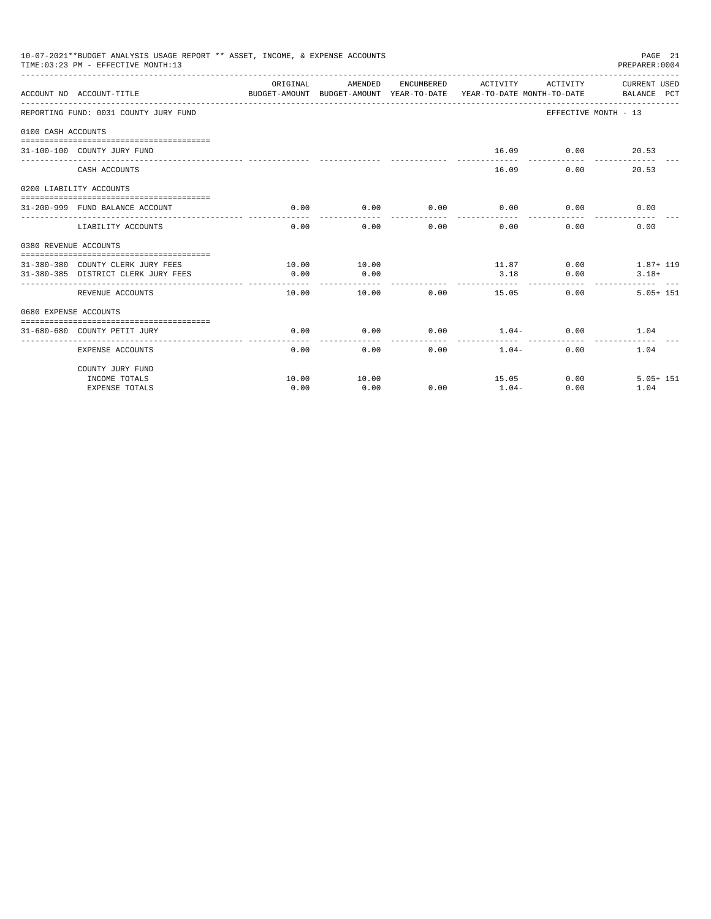|                       | 10-07-2021**BUDGET ANALYSIS USAGE REPORT ** ASSET, INCOME, & EXPENSE ACCOUNTS<br>TIME: 03:23 PM - EFFECTIVE MONTH: 13<br>__________________________________ |                                                                                             |                      |                 |                              |                                    | PAGE 21<br>PREPARER:0004 |
|-----------------------|-------------------------------------------------------------------------------------------------------------------------------------------------------------|---------------------------------------------------------------------------------------------|----------------------|-----------------|------------------------------|------------------------------------|--------------------------|
|                       | ACCOUNT NO ACCOUNT-TITLE                                                                                                                                    | ORIGINAL<br>BUDGET-AMOUNT BUDGET-AMOUNT YEAR-TO-DATE YEAR-TO-DATE MONTH-TO-DATE BALANCE PCT | AMENDED              |                 | ENCUMBERED ACTIVITY ACTIVITY |                                    | CURRENT USED             |
|                       | REPORTING FUND: 0031 COUNTY JURY FUND                                                                                                                       |                                                                                             |                      |                 |                              | EFFECTIVE MONTH - 13               |                          |
| 0100 CASH ACCOUNTS    |                                                                                                                                                             |                                                                                             |                      |                 |                              |                                    |                          |
|                       | 31-100-100 COUNTY JURY FUND                                                                                                                                 |                                                                                             |                      |                 |                              | 16.09 0.00 20.53<br>-----------    | -------------            |
|                       | CASH ACCOUNTS                                                                                                                                               |                                                                                             |                      |                 | 16.09                        | 0.00                               | 20.53                    |
|                       | 0200 LIABILITY ACCOUNTS                                                                                                                                     |                                                                                             |                      |                 |                              |                                    |                          |
|                       | 31-200-999 FUND BALANCE ACCOUNT                                                                                                                             | 0.00                                                                                        | 0.00                 | 0.00            | 0.00                         | 0.00                               | 0.00                     |
|                       |                                                                                                                                                             |                                                                                             |                      | ------          | -----------                  | ------                             |                          |
|                       | LIABILITY ACCOUNTS                                                                                                                                          | 0.00                                                                                        | 0.00                 | 0.00            | 0.00                         | 0.00                               | 0.00                     |
| 0380 REVENUE ACCOUNTS |                                                                                                                                                             |                                                                                             |                      |                 |                              |                                    |                          |
|                       |                                                                                                                                                             |                                                                                             |                      |                 |                              |                                    |                          |
|                       | 31-380-380 COUNTY CLERK JURY FEES                                                                                                                           | 10.00                                                                                       | 10.00                |                 | 11.87                        |                                    | $0.00$ 1.87+119          |
|                       | 31-380-385 DISTRICT CLERK JURY FEES                                                                                                                         | 0.00                                                                                        | 0.00                 |                 | 3.18                         | 0.00                               | $3.18+$                  |
|                       | REVENUE ACCOUNTS                                                                                                                                            | 10.00                                                                                       | 10.00                | 0.00            | 15.05                        | $0.00 -$                           | $5.05 + 151$             |
| 0680 EXPENSE ACCOUNTS |                                                                                                                                                             |                                                                                             |                      |                 |                              |                                    |                          |
|                       |                                                                                                                                                             |                                                                                             |                      |                 |                              |                                    |                          |
|                       | 31-680-680 COUNTY PETIT JURY                                                                                                                                | 0.00<br>------------                                                                        | 0.00<br>. <u>.</u> . | 0.00<br>------- | $1.04-$<br>------------      | $0.00$ and $0.00$<br>------------- | 1.04                     |
|                       | EXPENSE ACCOUNTS                                                                                                                                            | 0.00                                                                                        |                      | 0.00            | 0.00<br>$1.04-$              | 0.00                               | 1.04                     |
|                       | COUNTY JURY FUND                                                                                                                                            |                                                                                             |                      |                 |                              |                                    |                          |
|                       | INCOME TOTALS                                                                                                                                               | 10.00                                                                                       | 10.00                |                 | 15.05                        | 0.00                               | $5.05 + 151$             |
|                       | <b>EXPENSE TOTALS</b>                                                                                                                                       | 0.00                                                                                        | 0.00                 | 0.00            | $1.04-$                      | 0.00                               | 1.04                     |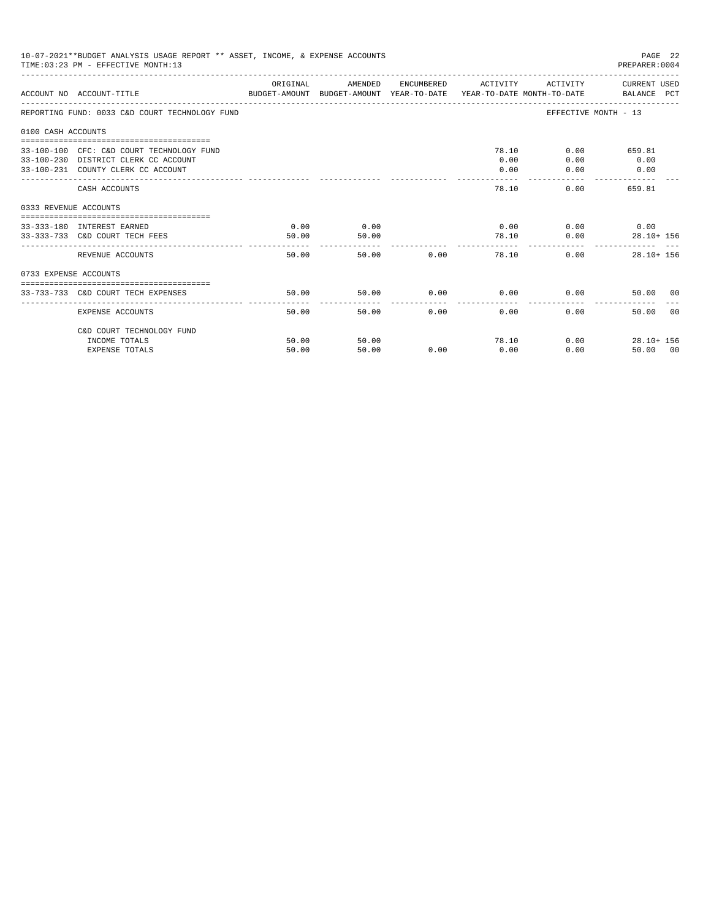| 10-07-2021**BUDGET ANALYSIS USAGE REPORT ** ASSET, INCOME, & EXPENSE ACCOUNTS<br>PAGE 22<br>TIME: 03:23 PM - EFFECTIVE MONTH: 13<br>PREPARER: 0004<br>AMENDED ENCUMBERED ACTIVITY |                                                                                                                         |               |               |               |                       |                                           |                               |  |
|-----------------------------------------------------------------------------------------------------------------------------------------------------------------------------------|-------------------------------------------------------------------------------------------------------------------------|---------------|---------------|---------------|-----------------------|-------------------------------------------|-------------------------------|--|
|                                                                                                                                                                                   | BUDGET-AMOUNT BUDGET-AMOUNT YEAR-TO-DATE  YEAR-TO-DATE MONTH-TO-DATE     BALANCE PCT<br>ACCOUNT NO ACCOUNT-TITLE        | ORIGINAL      |               |               |                       |                                           | ACTIVITY CURRENT USED         |  |
|                                                                                                                                                                                   | REPORTING FUND: 0033 C&D COURT TECHNOLOGY FUND                                                                          |               |               |               |                       |                                           | EFFECTIVE MONTH - 13          |  |
| 0100 CASH ACCOUNTS                                                                                                                                                                |                                                                                                                         |               |               |               |                       |                                           |                               |  |
|                                                                                                                                                                                   | 33-100-100 CFC: C&D COURT TECHNOLOGY FUND<br>33-100-230 DISTRICT CLERK CC ACCOUNT<br>33-100-231 COUNTY CLERK CC ACCOUNT |               |               |               | 78.10<br>0.00<br>0.00 | 0.00<br>0.00                              | $0.00$ 659.81<br>0.00<br>0.00 |  |
|                                                                                                                                                                                   | CASH ACCOUNTS                                                                                                           |               |               |               | 78.10                 |                                           | $0.00$ 659.81                 |  |
| 0333 REVENUE ACCOUNTS                                                                                                                                                             |                                                                                                                         |               |               |               |                       |                                           |                               |  |
|                                                                                                                                                                                   | 33-333-180 INTEREST EARNED<br>33-333-733 C&D COURT TECH FEES                                                            | 0.00<br>50.00 | 0.00<br>50.00 |               |                       | $0.00$ $0.00$ $0.00$ $0.00$<br>78.10 0.00 | $28.10 + 156$                 |  |
|                                                                                                                                                                                   | REVENUE ACCOUNTS                                                                                                        | 50.00         |               | 50.00 0.00    |                       | 78.10                                     | 0.00<br>$28.10 + 156$         |  |
| 0733 EXPENSE ACCOUNTS                                                                                                                                                             |                                                                                                                         |               |               |               |                       |                                           |                               |  |
|                                                                                                                                                                                   | 33-733-733 C&D COURT TECH EXPENSES                                                                                      | 50.00         | 50.00         | $0.00$ 0.00   |                       |                                           | 0.00<br>50.00 00              |  |
|                                                                                                                                                                                   | EXPENSE ACCOUNTS                                                                                                        | 50.00         |               | 50.00<br>0.00 | 0.00                  |                                           | 0.00<br>50.00 00              |  |
|                                                                                                                                                                                   | C&D COURT TECHNOLOGY FUND<br>INCOME TOTALS                                                                              | 50.00         | 50.00         |               | 78.10                 |                                           | 0.00<br>$28.10 + 156$         |  |
|                                                                                                                                                                                   | <b>EXPENSE TOTALS</b>                                                                                                   | 50.00         | 50.00         | 0.00          | 0.00                  |                                           | 0.00<br>50.00 00              |  |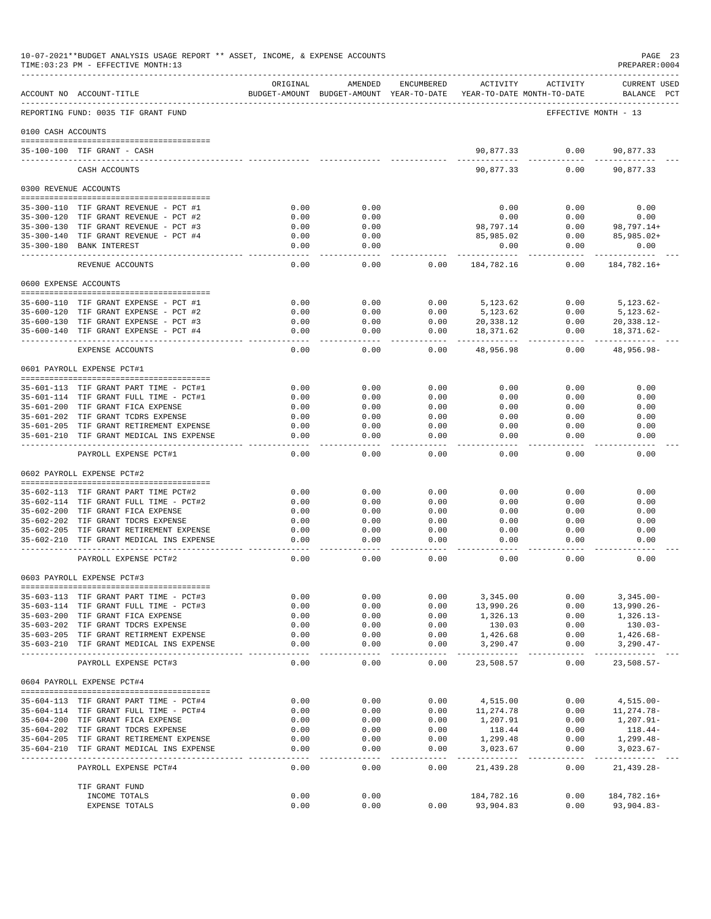|                       | 10-07-2021**BUDGET ANALYSIS USAGE REPORT ** ASSET, INCOME, & EXPENSE ACCOUNTS<br>TIME: 03:23 PM - EFFECTIVE MONTH: 13 |                   |                                                     |              |                       |                                        | PAGE 23<br>PREPARER: 0004          |
|-----------------------|-----------------------------------------------------------------------------------------------------------------------|-------------------|-----------------------------------------------------|--------------|-----------------------|----------------------------------------|------------------------------------|
|                       | ACCOUNT NO ACCOUNT-TITLE                                                                                              | ORIGINAL          | AMENDED<br>BUDGET-AMOUNT BUDGET-AMOUNT YEAR-TO-DATE | ENCUMBERED   | ACTIVITY              | ACTIVITY<br>YEAR-TO-DATE MONTH-TO-DATE | <b>CURRENT USED</b><br>BALANCE PCT |
|                       | REPORTING FUND: 0035 TIF GRANT FUND                                                                                   |                   |                                                     |              |                       |                                        | EFFECTIVE MONTH - 13               |
| 0100 CASH ACCOUNTS    |                                                                                                                       |                   |                                                     |              |                       |                                        |                                    |
|                       | 35-100-100 TIF GRANT - CASH                                                                                           |                   |                                                     |              | 90,877.33             | 0.00                                   | 90,877.33                          |
|                       | CASH ACCOUNTS                                                                                                         |                   |                                                     |              | 90,877.33             | 0.00                                   | 90,877.33                          |
| 0300 REVENUE ACCOUNTS |                                                                                                                       |                   |                                                     |              |                       |                                        |                                    |
|                       | 35-300-110 TIF GRANT REVENUE - PCT #1                                                                                 | 0.00              | 0.00                                                |              | 0.00                  | 0.00                                   | 0.00                               |
|                       | 35-300-120 TIF GRANT REVENUE - PCT #2                                                                                 | 0.00              | 0.00                                                |              | 0.00                  | 0.00                                   | 0.00                               |
|                       | 35-300-130 TIF GRANT REVENUE - PCT #3                                                                                 | 0.00              | 0.00                                                |              | 98,797.14             | 0.00                                   | 98,797.14+                         |
|                       | 35-300-140 TIF GRANT REVENUE - PCT #4                                                                                 | 0.00              | 0.00                                                |              | 85,985.02             | 0.00                                   | 85,985.02+                         |
|                       | 35-300-180 BANK INTEREST<br>--------------                                                                            | 0.00<br>$- - - -$ | 0.00<br>$- - - -$                                   |              | 0.00                  | 0.00<br>-----                          | 0.00                               |
|                       | REVENUE ACCOUNTS                                                                                                      | 0.00              | 0.00                                                | 0.00         | 184,782.16            | 0.00                                   | 184,782.16+                        |
| 0600 EXPENSE ACCOUNTS |                                                                                                                       |                   |                                                     |              |                       |                                        |                                    |
|                       | 35-600-110 TIF GRANT EXPENSE - PCT #1                                                                                 | 0.00              | 0.00                                                | 0.00         | 5, 123, 62            | 0.00                                   | $5,123.62-$                        |
|                       | 35-600-120 TIF GRANT EXPENSE - PCT #2                                                                                 | 0.00              | 0.00                                                | 0.00         | 5,123.62              | 0.00                                   | $5,123.62-$                        |
|                       | 35-600-130 TIF GRANT EXPENSE - PCT #3                                                                                 | 0.00              | 0.00                                                | 0.00         | 20,338.12             | 0.00                                   | $20, 338.12 -$                     |
|                       | $35 - 600 - 140$ TIF GRANT EXPENSE - PCT #4                                                                           | 0.00              | 0.00                                                | 0.00         | 18,371.62             | 0.00                                   | 18,371.62-                         |
|                       | EXPENSE ACCOUNTS                                                                                                      | 0.00              | 0.00                                                | 0.00         | 48,956.98             | 0.00                                   | 48,956.98-                         |
|                       | 0601 PAYROLL EXPENSE PCT#1                                                                                            |                   |                                                     |              |                       |                                        |                                    |
|                       | 35-601-113 TIF GRANT PART TIME - PCT#1                                                                                | 0.00              | 0.00                                                | 0.00         | 0.00                  | 0.00                                   | 0.00                               |
|                       | 35-601-114 TIF GRANT FULL TIME - PCT#1                                                                                | 0.00              | 0.00                                                | 0.00         | 0.00                  | 0.00                                   | 0.00                               |
|                       | 35-601-200 TIF GRANT FICA EXPENSE                                                                                     | 0.00              | 0.00                                                | 0.00         | 0.00                  | 0.00                                   | 0.00                               |
|                       | 35-601-202 TIF GRANT TCDRS EXPENSE                                                                                    | 0.00              | 0.00                                                | 0.00         | 0.00                  | 0.00                                   | 0.00                               |
|                       | 35-601-205 TIF GRANT RETIREMENT EXPENSE<br>35-601-210 TIF GRANT MEDICAL INS EXPENSE                                   | 0.00<br>0.00      | 0.00<br>0.00                                        | 0.00<br>0.00 | 0.00<br>0.00          | 0.00<br>0.00                           | 0.00<br>0.00                       |
|                       | PAYROLL EXPENSE PCT#1                                                                                                 | 0.00              | 0.00                                                | 0.00         | 0.00                  | 0.00                                   | 0.00                               |
|                       | 0602 PAYROLL EXPENSE PCT#2                                                                                            |                   |                                                     |              |                       |                                        |                                    |
|                       |                                                                                                                       |                   |                                                     |              |                       |                                        |                                    |
|                       | 35-602-113 TIF GRANT PART TIME PCT#2<br>35-602-114 TIF GRANT FULL TIME - PCT#2                                        | 0.00<br>0.00      | 0.00<br>0.00                                        | 0.00<br>0.00 | 0.00<br>0.00          | 0.00<br>0.00                           | 0.00<br>0.00                       |
|                       | 35-602-200 TIF GRANT FICA EXPENSE                                                                                     | 0.00              | 0.00                                                | 0.00         | 0.00                  | 0.00                                   | 0.00                               |
|                       | 35-602-202 TIF GRANT TDCRS EXPENSE                                                                                    | 0.00              | 0.00                                                | 0.00         | 0.00                  | 0.00                                   | 0.00                               |
|                       | 35-602-205 TIF GRANT RETIREMENT EXPENSE                                                                               | 0.00              | 0.00                                                | 0.00         | 0.00                  | 0.00                                   | 0.00                               |
| $35 - 602 - 210$      | TIF GRANT MEDICAL INS EXPENSE                                                                                         | 0.00              | 0.00                                                | 0.00         | 0.00                  | 0.00                                   | 0.00                               |
|                       | PAYROLL EXPENSE PCT#2                                                                                                 | 0.00              | 0.00                                                | 0.00         | 0.00                  | 0.00                                   | 0.00                               |
|                       | 0603 PAYROLL EXPENSE PCT#3<br>-------------------------------------                                                   |                   |                                                     |              |                       |                                        |                                    |
|                       | 35-603-113 TIF GRANT PART TIME - PCT#3                                                                                | 0.00              | 0.00                                                | 0.00         | 3,345.00              | 0.00                                   | $3,345.00 -$                       |
|                       | 35-603-114 TIF GRANT FULL TIME - PCT#3                                                                                | 0.00              | 0.00                                                | 0.00         | 13,990.26             | 0.00                                   | $13,990.26 -$                      |
|                       | 35-603-200 TIF GRANT FICA EXPENSE                                                                                     | 0.00              | 0.00                                                | 0.00         | 1,326.13              | 0.00                                   | $1,326.13-$                        |
|                       | 35-603-202 TIF GRANT TDCRS EXPENSE<br>35-603-205 TIF GRANT RETIRMENT EXPENSE                                          | 0.00<br>0.00      | 0.00<br>0.00                                        | 0.00<br>0.00 | 130.03<br>1,426.68    | 0.00<br>0.00                           | $130.03-$<br>$1,426.68-$           |
|                       | 35-603-210 TIF GRANT MEDICAL INS EXPENSE                                                                              | 0.00              | 0.00                                                | 0.00         | 3,290.47              | 0.00                                   | $3,290.47-$                        |
|                       | PAYROLL EXPENSE PCT#3                                                                                                 | 0.00              | 0.00                                                | 0.00         | 23,508.57             | 0.00                                   | $23,508.57-$                       |
|                       | 0604 PAYROLL EXPENSE PCT#4                                                                                            |                   |                                                     |              |                       |                                        |                                    |
|                       |                                                                                                                       |                   |                                                     |              |                       |                                        |                                    |
|                       | 35-604-113 TIF GRANT PART TIME - PCT#4<br>35-604-114 TIF GRANT FULL TIME - PCT#4                                      | 0.00<br>0.00      | 0.00<br>0.00                                        | 0.00<br>0.00 | 4,515.00<br>11,274.78 | 0.00<br>0.00                           | $4,515.00-$<br>11,274.78-          |
|                       | 35-604-200 TIF GRANT FICA EXPENSE                                                                                     | 0.00              | 0.00                                                | 0.00         | 1,207.91              | 0.00                                   | $1,207.91 -$                       |
|                       | 35-604-202 TIF GRANT TDCRS EXPENSE                                                                                    | 0.00              | 0.00                                                | 0.00         | 118.44                | 0.00                                   | 118.44-                            |
|                       | 35-604-205 TIF GRANT RETIREMENT EXPENSE                                                                               | 0.00              | 0.00                                                | 0.00         | 1,299.48              | 0.00                                   | $1,299.48-$                        |
| 35-604-210            | TIF GRANT MEDICAL INS EXPENSE                                                                                         | 0.00              | 0.00                                                | 0.00         | 3,023.67              | 0.00                                   | $3,023.67-$                        |
|                       | PAYROLL EXPENSE PCT#4                                                                                                 | 0.00              | 0.00                                                | 0.00         | 21,439.28             | 0.00                                   | 21,439.28-                         |
|                       | TIF GRANT FUND                                                                                                        |                   |                                                     |              |                       |                                        |                                    |
|                       | INCOME TOTALS                                                                                                         | 0.00              | 0.00                                                |              | 184,782.16            | 0.00                                   | 184,782.16+                        |
|                       | EXPENSE TOTALS                                                                                                        | 0.00              | 0.00                                                | 0.00         | 93,904.83             | 0.00                                   | $93,904.83 -$                      |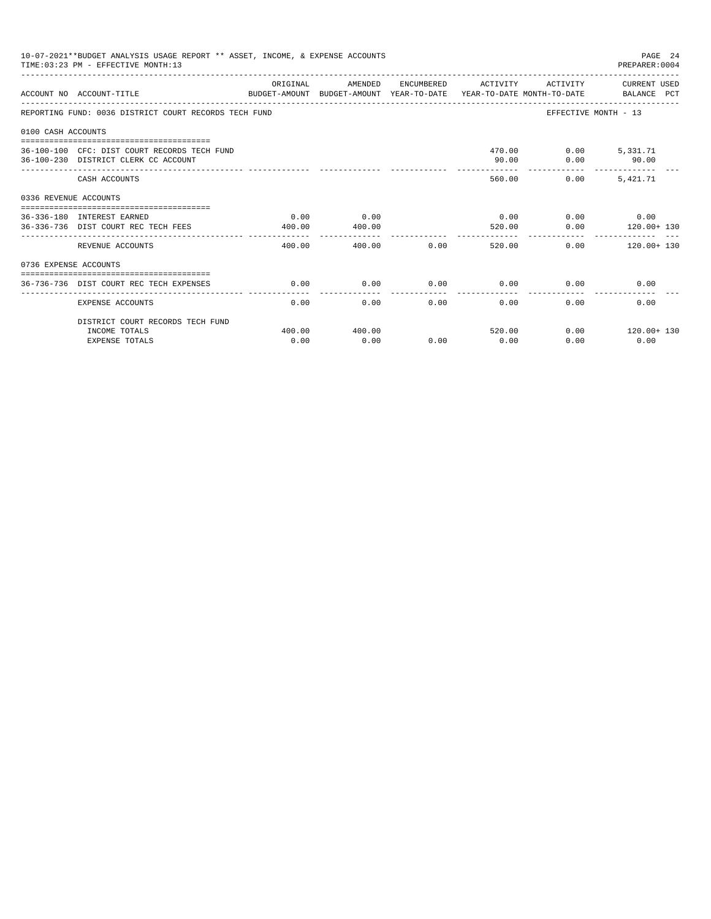|                       | 10-07-2021**BUDGET ANALYSIS USAGE REPORT ** ASSET, INCOME, & EXPENSE ACCOUNTS<br>TIME: 03:23 PM - EFFECTIVE MONTH: 13 |                           |                |      |                |                          | PAGE 24<br>PREPARER: 0004                     |
|-----------------------|-----------------------------------------------------------------------------------------------------------------------|---------------------------|----------------|------|----------------|--------------------------|-----------------------------------------------|
|                       | ACCOUNT NO ACCOUNT-TITLE<br>BUDGET-AMOUNT BUDGET-AMOUNT YEAR-TO-DATE YEAR-TO-DATE MONTH-TO-DATE BALANCE PCT           | ORIGINAL                  | AMENDED        |      |                |                          | ENCUMBERED ACTIVITY ACTIVITY CURRENT USED     |
|                       | REPORTING FUND: 0036 DISTRICT COURT RECORDS TECH FUND                                                                 |                           |                |      |                |                          | EFFECTIVE MONTH - 13                          |
| 0100 CASH ACCOUNTS    |                                                                                                                       |                           |                |      |                |                          |                                               |
|                       | 36-100-100 CFC: DIST COURT RECORDS TECH FUND<br>36-100-230 DISTRICT CLERK CC ACCOUNT                                  |                           |                |      | 90.00          | 470.00   0.00   5,331.71 | $0.00$ 90.00                                  |
|                       | CASH ACCOUNTS                                                                                                         |                           |                |      |                | 560.00<br>0.00           | 5, 421, 71                                    |
| 0336 REVENUE ACCOUNTS |                                                                                                                       |                           |                |      |                |                          |                                               |
|                       | 36-336-180 INTEREST EARNED<br>36-336-736 DIST COURT REC TECH FEES                                                     | 0.00<br>400.00            | 0.00<br>400.00 |      | 520.00         | 0.00                     | $0.00$ $0.00$ $0.00$ $0.00$<br>$120.00 + 130$ |
|                       | REVENUE ACCOUNTS                                                                                                      | $- - - - - - -$<br>400.00 | 400.00         | 0.00 |                | 520.00                   | $0.00$ 120.00+ 130                            |
| 0736 EXPENSE ACCOUNTS |                                                                                                                       |                           |                |      |                |                          |                                               |
|                       | 36-736-736 DIST COURT REC TECH EXPENSES                                                                               | 0.00                      | 0.00           | 0.00 | 0.00           |                          | 0.00<br>0.00                                  |
|                       | EXPENSE ACCOUNTS                                                                                                      | 0.00                      | 0.00           | 0.00 | 0.00           | 0.00                     | 0.00                                          |
|                       | DISTRICT COURT RECORDS TECH FUND                                                                                      |                           |                |      |                |                          |                                               |
|                       | INCOME TOTALS<br><b>EXPENSE TOTALS</b>                                                                                | 400.00<br>0.00            | 400.00<br>0.00 | 0.00 | 520.00<br>0.00 | 0.00                     | $0.00$ $120.00+130$<br>0.00                   |
|                       |                                                                                                                       |                           |                |      |                |                          |                                               |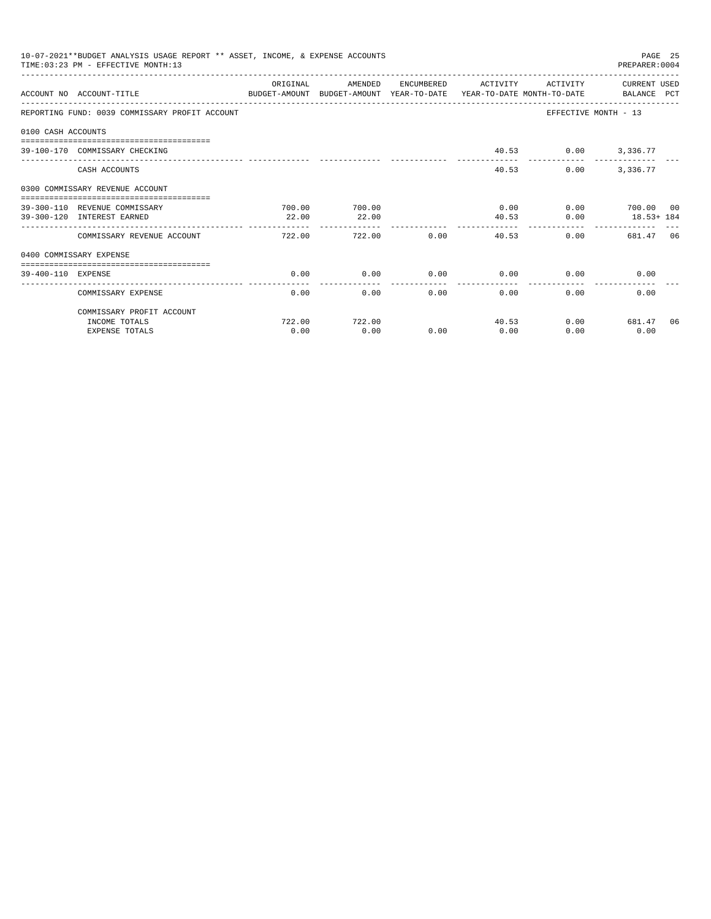|                    | 10-07-2021**BUDGET ANALYSIS USAGE REPORT ** ASSET, INCOME, & EXPENSE ACCOUNTS<br>TIME: 03:23 PM - EFFECTIVE MONTH: 13 |           |                        |                      |                        |                     | PAGE 25<br>PREPARER: 0004                          |    |
|--------------------|-----------------------------------------------------------------------------------------------------------------------|-----------|------------------------|----------------------|------------------------|---------------------|----------------------------------------------------|----|
|                    | ACCOUNT NO ACCOUNT-TITLE<br>BUDGET-AMOUNT BUDGET-AMOUNT YEAR-TO-DATE YEAR-TO-DATE MONTH-TO-DATE BALANCE PCT           | OR TGTNAL | AMENDED                | ENCUMBERED           | ACTIVITY               | ACTIVITY            | CURRENT USED                                       |    |
|                    | REPORTING FUND: 0039 COMMISSARY PROFIT ACCOUNT                                                                        |           |                        |                      |                        |                     | EFFECTIVE MONTH - 13                               |    |
| 0100 CASH ACCOUNTS |                                                                                                                       |           |                        |                      |                        |                     |                                                    |    |
|                    | 39-100-170 COMMISSARY CHECKING                                                                                        |           |                        |                      |                        | 40.53 0.00 3,336.77 |                                                    |    |
|                    | CASH ACCOUNTS                                                                                                         |           |                        |                      | 40.53                  | 0.00                | 3,336.77                                           |    |
|                    | 0300 COMMISSARY REVENUE ACCOUNT                                                                                       |           |                        |                      |                        |                     |                                                    |    |
|                    | 39-300-110 REVENUE COMMISSARY                                                                                         | 700.00    | 700.00                 |                      | 0.00                   |                     | 0.00 700.00 00                                     |    |
|                    | 39-300-120 INTEREST EARNED                                                                                            | 22.00     | 22.00<br>------------- |                      | 40.53<br>------------- | 0.00                | $18.53 + 184$<br>_________________________________ |    |
|                    | COMMISSARY REVENUE ACCOUNT                                                                                            | 722.00    | 722.00                 | 0.00                 | 40.53                  |                     | 0.00<br>681.47 06                                  |    |
|                    | 0400 COMMISSARY EXPENSE                                                                                               |           |                        |                      |                        |                     |                                                    |    |
| 39-400-110 EXPENSE |                                                                                                                       | 0.00      | 0.00                   | 0.00                 | 0.00                   |                     | 0.00<br>0.00                                       |    |
|                    | COMMISSARY EXPENSE                                                                                                    | 0.00      | 0.00                   | ------------<br>0.00 | -------------          | 0.00<br>0.00        | 0.00                                               |    |
|                    | COMMISSARY PROFIT ACCOUNT                                                                                             |           |                        |                      |                        |                     |                                                    |    |
|                    | INCOME TOTALS                                                                                                         | 722.00    | 722.00                 |                      | 40.53                  |                     | $0.00$ 681.47                                      | 06 |
|                    | <b>EXPENSE TOTALS</b>                                                                                                 | 0.00      | 0.00                   | 0.00                 | 0.00                   | 0.00                | 0.00                                               |    |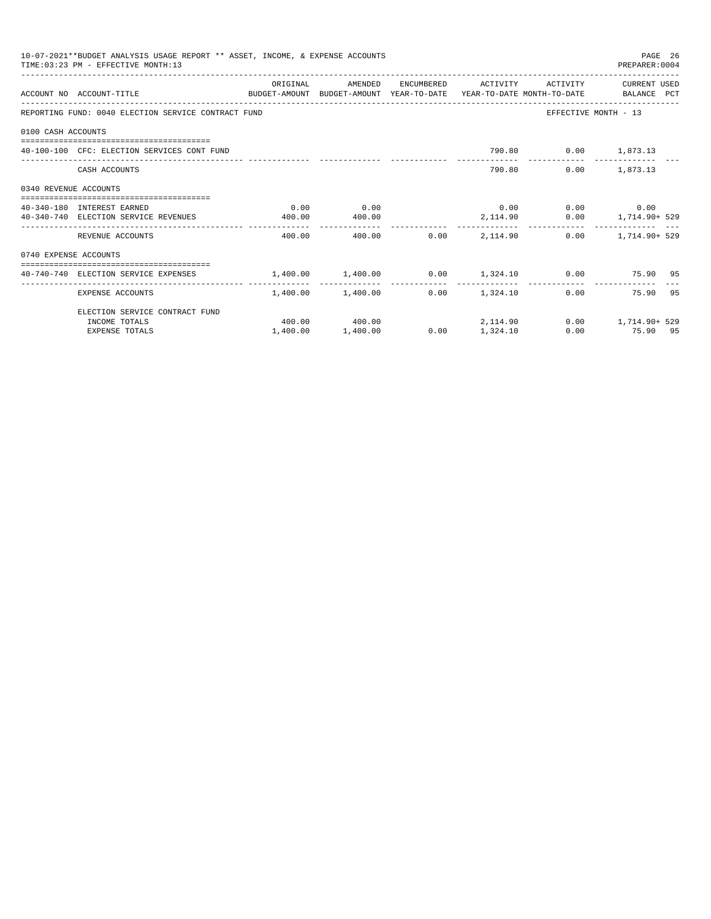|                       | 10-07-2021**BUDGET ANALYSIS USAGE REPORT ** ASSET, INCOME, & EXPENSE ACCOUNTS<br>TIME: 03:23 PM - EFFECTIVE MONTH: 13 |          |                   |      |                        |                             | PAGE 26<br>PREPARER: 0004                                   |  |
|-----------------------|-----------------------------------------------------------------------------------------------------------------------|----------|-------------------|------|------------------------|-----------------------------|-------------------------------------------------------------|--|
|                       | ACCOUNT NO ACCOUNT-TITLE<br>BUDGET-AMOUNT BUDGET-AMOUNT YEAR-TO-DATE YEAR-TO-DATE MONTH-TO-DATE BALANCE PCT           | ORIGINAL | AMENDED           |      | ENCUMBERED ACTIVITY    | ACTIVITY                    | CURRENT USED                                                |  |
|                       | REPORTING FUND: 0040 ELECTION SERVICE CONTRACT FUND                                                                   |          |                   |      |                        | EFFECTIVE MONTH - 13        |                                                             |  |
| 0100 CASH ACCOUNTS    |                                                                                                                       |          |                   |      |                        |                             |                                                             |  |
|                       | 40-100-100 CFC: ELECTION SERVICES CONT FUND                                                                           |          |                   |      |                        | 790.80 0.00 1,873.13        |                                                             |  |
|                       | CASH ACCOUNTS                                                                                                         |          |                   |      |                        | 790.80                      | $0.00$ 1,873.13                                             |  |
| 0340 REVENUE ACCOUNTS |                                                                                                                       |          |                   |      |                        |                             |                                                             |  |
|                       | 40-340-180 INTEREST EARNED                                                                                            | 0.00     | 0.00              |      |                        | $0.00$ $0.00$ $0.00$ $0.00$ |                                                             |  |
|                       | 40-340-740 ELECTION SERVICE REVENUES                                                                                  | 400.00   | 400.00            |      |                        |                             | 2,114.90   0.00   1,714.90+ 529                             |  |
|                       | REVENUE ACCOUNTS                                                                                                      | 400.00   |                   |      | $400.00$ 0.00 2.114.90 |                             | $0.00$ 1.714.90+ 529                                        |  |
| 0740 EXPENSE ACCOUNTS |                                                                                                                       |          |                   |      |                        |                             |                                                             |  |
|                       | 40-740-740 ELECTION SERVICE EXPENSES                                                                                  |          |                   |      |                        |                             | $1,400.00$ $1,400.00$ $0.00$ $1,324.10$ $0.00$ $75.90$ $95$ |  |
|                       | EXPENSE ACCOUNTS                                                                                                      |          | 1,400.00 1,400.00 |      | $0.00$ 1,324.10        | 0.00                        | ---------<br>75.90 95                                       |  |
|                       | ELECTION SERVICE CONTRACT FUND                                                                                        |          |                   |      |                        |                             |                                                             |  |
|                       | INCOME TOTALS                                                                                                         |          | 400.00 400.00     |      | 2, 114.90              |                             | $0.00$ 1,714.90+ 529                                        |  |
|                       | <b>EXPENSE TOTALS</b>                                                                                                 | 1,400.00 | 1,400.00          | 0.00 | 1,324.10               |                             | $0.00$ and $0.00$<br>75.90 95                               |  |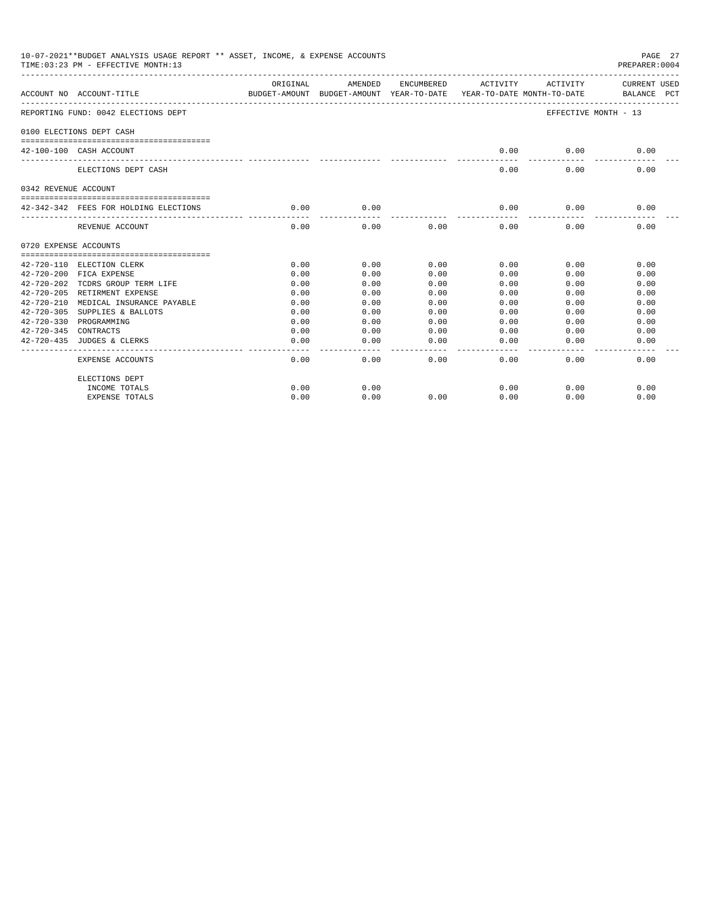|                       | 10-07-2021**BUDGET ANALYSIS USAGE REPORT ** ASSET, INCOME, & EXPENSE ACCOUNTS<br>TIME: 03:23 PM - EFFECTIVE MONTH: 13 |                                                                                 |                   |                       |                       |                              | PAGE 27<br>PREPARER: 0004   |
|-----------------------|-----------------------------------------------------------------------------------------------------------------------|---------------------------------------------------------------------------------|-------------------|-----------------------|-----------------------|------------------------------|-----------------------------|
|                       | ACCOUNT NO ACCOUNT-TITLE                                                                                              | ORIGINAL<br>BUDGET-AMOUNT BUDGET-AMOUNT YEAR-TO-DATE YEAR-TO-DATE MONTH-TO-DATE | AMENDED           |                       |                       | ENCUMBERED ACTIVITY ACTIVITY | CURRENT USED<br>BALANCE PCT |
|                       | REPORTING FUND: 0042 ELECTIONS DEPT                                                                                   |                                                                                 |                   |                       |                       |                              | EFFECTIVE MONTH - 13        |
|                       | 0100 ELECTIONS DEPT CASH                                                                                              |                                                                                 |                   |                       |                       |                              |                             |
|                       | 42-100-100 CASH ACCOUNT                                                                                               |                                                                                 |                   |                       | 0.00                  | 0.00                         | 0.00                        |
|                       | ELECTIONS DEPT CASH                                                                                                   |                                                                                 |                   |                       | 0.00                  | 0.00                         | 0.00                        |
| 0342 REVENUE ACCOUNT  |                                                                                                                       |                                                                                 |                   |                       |                       |                              |                             |
|                       | 42-342-342 FEES FOR HOLDING ELECTIONS                                                                                 | 0.00<br>------------                                                            | 0.00              |                       | 0.00<br>$- - - - - -$ | 0.00                         | 0.00                        |
|                       | REVENUE ACCOUNT                                                                                                       | 0.00                                                                            | 0.00              | 0.00                  | 0.00                  | 0.00                         | 0.00                        |
| 0720 EXPENSE ACCOUNTS |                                                                                                                       |                                                                                 |                   |                       |                       |                              |                             |
|                       | 42-720-110 ELECTION CLERK                                                                                             | 0.00                                                                            | 0.00              | 0.00                  | 0.00                  | 0.00                         | 0.00                        |
|                       | 42-720-200 FICA EXPENSE                                                                                               | 0.00                                                                            | 0.00              | 0.00                  | 0.00                  | 0.00                         | 0.00                        |
|                       | 42-720-202 TCDRS GROUP TERM LIFE                                                                                      | 0.00                                                                            | 0.00              | 0.00                  | 0.00                  | 0.00                         | 0.00                        |
|                       | 42-720-205 RETIRMENT EXPENSE                                                                                          | 0.00                                                                            | 0.00              | 0.00                  | 0.00                  | 0.00                         | 0.00                        |
|                       | 42-720-210 MEDICAL INSURANCE PAYABLE                                                                                  | 0.00                                                                            | 0.00              | 0.00                  | 0.00                  | 0.00                         | 0.00                        |
|                       | 42-720-305 SUPPLIES & BALLOTS                                                                                         | 0.00                                                                            | 0.00              | 0.00                  | 0.00                  | 0.00                         | 0.00                        |
|                       | 42-720-330 PROGRAMMING                                                                                                | 0.00                                                                            | 0.00              | 0.00                  | 0.00                  | 0.00                         | 0.00                        |
| 42-720-345 CONTRACTS  |                                                                                                                       | 0.00                                                                            | 0.00              | 0.00                  | 0.00                  | 0.00                         | 0.00                        |
|                       | 42-720-435 JUDGES & CLERKS                                                                                            | 0.00<br>$- - - - - - -$                                                         | 0.00<br>--------- | 0.00<br>$- - - - - -$ | 0.00<br>$- - - - -$   | 0.00                         | 0.00                        |
|                       | EXPENSE ACCOUNTS                                                                                                      | 0.00                                                                            | 0.00              | 0.00                  | 0.00                  | 0.00                         | 0.00                        |
|                       | ELECTIONS DEPT                                                                                                        |                                                                                 |                   |                       |                       |                              |                             |
|                       | INCOME TOTALS                                                                                                         | 0.00                                                                            | 0.00              |                       | 0.00                  | 0.00                         | 0.00                        |
|                       | <b>EXPENSE TOTALS</b>                                                                                                 | 0.00                                                                            | 0.00              | 0.00                  | 0.00                  | 0.00                         | 0.00                        |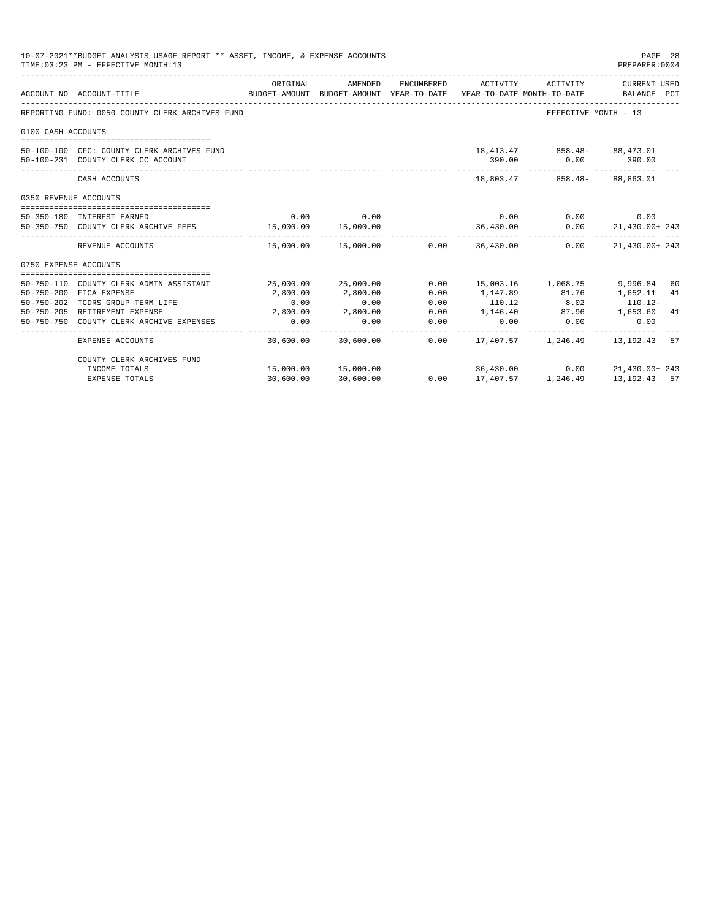|                       | 10-07-2021**BUDGET ANALYSIS USAGE REPORT ** ASSET, INCOME, & EXPENSE ACCOUNTS<br>TIME: 03:23 PM - EFFECTIVE MONTH: 13 |           |                                 |                      |                                                                                                             |                                             | PAGE 28<br>PREPARER:0004 |          |
|-----------------------|-----------------------------------------------------------------------------------------------------------------------|-----------|---------------------------------|----------------------|-------------------------------------------------------------------------------------------------------------|---------------------------------------------|--------------------------|----------|
|                       | ACCOUNT NO ACCOUNT-TITLE                                                                                              | ORIGINAL  | AMENDED                         |                      | ENCUMBERED ACTIVITY<br>BUDGET-AMOUNT BUDGET-AMOUNT YEAR-TO-DATE YEAR-TO-DATE MONTH-TO-DATE BALANCE PCT      |                                             | ACTIVITY CURRENT USED    |          |
|                       | REPORTING FUND: 0050 COUNTY CLERK ARCHIVES FUND                                                                       |           |                                 |                      |                                                                                                             | EFFECTIVE MONTH - 13                        |                          |          |
| 0100 CASH ACCOUNTS    |                                                                                                                       |           |                                 |                      |                                                                                                             |                                             |                          |          |
|                       | 50-100-100 CFC: COUNTY CLERK ARCHIVES FUND<br>50-100-231 COUNTY CLERK CC ACCOUNT                                      |           |                                 |                      | 390.00                                                                                                      | 18,413.47 858.48 88,473.01<br>$0.00$ 390.00 |                          |          |
|                       | CASH ACCOUNTS                                                                                                         |           |                                 |                      |                                                                                                             | 18,803.47 858.48- 88,863.01                 |                          |          |
| 0350 REVENUE ACCOUNTS |                                                                                                                       |           |                                 |                      |                                                                                                             |                                             |                          |          |
|                       | 50-350-180 INTEREST EARNED                                                                                            |           | $0.00$ 0.00                     |                      | 0.00                                                                                                        |                                             | $0.00$ 0.00              |          |
|                       | 50-350-750 COUNTY CLERK ARCHIVE FEES 15,000.00                                                                        |           | 15,000.00                       |                      | 36,430.00<br>.                                                                                              |                                             | $0.00$ $21,430.00+243$   |          |
|                       | REVENUE ACCOUNTS                                                                                                      |           |                                 |                      | $15.000.00$ $15.000.00$ $0.00$ $36.430.00$                                                                  | ------------- ------------- ---<br>0.00     | 21,430.00+243            |          |
| 0750 EXPENSE ACCOUNTS |                                                                                                                       |           |                                 |                      |                                                                                                             |                                             |                          |          |
| $50 - 750 - 200$      | 50-750-110 COUNTY CLERK ADMIN ASSISTANT<br>FICA EXPENSE                                                               | 2,800.00  | 25,000.00 25,000.00<br>2,800.00 | 0.00<br>0.00         | 15,003.16 1,068.75<br>1, 147.89 81.76                                                                       |                                             | 9,996.84<br>1,652.11     | 60<br>41 |
| $50 - 750 - 202$      | TCDRS GROUP TERM LIFE                                                                                                 | 0.00      | 0.00                            | 0.00                 |                                                                                                             |                                             |                          |          |
|                       | 50-750-205 RETIREMENT EXPENSE                                                                                         | 2,800.00  | 2,800.00                        | 0.00                 | $\begin{array}{cccccc} 110.12 & & & 8.02 & & 110.12- \\ 1,146.40 & & & 87.96 & & 1,653.60 & 41 \end{array}$ |                                             |                          |          |
|                       | 50-750-750 COUNTY CLERK ARCHIVE EXPENSES                                                                              | 0.00      | 0.00                            | 0.00<br>------------ | 0.00                                                                                                        | 0.00                                        | 0.00                     |          |
|                       | EXPENSE ACCOUNTS                                                                                                      |           | 30.600.00 30.600.00             |                      | $0.00$ 17,407.57 1,246.49 13,192.43                                                                         |                                             |                          | 57       |
|                       | COUNTY CLERK ARCHIVES FUND                                                                                            |           |                                 |                      |                                                                                                             |                                             |                          |          |
|                       | INCOME TOTALS                                                                                                         |           | 15,000.00 15,000.00             |                      | 36,430.00                                                                                                   |                                             | $0.00$ 21,430.00+243     |          |
|                       | <b>EXPENSE TOTALS</b>                                                                                                 | 30,600.00 | 30,600.00                       | 0.00                 | 17,407.57   1,246.49   13,192.43   57                                                                       |                                             |                          |          |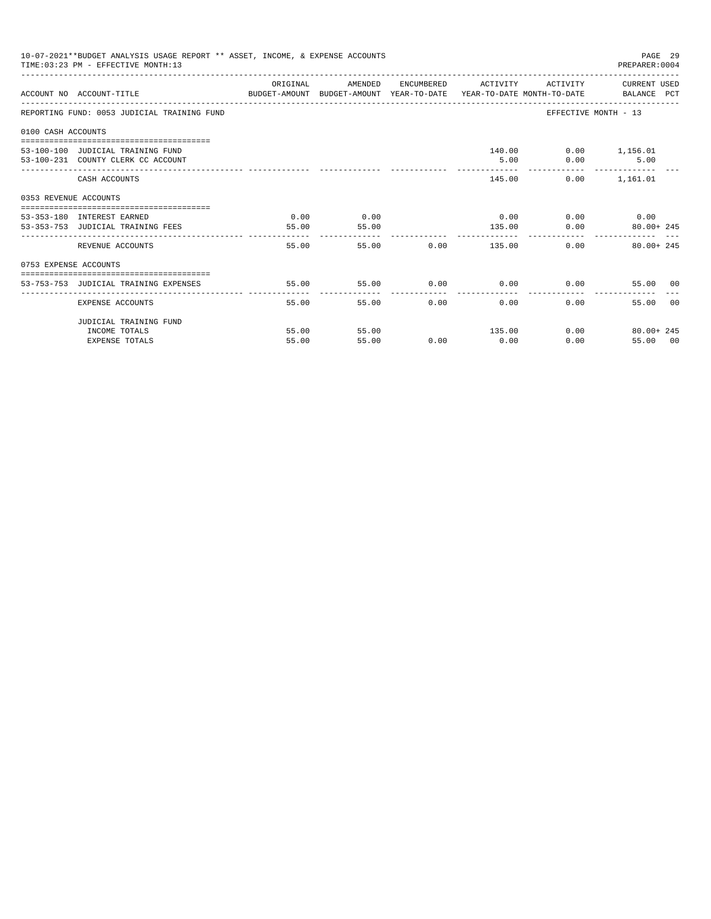|                       | 10-07-2021**BUDGET ANALYSIS USAGE REPORT ** ASSET, INCOME, & EXPENSE ACCOUNTS<br>TIME: 03:23 PM - EFFECTIVE MONTH: 13 |                        |               |                                                 |                     |                             | PAGE 29<br>PREPARER: 0004     |    |
|-----------------------|-----------------------------------------------------------------------------------------------------------------------|------------------------|---------------|-------------------------------------------------|---------------------|-----------------------------|-------------------------------|----|
|                       | ACCOUNT NO ACCOUNT-TITLE CONTROL SUDGET-AMOUNT BUDGET-AMOUNT YEAR-TO-DATE YEAR-TO-DATE MONTH-TO-DATE BALANCE PCT      | ORIGINAL               | AMENDED       |                                                 | ENCUMBERED ACTIVITY |                             | ACTIVITY CURRENT USED         |    |
|                       | REPORTING FUND: 0053 JUDICIAL TRAINING FUND                                                                           |                        |               |                                                 |                     |                             | EFFECTIVE MONTH - 13          |    |
| 0100 CASH ACCOUNTS    |                                                                                                                       |                        |               |                                                 |                     |                             |                               |    |
|                       | 53-100-100 JUDICIAL TRAINING FUND<br>53-100-231 COUNTY CLERK CC ACCOUNT                                               |                        |               |                                                 | 5.00                | 140.00   0.00   1,156.01    | $0.00$ 5.00<br>______________ |    |
|                       | CASH ACCOUNTS                                                                                                         |                        |               |                                                 |                     | 145.00                      | $0.00$ 1,161.01               |    |
| 0353 REVENUE ACCOUNTS |                                                                                                                       |                        |               |                                                 |                     |                             |                               |    |
|                       | ---------------------------------<br>53-353-180 INTEREST EARNED<br>53-353-753 JUDICIAL TRAINING FEES                  | 0.00<br>55.00          | 0.00<br>55.00 |                                                 | 135.00              | $0.00$ 0.00 0.00 0.00       | $0.00$ $80.00+245$            |    |
|                       | -------------------------<br>REVENUE ACCOUNTS                                                                         | $- - - - - -$<br>55.00 |               | 55.00                                           | .<br>$0.00$ 135.00  |                             | $0.00$ 80.00+245              |    |
| 0753 EXPENSE ACCOUNTS |                                                                                                                       |                        |               |                                                 |                     |                             |                               |    |
|                       | 53-753-753 JUDICIAL TRAINING EXPENSES                                                                                 | 55.00                  | 55.00         |                                                 |                     | $0.00$ $0.00$ $0.00$ $0.00$ | 55.00 00                      |    |
|                       | EXPENSE ACCOUNTS                                                                                                      | 55.00                  |               | ______________________________<br>0.00<br>55.00 | 0.00                | 0.00                        | 55.00                         | 00 |
|                       | JUDICIAL TRAINING FUND                                                                                                |                        |               |                                                 |                     |                             |                               |    |
|                       | INCOME TOTALS                                                                                                         | 55.00                  | 55.00         |                                                 | 135.00              |                             | $0.00$ 80.00+ 245             |    |
|                       | <b>EXPENSE TOTALS</b>                                                                                                 | 55.00                  | 55.00         | 0.00                                            | 0.00                | 0.00                        | 55.00 00                      |    |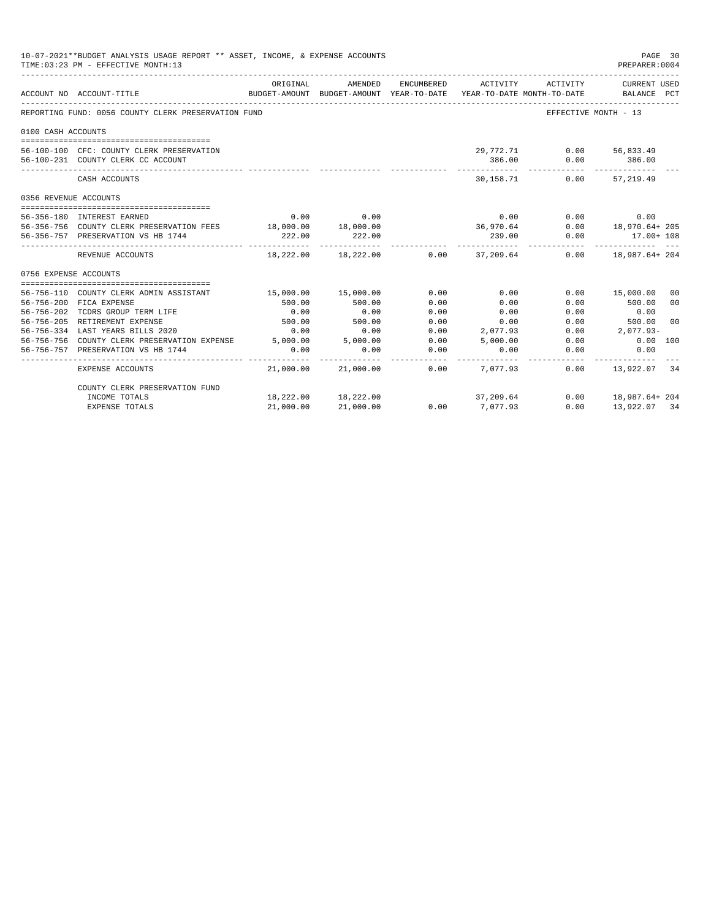| 10-07-2021**BUDGET ANALYSIS USAGE REPORT ** ASSET, INCOME, & EXPENSE ACCOUNTS<br>TIME: 03:23 PM - EFFECTIVE MONTH: 13<br>PREPARER: 0004 |                                                                                 |                     |                                                     |            |                     |                                        |                             | PAGE 30        |
|-----------------------------------------------------------------------------------------------------------------------------------------|---------------------------------------------------------------------------------|---------------------|-----------------------------------------------------|------------|---------------------|----------------------------------------|-----------------------------|----------------|
|                                                                                                                                         | ACCOUNT NO ACCOUNT-TITLE                                                        | ORIGINAL            | AMENDED<br>BUDGET-AMOUNT BUDGET-AMOUNT YEAR-TO-DATE | ENCUMBERED | ACTIVITY            | ACTIVITY<br>YEAR-TO-DATE MONTH-TO-DATE | CURRENT USED<br>BALANCE PCT |                |
|                                                                                                                                         | REPORTING FUND: 0056 COUNTY CLERK PRESERVATION FUND                             |                     |                                                     |            |                     |                                        | EFFECTIVE MONTH - 13        |                |
| 0100 CASH ACCOUNTS                                                                                                                      |                                                                                 |                     |                                                     |            |                     |                                        |                             |                |
|                                                                                                                                         | 56-100-100 CFC: COUNTY CLERK PRESERVATION<br>56-100-231 COUNTY CLERK CC ACCOUNT |                     |                                                     |            | 29,772.71<br>386.00 | 0.00                                   | $0.00$ 56,833.49<br>386.00  |                |
|                                                                                                                                         | CASH ACCOUNTS                                                                   |                     |                                                     |            | 30,158.71           | 0.00                                   | 57,219.49                   |                |
| 0356 REVENUE ACCOUNTS                                                                                                                   |                                                                                 |                     |                                                     |            |                     |                                        |                             |                |
|                                                                                                                                         |                                                                                 |                     |                                                     |            |                     |                                        |                             |                |
|                                                                                                                                         | 56-356-180 INTEREST EARNED                                                      | 0.00                | 0.00                                                |            | 0.00                |                                        | 0.00<br>0.00                |                |
|                                                                                                                                         | 56-356-756 COUNTY CLERK PRESERVATION FEES 18,000.00 18,000.00                   |                     |                                                     |            | 36,970.64           |                                        | $0.00$ 18,970.64+ 205       |                |
|                                                                                                                                         | 56-356-757 PRESERVATION VS HB 1744                                              | 222.00              | 222.00                                              |            | 239.00              | 0.00                                   | $17.00 + 108$               |                |
|                                                                                                                                         | REVENUE ACCOUNTS                                                                |                     | 18,222.00 18,222.00                                 |            | $0.00$ 37, 209.64   |                                        | $0.00$ 18,987.64+204        |                |
| 0756 EXPENSE ACCOUNTS                                                                                                                   |                                                                                 |                     |                                                     |            |                     |                                        |                             |                |
|                                                                                                                                         |                                                                                 |                     |                                                     |            |                     |                                        |                             |                |
|                                                                                                                                         | 56-756-110 COUNTY CLERK ADMIN ASSISTANT                                         | 15,000.00 15,000.00 |                                                     | 0.00       | 0.00                | 0.00                                   | 15,000.00                   | 00             |
|                                                                                                                                         | 56-756-200 FICA EXPENSE                                                         | 500.00              | 500.00                                              | 0.00       | 0.00                | 0.00                                   | 500.00                      | 0 <sup>0</sup> |
| 56-756-202                                                                                                                              | TCDRS GROUP TERM LIFE                                                           | 0.00                | 0.00                                                | 0.00       | 0.00                | 0.00                                   | 0.00                        |                |
| $56 - 756 - 205$                                                                                                                        | RETIREMENT EXPENSE                                                              | 500.00              | 500.00                                              | 0.00       | 0.00                | 0.00                                   | 500.00                      | 0 <sub>0</sub> |
|                                                                                                                                         | 56-756-334 LAST YEARS BILLS 2020                                                | 0.00                | 0.00                                                | 0.00       | 2,077.93            | 0.00                                   | $2.077.93-$                 |                |
|                                                                                                                                         | 56-756-756 COUNTY CLERK PRESERVATION EXPENSE 5,000.00 5,000.00                  |                     |                                                     | 0.00       | 5.000.00            | 0.00                                   | $0.00$ 100                  |                |
| 56-756-757                                                                                                                              | PRESERVATION VS HB 1744                                                         | 0.00                | 0.00                                                | 0.00       | 0.00                | 0.00                                   | 0.00                        |                |
|                                                                                                                                         | EXPENSE ACCOUNTS                                                                |                     | 21,000.00 21,000.00                                 | 0.00       | 7,077.93            | 0.00                                   | 13,922.07                   | 34             |
|                                                                                                                                         | COUNTY CLERK PRESERVATION FUND                                                  |                     |                                                     |            |                     |                                        |                             |                |
|                                                                                                                                         | INCOME TOTALS                                                                   |                     | 18,222.00 18,222.00                                 |            | 37,209.64           |                                        | $0.00$ 18,987.64+ 204       |                |
|                                                                                                                                         | <b>EXPENSE TOTALS</b>                                                           | 21,000.00           | 21,000.00                                           | 0.00       | 7,077.93            | 0.00                                   | 13,922.07 34                |                |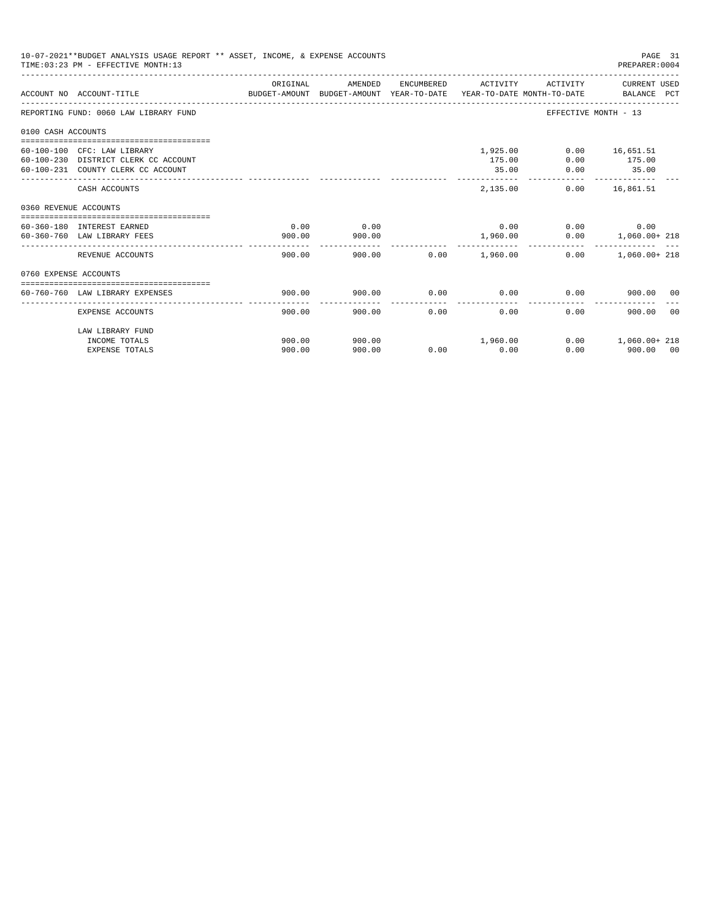|                       | 10-07-2021**BUDGET ANALYSIS USAGE REPORT ** ASSET, INCOME, & EXPENSE ACCOUNTS<br>TIME: 03:23 PM - EFFECTIVE MONTH: 13 |          |         |      |                     |                      | PAGE 31<br>PREPARER: 0004       |    |
|-----------------------|-----------------------------------------------------------------------------------------------------------------------|----------|---------|------|---------------------|----------------------|---------------------------------|----|
|                       | ACCOUNT NO ACCOUNT-TITLE CONTROL SUDGET-AMOUNT BUDGET-AMOUNT YEAR-TO-DATE YEAR-TO-DATE MONTH-TO-DATE BALANCE PCT      | ORIGINAL | AMENDED |      | ENCUMBERED ACTIVITY |                      | ACTIVITY CURRENT USED           |    |
|                       | REPORTING FUND: 0060 LAW LIBRARY FUND                                                                                 |          |         |      |                     | EFFECTIVE MONTH - 13 |                                 |    |
| 0100 CASH ACCOUNTS    |                                                                                                                       |          |         |      |                     |                      |                                 |    |
|                       |                                                                                                                       |          |         |      |                     |                      |                                 |    |
|                       | 60-100-100 CFC: LAW LIBRARY                                                                                           |          |         |      | 1,925.00            |                      | $0.00$ 16,651.51                |    |
|                       | 60-100-230 DISTRICT CLERK CC ACCOUNT                                                                                  |          |         |      | 175.00              | 0.00                 | 175.00                          |    |
|                       | 60-100-231 COUNTY CLERK CC ACCOUNT                                                                                    |          |         |      | 35.00               |                      | $0.00$ 35.00                    |    |
|                       | CASH ACCOUNTS                                                                                                         |          |         |      | 2,135,00            |                      | $0.00$ 16,861.51                |    |
| 0360 REVENUE ACCOUNTS |                                                                                                                       |          |         |      |                     |                      |                                 |    |
|                       | 60-360-180 INTEREST EARNED                                                                                            | 0.00     | 0.00    |      | 0.00                |                      | 0.00                            |    |
|                       | 60-360-760 LAW LIBRARY FEES                                                                                           | 900.00   | 900.00  |      |                     |                      | 0.00                            |    |
|                       |                                                                                                                       |          |         |      |                     |                      | 1,960.00   0.00   1,060.00+ 218 |    |
|                       | REVENUE ACCOUNTS                                                                                                      | 900.00   |         |      |                     | 0.00                 | $1.060.00+218$                  |    |
| 0760 EXPENSE ACCOUNTS |                                                                                                                       |          |         |      |                     |                      |                                 |    |
|                       |                                                                                                                       |          |         |      |                     |                      |                                 |    |
|                       | 60-760-760 LAW LIBRARY EXPENSES                                                                                       | 900.00   | 900.00  |      | $0.00$ 0.00         | 0.00                 | 900.00 00                       |    |
|                       | EXPENSE ACCOUNTS                                                                                                      | 900.00   | 900.00  | 0.00 | 0.00                | 0.00                 | 900.00                          | 00 |
|                       | LAW LIBRARY FUND                                                                                                      |          |         |      |                     |                      |                                 |    |
|                       | INCOME TOTALS                                                                                                         | 900.00   | 900.00  |      | 1,960.00            |                      | $0.00$ 1,060.00+218             |    |
|                       | <b>EXPENSE TOTALS</b>                                                                                                 | 900.00   | 900.00  | 0.00 | 0.00                | 0.00                 | 900.00 00                       |    |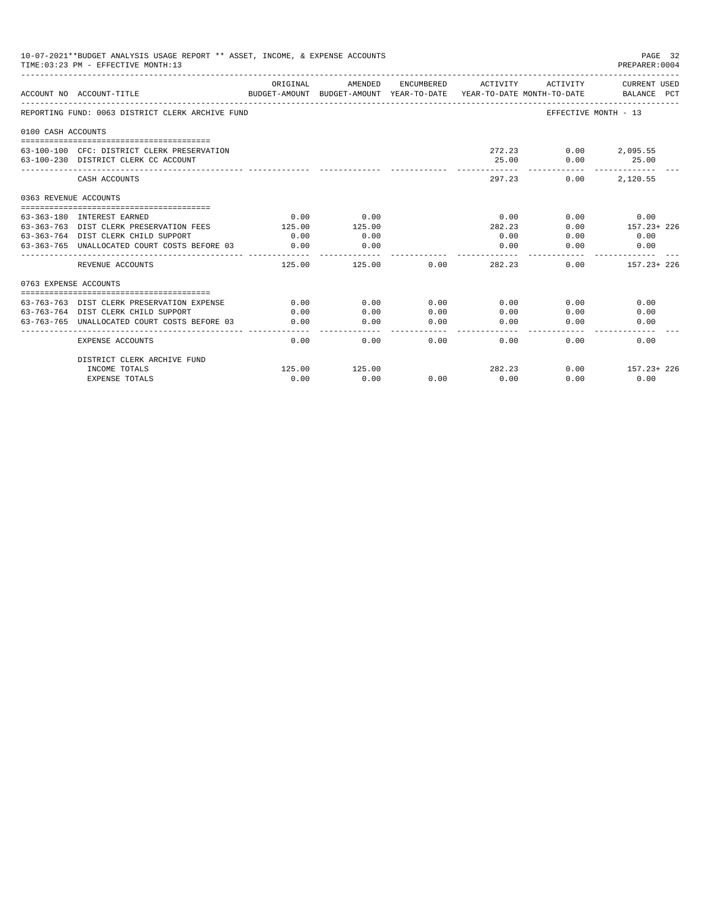|                       | 10-07-2021**BUDGET ANALYSIS USAGE REPORT ** ASSET, INCOME, & EXPENSE ACCOUNTS<br>TIME: 03:23 PM - EFFECTIVE MONTH: 13 |          |                                                                                |            |          |                     | PAGE 32<br>PREPARER: 0004   |
|-----------------------|-----------------------------------------------------------------------------------------------------------------------|----------|--------------------------------------------------------------------------------|------------|----------|---------------------|-----------------------------|
|                       | ACCOUNT NO ACCOUNT-TITLE                                                                                              | ORIGINAL | AMENDED<br>BUDGET-AMOUNT BUDGET-AMOUNT YEAR-TO-DATE YEAR-TO-DATE MONTH-TO-DATE | ENCUMBERED | ACTIVITY | ACTIVITY            | CURRENT USED<br>BALANCE PCT |
|                       | REPORTING FUND: 0063 DISTRICT CLERK ARCHIVE FUND                                                                      |          |                                                                                |            |          |                     | EFFECTIVE MONTH - 13        |
| 0100 CASH ACCOUNTS    |                                                                                                                       |          |                                                                                |            |          |                     |                             |
|                       | 63-100-100 CFC: DISTRICT CLERK PRESERVATION<br>63-100-230 DISTRICT CLERK CC ACCOUNT                                   |          |                                                                                |            | 25.00    | 272.23 0.00<br>0.00 | 2,095.55<br>25.00           |
|                       | CASH ACCOUNTS                                                                                                         |          |                                                                                |            | 297.23   | 0.00                | 2,120.55                    |
| 0363 REVENUE ACCOUNTS |                                                                                                                       |          |                                                                                |            |          |                     |                             |
|                       | 63-363-180 INTEREST EARNED                                                                                            | 0.00     | 0.00                                                                           |            | 0.00     | 0.00                | 0.00                        |
|                       | 63-363-763 DIST CLERK PRESERVATION FEES                                                                               | 125.00   | 125.00                                                                         |            | 282.23   | 0.00                | 157.23+ 226                 |
|                       | 63-363-764 DIST CLERK CHILD SUPPORT                                                                                   | 0.00     | 0.00                                                                           |            | 0.00     | 0.00                | 0.00                        |
|                       | 63-363-765 UNALLOCATED COURT COSTS BEFORE 03                                                                          | 0.00     | 0.00<br>----------                                                             |            | 0.00     | 0.00                | 0.00                        |
|                       | REVENUE ACCOUNTS                                                                                                      | 125.00   | 125.00                                                                         | 0.00       | 282.23   |                     | $0.00$ $157.23+226$         |
| 0763 EXPENSE ACCOUNTS |                                                                                                                       |          |                                                                                |            |          |                     |                             |
|                       |                                                                                                                       |          |                                                                                |            |          |                     |                             |
|                       | 63-763-763 DIST CLERK PRESERVATION EXPENSE                                                                            | 0.00     | 0.00                                                                           | 0.00       | 0.00     | 0.00                | 0.00                        |
|                       | 63-763-764 DIST CLERK CHILD SUPPORT                                                                                   | 0.00     | 0.00                                                                           | 0.00       | 0.00     | 0.00                | 0.00                        |
|                       | 63-763-765 UNALLOCATED COURT COSTS BEFORE 03                                                                          | 0.00     | 0.00                                                                           | 0.00       | 0.00     | 0.00                | 0.00                        |
|                       | <b>EXPENSE ACCOUNTS</b>                                                                                               | 0.00     | 0.00                                                                           | 0.00       | 0.00     | 0.00                | 0.00                        |
|                       | DISTRICT CLERK ARCHIVE FUND                                                                                           |          |                                                                                |            |          |                     |                             |
|                       | INCOME TOTALS                                                                                                         | 125.00   | 125.00                                                                         |            | 282.23   | 0.00                | $157.23 + 226$              |
|                       | <b>EXPENSE TOTALS</b>                                                                                                 | 0.00     | 0.00                                                                           | 0.00       | 0.00     | 0.00                | 0.00                        |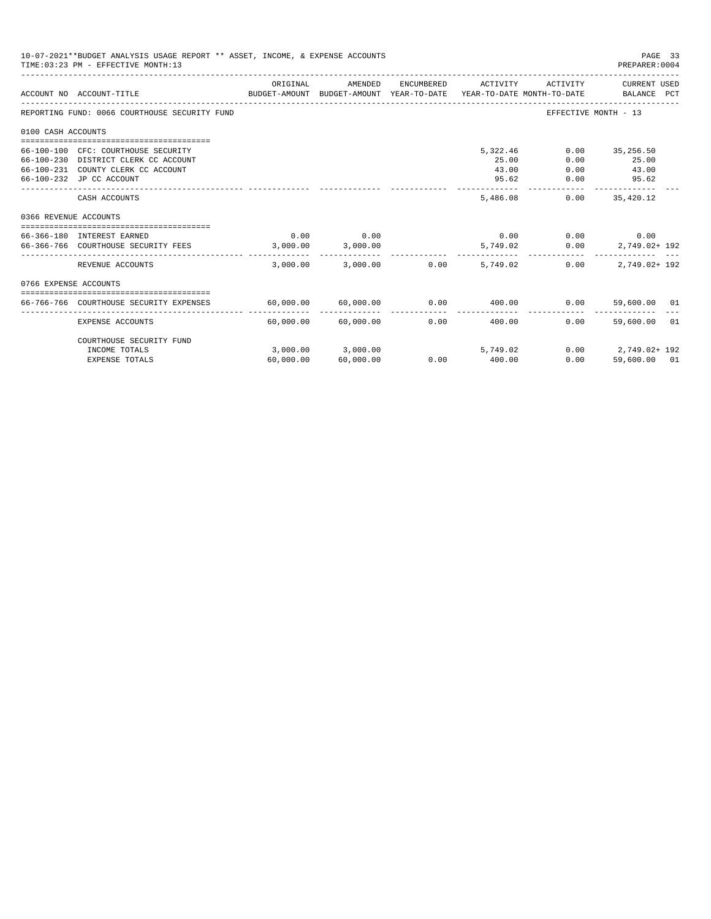|                       | 10-07-2021**BUDGET ANALYSIS USAGE REPORT ** ASSET, INCOME, & EXPENSE ACCOUNTS<br>TIME: 03:23 PM - EFFECTIVE MONTH: 13 |                         |                     |            |                             |                      | PAGE 33<br>PREPARER: 0004   |  |
|-----------------------|-----------------------------------------------------------------------------------------------------------------------|-------------------------|---------------------|------------|-----------------------------|----------------------|-----------------------------|--|
|                       | BUDGET-AMOUNT BUDGET-AMOUNT YEAR-TO-DATE YEAR-TO-DATE MONTH-TO-DATE<br>ACCOUNT NO ACCOUNT-TITLE                       | ORIGINAL                | AMENDED             | ENCUMBERED | ACTIVITY                    | ACTIVITY             | CURRENT USED<br>BALANCE PCT |  |
|                       | REPORTING FUND: 0066 COURTHOUSE SECURITY FUND                                                                         |                         |                     |            |                             | EFFECTIVE MONTH - 13 |                             |  |
| 0100 CASH ACCOUNTS    |                                                                                                                       |                         |                     |            |                             |                      |                             |  |
|                       |                                                                                                                       |                         |                     |            |                             |                      |                             |  |
|                       | 66-100-100 CFC: COURTHOUSE SECURITY                                                                                   |                         |                     |            | 5,322.46                    |                      | $0.00$ 35,256.50            |  |
|                       | 66-100-230 DISTRICT CLERK CC ACCOUNT                                                                                  |                         |                     |            | 25.00                       | 0.00                 | 25.00                       |  |
|                       | 66-100-231 COUNTY CLERK CC ACCOUNT                                                                                    |                         |                     |            | 43.00                       | 0.00                 | 43.00                       |  |
|                       | 66-100-232 JP CC ACCOUNT                                                                                              |                         |                     |            | 95.62                       | 0.00                 | 95.62                       |  |
|                       | CASH ACCOUNTS                                                                                                         |                         |                     |            | 5,486.08                    | 0.00                 | 35,420.12                   |  |
| 0366 REVENUE ACCOUNTS |                                                                                                                       |                         |                     |            |                             |                      |                             |  |
|                       |                                                                                                                       |                         |                     |            |                             |                      |                             |  |
|                       | 66-366-180 INTEREST EARNED                                                                                            | 0.00                    | 0.00                |            | 0.00                        |                      | 0.00<br>0.00                |  |
|                       | 66-366-766 COURTHOUSE SECURITY FEES                                                                                   | 3.000.00                | 3,000.00            |            | 5,749.02                    | 0.00                 | 2,749.02+192                |  |
|                       | REVENUE ACCOUNTS                                                                                                      |                         | 3,000.00 3,000.00   | 0.00       | 5,749.02                    | 0.00                 | $2.749.02 + 192$            |  |
| 0766 EXPENSE ACCOUNTS |                                                                                                                       |                         |                     |            |                             |                      |                             |  |
|                       |                                                                                                                       |                         |                     |            |                             |                      |                             |  |
|                       | 66-766-766 COURTHOUSE SECURITY EXPENSES                                                                               | $60,000.00$ $60,000.00$ |                     | 0.00       | 400.00                      | 0.00                 | 59,600.00 01                |  |
|                       | EXPENSE ACCOUNTS                                                                                                      |                         | 60,000.00 60,000.00 |            | $0.00$ and $0.00$<br>400.00 | 0.00                 | 59,600.00 01                |  |
|                       | COURTHOUSE SECURITY FUND                                                                                              |                         |                     |            |                             |                      |                             |  |
|                       | INCOME TOTALS                                                                                                         |                         | 3,000.00 3,000.00   |            | 5,749.02                    |                      | $0.00$ 2,749.02+192         |  |
|                       | <b>EXPENSE TOTALS</b>                                                                                                 | 60,000.00               | 60,000.00           | 0.00       | 400.00                      | 0.00                 | 59,600.00 01                |  |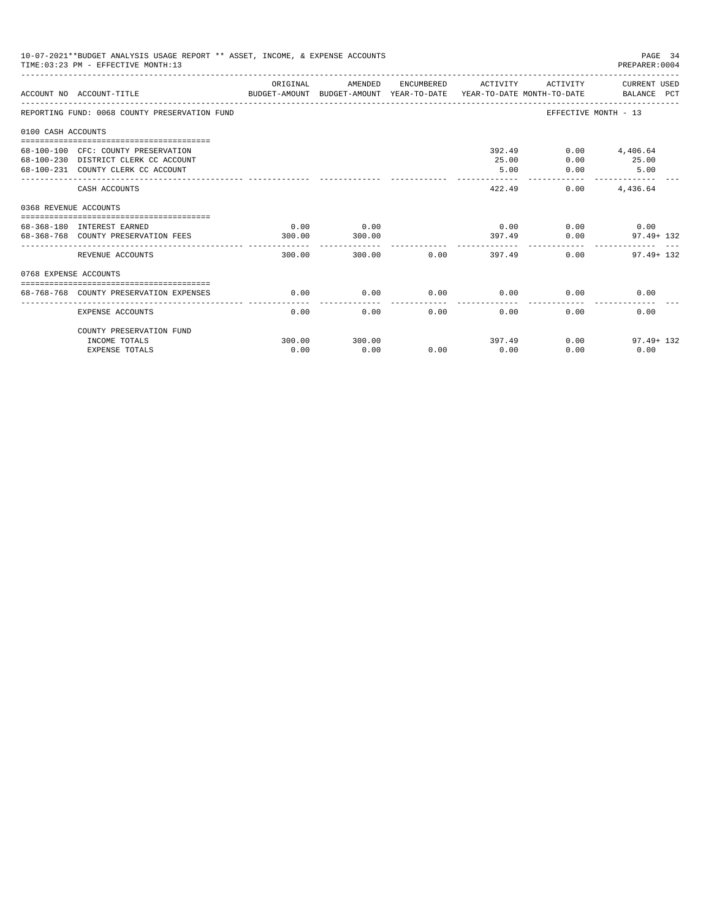| 10-07-2021**BUDGET ANALYSIS USAGE REPORT ** ASSET, INCOME, & EXPENSE ACCOUNTS<br>PAGE 34<br>TIME: 03:23 PM - EFFECTIVE MONTH: 13<br>PREPARER: 0004 |                                                                                                                   |                |                |             |                     |                                               |                                                                                                               |  |
|----------------------------------------------------------------------------------------------------------------------------------------------------|-------------------------------------------------------------------------------------------------------------------|----------------|----------------|-------------|---------------------|-----------------------------------------------|---------------------------------------------------------------------------------------------------------------|--|
|                                                                                                                                                    | ACCOUNT NO ACCOUNT-TITLE                                                                                          | ORIGINAL       | AMENDED        |             | ENCUMBERED ACTIVITY |                                               | ACTIVITY CURRENT USED<br>BUDGET-AMOUNT BUDGET-AMOUNT YEAR-TO-DATE  YEAR-TO-DATE MONTH-TO-DATE     BALANCE PCT |  |
|                                                                                                                                                    | REPORTING FUND: 0068 COUNTY PRESERVATION FUND                                                                     |                |                |             |                     |                                               | EFFECTIVE MONTH - 13                                                                                          |  |
| 0100 CASH ACCOUNTS                                                                                                                                 |                                                                                                                   |                |                |             |                     |                                               |                                                                                                               |  |
|                                                                                                                                                    | 68-100-100 CFC: COUNTY PRESERVATION<br>68-100-230 DISTRICT CLERK CC ACCOUNT<br>68-100-231 COUNTY CLERK CC ACCOUNT |                |                |             | 25.00<br>5.00       | 392.49<br>0.00<br>0.00                        | $0.00$ 4,406.64<br>25.00<br>5.00                                                                              |  |
|                                                                                                                                                    | CASH ACCOUNTS                                                                                                     |                |                |             | 422.49              | 0.00                                          | 4,436.64                                                                                                      |  |
| 0368 REVENUE ACCOUNTS                                                                                                                              |                                                                                                                   |                |                |             |                     |                                               |                                                                                                               |  |
|                                                                                                                                                    | 68-368-180 INTEREST EARNED<br>68-368-768 COUNTY PRESERVATION FEES                                                 | 0.00<br>300.00 | 0.00<br>300.00 |             |                     | $0.00$ $0.00$ $0.00$ $0.00$<br>397.49<br>0.00 | $97.49 + 132$                                                                                                 |  |
|                                                                                                                                                    | REVENUE ACCOUNTS                                                                                                  | 300.00         |                | 300.00 0.00 | --------------      | 397.49                                        | 0.00<br>$97.49 + 132$                                                                                         |  |
| 0768 EXPENSE ACCOUNTS                                                                                                                              |                                                                                                                   |                |                |             |                     |                                               |                                                                                                               |  |
|                                                                                                                                                    | 68-768-768 COUNTY PRESERVATION EXPENSES                                                                           | 0.00           | 0.00           | $0.00$ 0.00 |                     |                                               | 0.00<br>0.00                                                                                                  |  |
|                                                                                                                                                    | EXPENSE ACCOUNTS                                                                                                  | 0.00           | 0.00           | 0.00        | 0.00                | 0.00                                          | 0.00                                                                                                          |  |
|                                                                                                                                                    | COUNTY PRESERVATION FUND                                                                                          |                |                |             |                     |                                               |                                                                                                               |  |
|                                                                                                                                                    | INCOME TOTALS<br><b>EXPENSE TOTALS</b>                                                                            | 300.00<br>0.00 | 300.00<br>0.00 | 0.00        | 0.00                | 397.49<br>0.00                                | 0.00<br>$97.49 + 132$<br>0.00                                                                                 |  |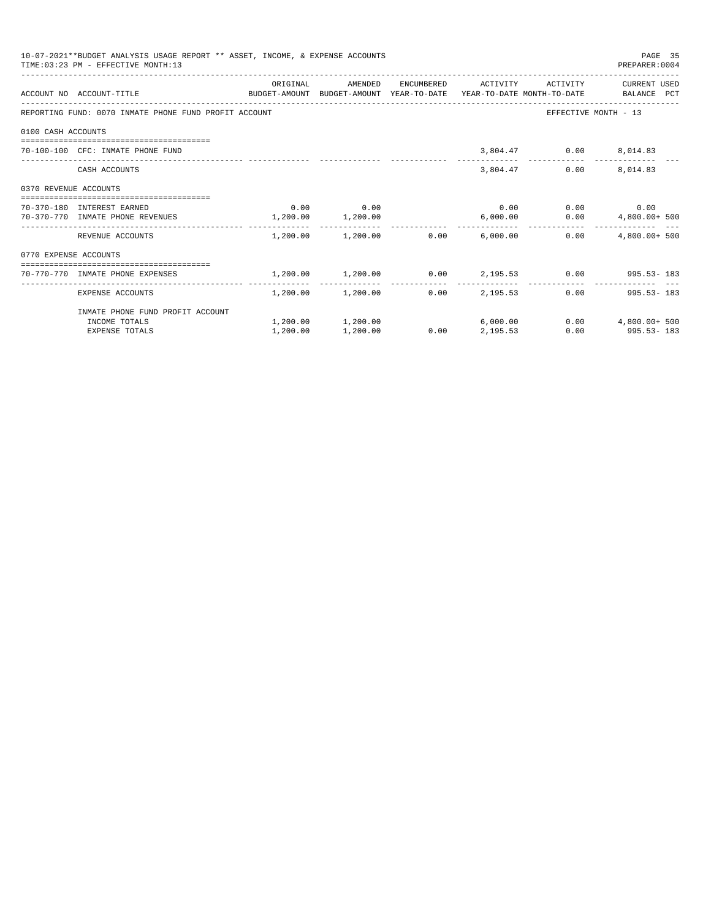|                       | 10-07-2021**BUDGET ANALYSIS USAGE REPORT ** ASSET, INCOME, & EXPENSE ACCOUNTS<br>TIME: 03:23 PM - EFFECTIVE MONTH: 13 |          |                                         |      |          |                              | PAGE 35<br>PREPARER: 0004                                     |
|-----------------------|-----------------------------------------------------------------------------------------------------------------------|----------|-----------------------------------------|------|----------|------------------------------|---------------------------------------------------------------|
|                       | ACCOUNT NO ACCOUNT-TITLE COMPUTE BUDGET-AMOUNT BUDGET-AMOUNT YEAR-TO-DATE YEAR-TO-DATE MONTH-TO-DATE BALANCE PCT      | ORIGINAL | AMENDED                                 |      |          | ENCUMBERED ACTIVITY ACTIVITY | CURRENT USED                                                  |
|                       | REPORTING FUND: 0070 INMATE PHONE FUND PROFIT ACCOUNT                                                                 |          |                                         |      |          |                              | EFFECTIVE MONTH - 13                                          |
| 0100 CASH ACCOUNTS    |                                                                                                                       |          |                                         |      |          |                              |                                                               |
|                       | 70-100-100 CFC: INMATE PHONE FUND                                                                                     |          |                                         |      |          | 3,804.47 0.00 8,014.83       |                                                               |
|                       | CASH ACCOUNTS                                                                                                         |          |                                         |      |          | 3,804.47                     | $0.00$ 8,014.83                                               |
| 0370 REVENUE ACCOUNTS |                                                                                                                       |          |                                         |      |          |                              |                                                               |
|                       | 70-370-180 INTEREST EARNED                                                                                            |          | $0.00$ 0.00                             |      |          |                              | $0.00$ $0.00$ $0.00$ $0.00$                                   |
|                       | 70-370-770 INMATE PHONE REVENUES 1,200.00 1,200.00                                                                    |          |                                         |      | 6,000.00 |                              | $0.00$ $4,800.00+500$                                         |
|                       | REVENUE ACCOUNTS                                                                                                      |          | $1.200.00$ $1.200.00$ $0.00$ $6.000.00$ |      |          | 0.00                         | $4.800.00+500$                                                |
| 0770 EXPENSE ACCOUNTS |                                                                                                                       |          |                                         |      |          |                              |                                                               |
|                       | -----------------------------------<br>70-770-770 INMATE PHONE EXPENSES                                               |          |                                         |      |          |                              | $1,200.00$ $1,200.00$ $0.00$ $2,195.53$ $0.00$ $995.53 - 183$ |
|                       | EXPENSE ACCOUNTS                                                                                                      |          | $1,200.00$ $1,200.00$ 0.00 $2,195.53$   |      |          | -------------                | $0.00$ 995.53-183                                             |
|                       | INMATE PHONE FUND PROFIT ACCOUNT                                                                                      |          |                                         |      |          |                              |                                                               |
|                       | INCOME TOTALS                                                                                                         |          | 1,200.00 1,200.00                       |      | 6,000.00 |                              | $0.00$ $4.800.00+500$                                         |
|                       | <b>EXPENSE TOTALS</b>                                                                                                 | 1,200.00 | 1,200.00                                | 0.00 | 2,195.53 |                              | $0.00$ 995.53 - 183                                           |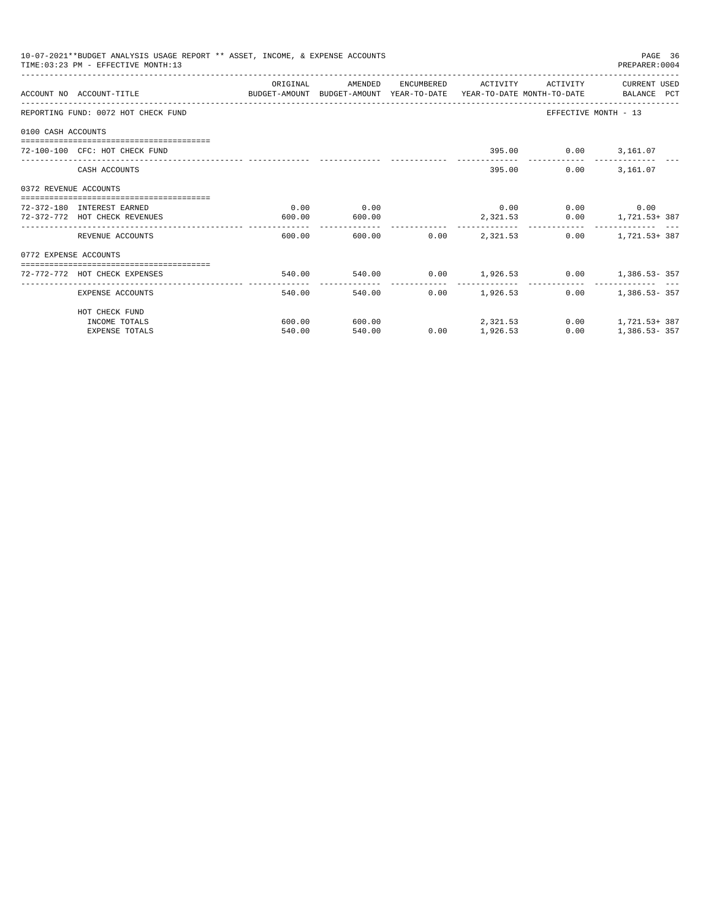|                       | 10-07-2021**BUDGET ANALYSIS USAGE REPORT ** ASSET, INCOME, & EXPENSE ACCOUNTS<br>TIME: 03:23 PM - EFFECTIVE MONTH: 13 |          |                                      |                      |                 |                             | PAGE 36<br>PREPARER: 0004                     |
|-----------------------|-----------------------------------------------------------------------------------------------------------------------|----------|--------------------------------------|----------------------|-----------------|-----------------------------|-----------------------------------------------|
|                       | ACCOUNT NO ACCOUNT-TITLE CONTROL SUDGET-AMOUNT BUDGET-AMOUNT YEAR-TO-DATE YEAR-TO-DATE MONTH-TO-DATE BALANCE PCT      | ORIGINAL | AMENDED ENCUMBERED ACTIVITY ACTIVITY |                      |                 |                             | CURRENT USED                                  |
|                       | REPORTING FUND: 0072 HOT CHECK FUND                                                                                   |          |                                      |                      |                 |                             | EFFECTIVE MONTH - 13                          |
| 0100 CASH ACCOUNTS    |                                                                                                                       |          |                                      |                      |                 |                             |                                               |
|                       | 72-100-100 CFC: HOT CHECK FUND                                                                                        |          |                                      |                      |                 | 395.00   0.00   3,161.07    |                                               |
|                       | CASH ACCOUNTS                                                                                                         |          |                                      |                      |                 | 395.00                      | $0.00$ 3,161.07                               |
| 0372 REVENUE ACCOUNTS |                                                                                                                       |          |                                      |                      |                 |                             |                                               |
|                       | 72-372-180 INTEREST EARNED                                                                                            | 0.00     | 0.00                                 |                      |                 | $0.00$ $0.00$ $0.00$ $0.00$ |                                               |
|                       | 72-372-772 HOT CHECK REVENUES                                                                                         | 600.00   | 600.00                               | -------------        | 2,321.53        |                             | $0.00$ 1, 721.53+387                          |
|                       | REVENUE ACCOUNTS                                                                                                      | 600.00   |                                      | 600.00 0.00 2.321.53 |                 |                             | $0.00$ 1.721.53+387                           |
| 0772 EXPENSE ACCOUNTS |                                                                                                                       |          |                                      |                      |                 |                             |                                               |
|                       | ------------------------------------<br>72-772-772 HOT CHECK EXPENSES                                                 |          |                                      |                      |                 |                             | 540.00 540.00 0.00 1,926.53 0.00 1,386.53-357 |
|                       | EXPENSE ACCOUNTS                                                                                                      | 540.00   |                                      | 540.00               | $0.00$ 1,926.53 |                             | $0.00$ 1,386.53-357                           |
|                       | HOT CHECK FUND                                                                                                        |          |                                      |                      |                 |                             |                                               |
|                       | INCOME TOTALS                                                                                                         | 600.00   | 600.00                               | 2, 321, 53           |                 |                             | $0.00$ 1, 721.53+387                          |
|                       | <b>EXPENSE TOTALS</b>                                                                                                 | 540.00   | 540.00                               | 0.00                 | 1,926.53        | 0.00                        | $1,386.53 - 357$                              |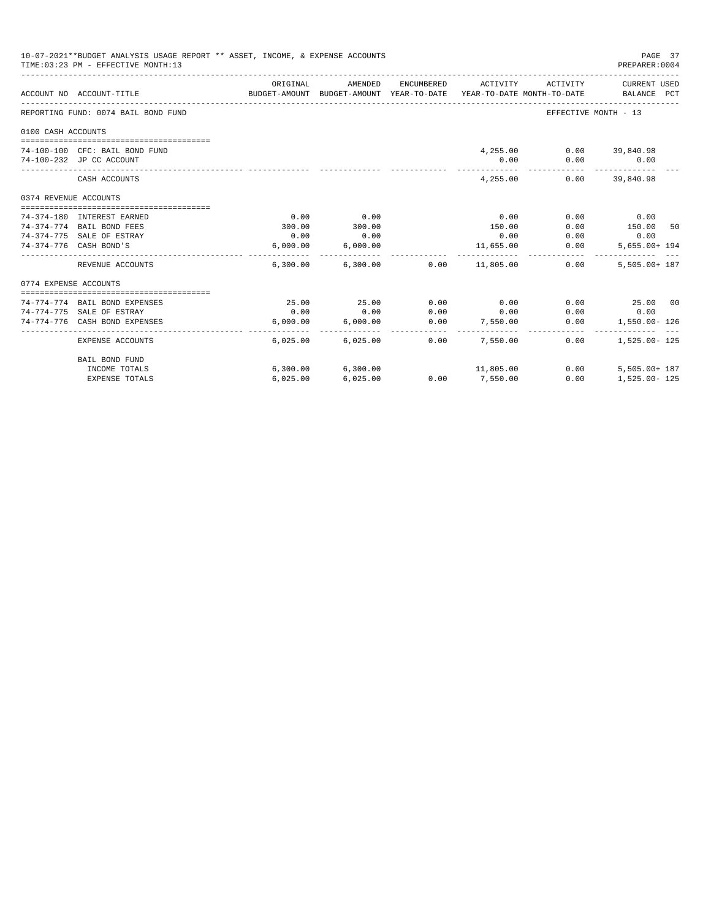| 10-07-2021**BUDGET ANALYSIS USAGE REPORT ** ASSET, INCOME, & EXPENSE ACCOUNTS<br>TIME: 03:23 PM - EFFECTIVE MONTH: 13<br>PREPARER: 0004 |                                     |          |                   |            |                                                                                 |                       |                             |  |
|-----------------------------------------------------------------------------------------------------------------------------------------|-------------------------------------|----------|-------------------|------------|---------------------------------------------------------------------------------|-----------------------|-----------------------------|--|
|                                                                                                                                         | ACCOUNT NO ACCOUNT-TITLE            | ORIGINAL | AMENDED           | ENCUMBERED | ACTIVITY<br>BUDGET-AMOUNT BUDGET-AMOUNT YEAR-TO-DATE YEAR-TO-DATE MONTH-TO-DATE | ACTIVITY              | CURRENT USED<br>BALANCE PCT |  |
|                                                                                                                                         | REPORTING FUND: 0074 BAIL BOND FUND |          |                   |            |                                                                                 | EFFECTIVE MONTH - 13  |                             |  |
| 0100 CASH ACCOUNTS                                                                                                                      |                                     |          |                   |            |                                                                                 |                       |                             |  |
|                                                                                                                                         | 74-100-100 CFC: BAIL BOND FUND      |          |                   |            | 4,255.00                                                                        |                       | $0.00$ 39,840.98            |  |
|                                                                                                                                         | 74-100-232 JP CC ACCOUNT            |          |                   |            | 0.00                                                                            |                       | $0.00$ 0.00                 |  |
|                                                                                                                                         | CASH ACCOUNTS                       |          |                   |            | 4,255.00                                                                        | -----------           | $0.00$ 39,840.98            |  |
| 0374 REVENUE ACCOUNTS                                                                                                                   |                                     |          |                   |            |                                                                                 |                       |                             |  |
|                                                                                                                                         | 74-374-180 INTEREST EARNED          | 0.00     | 0.00              |            | 0.00                                                                            | 0.00                  | 0.00                        |  |
|                                                                                                                                         | 74-374-774 BAIL BOND FEES           | 300.00   | 300.00            |            | 150.00                                                                          | 0.00                  | 150.00 50                   |  |
|                                                                                                                                         | 74-374-775 SALE OF ESTRAY           | 0.00     | 0.00              |            | 0.00                                                                            | 0.00                  | 0.00                        |  |
|                                                                                                                                         | 74-374-776 CASH BOND'S              | 6,000.00 | 6,000.00          |            | 11,655.00                                                                       | 0.00                  | $5.655.00 + 194$            |  |
|                                                                                                                                         | REVENUE ACCOUNTS                    |          |                   |            | $6.300.00$ $6.300.00$ $0.00$ $11.805.00$                                        | -------------<br>0.00 | 5,505.00+ 187               |  |
| 0774 EXPENSE ACCOUNTS                                                                                                                   |                                     |          |                   |            |                                                                                 |                       |                             |  |
|                                                                                                                                         |                                     |          |                   |            |                                                                                 |                       |                             |  |
|                                                                                                                                         | 74-774-774 BAIL BOND EXPENSES       | 25.00    | 25.00             | 0.00       | 0.00                                                                            | 0.00                  | 25.00 00                    |  |
|                                                                                                                                         | 74-774-775 SALE OF ESTRAY           | 0.00     | 0.00              | 0.00       | 0.00                                                                            | 0.00                  | 0.00                        |  |
|                                                                                                                                         | 74-774-776 CASH BOND EXPENSES       | 6.000.00 | 6.000.00          | 0.00       | 7,550.00                                                                        | 0.00                  | 1,550.00- 126               |  |
|                                                                                                                                         | EXPENSE ACCOUNTS                    |          | 6,025.00 6,025.00 | 0.00       | 7.550.00                                                                        | 0.00                  | $1.525.00 - 125$            |  |
|                                                                                                                                         | <b>BAIL BOND FUND</b>               |          |                   |            |                                                                                 |                       |                             |  |
|                                                                                                                                         | INCOME TOTALS                       |          | 6,300.00 6,300.00 |            | 11,805.00                                                                       | 0.00                  | $5.505.00 + 187$            |  |
|                                                                                                                                         | <b>EXPENSE TOTALS</b>               | 6,025.00 | 6,025.00          | 0.00       | 7,550.00                                                                        | 0.00                  | 1,525.00- 125               |  |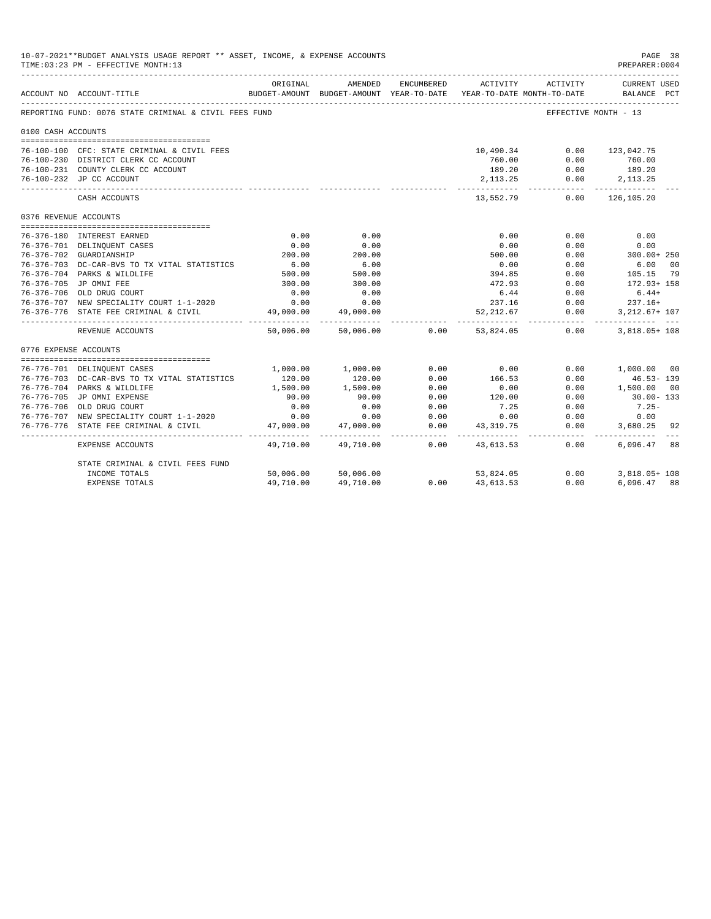| 10-07-2021**BUDGET ANALYSIS USAGE REPORT ** ASSET, INCOME, & EXPENSE ACCOUNTS<br>TIME: 03:23 PM - EFFECTIVE MONTH: 13 |                                                           |                                         |                                                                                |                   |                  |                      |                                    |
|-----------------------------------------------------------------------------------------------------------------------|-----------------------------------------------------------|-----------------------------------------|--------------------------------------------------------------------------------|-------------------|------------------|----------------------|------------------------------------|
|                                                                                                                       | ACCOUNT NO ACCOUNT-TITLE                                  | ORIGINAL                                | AMENDED<br>BUDGET-AMOUNT BUDGET-AMOUNT YEAR-TO-DATE YEAR-TO-DATE MONTH-TO-DATE | ENCUMBERED        | ACTIVITY         | ACTIVITY             | <b>CURRENT USED</b><br>BALANCE PCT |
|                                                                                                                       | REPORTING FUND: 0076 STATE CRIMINAL & CIVIL FEES FUND     |                                         |                                                                                |                   |                  | EFFECTIVE MONTH - 13 |                                    |
| 0100 CASH ACCOUNTS                                                                                                    |                                                           |                                         |                                                                                |                   |                  |                      |                                    |
|                                                                                                                       | 76-100-100 CFC: STATE CRIMINAL & CIVIL FEES               |                                         |                                                                                |                   | 10,490.34        |                      | $0.00$ 123,042.75                  |
|                                                                                                                       | 76-100-230 DISTRICT CLERK CC ACCOUNT                      |                                         |                                                                                |                   | 760.00           | 0.00                 | 760.00                             |
|                                                                                                                       | 76-100-231 COUNTY CLERK CC ACCOUNT                        |                                         |                                                                                |                   | 189.20           | 0.00                 | 189.20                             |
|                                                                                                                       | 76-100-232 JP CC ACCOUNT                                  |                                         |                                                                                |                   | 2,113.25         |                      | $0.00$ 2,113.25                    |
|                                                                                                                       | CASH ACCOUNTS                                             |                                         |                                                                                |                   | 13,552.79        | .<br>0.00            | -------------<br>126,105.20        |
| 0376 REVENUE ACCOUNTS                                                                                                 |                                                           |                                         |                                                                                |                   |                  |                      |                                    |
|                                                                                                                       |                                                           |                                         |                                                                                |                   |                  |                      |                                    |
|                                                                                                                       | 76-376-180 INTEREST EARNED                                | 0.00                                    | 0.00                                                                           |                   | 0.00             | 0.00                 | 0.00                               |
|                                                                                                                       | 76-376-701 DELINQUENT CASES                               | 0.00                                    | 0.00                                                                           |                   | 0.00             | 0.00                 | 0.00                               |
|                                                                                                                       | 76-376-702 GUARDIANSHIP                                   | 200.00                                  | 200.00                                                                         |                   | 500.00           | 0.00                 | 300.00+ 250                        |
|                                                                                                                       | 76-376-703 DC-CAR-BVS TO TX VITAL STATISTICS              | $6.00$<br>500.00                        | 6.00                                                                           |                   | 0.00             | 0.00                 | 00<br>6.00                         |
|                                                                                                                       | 76-376-704 PARKS & WILDLIFE                               |                                         | 500.00                                                                         |                   | 394.85           | 0.00                 | 105.15<br>79                       |
|                                                                                                                       | 76-376-705 JP OMNI FEE                                    | 300.00                                  | 300.00                                                                         |                   | 472.93           | 0.00                 | 172.93+ 158                        |
|                                                                                                                       | 76-376-706 OLD DRUG COURT                                 | 0.00                                    | 0.00                                                                           |                   | 6.44<br>237.16   | 0.00                 | $6.44+$                            |
|                                                                                                                       | 76-376-707 NEW SPECIALITY COURT 1-1-2020                  | 0.00                                    | 0.00                                                                           |                   |                  | 0.00                 | $237.16+$                          |
|                                                                                                                       | 76-376-776 STATE FEE CRIMINAL & CIVIL                     | 49,000.00<br>___________ ______________ | 49,000.00                                                                      |                   | 52,212.67        | 0.00                 | 3, 212.67+ 107                     |
|                                                                                                                       | REVENUE ACCOUNTS                                          | 50,006.00                               | 50,006.00                                                                      | 0.00              | 53,824.05        | 0.00                 | $3.818.05+108$                     |
| 0776 EXPENSE ACCOUNTS                                                                                                 |                                                           |                                         |                                                                                |                   |                  |                      |                                    |
|                                                                                                                       |                                                           |                                         |                                                                                |                   |                  |                      |                                    |
|                                                                                                                       | 76-776-701 DELINOUENT CASES                               | 1,000.00                                | 1,000.00                                                                       | 0.00              | 0.00             | 0.00                 | 1,000.00 00                        |
|                                                                                                                       | 76-776-703 DC-CAR-BVS TO TX VITAL STATISTICS              | 120.00                                  | 120.00                                                                         | 0.00              | 166.53           | 0.00                 | $46.53 - 139$                      |
|                                                                                                                       | 76-776-704 PARKS & WILDLIFE<br>76-776-705 JP OMNI EXPENSE | 1,500.00<br>90.00                       | 1,500.00<br>90.00                                                              | 0.00<br>0.00      | 0.00<br>120.00   | 0.00<br>0.00         | 1,500.00 00<br>30.00-133           |
|                                                                                                                       | 76-776-706 OLD DRUG COURT                                 | 0.00                                    | 0.00                                                                           | 0.00              | 7.25             | 0.00                 | $7.25 -$                           |
|                                                                                                                       | 76-776-707 NEW SPECIALITY COURT 1-1-2020                  | 0.00                                    | 0.00                                                                           | 0.00              | 0.00             | 0.00                 | 0.00                               |
|                                                                                                                       | 76-776-776 STATE FEE CRIMINAL & CIVIL                     | 47,000.00                               | 47,000.00                                                                      | 0.00              | 43,319.75        | 0.00                 | 3,680.25 92                        |
|                                                                                                                       | EXPENSE ACCOUNTS                                          | 49,710.00                               | ------------<br>49,710.00                                                      | ---------<br>0.00 | 43,613.53        | -----------<br>0.00  | 6,096.47<br>88                     |
|                                                                                                                       |                                                           |                                         |                                                                                |                   |                  |                      |                                    |
|                                                                                                                       | STATE CRIMINAL & CIVIL FEES FUND                          |                                         |                                                                                |                   |                  |                      |                                    |
|                                                                                                                       | INCOME TOTALS                                             | 50,006.00                               | 50,006.00                                                                      |                   | 53,824.05        | 0.00                 | 3,818.05+ 108                      |
|                                                                                                                       | <b>EXPENSE TOTALS</b>                                     | 49,710.00                               | 49,710.00                                                                      |                   | $0.00$ 43,613.53 | 0.00                 | 6,096.47 88                        |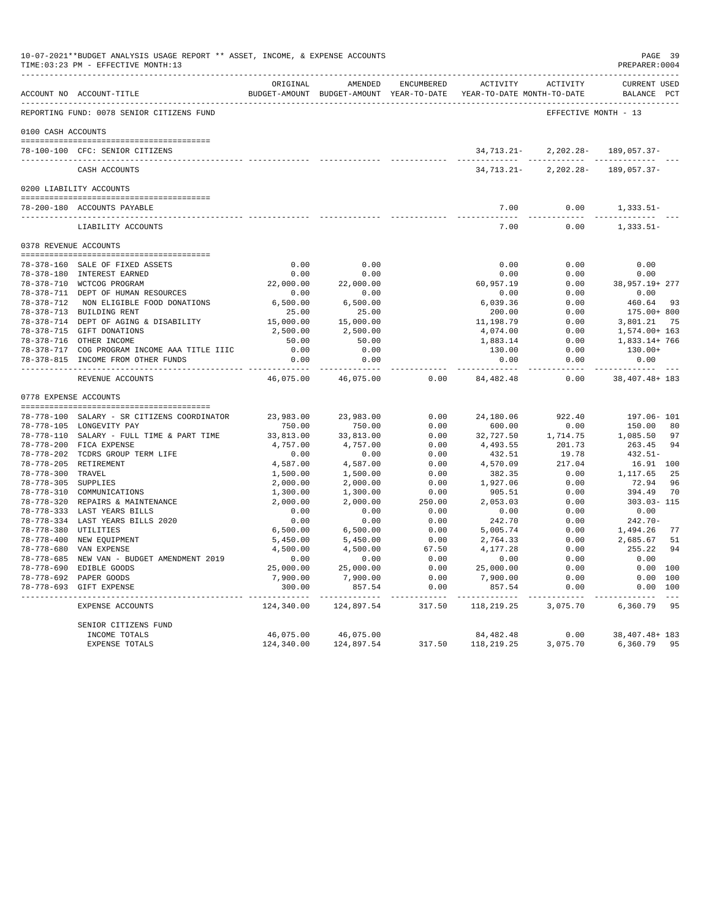|                     | 10-07-2021**BUDGET ANALYSIS USAGE REPORT ** ASSET, INCOME, & EXPENSE ACCOUNTS<br>TIME: 03:23 PM - EFFECTIVE MONTH: 13 |                     |                                  |                          |                                                                                          |                      | PAGE 39<br>PREPARER: 0004                      |
|---------------------|-----------------------------------------------------------------------------------------------------------------------|---------------------|----------------------------------|--------------------------|------------------------------------------------------------------------------------------|----------------------|------------------------------------------------|
|                     | ACCOUNT NO ACCOUNT-TITLE                                                                                              | ORTGINAL            | AMENDED                          | ENCUMBERED               | ACTIVITY ACTIVITY<br>BUDGET-AMOUNT BUDGET-AMOUNT YEAR-TO-DATE YEAR-TO-DATE MONTH-TO-DATE |                      | CURRENT USED<br>BALANCE PCT                    |
|                     |                                                                                                                       |                     |                                  |                          |                                                                                          |                      |                                                |
|                     | REPORTING FUND: 0078 SENIOR CITIZENS FUND                                                                             |                     |                                  |                          |                                                                                          | EFFECTIVE MONTH - 13 |                                                |
| 0100 CASH ACCOUNTS  |                                                                                                                       |                     |                                  |                          |                                                                                          |                      |                                                |
|                     |                                                                                                                       |                     |                                  |                          |                                                                                          |                      |                                                |
|                     | 78-100-100 CFC: SENIOR CITIZENS<br>--------------------------------                                                   |                     |                                  |                          | 34,713.21-                                                                               |                      | $2, 202.28 - 189.057.37 -$                     |
|                     | CASH ACCOUNTS                                                                                                         |                     |                                  |                          |                                                                                          |                      | 34, 713. 21 - 2, 202. 28 - 189, 057. 37 -      |
|                     | 0200 LIABILITY ACCOUNTS                                                                                               |                     |                                  |                          |                                                                                          |                      |                                                |
|                     |                                                                                                                       |                     |                                  |                          |                                                                                          |                      |                                                |
|                     | 78-200-180 ACCOUNTS PAYABLE                                                                                           |                     |                                  |                          | 7.00<br>$- - - -$                                                                        | 0.00                 | $1,333.51-$                                    |
|                     | LIABILITY ACCOUNTS                                                                                                    |                     |                                  |                          | 7.00                                                                                     | 0.00                 | $1,333.51-$                                    |
|                     | 0378 REVENUE ACCOUNTS                                                                                                 |                     |                                  |                          |                                                                                          |                      |                                                |
|                     | 78-378-160 SALE OF FIXED ASSETS                                                                                       |                     |                                  |                          | 0.00                                                                                     | 0.00                 | 0.00                                           |
|                     | 78-378-180 INTEREST EARNED                                                                                            | 0.00                | $0.00$ 0.00<br>0.00              |                          | 0.00                                                                                     | 0.00                 | 0.00                                           |
|                     | 78-378-710 WCTCOG PROGRAM                                                                                             |                     | 22,000.00 22,000.00              |                          | 60,957.19                                                                                |                      | $0.00$ 38,957.19+277                           |
|                     | 0-506-010 WCTCOG PROGRAM<br>78-378-711 DEPT OF HUMAN RESOURCES                                                        | 0.00                | 0.00                             |                          | 0.00                                                                                     | 0.00                 | 0.00                                           |
|                     | 78-378-712 NON ELIGIBLE FOOD DONATIONS                                                                                |                     | 6,500.00 6,500.00<br>25.00 25.00 |                          | 6,039.36                                                                                 | 0.00                 | 460.64 93                                      |
|                     | 78-378-713 BUILDING RENT                                                                                              |                     |                                  |                          | 200.00                                                                                   | 0.00                 | 175.00+ 800                                    |
|                     | 78-378-714 DEPT OF AGING & DISABILITY                                                                                 | 15,000.00           | 15,000.00                        |                          | 11,198.79                                                                                | 0.00                 | 3,801.21<br>75                                 |
|                     | 78-378-715 GIFT DONATIONS                                                                                             | 2,500.00            | 2,500.00                         |                          | 4,074.00                                                                                 |                      | $0.00$ $1,574.00+163$<br>$0.00$ $1,833.14+766$ |
|                     | 78-378-716 OTHER INCOME                                                                                               | 50.00               | 50.00                            |                          | 1,883.14                                                                                 |                      |                                                |
|                     | 78-378-717 COG PROGRAM INCOME AAA TITLE IIIC                                                                          | 0.00                | 0.00                             |                          | 130.00                                                                                   | 0.00                 | 130.00+                                        |
|                     | 78-378-815 INCOME FROM OTHER FUNDS                                                                                    | 0.00<br>----------- | 0.00                             |                          | 0.00<br>___________                                                                      | 0.00<br>--------     | 0.00                                           |
|                     | REVENUE ACCOUNTS                                                                                                      | 46,075.00           | 46,075.00                        | 0.00                     | 84,482.48                                                                                | 0.00                 | 38, 407. 48+ 183                               |
|                     | 0778 EXPENSE ACCOUNTS                                                                                                 |                     |                                  |                          |                                                                                          |                      |                                                |
|                     |                                                                                                                       |                     |                                  |                          |                                                                                          |                      |                                                |
|                     | 78-778-100 SALARY - SR CITIZENS COORDINATOR                                                                           | 23,983.00           | 23,983.00                        | 0.00                     |                                                                                          | 24,180.06 922.40     | 197.06- 101                                    |
|                     | 78-778-105 LONGEVITY PAY                                                                                              | 750.00              | 750.00                           | 0.00                     | 600.00                                                                                   | 0.00                 | 150.00 80                                      |
|                     | 78-778-110 SALARY - FULL TIME & PART TIME                                                                             | 33,813.00           | 33,813.00                        | 0.00                     | 32,727.50 1,714.75                                                                       |                      | 1,085.50 97                                    |
|                     | 78-778-200 FICA EXPENSE<br>78-778-202 TCDRS GROUP TERM LIFE                                                           | 4,757.00<br>0.00    | 4,757.00<br>0.00                 | 0.00<br>0.00             | 4,493.55<br>432.51                                                                       | 201.73<br>19.78      | 263.45<br>94<br>$432.51-$                      |
|                     | 78-778-205 RETIREMENT                                                                                                 | 4,587.00            | 4,587.00                         | 0.00                     | 4,570.09                                                                                 | 217.04               | 16.91 100                                      |
| 78-778-300 TRAVEL   |                                                                                                                       | 1,500.00            | 1,500.00                         | 0.00                     | 382.35                                                                                   | 0.00                 | 1,117.65<br>25                                 |
| 78-778-305 SUPPLIES |                                                                                                                       | 2,000.00            | 2,000.00                         | 0.00                     | 1,927.06                                                                                 | 0.00                 | 72.94<br>96                                    |
|                     | 78-778-310 COMMUNICATIONS                                                                                             | 1,300.00            | 1,300.00                         | 0.00                     | 905.51                                                                                   | 0.00                 | 394.49<br>70                                   |
|                     | 78-778-320 REPAIRS & MAINTENANCE                                                                                      | 2,000.00            | 2,000.00                         | 250.00                   | 2,053.03                                                                                 | 0.00                 | $303.03 - 115$                                 |
|                     | 78-778-333 LAST YEARS BILLS                                                                                           | 0.00                | 0.00                             | 0.00                     | 0.00                                                                                     | 0.00                 | 0.00                                           |
|                     | 78-778-334 LAST YEARS BILLS 2020                                                                                      | 0.00                | 0.00                             | 0.00                     | 242.70                                                                                   | 0.00                 | $242.70-$                                      |
|                     | 78-778-380 UTILITIES                                                                                                  | 6,500.00            | 6,500.00                         | 0.00                     | 5,005.74                                                                                 |                      | $0.00$ $1,494.26$ 77<br>0.00 $2,685.67$ 51     |
|                     | 78-778-400 NEW EQUIPMENT                                                                                              | 5,450.00            | 5,450.00                         | 0.00                     | 2,764.33                                                                                 |                      |                                                |
|                     | 78-778-680 VAN EXPENSE                                                                                                | 4,500.00            | $4,500.00$<br>0.00               | 67.50                    | 4,177.28                                                                                 | 0.00                 | 255.22<br>94                                   |
|                     | 78-778-685 NEW VAN - BUDGET AMENDMENT 2019                                                                            | 0.00                |                                  | 0.00                     | 0.00                                                                                     | 0.00                 | 0.00                                           |
|                     | 78-778-690 EDIBLE GOODS                                                                                               | 25,000.00           | 25,000.00                        | 0.00                     | 25,000.00                                                                                | 0.00                 | $0.00$ 100                                     |
|                     | 78-778-692 PAPER GOODS                                                                                                | 7,900.00            | 7,900.00                         | 0.00                     | 7,900.00                                                                                 | 0.00                 | 0.00 100                                       |
|                     | 78-778-693 GIFT EXPENSE                                                                                               | 300.00<br>.         | -----------                      | 857.54 0.00<br>--------- | 857.54<br>------------                                                                   | 0.00<br>------------ | $0.00$ 100<br>---------- ---                   |
|                     | EXPENSE ACCOUNTS                                                                                                      | 124,340.00          | 124,897.54                       | 317.50                   |                                                                                          | 118,219.25 3,075.70  | 6,360.79 95                                    |
|                     | SENIOR CITIZENS FUND                                                                                                  |                     |                                  |                          |                                                                                          |                      |                                                |
|                     | INCOME TOTALS                                                                                                         | 46,075.00           | 46,075.00                        |                          | 84,482.48                                                                                | 0.00                 | 38,407.48+ 183                                 |
|                     | <b>EXPENSE TOTALS</b>                                                                                                 | 124,340.00          | 124,897.54                       | 317.50                   | 118,219.25                                                                               | 3,075.70             | 6,360.79 95                                    |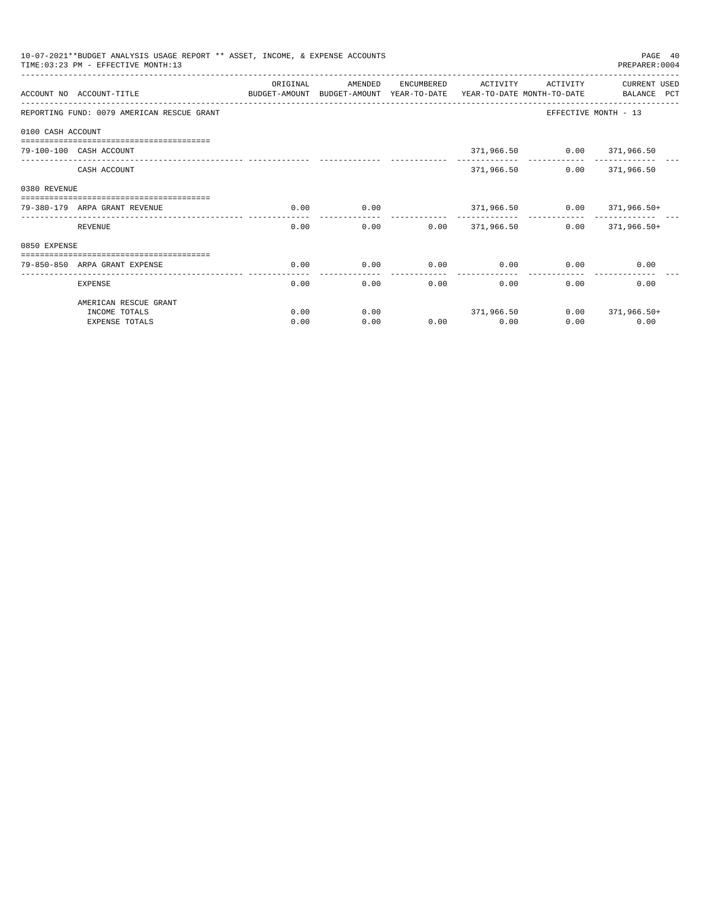|                   | 10-07-2021**BUDGET ANALYSIS USAGE REPORT ** ASSET, INCOME, & EXPENSE ACCOUNTS<br>TIME: 03:23 PM - EFFECTIVE MONTH: 13 |                           |                                       |            |                                                    |                            | PAGE 40<br>PREPARER: 0004          |
|-------------------|-----------------------------------------------------------------------------------------------------------------------|---------------------------|---------------------------------------|------------|----------------------------------------------------|----------------------------|------------------------------------|
|                   | ACCOUNT NO ACCOUNT-TITLE                                                                                              | ORIGINAL<br>BUDGET-AMOUNT | AMENDED<br>BUDGET-AMOUNT YEAR-TO-DATE | ENCUMBERED | ACTIVITY<br>YEAR-TO-DATE MONTH-TO-DATE             | ACTIVITY                   | <b>CURRENT USED</b><br>BALANCE PCT |
|                   | REPORTING FUND: 0079 AMERICAN RESCUE GRANT                                                                            |                           |                                       |            |                                                    |                            | EFFECTIVE MONTH - 13               |
| 0100 CASH ACCOUNT |                                                                                                                       |                           |                                       |            |                                                    |                            |                                    |
|                   | ===========================<br>79-100-100 CASH ACCOUNT                                                                |                           |                                       |            |                                                    | 371,966.50 0.00 371,966.50 |                                    |
|                   | CASH ACCOUNT                                                                                                          |                           |                                       |            | 371,966.50                                         |                            | $0.00$ 371,966.50                  |
| 0380 REVENUE      |                                                                                                                       |                           |                                       |            |                                                    |                            |                                    |
|                   | 79-380-179 ARPA GRANT REVENUE                                                                                         | 0.00                      | 0.00                                  |            |                                                    |                            | $371,966.50$ $0.00$ $371,966.50+$  |
|                   | REVENUE                                                                                                               | 0.00                      | 0.00                                  |            | -----------------------------<br>$0.00$ 371,966.50 |                            | $0.00$ 371.966.50+                 |
| 0850 EXPENSE      |                                                                                                                       |                           |                                       |            |                                                    |                            |                                    |
|                   | ----------------------------<br>79-850-850 ARPA GRANT EXPENSE                                                         | 0.00                      | 0.00                                  | 0.00       | 0.00                                               | 0.00                       | 0.00                               |
|                   | <b>EXPENSE</b>                                                                                                        | 0.00                      | 0.00                                  | 0.00       | 0.00                                               | 0.00                       | 0.00                               |
|                   | AMERICAN RESCUE GRANT                                                                                                 |                           |                                       |            |                                                    |                            |                                    |
|                   | INCOME TOTALS                                                                                                         | 0.00                      | 0.00                                  |            | 371,966.50                                         |                            | $0.00$ 371,966.50+                 |
|                   | <b>EXPENSE TOTALS</b>                                                                                                 | 0.00                      | 0.00                                  |            | $0.00$ 0.00                                        | 0.00                       | 0.00                               |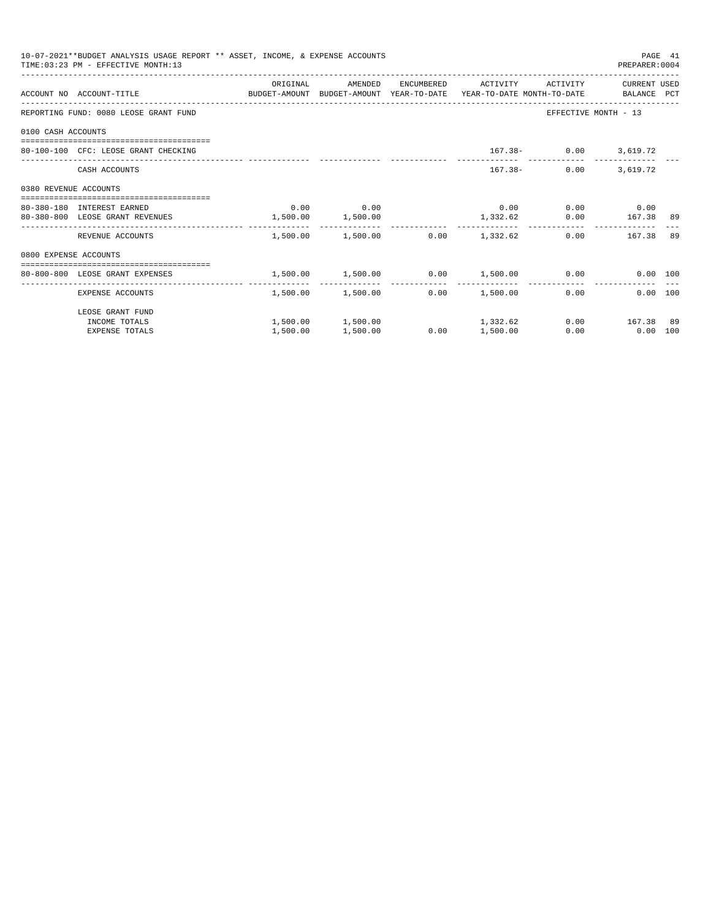|                       | 10-07-2021**BUDGET ANALYSIS USAGE REPORT ** ASSET, INCOME, & EXPENSE ACCOUNTS<br>TIME: 03:23 PM - EFFECTIVE MONTH: 13 |                       |                                  |               |                      |                                                                    | PREPARER: 0004   | PAGE 41 |
|-----------------------|-----------------------------------------------------------------------------------------------------------------------|-----------------------|----------------------------------|---------------|----------------------|--------------------------------------------------------------------|------------------|---------|
|                       | ACCOUNT NO ACCOUNT-TITLE CONTROL SUDGET-AMOUNT BUDGET-AMOUNT YEAR-TO-DATE YEAR-TO-DATE MONTH-TO-DATE BALANCE PCT      | ORIGINAL              | AMENDED                          |               | ENCUMBERED ACTIVITY  | ACTIVITY                                                           | CURRENT USED     |         |
|                       | REPORTING FUND: 0080 LEOSE GRANT FUND                                                                                 |                       |                                  |               |                      | EFFECTIVE MONTH - 13                                               |                  |         |
| 0100 CASH ACCOUNTS    |                                                                                                                       |                       |                                  |               |                      |                                                                    |                  |         |
|                       | 80-100-100 CFC: LEOSE GRANT CHECKING                                                                                  |                       |                                  |               |                      | $167.38 - 0.00$ 3,619.72                                           |                  |         |
|                       | CASH ACCOUNTS                                                                                                         |                       |                                  |               |                      | $167.38 -$<br>0.00                                                 | 3,619.72         |         |
| 0380 REVENUE ACCOUNTS |                                                                                                                       |                       |                                  |               |                      |                                                                    |                  |         |
|                       | 80-380-180 INTEREST EARNED                                                                                            |                       | $0.00$ 0.00                      |               |                      | $0.00$ $0.00$ $0.00$ $0.00$                                        |                  |         |
|                       | 80-380-800 LEOSE GRANT REVENUES                                                                                       | $1,500.00$ $1,500.00$ |                                  |               |                      | $1,332.62$ 0.00 167.38 89                                          |                  |         |
|                       | REVENUE ACCOUNTS                                                                                                      |                       | 1,500.00 1,500.00                |               | $0.00$ 1,332.62      |                                                                    | 0.00 167.38 89   |         |
| 0800 EXPENSE ACCOUNTS |                                                                                                                       |                       |                                  |               |                      |                                                                    |                  |         |
|                       | ===============================<br>80-800-800 LEOSE GRANT EXPENSES                                                    |                       |                                  |               |                      | $1,500.00$ $1,500.00$ $0.00$ $1,500.00$ $0.00$ $0.00$ $0.00$ $100$ |                  |         |
|                       | ---------------------- ----<br>EXPENSE ACCOUNTS                                                                       | .                     | 1,500.00 1,500.00                | ----------- - | .<br>$0.00$ 1,500.00 | 0.00                                                               | 0.00 100         |         |
|                       | LEOSE GRANT FUND                                                                                                      |                       |                                  |               |                      |                                                                    |                  |         |
|                       | INCOME TOTALS                                                                                                         |                       | $1,500.00$ $1,500.00$ $1,332.62$ |               |                      |                                                                    | $0.00$ 167.38 89 |         |
|                       | <b>EXPENSE TOTALS</b>                                                                                                 | 1,500.00              | 1,500.00                         | 0.00          | 1,500.00             | 0.00                                                               | $0.00$ 100       |         |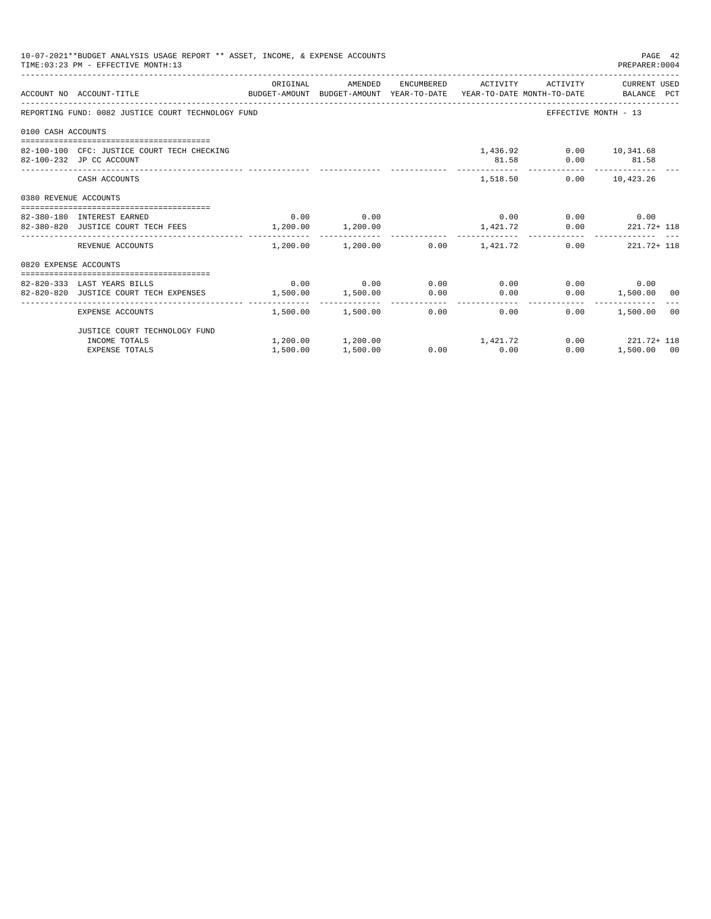|                       | 10-07-2021**BUDGET ANALYSIS USAGE REPORT ** ASSET, INCOME, & EXPENSE ACCOUNTS<br>TIME: 03:23 PM - EFFECTIVE MONTH: 13 |                                     |                                         |             |                                             | PAGE 42<br>PREPARER: 0004                        |  |
|-----------------------|-----------------------------------------------------------------------------------------------------------------------|-------------------------------------|-----------------------------------------|-------------|---------------------------------------------|--------------------------------------------------|--|
|                       | ACCOUNT NO ACCOUNT-TITLE CONTROL SUDGET-AMOUNT BUDGET-AMOUNT YEAR-TO-DATE YEAR-TO-DATE MONTH-TO-DATE BALANCE PCT      | ORIGINAL                            |                                         |             |                                             | AMENDED ENCUMBERED ACTIVITY ACTIVITY CURRENTUSED |  |
|                       | REPORTING FUND: 0082 JUSTICE COURT TECHNOLOGY FUND                                                                    |                                     |                                         |             |                                             | EFFECTIVE MONTH - 13                             |  |
| 0100 CASH ACCOUNTS    |                                                                                                                       |                                     |                                         |             |                                             |                                                  |  |
|                       | 82-100-100 CFC: JUSTICE COURT TECH CHECKING<br>82-100-232 JP CC ACCOUNT                                               |                                     |                                         |             | 1,436.92 0.00 10,341.68<br>81.58 0.00 81.58 |                                                  |  |
|                       | CASH ACCOUNTS                                                                                                         |                                     |                                         |             | 1,518.50 0.00 10,423.26                     |                                                  |  |
| 0380 REVENUE ACCOUNTS |                                                                                                                       |                                     |                                         |             |                                             |                                                  |  |
|                       | 82-380-180 INTEREST EARNED                                                                                            |                                     | $0.00$ 0.00                             |             |                                             | $0.00$ $0.00$ $0.00$ $0.00$                      |  |
|                       | 82-380-820 JUSTICE COURT TECH FEES 1,200.00 1,200.00                                                                  |                                     |                                         |             |                                             | $1,421.72$ 0.00 221.72+ 118                      |  |
|                       | REVENUE ACCOUNTS                                                                                                      |                                     | $1.200.00$ $1.200.00$ $0.00$ $1.421.72$ |             |                                             | $0.00$ $221.72 + 118$                            |  |
| 0820 EXPENSE ACCOUNTS |                                                                                                                       |                                     |                                         |             |                                             |                                                  |  |
|                       |                                                                                                                       |                                     |                                         |             |                                             |                                                  |  |
|                       | 82-820-333 LAST YEARS BILLS<br>82-820-820 JUSTICE COURT TECH EXPENSES                                                 | $1,500.00$ $1,500.00$ $0.00$ $0.00$ | $0.00$ $0.00$ $0.00$ $0.00$ $0.00$      |             |                                             | $0.00$ 0.00<br>$0.00$ 1,500.00 00                |  |
|                       |                                                                                                                       |                                     |                                         |             |                                             |                                                  |  |
|                       | EXPENSE ACCOUNTS                                                                                                      |                                     | $1,500.00$ $1,500.00$ 0.00              |             | 0.00                                        | 1,500.00 00<br>0.00                              |  |
|                       | JUSTICE COURT TECHNOLOGY FUND                                                                                         |                                     |                                         |             |                                             |                                                  |  |
|                       | INCOME TOTALS                                                                                                         |                                     | $1,200.00$ $1,200.00$ $1,421.72$        |             |                                             | $0.00$ $221.72 + 118$                            |  |
|                       | <b>EXPENSE TOTALS</b>                                                                                                 | 1,500.00                            | 1,500.00                                | $0.00$ 0.00 | 0.00                                        | 1,500.00 00                                      |  |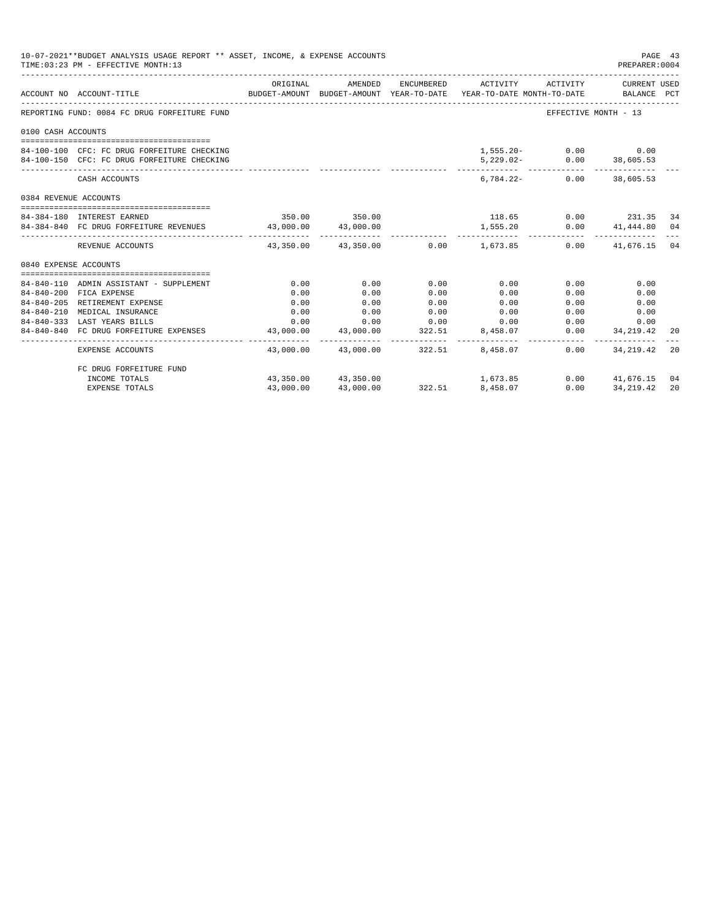| 10-07-2021**BUDGET ANALYSIS USAGE REPORT ** ASSET, INCOME, & EXPENSE ACCOUNTS<br>PAGE 43<br>TIME: 03:23 PM - EFFECTIVE MONTH: 13<br>PREPARER: 0004 |                                                            |                                                                                 |                                                             |        |                                            |      |                              |    |
|----------------------------------------------------------------------------------------------------------------------------------------------------|------------------------------------------------------------|---------------------------------------------------------------------------------|-------------------------------------------------------------|--------|--------------------------------------------|------|------------------------------|----|
|                                                                                                                                                    | ACCOUNT NO ACCOUNT-TITLE                                   | BUDGET-AMOUNT BUDGET-AMOUNT YEAR-TO-DATE YEAR-TO-DATE MONTH-TO-DATE BALANCE PCT | ORIGINAL AMENDED                                            |        | ENCUMBERED ACTIVITY ACTIVITY CURRENT USED  |      |                              |    |
|                                                                                                                                                    | REPORTING FUND: 0084 FC DRUG FORFEITURE FUND               |                                                                                 |                                                             |        |                                            |      | EFFECTIVE MONTH - 13         |    |
| 0100 CASH ACCOUNTS                                                                                                                                 |                                                            |                                                                                 |                                                             |        |                                            |      |                              |    |
|                                                                                                                                                    |                                                            |                                                                                 |                                                             |        |                                            |      |                              |    |
|                                                                                                                                                    | 84-100-100 CFC: FC DRUG FORFEITURE CHECKING                |                                                                                 |                                                             |        |                                            |      | $1,555.20 - 0.00$ 0.00       |    |
|                                                                                                                                                    | 84-100-150 CFC: FC DRUG FORFEITURE CHECKING                |                                                                                 |                                                             |        |                                            |      | 5,229.02- 0.00 38,605.53     |    |
|                                                                                                                                                    | CASH ACCOUNTS                                              |                                                                                 |                                                             |        |                                            |      | $6.784.22 - 0.00$ 38.605.53  |    |
| 0384 REVENUE ACCOUNTS                                                                                                                              |                                                            |                                                                                 |                                                             |        |                                            |      |                              |    |
|                                                                                                                                                    |                                                            |                                                                                 | 350.00 350.00                                               |        | 118.65 0.00 231.35 34                      |      |                              |    |
| 84-384-180 INTEREST EARNED                                                                                                                         |                                                            |                                                                                 |                                                             |        |                                            |      |                              |    |
|                                                                                                                                                    | 84-384-840 FC DRUG FORFEITURE REVENUES 43,000.00 43,000.00 |                                                                                 |                                                             |        | 1,555.20<br>------------                   |      | $0.00$ $41,444.80$ $04$      |    |
|                                                                                                                                                    | REVENUE ACCOUNTS                                           |                                                                                 |                                                             |        | $43,350.00$ $43,350.00$ $0.00$ $1,673.85$  |      | $0.00$ $41,676.15$ 04        |    |
| 0840 EXPENSE ACCOUNTS                                                                                                                              |                                                            |                                                                                 |                                                             |        |                                            |      |                              |    |
|                                                                                                                                                    |                                                            |                                                                                 |                                                             |        |                                            |      |                              |    |
|                                                                                                                                                    | 84-840-110 ADMIN ASSISTANT - SUPPLEMENT                    | 0.00                                                                            | 0.00                                                        | 0.00   | 0.00                                       | 0.00 | 0.00                         |    |
|                                                                                                                                                    | 84-840-200 FICA EXPENSE                                    | 0.00                                                                            | 0.00                                                        | 0.00   | 0.00                                       | 0.00 | 0.00                         |    |
| $84 - 840 - 210$                                                                                                                                   | 84-840-205 RETIREMENT EXPENSE<br>MEDICAL INSURANCE         | 0.00                                                                            | 0.00                                                        | 0.00   | 0.00                                       | 0.00 | 0.00                         |    |
|                                                                                                                                                    | 84-840-333 LAST YEARS BILLS                                | 0.00                                                                            | 0.00                                                        | 0.00   | 0.00<br>$0.00$ $0.00$ $0.00$ $0.00$ $0.00$ |      | 0.00<br>0.00<br>0.00<br>0.00 |    |
|                                                                                                                                                    | 84-840-840 FC DRUG FORFEITURE EXPENSES                     |                                                                                 | 43,000.00 43,000.00                                         | 322.51 | 8,458.07                                   |      | $0.00$ $34,219.42$           |    |
|                                                                                                                                                    |                                                            |                                                                                 |                                                             |        |                                            |      | --------------               | 20 |
|                                                                                                                                                    | EXPENSE ACCOUNTS                                           |                                                                                 |                                                             |        | 43,000.00 43,000.00 322.51 8,458.07        | 0.00 | 34,219.42                    | 20 |
|                                                                                                                                                    | FC DRUG FORFEITURE FUND                                    |                                                                                 |                                                             |        |                                            |      |                              |    |
|                                                                                                                                                    | INCOME TOTALS                                              |                                                                                 | $43,350.00$ $43,350.00$<br>$43.000.00$ $43,000.00$ $322.51$ |        | 1,673.85                                   |      | $0.00$ $41.676.15$           | 04 |
|                                                                                                                                                    | <b>EXPENSE TOTALS</b>                                      |                                                                                 |                                                             |        | 8,458.07                                   | 0.00 | 34, 219, 42                  | 20 |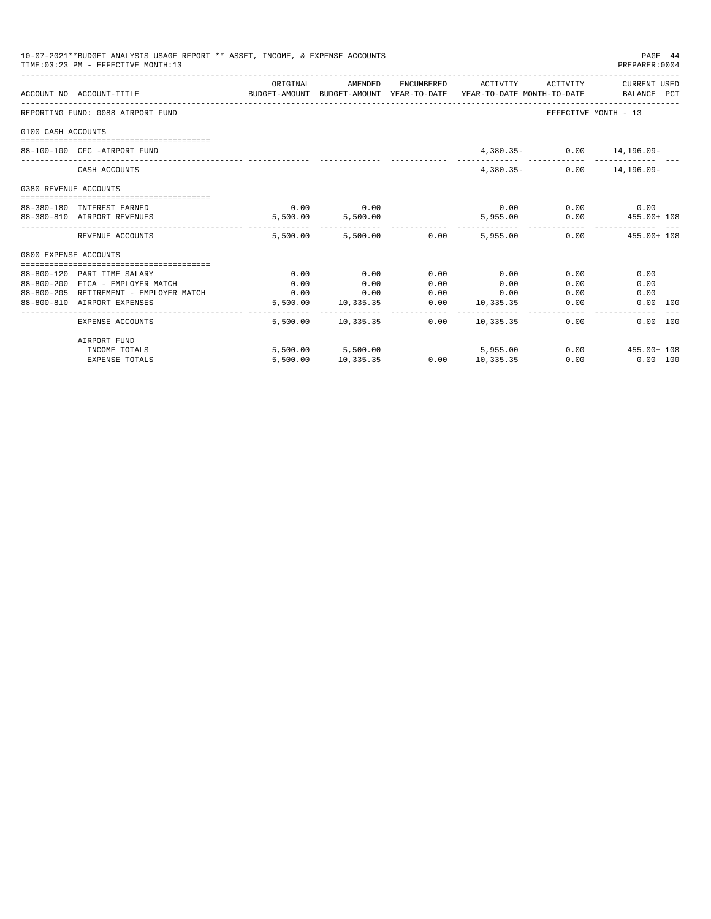| 10-07-2021**BUDGET ANALYSIS USAGE REPORT ** ASSET, INCOME, & EXPENSE ACCOUNTS<br>TIME: 03:23 PM - EFFECTIVE MONTH: 13<br>PREPARER: 0004 |                                                                                                             |          |                         |      |                     |                              |                                                 |  |
|-----------------------------------------------------------------------------------------------------------------------------------------|-------------------------------------------------------------------------------------------------------------|----------|-------------------------|------|---------------------|------------------------------|-------------------------------------------------|--|
|                                                                                                                                         | ACCOUNT NO ACCOUNT-TITLE<br>BUDGET-AMOUNT BUDGET-AMOUNT YEAR-TO-DATE YEAR-TO-DATE MONTH-TO-DATE BALANCE PCT | ORIGINAL | AMENDED                 |      | ENCUMBERED ACTIVITY |                              | ACTIVITY CURRENT USED                           |  |
|                                                                                                                                         | REPORTING FUND: 0088 AIRPORT FUND                                                                           |          |                         |      |                     | EFFECTIVE MONTH - 13         |                                                 |  |
| 0100 CASH ACCOUNTS                                                                                                                      |                                                                                                             |          |                         |      |                     |                              |                                                 |  |
|                                                                                                                                         | 88-100-100 CFC -AIRPORT FUND                                                                                |          |                         |      |                     | 4,380.35- 0.00 14,196.09-    |                                                 |  |
|                                                                                                                                         | CASH ACCOUNTS                                                                                               |          |                         |      |                     | $4.380.35 - 0.00$ 14.196.09- |                                                 |  |
| 0380 REVENUE ACCOUNTS                                                                                                                   |                                                                                                             |          |                         |      |                     |                              |                                                 |  |
|                                                                                                                                         | 88-380-180 INTEREST EARNED                                                                                  |          | $0.00$ 0.00             |      |                     | $0.00$ $0.00$ $0.00$ $0.00$  |                                                 |  |
|                                                                                                                                         | 88-380-810 AIRPORT REVENUES                                                                                 |          | 5,500.00 5,500.00       |      |                     |                              | 5,955.00   0.00   455.00+ 108                   |  |
|                                                                                                                                         | REVENUE ACCOUNTS                                                                                            |          |                         |      |                     |                              | 5.500.00 5.500.00 0.00 5.955.00 0.00 455.00 108 |  |
| 0800 EXPENSE ACCOUNTS                                                                                                                   |                                                                                                             |          |                         |      |                     |                              |                                                 |  |
|                                                                                                                                         | 88-800-120 PART TIME SALARY                                                                                 | 0.00     | 0.00                    | 0.00 | 0.00                | 0.00                         | 0.00                                            |  |
|                                                                                                                                         | 88-800-200 FICA - EMPLOYER MATCH                                                                            | 0.00     | 0.00                    | 0.00 | 0.00                | 0.00                         | 0.00                                            |  |
|                                                                                                                                         | $88-800-205$ RETIREMENT - EMPLOYER MATCH $0.00$ 0.00 0.00                                                   |          |                         |      | $0.00$ 0.00         | 0.00                         | 0.00                                            |  |
|                                                                                                                                         | 88-800-810 AIRPORT EXPENSES                                                                                 |          | 5,500.00 10,335.35      |      | $0.00$ 10,335.35    | 0.00                         | 0.00 100                                        |  |
|                                                                                                                                         | <b>EXPENSE ACCOUNTS</b>                                                                                     |          | 5,500.00 10,335.35 0.00 |      | 10,335.35           | 0.00                         | 0.00 100                                        |  |
|                                                                                                                                         | AIRPORT FUND                                                                                                |          |                         |      |                     |                              |                                                 |  |
|                                                                                                                                         | INCOME TOTALS                                                                                               |          | 5,500.00 5,500.00       |      | 5,955.00            |                              | $0.00$ $455.00 + 108$                           |  |
|                                                                                                                                         | <b>EXPENSE TOTALS</b>                                                                                       |          | 5,500.00 10,335.35      |      | $0.00$ 10.335.35    |                              | $0.00$ $0.00$ $100$                             |  |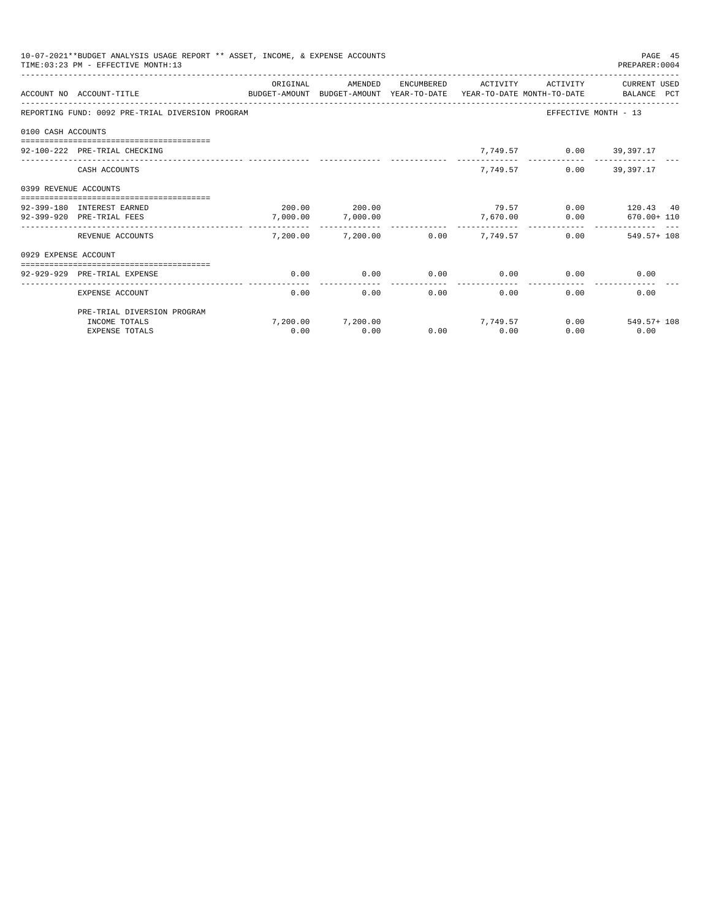|                       | 10-07-2021**BUDGET ANALYSIS USAGE REPORT ** ASSET, INCOME, & EXPENSE ACCOUNTS<br>TIME: 03:23 PM - EFFECTIVE MONTH: 13 |          |                            |            |                 |                         | PAGE 45<br>PREPARER: 0004 |
|-----------------------|-----------------------------------------------------------------------------------------------------------------------|----------|----------------------------|------------|-----------------|-------------------------|---------------------------|
|                       | ACCOUNT NO ACCOUNT-TITLE<br>BUDGET-AMOUNT BUDGET-AMOUNT YEAR-TO-DATE YEAR-TO-DATE MONTH-TO-DATE BALANCE PCT           | ORIGINAL | AMENDED                    | ENCUMBERED | ACTIVITY        | ACTIVITY                | CURRENT USED              |
|                       | REPORTING FUND: 0092 PRE-TRIAL DIVERSION PROGRAM                                                                      |          |                            |            |                 |                         | EFFECTIVE MONTH - 13      |
| 0100 CASH ACCOUNTS    |                                                                                                                       |          |                            |            |                 |                         |                           |
|                       | 92-100-222 PRE-TRIAL CHECKING                                                                                         |          |                            |            |                 | 7,749.57 0.00 39,397.17 |                           |
|                       | CASH ACCOUNTS                                                                                                         |          |                            |            | 7,749.57        |                         | $0.00$ 39,397.17          |
| 0399 REVENUE ACCOUNTS | -----------------------------                                                                                         |          |                            |            |                 |                         |                           |
|                       | 92-399-180 INTEREST EARNED                                                                                            |          | 200.00 200.00              |            |                 |                         | 79.57 0.00 120.43 40      |
|                       | 92-399-920 PRE-TRIAL FEES                                                                                             | 7,000.00 | 7,000.00<br>-------------- |            | 7,670.00        |                         | $0.00$ 670.00+ 110        |
|                       | REVENUE ACCOUNTS                                                                                                      |          | 7,200.00 7,200.00          |            | $0.00$ 7.749.57 |                         | $0.00$ 549.57+108         |
| 0929 EXPENSE ACCOUNT  |                                                                                                                       |          |                            |            |                 |                         |                           |
|                       | ============================<br>92-929-929 PRE-TRIAL EXPENSE                                                          | 0.00     | 0.00                       | 0.00       | 0.00            | 0.00                    | 0.00                      |
|                       | EXPENSE ACCOUNT                                                                                                       | 0.00     | 0.00                       | 0.00       |                 | 0.00<br>0.00            | 0.00                      |
|                       | PRE-TRIAL DIVERSION PROGRAM                                                                                           |          |                            |            |                 |                         |                           |
|                       | INCOME TOTALS                                                                                                         |          | 7.200.00 7.200.00          |            | 7, 749, 57      |                         | $0.00$ 549.57+ 108        |
|                       | <b>EXPENSE TOTALS</b>                                                                                                 | 0.00     | 0.00                       | 0.00       | 0.00            | 0.00                    | 0.00                      |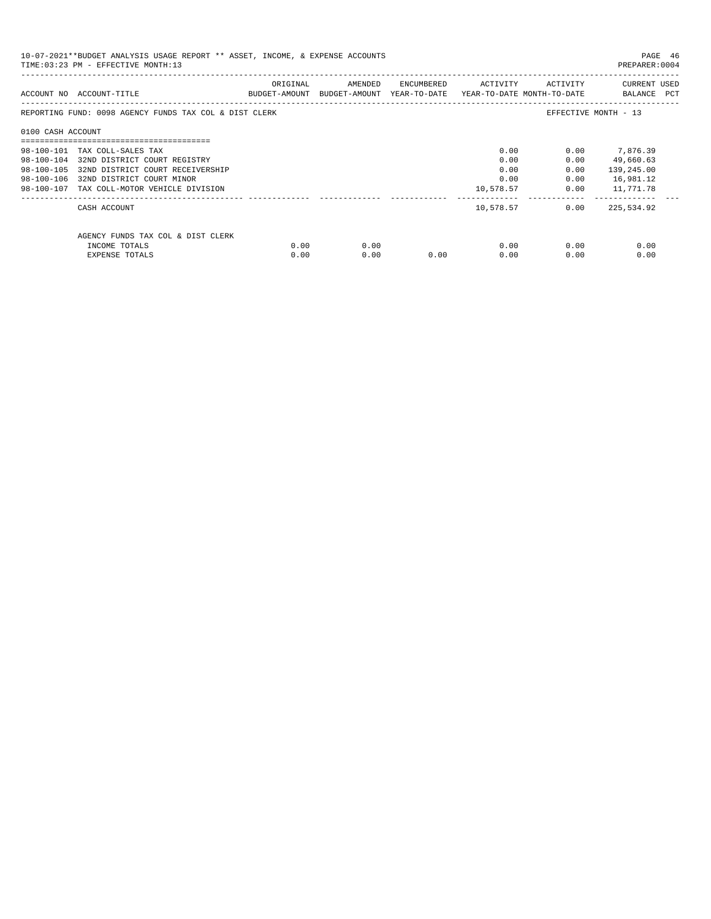| 10-07-2021**BUDGET ANALYSIS USAGE REPORT ** ASSET, INCOME, & EXPENSE ACCOUNTS<br>TIME: 03:23 PM - EFFECTIVE MONTH: 13<br>PREPARER: 0004 |                                                        |          |                                                                     |      |                                      |                                                                                                                                                                                                                                     |                             |  |  |
|-----------------------------------------------------------------------------------------------------------------------------------------|--------------------------------------------------------|----------|---------------------------------------------------------------------|------|--------------------------------------|-------------------------------------------------------------------------------------------------------------------------------------------------------------------------------------------------------------------------------------|-----------------------------|--|--|
|                                                                                                                                         | ACCOUNT NO ACCOUNT-TITLE                               | ORIGINAL | BUDGET-AMOUNT BUDGET-AMOUNT YEAR-TO-DATE YEAR-TO-DATE MONTH-TO-DATE |      | AMENDED ENCUMBERED ACTIVITY ACTIVITY |                                                                                                                                                                                                                                     | CURRENT USED<br>BALANCE PCT |  |  |
|                                                                                                                                         | REPORTING FUND: 0098 AGENCY FUNDS TAX COL & DIST CLERK |          |                                                                     |      |                                      |                                                                                                                                                                                                                                     | EFFECTIVE MONTH - 13        |  |  |
| 0100 CASH ACCOUNT                                                                                                                       |                                                        |          |                                                                     |      |                                      |                                                                                                                                                                                                                                     |                             |  |  |
|                                                                                                                                         | 98-100-101 TAX COLL-SALES TAX                          |          |                                                                     |      | 0.00                                 |                                                                                                                                                                                                                                     | $0.00$ 7,876.39             |  |  |
|                                                                                                                                         | 98-100-104 32ND DISTRICT COURT REGISTRY                |          |                                                                     |      | 0.00                                 | 0.00                                                                                                                                                                                                                                | 49,660.63                   |  |  |
|                                                                                                                                         | 98-100-105 32ND DISTRICT COURT RECEIVERSHIP            |          |                                                                     |      | 0.00                                 | 0.00                                                                                                                                                                                                                                | 139,245.00                  |  |  |
|                                                                                                                                         | 98-100-106 32ND DISTRICT COURT MINOR                   |          |                                                                     |      | 0.00                                 | 0.00                                                                                                                                                                                                                                | 16,981.12                   |  |  |
|                                                                                                                                         | 98-100-107 TAX COLL-MOTOR VEHICLE DIVISION             |          |                                                                     |      | 10,578.57                            |                                                                                                                                                                                                                                     | $0.00$ 11,771.78            |  |  |
|                                                                                                                                         | CASH ACCOUNT                                           |          |                                                                     |      | 10,578.57                            | 0.00                                                                                                                                                                                                                                | 225,534.92                  |  |  |
|                                                                                                                                         | AGENCY FUNDS TAX COL & DIST CLERK                      |          |                                                                     |      |                                      |                                                                                                                                                                                                                                     |                             |  |  |
|                                                                                                                                         | INCOME TOTALS                                          | 0.00     | 0.00                                                                |      |                                      | $0.00$ and $0.00$ and $0.00$ and $0.00$ and $0.00$ and $0.00$ and $0.00$ and $0.00$ and $0.00$ and $0.00$ and $0.00$ and $0.00$ and $0.00$ and $0.00$ and $0.00$ and $0.00$ and $0.00$ and $0.00$ and $0.00$ and $0.00$ and<br>0.00 | 0.00                        |  |  |
|                                                                                                                                         | EXPENSE TOTALS                                         | 0.00     | 0.00                                                                | 0.00 |                                      | 0.00<br>0.00                                                                                                                                                                                                                        | 0.00                        |  |  |